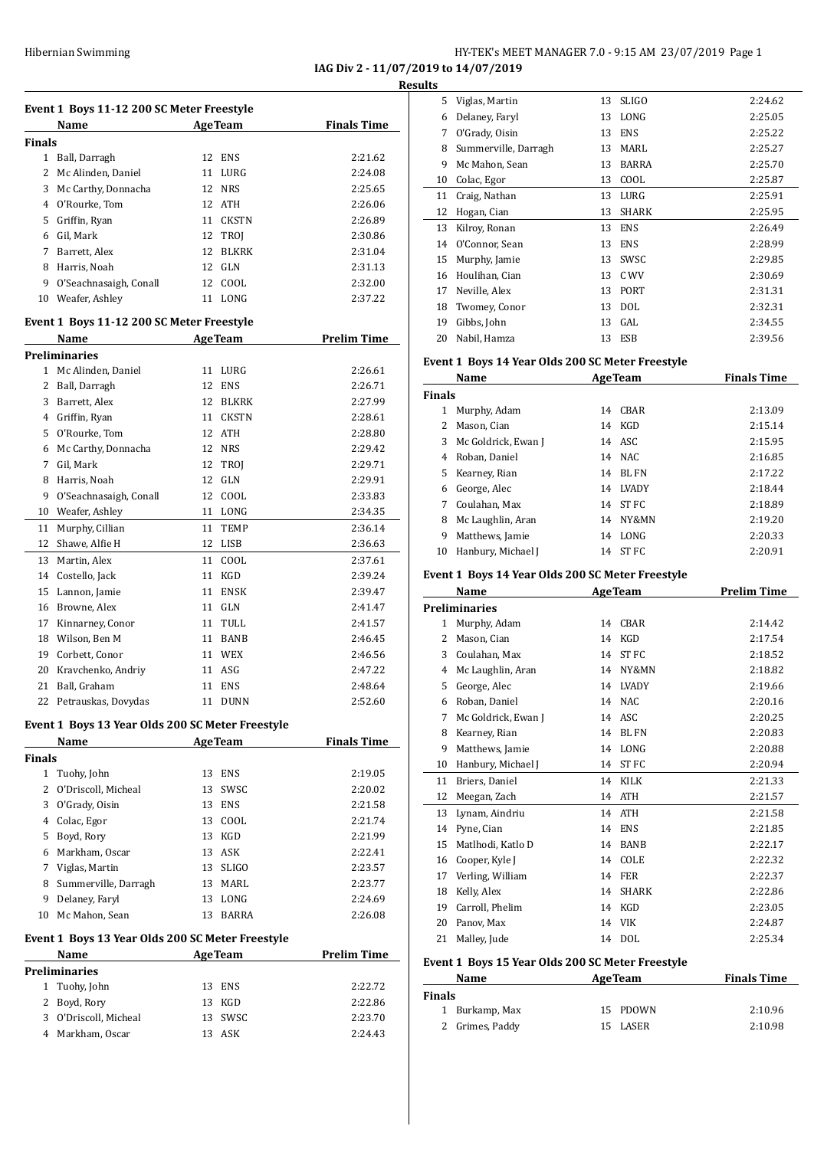**IAG Div 2 - 11/07/2019 to 14/07/2019**

|               | Event 1 Boys 11-12 200 SC Meter Freestyle        |                         |                    |
|---------------|--------------------------------------------------|-------------------------|--------------------|
|               | Name                                             | <b>AgeTeam</b>          | <b>Finals Time</b> |
| <b>Finals</b> |                                                  |                         |                    |
|               | 1 Ball, Darragh                                  | 12 ENS                  | 2:21.62            |
|               | 2 Mc Alinden, Daniel                             | 11 LURG                 | 2:24.08            |
|               | 3 Mc Carthy, Donnacha                            | 12 NRS                  | 2:25.65            |
|               | 4 O'Rourke, Tom                                  | 12 ATH                  | 2:26.06            |
|               | 5 Griffin, Ryan                                  | 11 CKSTN                | 2:26.89            |
|               | 6 Gil, Mark                                      | 12<br>TROJ              | 2:30.86            |
|               | 7 Barrett, Alex                                  | 12<br><b>BLKRK</b>      | 2:31.04            |
|               | 8 Harris, Noah                                   | 12 GLN                  | 2:31.13            |
|               | 9 O'Seachnasaigh, Conall                         | 12 COOL                 | 2:32.00            |
|               | 10 Weafer, Ashley                                | 11 LONG                 | 2:37.22            |
|               | Event 1 Boys 11-12 200 SC Meter Freestyle        |                         |                    |
|               | Name                                             | <b>AgeTeam</b>          | <b>Prelim Time</b> |
|               | Preliminaries                                    |                         |                    |
|               | 1 Mc Alinden, Daniel                             | 11 LURG                 | 2:26.61            |
|               | 2 Ball, Darragh                                  | 12 ENS                  | 2:26.71            |
|               | 3 Barrett, Alex                                  | 12 BLKRK                | 2:27.99            |
|               | 4 Griffin, Ryan                                  | 11 CKSTN                | 2:28.61            |
|               | 5 O'Rourke, Tom                                  | 12 ATH                  | 2:28.80            |
|               | 6 Mc Carthy, Donnacha                            | 12 NRS                  | 2:29.42            |
| 7             | Gil, Mark                                        | 12<br>TROJ              | 2:29.71            |
| 8             | Harris, Noah                                     | 12 GLN                  | 2:29.91            |
|               | 9 O'Seachnasaigh, Conall                         | 12 COOL                 | 2:33.83            |
|               | 10 Weafer, Ashley                                | 11 LONG                 | 2:34.35            |
| 11            | Murphy, Cillian                                  | 11<br>TEMP              | 2:36.14            |
|               | 12 Shawe, Alfie H                                | 12<br>LISB              | 2:36.63            |
|               | 13 Martin, Alex                                  | 11 COOL                 | 2:37.61            |
|               | 14 Costello, Jack                                | 11 KGD                  | 2:39.24            |
|               | 15 Lannon, Jamie                                 | 11 ENSK                 | 2:39.47            |
|               | 16 Browne, Alex                                  | 11 GLN                  | 2:41.47            |
|               | 17 Kinnarney, Conor                              | TULL<br>11              | 2:41.57            |
|               | 18 Wilson, Ben M                                 | BANB<br>11              | 2:46.45            |
|               | 19 Corbett, Conor                                | 11 WEX                  | 2:46.56            |
|               | 20 Kravchenko, Andriy                            | 11 ASG                  | 2:47.22            |
| 21            | Ball, Graham                                     | 11 ENS                  | 2:48.64            |
|               | 22 Petrauskas, Dovydas                           | 11 DUNN                 | 2:52.60            |
|               | Event 1 Boys 13 Year Olds 200 SC Meter Freestyle |                         |                    |
|               | Name                                             | <b>AgeTeam</b>          | <b>Finals Time</b> |
| Finals        |                                                  |                         |                    |
|               | 1 Tuohy, John<br>2 O'Driscoll, Micheal           | 13 ENS                  | 2:19.05            |
|               | 3 O'Grady, Oisin                                 | SWSC<br>13<br>ENS<br>13 | 2:20.02<br>2:21.58 |
|               |                                                  |                         |                    |
|               | 4 Colac, Egor<br>5 Boyd, Rory                    | 13 COOL<br>13 KGD       | 2:21.74<br>2:21.99 |
|               |                                                  |                         | 2:22.41            |
|               | 6 Markham, Oscar                                 | 13 ASK<br><b>SLIGO</b>  | 2:23.57            |
|               | 7 Viglas, Martin                                 | 13                      |                    |
|               | 8 Summerville, Darragh                           | MARL<br>13              | 2:23.77            |
|               | 9 Delaney, Faryl                                 | LONG<br>13              | 2:24.69            |
|               | 10 Mc Mahon, Sean                                | <b>BARRA</b><br>13      | 2:26.08            |
|               | Event 1 Boys 13 Year Olds 200 SC Meter Freestyle |                         |                    |
|               | Name                                             | <b>AgeTeam</b>          | <b>Prelim Time</b> |
|               | Preliminaries<br>1 Tuohy, John                   | 13 ENS                  | 2:22.72            |
|               | 2 Boyd, Rory                                     | 13 KGD                  |                    |
|               |                                                  |                         | 2:22.86            |
|               | 3 O'Driscoll, Micheal                            | 13 SWSC                 | 2:23.70            |

| uits          |                                                  |    |                |                    |
|---------------|--------------------------------------------------|----|----------------|--------------------|
|               | 5 Viglas, Martin                                 | 13 | <b>SLIGO</b>   | 2:24.62            |
|               | 6 Delaney, Faryl                                 | 13 | LONG           | 2:25.05            |
|               | 7 O'Grady, Oisin                                 | 13 | ENS            | 2:25.22            |
|               | 8 Summerville, Darragh                           |    | 13 MARL        | 2:25.27            |
| 9             | Mc Mahon, Sean                                   | 13 | BARRA          | 2:25.70            |
|               | 10 Colac, Egor                                   |    | 13 COOL        | 2:25.87            |
| 11            | Craig, Nathan                                    | 13 | LURG           | 2:25.91            |
| 12            | Hogan, Cian                                      | 13 | SHARK          | 2:25.95            |
| 13            | Kilroy, Ronan                                    | 13 | <b>ENS</b>     | 2:26.49            |
|               | 14 O'Connor, Sean                                | 13 | ENS            | 2:28.99            |
| 15            | Murphy, Jamie                                    | 13 | SWSC           | 2:29.85            |
|               | 16 Houlihan, Cian                                | 13 | C WV           | 2:30.69            |
|               | 17 Neville, Alex                                 | 13 | PORT           | 2:31.31            |
|               | 18 Twomey, Conor                                 | 13 | DOL            | 2:32.31            |
| 19            | Gibbs, John                                      | 13 | GAL            | 2:34.55            |
| 20            | Nabil, Hamza                                     | 13 | ESB            | 2:39.56            |
|               |                                                  |    |                |                    |
|               | Event 1 Boys 14 Year Olds 200 SC Meter Freestyle |    |                |                    |
|               | Name                                             |    | <b>AgeTeam</b> | <b>Finals Time</b> |
| <b>Finals</b> |                                                  |    |                |                    |
|               | 1 Murphy, Adam                                   |    | 14 CBAR        | 2:13.09            |
|               | 2 Mason, Cian                                    | 14 | KGD            | 2:15.14            |
| 3             | Mc Goldrick, Ewan J                              |    | 14 ASC         | 2:15.95            |
|               | 4 Roban, Daniel                                  |    | 14 NAC         | 2:16.85            |
| 5             | Kearney, Rian                                    |    | 14 BL FN       | 2:17.22            |
|               | 6 George, Alec                                   |    | 14 LVADY       | 2:18.44            |
| 7             | Coulahan, Max                                    |    | 14 ST FC       | 2:18.89            |
|               | 8 Mc Laughlin, Aran                              |    | 14 NY&MN       | 2:19.20            |
|               |                                                  |    |                |                    |
| 9             | Matthews, Jamie                                  | 14 | LONG           | 2:20.33            |
|               | 10 Hanbury, Michael J                            |    | 14 ST FC       | 2:20.91            |
|               |                                                  |    |                |                    |
|               | Event 1 Boys 14 Year Olds 200 SC Meter Freestyle |    |                |                    |
|               | Name                                             |    | <b>AgeTeam</b> | <b>Prelim Time</b> |
|               | <b>Preliminaries</b>                             |    |                |                    |
|               | 1 Murphy, Adam                                   |    | 14 CBAR        | 2:14.42            |
|               | 2 Mason, Cian                                    |    | 14 KGD         | 2:17.54            |
| 3             | Coulahan, Max                                    | 14 | ST FC          | 2:18.52            |
|               | 4 Mc Laughlin, Aran                              | 14 | NY&MN          | 2:18.82            |
| 5             | George, Alec                                     | 14 | LVADY          | 2:19.66            |
| 6             | Roban, Daniel                                    | 14 | NAC            | 2:20.16            |
| 7             | Mc Goldrick, Ewan J                              | 14 | ASC            | 2:20.25            |
| 8             | Kearney, Rian                                    | 14 | <b>BLFN</b>    | 2:20.83            |
| 9             | Matthews, Jamie                                  | 14 | LONG           | 2:20.88            |
| 10            | Hanbury, Michael J                               | 14 | ST FC          | 2:20.94            |
| 11            | Briers, Daniel                                   | 14 | KILK           | 2:21.33            |
| 12            | Meegan, Zach                                     | 14 | ATH            | 2:21.57            |
| 13            | Lynam, Aindriu                                   | 14 | ATH            | 2:21.58            |
| 14            | Pyne, Cian                                       | 14 | <b>ENS</b>     | 2:21.85            |
| 15            | Matlhodi, Katlo D                                | 14 | BANB           | 2:22.17            |
| 16            | Cooper, Kyle J                                   | 14 | COLE           | 2:22.32            |
| 17            | Verling, William                                 | 14 | FER            | 2:22.37            |
| 18            | Kelly, Alex                                      | 14 | SHARK          | 2:22.86            |
| 19            | Carroll, Phelim                                  | 14 | KGD            | 2:23.05            |
| 20            | Panov, Max                                       | 14 | VIK            | 2:24.87            |
| 21            | Malley, Jude                                     | 14 | <b>DOL</b>     | 2:25.34            |

#### **Event 1 Boys 15 Year Olds 200 SC Meter Freestyle**

| Name            |  | <b>Finals Time</b>                     |
|-----------------|--|----------------------------------------|
| Finals          |  |                                        |
| 1 Burkamp, Max  |  | 2:10.96                                |
| 2 Grimes, Paddy |  | 2:10.98                                |
|                 |  | <b>AgeTeam</b><br>15 PDOWN<br>15 LASER |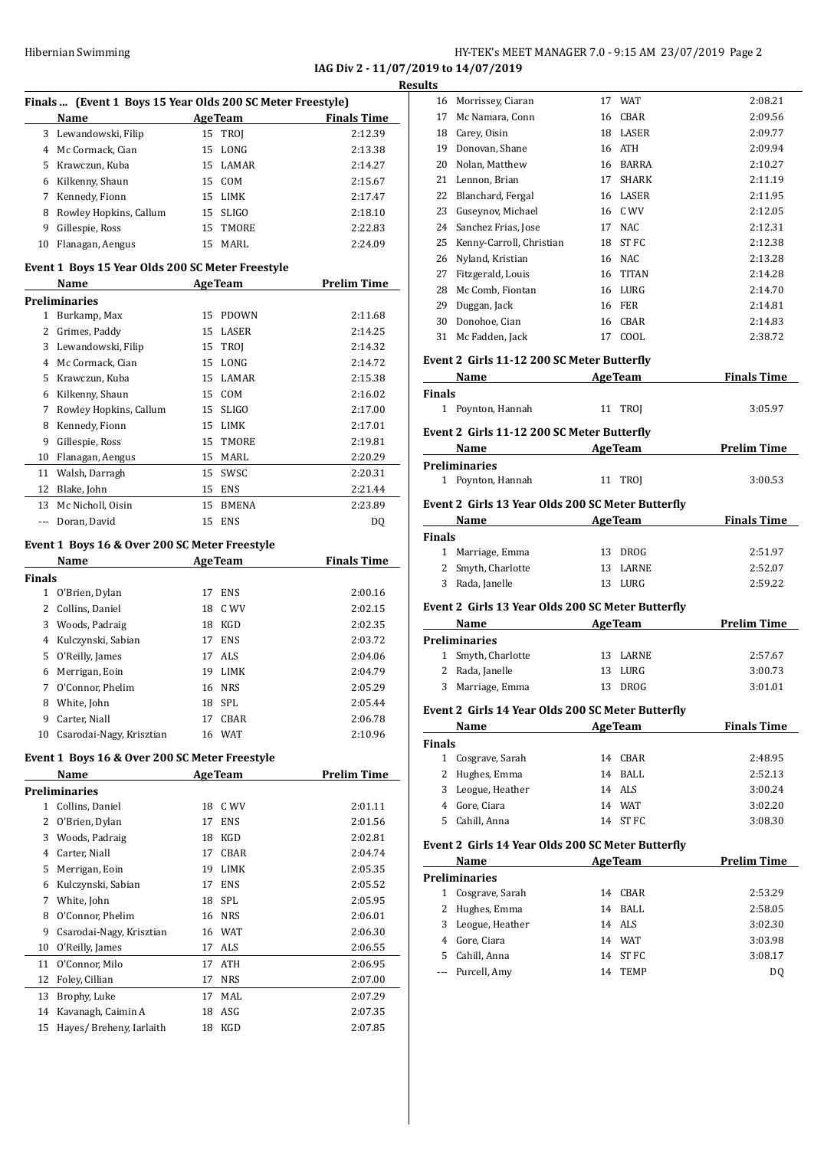### Hibernian Swimming HY-TEK's MEET MANAGER 7.0 - 9:15 AM 23/07/2019 Page 2

**IAG Div 2 - 11/07/2019 to 14/07/2019**

|    | Finals (Event 1 Boys 15 Year Olds 200 SC Meter Freestyle) |    |                |                    |  |  |
|----|-----------------------------------------------------------|----|----------------|--------------------|--|--|
|    | Name                                                      |    | <b>AgeTeam</b> | <b>Finals Time</b> |  |  |
| 3  | Lewandowski, Filip                                        |    | 15 TROI        | 2:12.39            |  |  |
| 4  | Mc Cormack, Cian                                          | 15 | LONG           | 2:13.38            |  |  |
| 5  | Krawczun, Kuba                                            | 15 | <b>LAMAR</b>   | 2:14.27            |  |  |
| 6  | Kilkenny, Shaun                                           | 15 | <b>COM</b>     | 2:15.67            |  |  |
| 7  | Kennedy, Fionn                                            | 15 | <b>LIMK</b>    | 2:17.47            |  |  |
| 8  | Rowley Hopkins, Callum                                    | 15 | <b>SLIGO</b>   | 2:18.10            |  |  |
| 9  | Gillespie, Ross                                           | 15 | <b>TMORE</b>   | 2:22.83            |  |  |
| 10 | Flanagan, Aengus                                          | 15 | MARL           | 2:24.09            |  |  |
|    | Event 1 Boys 15 Year Olds 200 SC Meter Freestyle          |    |                |                    |  |  |
|    | Name                                                      |    | <b>AgeTeam</b> | <b>Prelim Time</b> |  |  |
|    | <b>Preliminaries</b>                                      |    |                |                    |  |  |
| 1  | Burkamp, Max                                              | 15 | <b>PDOWN</b>   | 2:11.68            |  |  |
| 2  | Grimes, Paddy                                             | 15 | LASER          | 2:14.25            |  |  |
| 3  | Lewandowski, Filip                                        | 15 | <b>TROI</b>    | 2:14.32            |  |  |
| 4  | Mc Cormack, Cian                                          | 15 | LONG           | 2:14.72            |  |  |
| 5  | Krawczun, Kuba                                            | 15 | <b>LAMAR</b>   | 2:15.38            |  |  |
| 6  | Kilkenny, Shaun                                           | 15 | COM            | 2:16.02            |  |  |
| 7  | Rowley Hopkins, Callum                                    | 15 | <b>SLIGO</b>   | 2:17.00            |  |  |

| 6  | Kilkenny, Shaun        |     | 15 COM       | 2:16.02 |
|----|------------------------|-----|--------------|---------|
| 7  | Rowley Hopkins, Callum | 15  | SLIGO        | 2:17.00 |
| 8  | Kennedy, Fionn         | 15. | LIMK         | 2:17.01 |
| 9  | Gillespie, Ross        |     | 15 TMORE     | 2:19.81 |
| 10 | Flanagan, Aengus       | 15  | MARI.        | 2:20.29 |
|    | 11 Walsh, Darragh      |     | 15 SWSC      | 2:20.31 |
| 12 | Blake, John            | 15  | ENS          | 2:21.44 |
| 13 | Mc Nicholl, Oisin      | 15  | <b>BMENA</b> | 2:23.89 |
|    | Doran, David           | 15  | <b>ENS</b>   | DO      |

#### **Event 1 Boys 16 & Over 200 SC Meter Freestyle**

|               | Name                     |    | <b>AgeTeam</b> | <b>Finals Time</b> |
|---------------|--------------------------|----|----------------|--------------------|
| <b>Finals</b> |                          |    |                |                    |
|               | O'Brien, Dylan           | 17 | <b>ENS</b>     | 2:00.16            |
| 2             | Collins. Daniel          | 18 | C WV           | 2:02.15            |
| 3             | Woods, Padraig           | 18 | <b>KGD</b>     | 2:02.35            |
| 4             | Kulczynski, Sabian       | 17 | <b>ENS</b>     | 2:03.72            |
| 5.            | O'Reilly, James          | 17 | ALS            | 2:04.06            |
| 6             | Merrigan, Eoin           | 19 | <b>LIMK</b>    | 2:04.79            |
| 7             | O'Connor, Phelim         | 16 | <b>NRS</b>     | 2:05.29            |
| 8             | White, John              | 18 | SPL            | 2:05.44            |
| 9             | Carter, Niall            | 17 | <b>CBAR</b>    | 2:06.78            |
| 10            | Csarodai-Nagy, Krisztian | 16 | <b>WAT</b>     | 2:10.96            |
|               |                          |    |                |                    |

#### **Event 1 Boys 16 & Over 200 SC Meter Freestyle**

|    | Name                     | <b>AgeTeam</b> |             | Prelim Time |
|----|--------------------------|----------------|-------------|-------------|
|    | Preliminaries            |                |             |             |
| 1  | Collins, Daniel          | 18             | C WV        | 2:01.11     |
| 2  | O'Brien, Dylan           | 17             | <b>ENS</b>  | 2:01.56     |
| 3  | Woods, Padraig           | 18             | <b>KGD</b>  | 2:02.81     |
| 4  | Carter, Niall            | 17             | <b>CBAR</b> | 2:04.74     |
| 5  | Merrigan, Eoin           | 19             | <b>LIMK</b> | 2:05.35     |
| 6  | Kulczynski, Sabian       | 17             | <b>ENS</b>  | 2:05.52     |
| 7  | White, John              | 18             | <b>SPL</b>  | 2:05.95     |
| 8  | O'Connor, Phelim         | 16             | <b>NRS</b>  | 2:06.01     |
| 9  | Csarodai-Nagy, Krisztian | 16             | WAT         | 2:06.30     |
| 10 | O'Reilly, James          | 17             | ALS         | 2:06.55     |
| 11 | O'Connor, Milo           | 17             | ATH         | 2:06.95     |
| 12 | Foley, Cillian           | 17             | <b>NRS</b>  | 2:07.00     |
| 13 | Brophy, Luke             | 17             | MAL         | 2:07.29     |
| 14 | Kavanagh, Caimin A       | 18             | ASG         | 2:07.35     |
| 15 | Hayes/Breheny, Iarlaith  | 18             | KGD         | 2:07.85     |
|    |                          |                |             |             |

| <b>Results</b> |                                                                                                                                                                                                                               |                |                    |
|----------------|-------------------------------------------------------------------------------------------------------------------------------------------------------------------------------------------------------------------------------|----------------|--------------------|
|                | 16 Morrissey, Ciaran                                                                                                                                                                                                          | 17 WAT         | 2:08.21            |
|                | 17 Mc Namara, Conn                                                                                                                                                                                                            | 16 CBAR        | 2:09.56            |
|                | 18 Carey, Oisin                                                                                                                                                                                                               | 18 LASER       | 2:09.77            |
|                | 19 Donovan, Shane                                                                                                                                                                                                             | 16 ATH         | 2:09.94            |
|                | 20 Nolan, Matthew                                                                                                                                                                                                             | 16 BARRA       | 2:10.27            |
|                | 21 Lennon, Brian                                                                                                                                                                                                              | 17 SHARK       | 2:11.19            |
|                | 22 Blanchard, Fergal                                                                                                                                                                                                          | 16 LASER       | 2:11.95            |
|                | 23 Guseynov, Michael                                                                                                                                                                                                          | 16 C WV        | 2:12.05            |
|                | 24 Sanchez Frias, Jose                                                                                                                                                                                                        | 17 NAC         | 2:12.31            |
|                | 25 Kenny-Carroll, Christian                                                                                                                                                                                                   | 18 ST FC       | 2:12.38            |
|                | 26 Nyland, Kristian                                                                                                                                                                                                           | 16 NAC         | 2:13.28            |
|                | 27 Fitzgerald, Louis                                                                                                                                                                                                          | 16 TITAN       | 2:14.28            |
|                | 28 Mc Comb, Fiontan                                                                                                                                                                                                           | 16 LURG        | 2:14.70            |
|                | 29 Duggan, Jack                                                                                                                                                                                                               | 16 FER         | 2:14.81            |
|                | 30 Donohoe, Cian                                                                                                                                                                                                              | 16 CBAR        | 2:14.83            |
|                | 31 Mc Fadden, Jack                                                                                                                                                                                                            | 17 COOL        | 2:38.72            |
|                | Event 2 Girls 11-12 200 SC Meter Butterfly                                                                                                                                                                                    |                |                    |
|                | Name and the same of the same of the same of the same of the same of the same of the same of the same of the same of the same of the same of the same of the same of the same of the same of the same of the same of the same | <b>AgeTeam</b> | <b>Finals Time</b> |
| <b>Finals</b>  |                                                                                                                                                                                                                               |                |                    |
|                | 1 Poynton, Hannah                                                                                                                                                                                                             | 11 TROI        | 3:05.97            |
|                | Event 2 Girls 11-12 200 SC Meter Butterfly                                                                                                                                                                                    |                |                    |
|                | Name                                                                                                                                                                                                                          | <b>AgeTeam</b> | <b>Prelim Time</b> |
|                | <b>Preliminaries</b>                                                                                                                                                                                                          |                |                    |
|                | 1 Poynton, Hannah                                                                                                                                                                                                             | 11 TROI        | 3:00.53            |
|                |                                                                                                                                                                                                                               |                |                    |
|                | Event 2 Girls 13 Year Olds 200 SC Meter Butterfly                                                                                                                                                                             |                |                    |
|                | Name                                                                                                                                                                                                                          | <b>AgeTeam</b> | <b>Finals Time</b> |
| <b>Finals</b>  |                                                                                                                                                                                                                               |                |                    |
|                | 1 Marriage, Emma                                                                                                                                                                                                              | 13 DROG        | 2:51.97            |
|                | 2 Smyth, Charlotte                                                                                                                                                                                                            | 13 LARNE       | 2:52.07            |
|                | 3 Rada, Janelle                                                                                                                                                                                                               | 13 LURG        | 2:59.22            |
|                | Event 2 Girls 13 Year Olds 200 SC Meter Butterfly                                                                                                                                                                             |                |                    |
|                | Name<br><b>Age Team</b>                                                                                                                                                                                                       |                | <b>Prelim Time</b> |
|                | <b>Preliminaries</b>                                                                                                                                                                                                          |                |                    |
|                | 1 Smyth, Charlotte                                                                                                                                                                                                            | 13 LARNE       | 2:57.67            |
|                |                                                                                                                                                                                                                               |                |                    |
|                | 2 Rada, Janelle                                                                                                                                                                                                               | 13 LURG        | 3:00.73            |
|                | 3 Marriage, Emma                                                                                                                                                                                                              | 13 DROG        | 3:01.01            |

#### **Event 2 Girls 14 Year Olds 200 SC Meter Butterfly**

|               | Name              |    | <b>AgeTeam</b> | <b>Finals Time</b> |
|---------------|-------------------|----|----------------|--------------------|
| <b>Finals</b> |                   |    |                |                    |
|               | 1 Cosgrave, Sarah | 14 | CBAR           | 2:48.95            |
|               | 2 Hughes, Emma    |    | 14 BALL        | 2:52.13            |
|               | 3 Leogue, Heather |    | 14 ALS         | 3:00.24            |
| 4             | Gore, Ciara       | 14 | WAT            | 3:02.20            |
| 5.            | Cahill, Anna      | 14 | ST FC          | 3:08.30            |

#### **Event 2 Girls 14 Year Olds 200 SC Meter Butterfly**

| <b>Name</b> |                      | <b>AgeTeam</b> |             | <b>Prelim Time</b> |  |
|-------------|----------------------|----------------|-------------|--------------------|--|
|             | <b>Preliminaries</b> |                |             |                    |  |
|             | Cosgrave, Sarah      | 14             | CBAR        | 2:53.29            |  |
|             | 2 Hughes, Emma       | 14             | BALL        | 2:58.05            |  |
| 3.          | Leogue, Heather      |                | 14 ALS      | 3:02.30            |  |
| 4           | Gore, Ciara          | 14             | WAT         | 3:03.98            |  |
| 5.          | Cahill, Anna         |                | 14 ST FC    | 3:08.17            |  |
|             | --- Purcell, Amy     | 14             | <b>TEMP</b> | D0                 |  |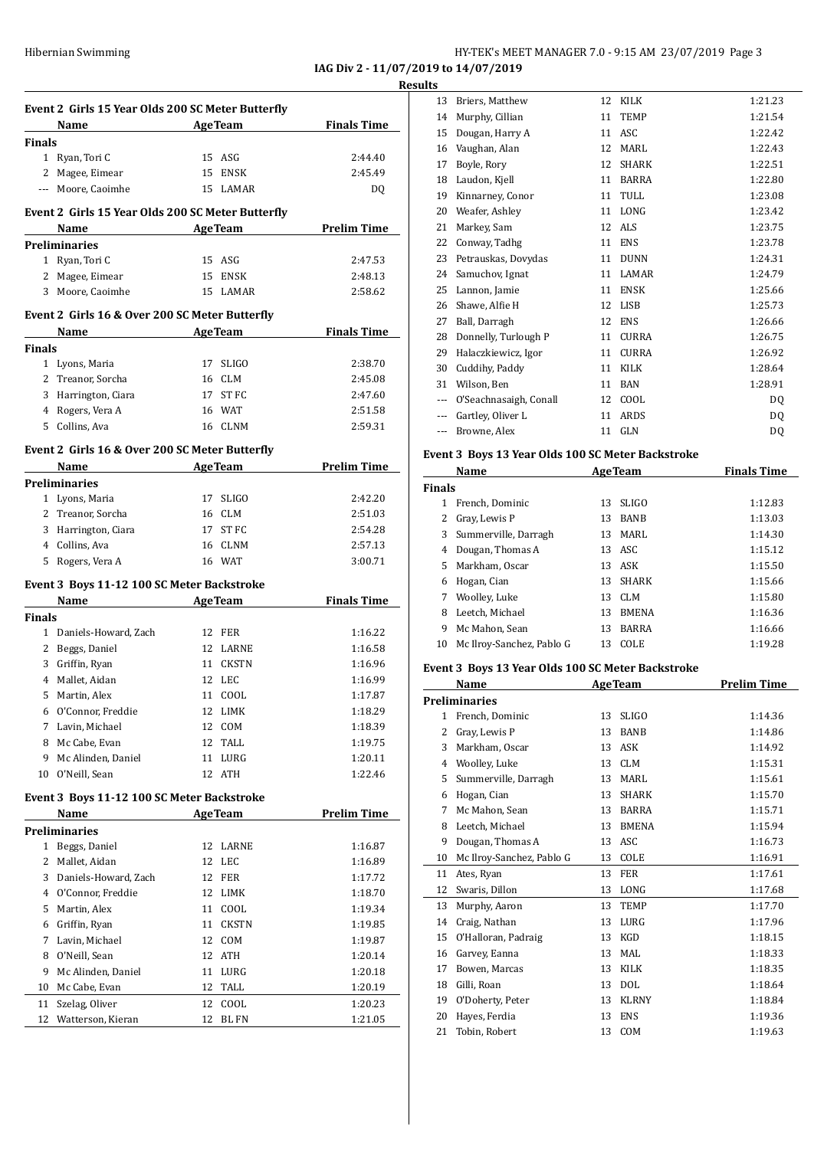**IAG Div 2 - 11/07/2019 to 14/07/2019 Results**

|                      | Event 2 Girls 15 Year Olds 200 SC Meter Butterfly |    |                |                              |
|----------------------|---------------------------------------------------|----|----------------|------------------------------|
|                      | <b>Example 2</b> Age Team<br>Name                 |    |                | <b>Example 1</b> Finals Time |
| Finals               |                                                   |    |                |                              |
|                      | 1 Ryan, Tori C                                    | 15 | ASG            | 2:44.40                      |
|                      | 2 Magee, Eimear                                   | 15 | ENSK           | 2:45.49                      |
|                      | --- Moore, Caoimhe                                | 15 | LAMAR          | DQ                           |
|                      | Event 2 Girls 15 Year Olds 200 SC Meter Butterfly |    |                |                              |
|                      | <b>Example 2</b> Age Team<br>Name                 |    |                | <b>Prelim Time</b>           |
| Preliminaries        |                                                   |    |                |                              |
| 1                    | Ryan, Tori C                                      |    | 15 ASG         | 2:47.53                      |
| 2                    | Magee, Eimear                                     |    | 15 ENSK        | 2:48.13                      |
|                      | 3 Moore, Caoimhe                                  |    | 15 LAMAR       | 2:58.62                      |
|                      |                                                   |    |                |                              |
|                      | Event 2 Girls 16 & Over 200 SC Meter Butterfly    |    |                |                              |
|                      | Name<br><b>AgeTeam</b>                            |    |                | <b>Finals Time</b>           |
| Finals               |                                                   |    |                |                              |
|                      | 1 Lyons, Maria                                    |    | 17 SLIGO       | 2:38.70                      |
|                      | 2 Treanor, Sorcha                                 | 16 | CLM            | 2:45.08                      |
| 3                    | Harrington, Ciara                                 |    | 17 ST FC       | 2:47.60                      |
| 4                    | Rogers, Vera A                                    | 16 | <b>WAT</b>     | 2:51.58                      |
| 5                    | Collins, Ava                                      | 16 | CLNM           | 2:59.31                      |
|                      |                                                   |    |                |                              |
|                      | Event 2 Girls 16 & Over 200 SC Meter Butterfly    |    |                |                              |
|                      | Name                                              |    | <b>AgeTeam</b> | <b>Prelim Time</b>           |
| Preliminaries        |                                                   |    |                |                              |
|                      | 1 Lyons, Maria                                    | 17 | SLIGO          | 2:42.20                      |
|                      | 2 Treanor, Sorcha                                 |    | 16 CLM         | 2:51.03                      |
|                      | 3 Harrington, Ciara                               |    | 17 ST FC       | 2:54.28                      |
|                      | 4 Collins, Ava                                    |    | 16 CLNM        | 2:57.13                      |
|                      | 5 Rogers, Vera A                                  |    | 16 WAT         | 3:00.71                      |
|                      | Event 3 Boys 11-12 100 SC Meter Backstroke        |    |                |                              |
|                      | Name AgeTeam                                      |    |                | <b>Finals Time</b>           |
| Finals               |                                                   |    |                |                              |
|                      | 1 Daniels-Howard, Zach                            |    | 12 FER         | 1:16.22                      |
|                      | 2 Beggs, Daniel                                   | 12 | LARNE          | 1:16.58                      |
| 3                    | Griffin, Ryan                                     | 11 | CKSTN          | 1:16.96                      |
| $\overline{4}$       | Mallet, Aidan                                     | 12 | LEC            | 1:16.99                      |
| 5                    | Martin, Alex                                      | 11 | COOL           | 1:17.87                      |
| 6                    | O'Connor, Freddie                                 | 12 | LIMK           | 1:18.29                      |
| 7                    | Lavin, Michael                                    | 12 | COM            | 1:18.39                      |
| 8                    | Mc Cabe, Evan                                     | 12 | TALL           | 1:19.75                      |
| 9                    | Mc Alinden, Daniel                                | 11 | LURG           | 1:20.11                      |
|                      |                                                   | 12 |                | 1:22.46                      |
| 10                   | O'Neill, Sean                                     |    | ATH            |                              |
|                      | Event 3 Boys 11-12 100 SC Meter Backstroke        |    |                |                              |
|                      | Name                                              |    | <b>AgeTeam</b> | <b>Prelim Time</b>           |
| <b>Preliminaries</b> |                                                   |    |                |                              |
| 1                    | Beggs, Daniel                                     | 12 | LARNE          | 1:16.87                      |
| 2                    | Mallet, Aidan                                     | 12 | LEC            | 1:16.89                      |
| 3                    | Daniels-Howard, Zach                              | 12 | FER            | 1:17.72                      |
| 4                    | O'Connor, Freddie                                 | 12 | LIMK           | 1:18.70                      |
| 5                    | Martin, Alex                                      | 11 | COOL           | 1:19.34                      |
| 6                    | Griffin, Ryan                                     | 11 | <b>CKSTN</b>   | 1:19.85                      |
| 7                    | Lavin, Michael                                    | 12 | COM            | 1:19.87                      |
| 8                    | O'Neill, Sean                                     | 12 | ATH            | 1:20.14                      |
| 9                    | Mc Alinden, Daniel                                | 11 | LURG           | 1:20.18                      |
| 10                   |                                                   | 12 | TALL           |                              |
|                      | Mc Cabe, Evan<br>Szelag, Oliver                   | 12 | COOL           | 1:20.19                      |
|                      |                                                   |    |                | 1:20.23                      |
| 11<br>12             | Watterson, Kieran                                 | 12 | BL FN          | 1:21.05                      |

| LS       |                        |    |              |                |
|----------|------------------------|----|--------------|----------------|
| 13       | Briers, Matthew        | 12 | <b>KILK</b>  | 1:21.23        |
| 14       | Murphy, Cillian        | 11 | <b>TEMP</b>  | 1:21.54        |
| 15       | Dougan, Harry A        | 11 | ASC          | 1:22.42        |
| 16       | Vaughan, Alan          | 12 | <b>MARL</b>  | 1:22.43        |
| 17       | Boyle, Rory            | 12 | <b>SHARK</b> | 1:22.51        |
| 18       | Laudon, Kjell          | 11 | <b>BARRA</b> | 1:22.80        |
| 19       | Kinnarney, Conor       | 11 | TULL         | 1:23.08        |
| 20       | Weafer, Ashley         | 11 | <b>LONG</b>  | 1:23.42        |
| 21       | Markey, Sam            | 12 | <b>ALS</b>   | 1:23.75        |
| 22       | Conway, Tadhg          | 11 | <b>ENS</b>   | 1:23.78        |
| 23       | Petrauskas, Dovydas    | 11 | <b>DUNN</b>  | 1:24.31        |
| 24       | Samuchov, Ignat        | 11 | LAMAR        | 1:24.79        |
| 25       | Lannon, Jamie          | 11 | <b>ENSK</b>  | 1:25.66        |
| 26       | Shawe, Alfie H         | 12 | LISB         | 1:25.73        |
| 27       | Ball, Darragh          | 12 | <b>ENS</b>   | 1:26.66        |
| 28       | Donnelly, Turlough P   | 11 | <b>CURRA</b> | 1:26.75        |
| 29       | Halaczkiewicz, Igor    | 11 | <b>CURRA</b> | 1:26.92        |
| 30       | Cuddihy, Paddy         | 11 | <b>KILK</b>  | 1:28.64        |
| 31       | Wilson, Ben            | 11 | <b>BAN</b>   | 1:28.91        |
| $\cdots$ | O'Seachnasaigh, Conall | 12 | COOL         | D <sub>0</sub> |
| $---$    | Gartley, Oliver L      | 11 | <b>ARDS</b>  | DQ             |
| $\cdots$ | Browne, Alex           | 11 | GLN          | DQ             |
|          |                        |    |              |                |

# **Event 3 Boys 13 Year Olds 100 SC Meter Backstroke**

|               | Name                      |    | <b>AgeTeam</b> | <b>Finals Time</b> |
|---------------|---------------------------|----|----------------|--------------------|
| <b>Finals</b> |                           |    |                |                    |
|               | French, Dominic           | 13 | <b>SLIGO</b>   | 1:12.83            |
| 2             | Gray, Lewis P             | 13 | <b>BANB</b>    | 1:13.03            |
| 3             | Summerville, Darragh      | 13 | MARL           | 1:14.30            |
| 4             | Dougan, Thomas A          |    | 13 ASC         | 1:15.12            |
| 5.            | Markham, Oscar            | 13 | ASK            | 1:15.50            |
| 6             | Hogan, Cian               | 13 | <b>SHARK</b>   | 1:15.66            |
| 7             | Woolley, Luke             | 13 | CLM            | 1:15.80            |
| 8             | Leetch, Michael           | 13 | <b>BMENA</b>   | 1:16.36            |
| 9             | Mc Mahon, Sean            | 13 | <b>BARRA</b>   | 1:16.66            |
| 10            | Mc Ilroy-Sanchez, Pablo G | 13 | <b>COLE</b>    | 1:19.28            |

#### **Event 3 Boys 13 Year Olds 100 SC Meter Backstroke**

|              | Name                      |    | <b>AgeTeam</b> | <b>Prelim Time</b> |
|--------------|---------------------------|----|----------------|--------------------|
|              | <b>Preliminaries</b>      |    |                |                    |
| $\mathbf{1}$ | French, Dominic           | 13 | <b>SLIGO</b>   | 1:14.36            |
| 2            | Gray, Lewis P             | 13 | <b>BANB</b>    | 1:14.86            |
| 3            | Markham, Oscar            | 13 | ASK            | 1:14.92            |
| 4            | Woolley, Luke             | 13 | <b>CLM</b>     | 1:15.31            |
| 5            | Summerville, Darragh      | 13 | MARL           | 1:15.61            |
| 6            | Hogan, Cian               | 13 | <b>SHARK</b>   | 1:15.70            |
| 7            | Mc Mahon, Sean            | 13 | <b>BARRA</b>   | 1:15.71            |
| 8            | Leetch, Michael           | 13 | <b>BMENA</b>   | 1:15.94            |
| 9            | Dougan, Thomas A          | 13 | ASC            | 1:16.73            |
| 10           | Mc Ilroy-Sanchez, Pablo G | 13 | COLE           | 1:16.91            |
| 11           | Ates, Ryan                | 13 | <b>FER</b>     | 1:17.61            |
| 12           | Swaris, Dillon            | 13 | LONG           | 1:17.68            |
| 13           | Murphy, Aaron             | 13 | <b>TEMP</b>    | 1:17.70            |
| 14           | Craig, Nathan             | 13 | LURG           | 1:17.96            |
| 15           | O'Halloran, Padraig       | 13 | <b>KGD</b>     | 1:18.15            |
| 16           | Garvey, Eanna             | 13 | MAL            | 1:18.33            |
| 17           | Bowen, Marcas             | 13 | <b>KILK</b>    | 1:18.35            |
| 18           | Gilli, Roan               | 13 | <b>DOL</b>     | 1:18.64            |
| 19           | O'Doherty, Peter          | 13 | <b>KLRNY</b>   | 1:18.84            |
| 20           | Hayes, Ferdia             | 13 | <b>ENS</b>     | 1:19.36            |
| 21           | Tobin, Robert             | 13 | <b>COM</b>     | 1:19.63            |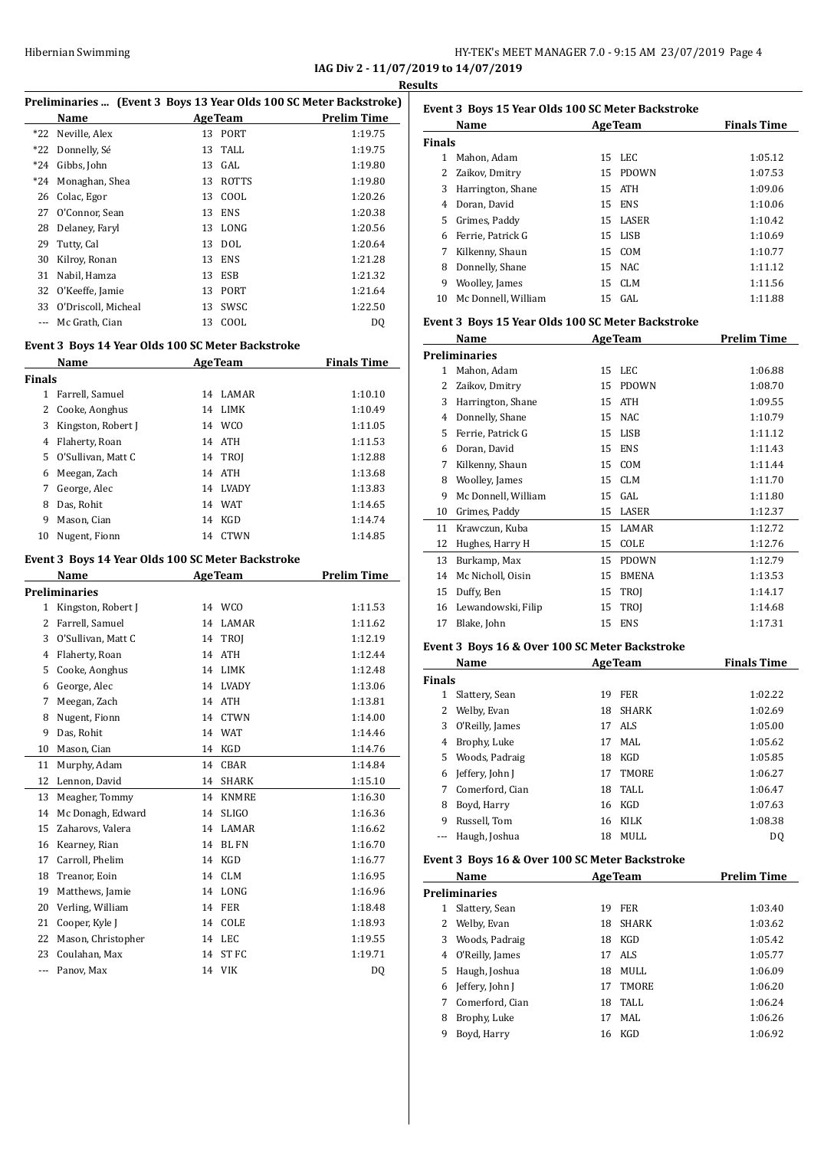#### HY-TEK's MEET MANAGER 7.0 - 9:15 AM 23/07/2019 Page 4 **IAG Div 2 - 11/07/2019 to 14/07/2019**

**Results**

| Name                |    |              | <b>Prelim Time</b>                                                                                                                                           |
|---------------------|----|--------------|--------------------------------------------------------------------------------------------------------------------------------------------------------------|
| *22 Neville, Alex   |    |              | 1:19.75                                                                                                                                                      |
| Donnelly, Sé        |    | TALL         | 1:19.75                                                                                                                                                      |
| Gibbs, John         |    |              | 1:19.80                                                                                                                                                      |
| Monaghan, Shea      | 13 | <b>ROTTS</b> | 1:19.80                                                                                                                                                      |
| Colac, Egor         |    | COOL         | 1:20.26                                                                                                                                                      |
| O'Connor, Sean      |    | <b>ENS</b>   | 1:20.38                                                                                                                                                      |
| Delanev, Faryl      |    |              | 1:20.56                                                                                                                                                      |
| Tutty, Cal          |    |              | 1:20.64                                                                                                                                                      |
| Kilroy, Ronan       | 13 | <b>ENS</b>   | 1:21.28                                                                                                                                                      |
| Nabil, Hamza        |    | <b>ESB</b>   | 1:21.32                                                                                                                                                      |
| O'Keeffe, Jamie     | 13 | <b>PORT</b>  | 1:21.64                                                                                                                                                      |
| O'Driscoll, Micheal |    | SWSC         | 1:22.50                                                                                                                                                      |
| Mc Grath, Cian      | 13 | COOL         | DQ                                                                                                                                                           |
|                     |    |              | Preliminaries  (Event 3 Boys 13 Year Olds 100 SC Meter Backstroke)<br><b>AgeTeam</b><br>13 PORT<br>13<br>13 GAL<br>13<br>13<br>13 LONG<br>13 DOL<br>13<br>13 |

#### **Event 3 Boys 14 Year Olds 100 SC Meter Backstroke**

|               | Name               |    | <b>AgeTeam</b> | <b>Finals Time</b> |
|---------------|--------------------|----|----------------|--------------------|
| <b>Finals</b> |                    |    |                |                    |
| 1             | Farrell, Samuel    | 14 | <b>LAMAR</b>   | 1:10.10            |
| 2             | Cooke, Aonghus     | 14 | LIMK           | 1:10.49            |
| 3             | Kingston, Robert J | 14 | WCO            | 1:11.05            |
| 4             | Flaherty, Roan     |    | 14 ATH         | 1:11.53            |
| 5.            | O'Sullivan, Matt C |    | 14 TROI        | 1:12.88            |
| 6             | Meegan, Zach       | 14 | ATH            | 1:13.68            |
| 7             | George, Alec       | 14 | <b>LVADY</b>   | 1:13.83            |
| 8             | Das, Rohit         | 14 | WAT            | 1:14.65            |
| 9             | Mason, Cian        | 14 | <b>KGD</b>     | 1:14.74            |
| 10            | Nugent, Fionn      | 14 | <b>CTWN</b>    | 1:14.85            |

#### **Event 3 Boys 14 Year Olds 100 SC Meter Backstroke**

|                | Name                 |    | <b>AgeTeam</b> | <b>Prelim Time</b> |
|----------------|----------------------|----|----------------|--------------------|
|                | <b>Preliminaries</b> |    |                |                    |
| 1              | Kingston, Robert J   |    | 14 WCO         | 1:11.53            |
| $\overline{2}$ | Farrell, Samuel      | 14 | <b>LAMAR</b>   | 1:11.62            |
| 3              | O'Sullivan, Matt C   | 14 | TROI           | 1:12.19            |
| 4              | Flaherty, Roan       | 14 | <b>ATH</b>     | 1:12.44            |
| 5              | Cooke, Aonghus       | 14 | <b>LIMK</b>    | 1:12.48            |
| 6              | George, Alec         | 14 | <b>LVADY</b>   | 1:13.06            |
| 7              | Meegan, Zach         | 14 | <b>ATH</b>     | 1:13.81            |
| 8              | Nugent, Fionn        | 14 | <b>CTWN</b>    | 1:14.00            |
| 9              | Das, Rohit           | 14 | <b>WAT</b>     | 1:14.46            |
| 10             | Mason, Cian          | 14 | <b>KGD</b>     | 1:14.76            |
| 11             | Murphy, Adam         | 14 | CBAR           | 1:14.84            |
| 12             | Lennon, David        | 14 | <b>SHARK</b>   | 1:15.10            |
| 13             | Meagher, Tommy       | 14 | <b>KNMRE</b>   | 1:16.30            |
| 14             | Mc Donagh, Edward    | 14 | <b>SLIGO</b>   | 1:16.36            |
| 15             | Zaharovs, Valera     | 14 | LAMAR          | 1:16.62            |
| 16             | Kearney, Rian        | 14 | <b>BL FN</b>   | 1:16.70            |
| 17             | Carroll, Phelim      | 14 | <b>KGD</b>     | 1:16.77            |
| 18             | Treanor, Eoin        | 14 | <b>CLM</b>     | 1:16.95            |
| 19             | Matthews, Jamie      | 14 | LONG           | 1:16.96            |
| 20             | Verling, William     | 14 | <b>FER</b>     | 1:18.48            |
| 21             | Cooper, Kyle J       | 14 | COLE           | 1:18.93            |
| 22             | Mason, Christopher   | 14 | LEC            | 1:19.55            |
| 23             | Coulahan, Max        | 14 | <b>STFC</b>    | 1:19.71            |
| $\overline{a}$ | Panov, Max           | 14 | VIK            | <b>DQ</b>          |

|               | Event 3 Boys 15 Year Olds 100 SC Meter Backstroke |    |                |                    |  |  |  |
|---------------|---------------------------------------------------|----|----------------|--------------------|--|--|--|
|               | Name                                              |    | <b>AgeTeam</b> | <b>Finals Time</b> |  |  |  |
| <b>Finals</b> |                                                   |    |                |                    |  |  |  |
|               | Mahon, Adam                                       |    | 15 LEC         | 1:05.12            |  |  |  |
|               | 2 Zaikov, Dmitry                                  |    | 15 PDOWN       | 1:07.53            |  |  |  |
| 3             | Harrington, Shane                                 |    | 15 ATH         | 1:09.06            |  |  |  |
| 4             | Doran, David                                      |    | 15 ENS         | 1:10.06            |  |  |  |
| 5.            | Grimes, Paddy                                     |    | 15 LASER       | 1:10.42            |  |  |  |
| 6             | Ferrie. Patrick G                                 |    | 15 LISB        | 1:10.69            |  |  |  |
| 7             | Kilkenny, Shaun                                   |    | 15 COM         | 1:10.77            |  |  |  |
| 8             | Donnelly, Shane                                   |    | 15 NAC         | 1:11.12            |  |  |  |
| 9             | Woolley, James                                    | 15 | CLM            | 1:11.56            |  |  |  |
| 10            | Mc Donnell, William                               |    | 15 GAL         | 1:11.88            |  |  |  |

#### **Event 3 Boys 15 Year Olds 100 SC Meter Backstroke**

|    | Name                 |    | <b>AgeTeam</b> | <b>Prelim Time</b> |
|----|----------------------|----|----------------|--------------------|
|    | <b>Preliminaries</b> |    |                |                    |
| 1. | Mahon, Adam          |    | 15 LEC         | 1:06.88            |
| 2  | Zaikov, Dmitry       | 15 | <b>PDOWN</b>   | 1:08.70            |
| 3  | Harrington, Shane    | 15 | <b>ATH</b>     | 1:09.55            |
| 4  | Donnelly, Shane      | 15 | <b>NAC</b>     | 1:10.79            |
| 5. | Ferrie, Patrick G    | 15 | <b>LISB</b>    | 1:11.12            |
| 6  | Doran, David         | 15 | <b>ENS</b>     | 1:11.43            |
| 7  | Kilkenny, Shaun      | 15 | <b>COM</b>     | 1:11.44            |
| 8  | Woolley, James       | 15 | <b>CLM</b>     | 1:11.70            |
| 9  | Mc Donnell, William  | 15 | GAL            | 1:11.80            |
| 10 | Grimes, Paddy        | 15 | LASER          | 1:12.37            |
| 11 | Krawczun, Kuba       | 15 | LAMAR          | 1:12.72            |
| 12 | Hughes, Harry H      | 15 | COLE           | 1:12.76            |
| 13 | Burkamp, Max         | 15 | <b>PDOWN</b>   | 1:12.79            |
| 14 | Mc Nicholl, Oisin    | 15 | <b>BMENA</b>   | 1:13.53            |
| 15 | Duffy, Ben           | 15 | <b>TROJ</b>    | 1:14.17            |
| 16 | Lewandowski, Filip   | 15 | <b>TROI</b>    | 1:14.68            |
| 17 | Blake, John          | 15 | <b>ENS</b>     | 1:17.31            |
|    |                      |    |                |                    |

#### **Event 3 Boys 16 & Over 100 SC Meter Backstroke**

|               | Name            |    | <b>AgeTeam</b> | <b>Finals Time</b> |
|---------------|-----------------|----|----------------|--------------------|
| <b>Finals</b> |                 |    |                |                    |
|               | Slattery, Sean  | 19 | <b>FER</b>     | 1:02.22            |
| 2             | Welby, Evan     | 18 | <b>SHARK</b>   | 1:02.69            |
| 3             | O'Reilly, James | 17 | ALS            | 1:05.00            |
| 4             | Brophy, Luke    | 17 | MAL            | 1:05.62            |
| 5.            | Woods, Padraig  | 18 | KGD            | 1:05.85            |
| 6             | Jeffery, John J | 17 | <b>TMORE</b>   | 1:06.27            |
| 7             | Comerford, Cian | 18 | TALL           | 1:06.47            |
| 8             | Boyd, Harry     | 16 | KGD            | 1:07.63            |
| 9             | Russell. Tom    | 16 | <b>KILK</b>    | 1:08.38            |
|               | Haugh, Joshua   | 18 | MULL           | DO.                |

#### **Event 3 Boys 16 & Over 100 SC Meter Backstroke**

|    | Name            |    | <b>AgeTeam</b> | <b>Prelim Time</b> |
|----|-----------------|----|----------------|--------------------|
|    | Preliminaries   |    |                |                    |
| 1  | Slattery, Sean  | 19 | <b>FER</b>     | 1:03.40            |
| 2  | Welby, Evan     | 18 | SHARK          | 1:03.62            |
| 3  | Woods, Padraig  | 18 | KGD            | 1:05.42            |
| 4  | O'Reilly, James | 17 | ALS            | 1:05.77            |
| 5. | Haugh, Joshua   | 18 | MULL           | 1:06.09            |
| 6  | Jeffery, John J | 17 | TMORE          | 1:06.20            |
| 7  | Comerford, Cian | 18 | TALL           | 1:06.24            |
| 8  | Brophy, Luke    | 17 | MAL.           | 1:06.26            |
| 9  | Boyd, Harry     | 16 | KGD            | 1:06.92            |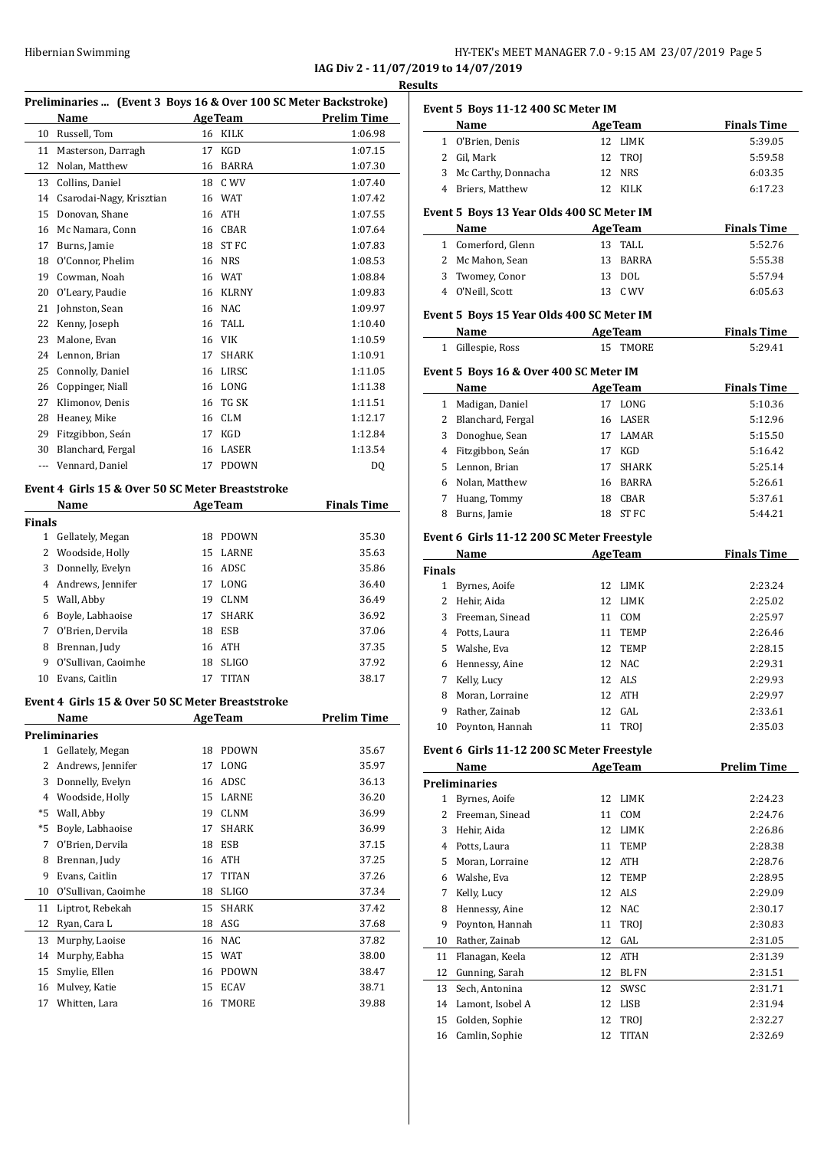**Name Age Team Finals Time**  O'Brien, Denis 12 LIMK 5:39.05 2 Gil, Mark 12 TROJ 5:59.58 3 Mc Carthy, Donnacha 12 NRS 6:03.35 Briers, Matthew 12 KILK 6:17.23

**Name Age Team Finals Time**  Comerford, Glenn 13 TALL 5:52.76 Mc Mahon, Sean 13 BARRA 5:55.38 Twomey, Conor 13 DOL 5:57.94 O'Neill, Scott 13 C WV 6:05.63

|               | Hibernian Swimming                                              |    |                | IAG Div 2 - 11/07/2019 to 14/07/2019 |                | HY-TEK's MEET MANAGER 7.0 - 9:15 AM        |    |                |
|---------------|-----------------------------------------------------------------|----|----------------|--------------------------------------|----------------|--------------------------------------------|----|----------------|
|               |                                                                 |    |                |                                      | <b>Results</b> |                                            |    |                |
|               | Preliminaries  (Event 3 Boys 16 & Over 100 SC Meter Backstroke) |    |                |                                      |                | Event 5 Boys 11-12 400 SC Meter IM         |    |                |
|               | Name                                                            |    | <b>AgeTeam</b> | <b>Prelim Time</b>                   |                | Name                                       |    | <b>AgeTeam</b> |
|               | 10 Russell, Tom                                                 |    | 16 KILK        | 1:06.98                              |                | 1 O'Brien, Denis                           |    | 12 LIMK        |
|               | 11 Masterson, Darragh                                           |    | 17 KGD         | 1:07.15                              |                | 2 Gil, Mark                                |    | 12 TROI        |
|               | 12 Nolan, Matthew                                               |    | 16 BARRA       | 1:07.30                              | 3              | Mc Carthy, Donnacha                        |    | 12 NRS         |
|               | 13 Collins, Daniel                                              |    | 18 C WV        | 1:07.40                              |                | 4 Briers, Matthew                          |    | 12 KILK        |
| 14            | Csarodai-Nagy, Krisztian                                        |    | 16 WAT         | 1:07.42                              |                |                                            |    |                |
| 15            | Donovan, Shane                                                  |    | 16 ATH         | 1:07.55                              |                | Event 5 Boys 13 Year Olds 400 SC Meter IM  |    |                |
| 16            | Mc Namara, Conn                                                 |    | 16 CBAR        | 1:07.64                              |                | Name                                       |    | <b>AgeTeam</b> |
| 17            | Burns, Jamie                                                    |    | 18 ST FC       | 1:07.83                              |                | 1 Comerford, Glenn                         |    | 13 TALL        |
| 18            | O'Connor, Phelim                                                |    | 16 NRS         | 1:08.53                              |                | 2 Mc Mahon, Sean                           |    | 13 BARRA       |
| 19            | Cowman, Noah                                                    |    | 16 WAT         | 1:08.84                              | 3              | Twomey, Conor                              |    | 13 DOL         |
| 20            | O'Leary, Paudie                                                 |    | 16 KLRNY       | 1:09.83                              |                | 4 O'Neill, Scott                           |    | 13 C WV        |
| 21            | Johnston, Sean                                                  |    | 16 NAC         | 1:09.97                              |                | Event 5 Boys 15 Year Olds 400 SC Meter IM  |    |                |
| 22            | Kenny, Joseph                                                   | 16 | TALL           | 1:10.40                              |                | Name                                       |    | <b>AgeTeam</b> |
| 23            | Malone, Evan                                                    |    | 16 VIK         | 1:10.59                              |                |                                            |    |                |
| 24            | Lennon, Brian                                                   | 17 | SHARK          | 1:10.91                              |                | 1 Gillespie, Ross                          |    | 15 TMORE       |
| 25            | Connolly, Daniel                                                |    | 16 LIRSC       | 1:11.05                              |                | Event 5 Boys 16 & Over 400 SC Meter IM     |    |                |
| 26            | Coppinger, Niall                                                |    | 16 LONG        | 1:11.38                              |                | Name                                       |    | <b>AgeTeam</b> |
| 27            | Klimonov, Denis                                                 |    | 16 TG SK       | 1:11.51                              |                | 1 Madigan, Daniel                          |    | 17 LONG        |
| 28            | Heaney, Mike                                                    |    | 16 CLM         | 1:12.17                              | 2              | Blanchard, Fergal                          |    | 16 LASER       |
| 29            | Fitzgibbon, Seán                                                |    | 17 KGD         | 1:12.84                              | 3              | Donoghue, Sean                             |    | 17 LAMAR       |
| 30            | Blanchard, Fergal                                               |    | 16 LASER       | 1:13.54                              | 4              | Fitzgibbon, Seán                           | 17 | <b>KGD</b>     |
|               | --- Vennard, Daniel                                             |    | 17 PDOWN       | DQ                                   | 5              | Lennon, Brian                              | 17 | SHARK          |
|               |                                                                 |    |                |                                      | 6              | Nolan, Matthew                             | 16 | BARRA          |
|               | Event 4 Girls 15 & Over 50 SC Meter Breaststroke                |    |                |                                      | 7              | Huang, Tommy                               |    | 18 CBAR        |
|               | Name                                                            |    | <b>AgeTeam</b> | <b>Finals Time</b>                   | 8              | Burns, Jamie                               |    | 18 ST FC       |
| <b>Finals</b> |                                                                 |    |                |                                      |                |                                            |    |                |
|               | 1 Gellately, Megan                                              |    | 18 PDOWN       | 35.30                                |                | Event 6 Girls 11-12 200 SC Meter Freestyle |    |                |
| 2             | Woodside, Holly                                                 |    | 15 LARNE       | 35.63                                |                | Name                                       |    | <b>AgeTeam</b> |
| 3             | Donnelly, Evelyn                                                |    | 16 ADSC        | 35.86                                | <b>Finals</b>  |                                            |    |                |
| 4             | Andrews, Jennifer                                               |    | 17 LONG        | 36.40                                |                | 1 Byrnes, Aoife                            |    | 12 LIMK        |
| 5             | Wall, Abby                                                      |    | 19 CLNM        | 36.49                                |                | 2 Hehir, Aida                              |    | 12 LIMK        |
| 6             | Boyle, Labhaoise                                                |    | 17 SHARK       | 36.92                                |                | 3 Freeman, Sinead                          |    | 11 COM         |
|               | 7 O'Brien, Dervila                                              |    | 18 ESB         | 37.06                                |                | 4 Potts, Laura                             |    | 11 TEMP        |
|               | 8 Brennan, Judy                                                 |    | 16 ATH         | 37.35                                | 5              | Walshe, Eva                                |    | 12 TEMP        |
| 9             | O'Sullivan, Caoimhe                                             |    | 18 SLIGO       | 37.92                                | 6              | Hennessy, Aine                             |    | 12 NAC         |
|               | 10 Evans, Caitlin                                               |    | 17 TITAN       | 38.17                                | 7              | Kelly, Lucy                                |    | 12 ALS         |
|               |                                                                 |    |                |                                      | 8              | Moran, Lorraine                            |    | 12 ATH         |
|               | Event 4 Girls 15 & Over 50 SC Meter Breaststroke                |    |                |                                      | 9              | Rather, Zainab                             |    | 12 GAL         |
|               | Name                                                            |    | <b>AgeTeam</b> | <b>Prelim Time</b>                   |                | 10 Poynton, Hannah                         |    | 11 TROJ        |
|               | <b>Preliminaries</b>                                            |    |                |                                      |                |                                            |    |                |
|               | 1 Gellately, Megan                                              |    | 18 PDOWN       | 35.67                                |                | Event 6 Girls 11-12 200 SC Meter Freestyle |    |                |
|               | 2 Andrews, Jennifer                                             |    | 17 LONG        | 35.97                                |                | Name                                       |    | <b>AgeTeam</b> |
| 3             | Donnelly, Evelyn                                                |    | 16 ADSC        | 36.13                                |                | <b>Preliminaries</b>                       |    |                |
| 4             | Woodside, Holly                                                 |    | 15 LARNE       | 36.20                                |                | 1 Byrnes, Aoife                            |    | 12 LIMK        |
| *5            | Wall, Abby                                                      |    | 19 CLNM        | 36.99                                |                | 2 Freeman, Sinead                          |    | 11 COM         |
| *5            | Boyle, Labhaoise                                                | 17 | SHARK          | 36.99                                |                | 3 Hehir, Aida                              |    | 12 LIMK        |
|               | 7 O'Brien, Dervila                                              | 18 | ESB            | 37.15                                | 4              | Potts, Laura                               |    | 11 TEMP        |
|               | 8 Brennan, Judy                                                 |    | 16 ATH         | 37.25                                |                | 5 Moran, Lorraine                          |    | 12 ATH         |
|               |                                                                 |    |                |                                      |                |                                            |    |                |

 Evans, Caitlin 17 TITAN 37.26 O'Sullivan, Caoimhe 18 SLIGO 37.34 Liptrot, Rebekah 15 SHARK 37.42 Ryan, Cara L 18 ASG 37.68 Murphy, Laoise 16 NAC 37.82 Murphy, Eabha 15 WAT 38.00 Smylie, Ellen 16 PDOWN 38.47 Mulvey, Katie 15 ECAV 38.71 17 Whitten, Lara 16 TMORE 39.88

|                | Name                                       |                    | <b>AgeTeam</b>         | <b>Finals Time</b> |
|----------------|--------------------------------------------|--------------------|------------------------|--------------------|
| $\mathbf{1}$   | Gillespie, Ross                            | 15                 | <b>TMORE</b>           | 5:29.41            |
|                | Event 5  Boys 16 & Over 400 SC Meter IM    |                    |                        |                    |
|                | Name                                       | <b>Finals Time</b> |                        |                    |
| 1              | Madigan, Daniel                            | 17                 | <b>AgeTeam</b><br>LONG | 5:10.36            |
| 2              |                                            | 16                 | LASER                  | 5:12.96            |
| 3              | Blanchard, Fergal                          | 17                 | LAMAR                  | 5:15.50            |
|                | Donoghue, Sean                             |                    |                        |                    |
| 4              | Fitzgibbon, Seán                           | 17                 | <b>KGD</b>             | 5:16.42            |
| 5              | Lennon, Brian                              | 17                 | <b>SHARK</b>           | 5:25.14            |
| 6              | Nolan, Matthew                             | 16                 | BARRA                  | 5:26.61            |
| 7              | Huang, Tommy                               | 18                 | <b>CBAR</b>            | 5:37.61            |
| 8              | Burns, Jamie                               | 18                 | <b>STFC</b>            | 5:44.21            |
|                | Event 6 Girls 11-12 200 SC Meter Freestyle |                    |                        |                    |
|                | Name                                       |                    | <b>AgeTeam</b>         | <b>Finals Time</b> |
| Finals         |                                            |                    |                        |                    |
| $\mathbf{1}$   | Byrnes, Aoife                              | 12                 | LIMK                   | 2:23.24            |
| $\overline{2}$ | Hehir, Aida                                | 12                 | <b>LIMK</b>            | 2:25.02            |
| 3              | Freeman, Sinead                            | 11                 | COM                    | 2:25.97            |
| 4              | Potts, Laura                               | 11                 | <b>TEMP</b>            | 2:26.46            |
| 5              | Walshe, Eva                                | 12                 | <b>TEMP</b>            | 2:28.15            |
| 6              | Hennessy, Aine                             | 12                 | <b>NAC</b>             | 2:29.31            |
| 7              | Kelly, Lucy                                | 12                 | ALS                    | 2:29.93            |
| 8              | Moran, Lorraine                            | 12                 | <b>ATH</b>             | 2:29.97            |
| 9              | Rather, Zainab                             | 12                 | GAL                    | 2:33.61            |
| 10             | Poynton, Hannah                            | 11                 | <b>TROI</b>            | 2:35.03            |
|                | Event 6 Girls 11-12 200 SC Meter Freestyle |                    |                        |                    |
|                | Name                                       |                    | <b>AgeTeam</b>         | <b>Prelim Time</b> |
|                | <b>Preliminaries</b>                       |                    |                        |                    |
| 1              | Byrnes, Aoife                              | 12                 | <b>LIMK</b>            | 2:24.23            |
| 2              | Freeman, Sinead                            | 11                 | COM                    | 2:24.76            |
|                |                                            |                    |                        |                    |

| 2  | Freeman, Sinead  |    | 11 COM       | 2:24.76 |
|----|------------------|----|--------------|---------|
| 3  | Hehir, Aida      | 12 | LIMK         | 2:26.86 |
| 4  | Potts, Laura     |    | 11 TEMP      | 2:28.38 |
| 5. | Moran, Lorraine  | 12 | ATH          | 2:28.76 |
| 6  | Walshe, Eva      |    | 12 TEMP      | 2:28.95 |
| 7  | Kelly, Lucy      |    | 12 ALS       | 2:29.09 |
| 8  | Hennessy, Aine   |    | 12 NAC       | 2:30.17 |
| 9  | Poynton, Hannah  | 11 | TROI         | 2:30.83 |
| 10 | Rather, Zainab   |    | 12 GAL       | 2:31.05 |
| 11 | Flanagan, Keela  | 12 | ATH          | 2:31.39 |
| 12 | Gunning, Sarah   | 12 | <b>BLFN</b>  | 2:31.51 |
| 13 | Sech, Antonina   | 12 | SWSC         | 2:31.71 |
| 14 | Lamont, Isobel A | 12 | LISB         | 2:31.94 |
| 15 | Golden, Sophie   | 12 | TROJ         | 2:32.27 |
| 16 | Camlin, Sophie   | 12 | <b>TITAN</b> | 2:32.69 |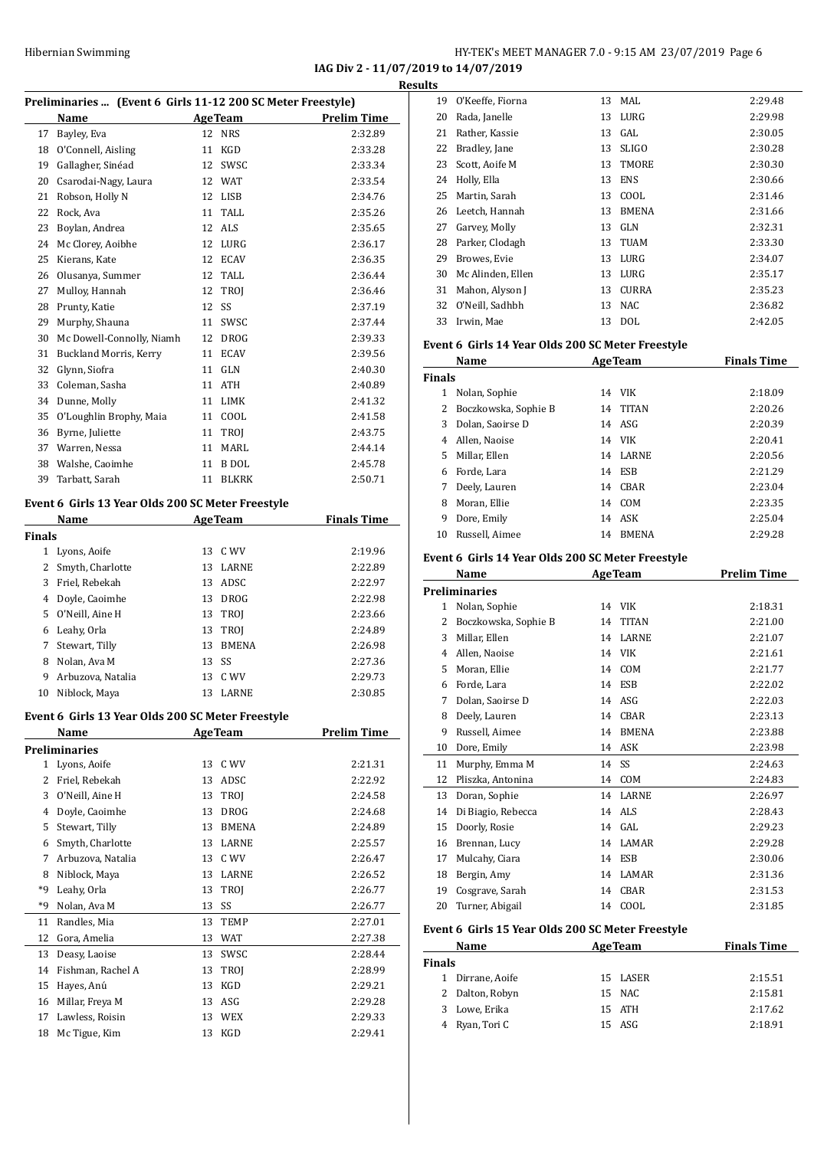**IAG Div 2 - 11/07/2019 to 14/07/2019**

|               | Preliminaries  (Event 6 Girls 11-12 200 SC Meter Freestyle) |                |                |                    |
|---------------|-------------------------------------------------------------|----------------|----------------|--------------------|
|               | Name                                                        |                | <b>AgeTeam</b> | <b>Prelim Time</b> |
| 17            | Bayley, Eva                                                 | 12             | <b>NRS</b>     | 2:32.89            |
| 18            | O'Connell, Aisling                                          | 11             | KGD            | 2:33.28            |
| 19            | Gallagher, Sinéad                                           | 12             | SWSC           | 2:33.34            |
| 20            | Csarodai-Nagy, Laura                                        |                | 12 WAT         | 2:33.54            |
| 21            | Robson, Holly N                                             |                | 12 LISB        | 2:34.76            |
| 22            | Rock, Ava                                                   |                | 11 TALL        | 2:35.26            |
| 23            | Boylan, Andrea                                              | 12             | ALS            | 2:35.65            |
| 24            | Mc Clorey, Aoibhe                                           |                | 12 LURG        | 2:36.17            |
| 25            | Kierans, Kate                                               |                | 12 ECAV        | 2:36.35            |
| 26            | Olusanya, Summer                                            |                | 12 TALL        | 2:36.44            |
| 27            | Mulloy, Hannah                                              |                | 12 TROJ        | 2:36.46            |
| 28            | Prunty, Katie                                               | 12             | SS             | 2:37.19            |
| 29            | Murphy, Shauna                                              | 11             | SWSC           | 2:37.44            |
| 30            | Mc Dowell-Connolly, Niamh                                   |                | 12 DROG        | 2:39.33            |
| 31            | Buckland Morris, Kerry                                      | 11             | ECAV           | 2:39.56            |
| 32            | Glynn, Siofra                                               | 11             | <b>GLN</b>     | 2:40.30            |
| 33            | Coleman, Sasha                                              | 11             | ATH            | 2:40.89            |
|               | 34 Dunne, Molly                                             |                | 11 LIMK        | 2:41.32            |
| 35            | O'Loughlin Brophy, Maia                                     |                | 11 COOL        | 2:41.58            |
|               | 36 Byrne, Juliette                                          |                | 11 TROI        | 2:43.75            |
|               | 37 Warren, Nessa                                            | 11             | MARL           | 2:44.14            |
| 38            | Walshe, Caoimhe                                             | 11             | <b>B</b> DOL   | 2:45.78            |
| 39            | Tarbatt, Sarah                                              | 11             | <b>BLKRK</b>   | 2:50.71            |
|               | Event 6 Girls 13 Year Olds 200 SC Meter Freestyle           |                |                |                    |
|               | Name                                                        |                | <b>AgeTeam</b> | <b>Finals Time</b> |
| <b>Finals</b> |                                                             |                |                |                    |
|               | 1 Lyons, Aoife                                              |                | 13 C WV        | 2:19.96            |
| 2             | Smyth, Charlotte                                            | 13             | LARNE          | 2:22.89            |
| 3             | Friel, Rebekah                                              | 13             | ADSC           | 2:22.97            |
|               | 4 Doyle, Caoimhe                                            |                | 13 DROG        | 2:22.98            |
|               | 5 O'Neill, Aine H                                           |                | 13 TROJ        | 2:23.66            |
|               | 6 Leahy, Orla                                               |                | 13 TROJ        | 2:24.89            |
| 7             | Stewart, Tilly                                              | 13             | BMENA          | 2:26.98            |
| 8             | Nolan, Ava M                                                | 13             | SS             | 2:27.36            |
| 9             | Arbuzova, Natalia                                           | 13             | C WV           | 2:29.73            |
|               | 10 Niblock, Maya                                            |                | 13 LARNE       | 2:30.85            |
|               |                                                             |                |                |                    |
|               | Event 6 Girls 13 Year Olds 200 SC Meter Freestyle           |                |                |                    |
|               | Name                                                        | <b>AgeTeam</b> |                | <b>Prelim Time</b> |
|               | <b>Preliminaries</b>                                        |                |                |                    |
| 1             | Lyons, Aoife                                                | 13             | C WV           | 2:21.31            |
| 2             | Friel, Rebekah                                              | 13             | ADSC           | 2:22.92            |
| 3             | O'Neill, Aine H                                             | 13             | TROJ           | 2:24.58            |
|               | 4 Doyle, Caoimhe                                            | 13             | <b>DROG</b>    | 2:24.68            |
| 5             | Stewart, Tilly                                              | 13             | <b>BMENA</b>   | 2:24.89            |
| 6             | Smyth, Charlotte                                            | 13             | LARNE          | 2:25.57            |
| 7             | Arbuzova, Natalia                                           | 13             | C WV           | 2:26.47            |
| 8             | Niblock, Maya                                               | 13             | LARNE          | 2:26.52            |
| *9            | Leahy, Orla                                                 | 13             | TROJ           | 2:26.77            |
| *9            | Nolan, Ava M                                                | 13             | SS             | 2:26.77            |
| 11            | Randles, Mia                                                | 13             | TEMP           | 2:27.01            |
| 12            | Gora, Amelia                                                | 13             | WAT            | 2:27.38            |
| 13            | Deasy, Laoise                                               | 13             | SWSC           | 2:28.44            |
| 14            | Fishman, Rachel A                                           | 13             | TROJ           | 2:28.99            |
| 15            | Hayes, Anú                                                  | 13             | KGD            | 2:29.21            |
| 16            | Millar, Freya M                                             | 13             | ASG            | 2:29.28            |
| 17            | Lawless, Roisin                                             | 13             | <b>WEX</b>     | 2:29.33            |
| 18            | Mc Tigue, Kim                                               | 13             | KGD            | 2:29.41            |
|               |                                                             |                |                |                    |

| Results |                   |    |              |         |  |  |
|---------|-------------------|----|--------------|---------|--|--|
| 19      | O'Keeffe, Fiorna  | 13 | MAL          | 2:29.48 |  |  |
| 20      | Rada, Janelle     | 13 | LURG         | 2:29.98 |  |  |
| 21      | Rather, Kassie    | 13 | GAL          | 2:30.05 |  |  |
| 22      | Bradley, Jane     | 13 | <b>SLIGO</b> | 2:30.28 |  |  |
| 23      | Scott, Aoife M    | 13 | TMORE        | 2:30.30 |  |  |
| 24      | Holly, Ella       | 13 | <b>ENS</b>   | 2:30.66 |  |  |
| 25      | Martin, Sarah     | 13 | COOL         | 2:31.46 |  |  |
| 26      | Leetch, Hannah    | 13 | <b>BMENA</b> | 2:31.66 |  |  |
| 27      | Garvey, Molly     | 13 | GLN          | 2:32.31 |  |  |
| 28      | Parker, Clodagh   | 13 | <b>TUAM</b>  | 2:33.30 |  |  |
| 29      | Browes, Evie      | 13 | LURG         | 2:34.07 |  |  |
| 30      | Mc Alinden, Ellen | 13 | LURG         | 2:35.17 |  |  |
| 31      | Mahon, Alyson J   | 13 | <b>CURRA</b> | 2:35.23 |  |  |
| 32      | O'Neill, Sadhbh   | 13 | <b>NAC</b>   | 2:36.82 |  |  |
| 33      | Irwin, Mae        | 13 | <b>DOL</b>   | 2:42.05 |  |  |
|         |                   |    |              |         |  |  |

#### **Event 6 Girls 14 Year Olds 200 SC Meter Freestyle**

|               | Name                 |    | <b>AgeTeam</b> | <b>Finals Time</b> |
|---------------|----------------------|----|----------------|--------------------|
| <b>Finals</b> |                      |    |                |                    |
| 1             | Nolan, Sophie        | 14 | VIK            | 2:18.09            |
| 2             | Boczkowska, Sophie B | 14 | TITAN          | 2:20.26            |
| 3             | Dolan, Saoirse D     |    | $14$ ASG       | 2:20.39            |
| 4             | Allen, Naoise        | 14 | <b>VIK</b>     | 2:20.41            |
| 5.            | Millar, Ellen        |    | 14 LARNE       | 2:20.56            |
| 6             | Forde, Lara          | 14 | ESB            | 2:21.29            |
| 7             | Deely, Lauren        | 14 | CBAR           | 2:23.04            |
| 8             | Moran, Ellie         | 14 | COM            | 2:23.35            |
| 9             | Dore, Emily          | 14 | ASK            | 2:25.04            |
| 10            | Russell, Aimee       | 14 | <b>BMENA</b>   | 2:29.28            |

#### **Event 6 Girls 14 Year Olds 200 SC Meter Freestyle**

| Name<br><b>AgeTeam</b> |                      |                    | <b>Prelim Time</b>      |
|------------------------|----------------------|--------------------|-------------------------|
|                        | <b>Preliminaries</b> |                    |                         |
| 1                      | Nolan, Sophie        | <b>VIK</b><br>14   | 2:18.31                 |
| 2                      | Boczkowska, Sophie B | <b>TITAN</b><br>14 | 2:21.00                 |
| 3                      | Millar, Ellen        | LARNE<br>14        | 2:21.07                 |
| 4                      | Allen, Naoise        | <b>VIK</b><br>14   | 2:21.61                 |
| 5                      | Moran, Ellie         | COM<br>14          | 2:21.77                 |
| 6                      | Forde, Lara          | ESB<br>14          | 2:22.02                 |
| 7                      | Dolan, Saoirse D     | ASG<br>14          | 2:22.03                 |
| 8                      | Deely, Lauren        | CBAR<br>14         | 2:23.13                 |
| 9                      | Russell, Aimee       | 14                 | <b>BMENA</b><br>2:23.88 |
| 10                     | Dore, Emily          | ASK<br>14          | 2:23.98                 |
| 11                     | Murphy, Emma M       | SS<br>14           | 2:24.63                 |
| 12                     | Pliszka, Antonina    | COM<br>14          | 2:24.83                 |
| 13                     | Doran, Sophie        | LARNE<br>14        | 2:26.97                 |
| 14                     | Di Biagio, Rebecca   | ALS<br>14          | 2:28.43                 |
| 15                     | Doorly, Rosie        | GAL.<br>14         | 2:29.23                 |
| 16                     | Brennan, Lucy        | LAMAR<br>14        | 2:29.28                 |
| 17                     | Mulcahy, Ciara       | ESB<br>14          | 2:30.06                 |
| 18                     | Bergin, Amy          | LAMAR<br>14        | 2:31.36                 |
| 19                     | Cosgrave, Sarah      | <b>CBAR</b><br>14  | 2:31.53                 |
| 20                     | Turner, Abigail      | COOL<br>14         | 2:31.85                 |

#### **Event 6 Girls 15 Year Olds 200 SC Meter Freestyle**

| Name          |                 | <b>AgeTeam</b> | <b>Finals Time</b> |  |
|---------------|-----------------|----------------|--------------------|--|
| <b>Finals</b> |                 |                |                    |  |
|               | Dirrane, Aoife  | 15 LASER       | 2:15.51            |  |
|               | 2 Dalton, Robyn | 15 NAC         | 2:15.81            |  |
| 3.            | Lowe, Erika     | 15 ATH         | 2:17.62            |  |
|               | Ryan, Tori C    | 15 ASG         | 2:18.91            |  |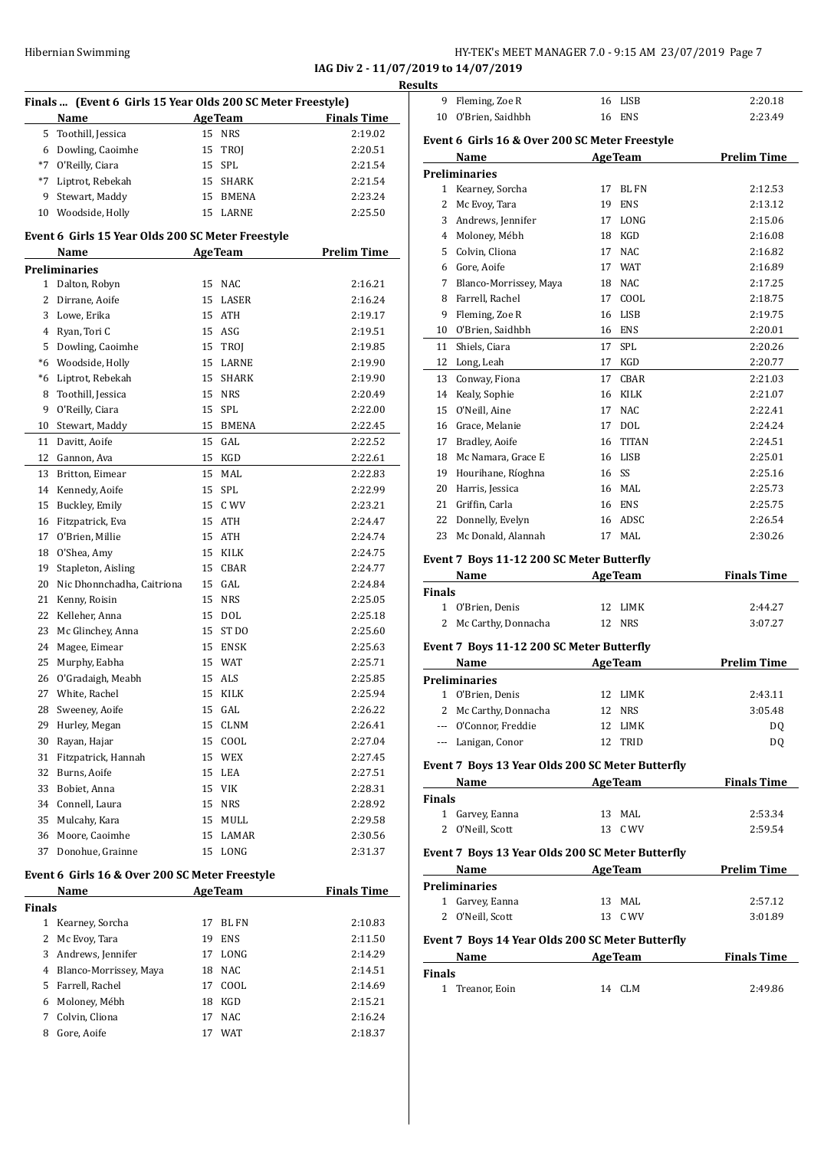#### Hibernian Swimming HY-TEK's MEET MANAGER 7.0 - 9:15 AM 23/07/2019 Page 7

**IAG Div 2 - 11/07/2019 to 14/07/2019**

|                | Finals  (Event 6 Girls 15 Year Olds 200 SC Meter Freestyle) |    |                |                    |
|----------------|-------------------------------------------------------------|----|----------------|--------------------|
|                | Name                                                        |    | <b>AgeTeam</b> | <b>Finals Time</b> |
| 5              | Toothill, Jessica                                           |    | 15 NRS         | 2:19.02            |
|                | 6 Dowling, Caoimhe                                          | 15 | TROJ           | 2:20.51            |
| $*7$           | O'Reilly, Ciara                                             | 15 | SPL            | 2:21.54            |
| $*7$           | Liptrot, Rebekah                                            |    | 15 SHARK       | 2:21.54            |
| 9              | Stewart, Maddy                                              |    | 15 BMENA       | 2:23.24            |
| 10             | Woodside, Holly                                             |    | 15 LARNE       | 2:25.50            |
|                | Event 6 Girls 15 Year Olds 200 SC Meter Freestyle           |    |                |                    |
|                | Name                                                        |    | <b>AgeTeam</b> | <b>Prelim Time</b> |
|                | <b>Preliminaries</b>                                        |    |                |                    |
| 1              | Dalton, Robyn                                               | 15 | <b>NAC</b>     | 2:16.21            |
| 2              | Dirrane, Aoife                                              |    | 15 LASER       | 2:16.24            |
| 3              | Lowe, Erika                                                 |    | 15 ATH         | 2:19.17            |
| $\overline{4}$ | Ryan, Tori C                                                |    | 15 ASG         | 2:19.51            |
| 5              | Dowling, Caoimhe                                            |    | 15 TROJ        | 2:19.85            |
| $*6$           | Woodside, Holly                                             |    | 15 LARNE       | 2:19.90            |
| *6             | Liptrot, Rebekah                                            |    | 15 SHARK       | 2:19.90            |
| 8              | Toothill, Jessica                                           |    | 15 NRS         | 2:20.49            |
| 9              | O'Reilly, Ciara                                             | 15 | SPL            | 2:22.00            |
| 10             | Stewart, Maddy                                              |    | 15 BMENA       | 2:22.45            |
| 11             | Davitt, Aoife                                               | 15 | GAL            | 2:22.52            |
| 12             | Gannon, Ava                                                 | 15 | KGD            | 2:22.61            |
| 13             | Britton, Eimear                                             | 15 | MAL            | 2:22.83            |
| 14             | Kennedy, Aoife                                              | 15 | <b>SPL</b>     | 2:22.99            |
| 15             | Buckley, Emily                                              |    | 15 C WV        | 2:23.21            |
| 16             | Fitzpatrick, Eva                                            | 15 | ATH            | 2:24.47            |
| 17             | O'Brien, Millie                                             |    | 15 ATH         | 2:24.74            |
| 18             | O'Shea, Amy                                                 |    | 15 KILK        | 2:24.75            |
| 19             | Stapleton, Aisling                                          |    | 15 CBAR        | 2:24.77            |
| 20             | Nic Dhonnchadha, Caitriona                                  |    | 15 GAL         | 2:24.84            |
| 21             | Kenny, Roisin                                               |    | 15 NRS         | 2:25.05            |
| 22             | Kelleher, Anna                                              |    | 15 DOL         | 2:25.18            |
| 23             | Mc Glinchey, Anna                                           |    | 15 ST DO       | 2:25.60            |
| 24             | Magee, Eimear                                               | 15 | ENSK           | 2:25.63            |
| 25             | Murphy, Eabha                                               | 15 | <b>WAT</b>     | 2:25.71            |
| 26             | O'Gradaigh, Meabh                                           | 15 | ALS            | 2:25.85            |
| 27             | White, Rachel                                               |    | 15 KILK        | 2:25.94            |
| 28             | Sweeney, Aoife                                              | 15 | GAL            | 2:26.22            |
| 29             | Hurley, Megan                                               | 15 | CLNM           | 2:26.41            |
| 30             | Rayan, Hajar                                                |    | 15 COOL        | 2:27.04            |
| 31             | Fitzpatrick, Hannah                                         |    | 15 WEX         | 2:27.45            |
| 32             | Burns, Aoife                                                |    | 15 LEA         | 2:27.51            |
| 33             | Bobiet, Anna                                                |    | 15 VIK         | 2:28.31            |
| 34             | Connell, Laura                                              |    | 15 NRS         | 2:28.92            |
| 35             | Mulcahy, Kara                                               |    | 15 MULL        | 2:29.58            |
| 36             | Moore, Caoimhe                                              | 15 | LAMAR          | 2:30.56            |
| 37             | Donohue, Grainne                                            | 15 | LONG           |                    |
|                |                                                             |    |                | 2:31.37            |
|                | Event 6 Girls 16 & Over 200 SC Meter Freestyle              |    |                |                    |
|                | Name                                                        |    | <b>AgeTeam</b> | <b>Finals Time</b> |
| Finals         |                                                             |    |                |                    |
| $1 \quad$      | Kearney, Sorcha                                             | 17 | BL FN          | 2:10.83            |
| 2              | Mc Evoy, Tara                                               | 19 | ENS            | 2:11.50            |
| 3              | Andrews, Jennifer                                           | 17 | LONG           | 2:14.29            |
|                | 4 Blanco-Morrissey, Maya                                    | 18 | NAC            | 2:14.51            |
| 5              | Farrell, Rachel                                             |    | 17 COOL        | 2:14.69            |
|                | 6 Moloney, Mébh                                             | 18 | KGD            | 2:15.21            |
| 7              | Colvin, Cliona                                              | 17 | NAC            | 2:16.24            |
| 8              | Gore, Aoife                                                 | 17 | WAT            | 2:18.37            |
|                |                                                             |    |                |                    |
|                |                                                             |    |                |                    |

|               | 9 Fleming, Zoe R                                                | 16 LISB        | 2:20.18                                                                    |
|---------------|-----------------------------------------------------------------|----------------|----------------------------------------------------------------------------|
|               | 10 O'Brien, Saidhbh                                             | 16 ENS         | 2:23.49                                                                    |
|               | Event 6 Girls 16 & Over 200 SC Meter Freestyle                  |                |                                                                            |
|               | Name                                                            | <b>AgeTeam</b> | <b>Prelim Time</b>                                                         |
|               | <b>Preliminaries</b>                                            |                |                                                                            |
|               | 1 Kearney, Sorcha                                               | 17 BL FN       | 2:12.53                                                                    |
|               | 2 Mc Evoy, Tara                                                 | 19 ENS         | 2:13.12                                                                    |
|               | 3 Andrews, Jennifer                                             | 17 LONG        | 2:15.06                                                                    |
|               | 4 Moloney, Mébh                                                 | 18 KGD         | 2:16.08                                                                    |
|               | 5 Colvin, Cliona                                                | 17 NAC         | 2:16.82                                                                    |
|               | 6 Gore, Aoife                                                   | 17 WAT         | 2:16.89                                                                    |
|               | 7 Blanco-Morrissey, Maya                                        | 18 NAC         | 2:17.25                                                                    |
|               | 8 Farrell, Rachel                                               | 17 COOL        | 2:18.75                                                                    |
|               | 9 Fleming, Zoe R                                                | 16 LISB        | 2:19.75                                                                    |
|               | 10 O'Brien, Saidhbh                                             | 16 ENS         | 2:20.01                                                                    |
|               | 11 Shiels, Ciara                                                | 17 SPL         | 2:20.26                                                                    |
|               | 12 Long, Leah                                                   | 17 KGD         | 2:20.77                                                                    |
|               | 13 Conway, Fiona                                                | 17 CBAR        | 2:21.03                                                                    |
|               | 14 Kealy, Sophie                                                | 16 KILK        | 2:21.07                                                                    |
|               | 15 O'Neill, Aine                                                | 17 NAC         | 2:22.41                                                                    |
|               | 16 Grace, Melanie                                               | 17 DOL         | 2:24.24                                                                    |
|               | 17 Bradley, Aoife                                               | 16 TITAN       | 2:24.51                                                                    |
|               | 18 Mc Namara, Grace E                                           | 16 LISB        | 2:25.01                                                                    |
|               | 19 Hourihane, Ríoghna                                           | 16 SS          | 2:25.16                                                                    |
|               | 20 Harris, Jessica                                              | 16 MAL         | 2:25.73                                                                    |
|               | 21 Griffin, Carla                                               | 16 ENS         | 2:25.75                                                                    |
|               | 22 Donnelly, Evelyn                                             | 16 ADSC        | 2:26.54                                                                    |
|               |                                                                 |                |                                                                            |
| 23            | Mc Donald, Alannah<br>Event 7 Boys 11-12 200 SC Meter Butterfly | 17 MAL         |                                                                            |
| <b>Finals</b> | Name                                                            | <b>AgeTeam</b> |                                                                            |
|               | 1 O'Brien. Denis                                                | 12 LIMK        |                                                                            |
|               | 2 Mc Carthy, Donnacha                                           | 12 NRS         | 2:30.26<br><b>Finals Time</b><br>2:44.27<br>3:07.27                        |
|               |                                                                 |                |                                                                            |
|               | Event 7 Boys 11-12 200 SC Meter Butterfly<br>Name               | <b>AgeTeam</b> |                                                                            |
|               | <b>Preliminaries</b>                                            |                |                                                                            |
|               | 1 O'Brien, Denis                                                | 12 LIMK        |                                                                            |
|               | 2 Mc Carthy, Donnacha                                           | 12 NRS         |                                                                            |
|               |                                                                 | 12 LIMK        |                                                                            |
|               | --- O'Connor, Freddie<br>--- Lanigan, Conor                     | 12 TRID        |                                                                            |
|               | Event 7 Boys 13 Year Olds 200 SC Meter Butterfly                |                |                                                                            |
|               | Name AgeTeam                                                    |                |                                                                            |
| <b>Finals</b> |                                                                 |                | <b>Prelim Time</b><br>2:43.11<br>3:05.48<br>DQ<br>DQ<br><b>Finals Time</b> |
|               | 1 Garvey, Eanna                                                 | 13 MAL         |                                                                            |
|               | 2 O'Neill, Scott                                                | 13 C WV        | 2:53.34<br>2:59.54                                                         |
|               | Event 7 Boys 13 Year Olds 200 SC Meter Butterfly                |                |                                                                            |
|               | Name AgeTeam                                                    |                |                                                                            |
|               | <b>Preliminaries</b>                                            |                | <b>Prelim Time</b>                                                         |
|               | 1 Garvey, Eanna                                                 | 13 MAL         |                                                                            |
|               | 2 O'Neill, Scott                                                | 13 C WV        |                                                                            |
|               | Event 7 Boys 14 Year Olds 200 SC Meter Butterfly                |                |                                                                            |
|               |                                                                 | AgeTeam        | 2:57.12<br>3:01.89<br><b>Finals Time</b>                                   |
| <b>Finals</b> | Name                                                            |                |                                                                            |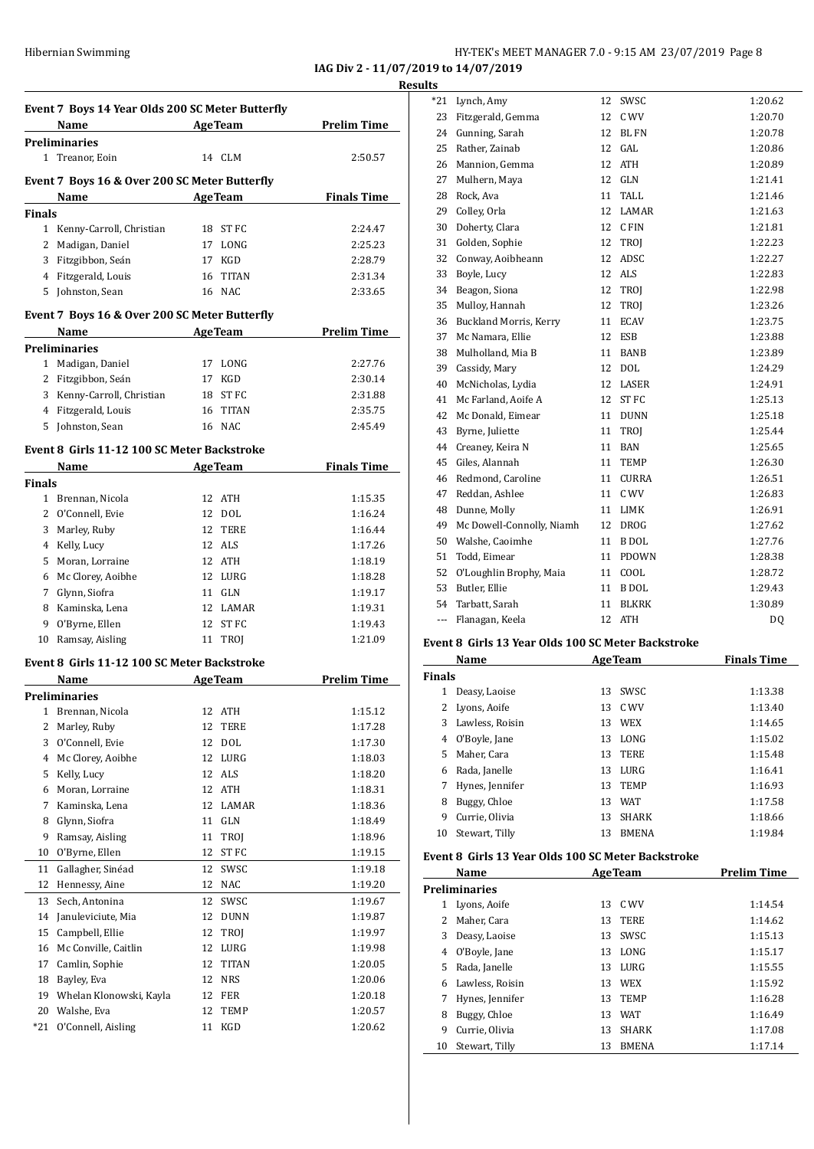### Hibernian Swimming **HY-TEK's MEET MANAGER 7.0 - 9:15 AM 23/07/2019** Page 8

**IAG Div 2 - 11/07/2019 to 14/07/2019**

|        | Event 7 Boys 14 Year Olds 200 SC Meter Butterfly |                                      |                    |
|--------|--------------------------------------------------|--------------------------------------|--------------------|
|        | Name AgeTeam                                     |                                      | <b>Prelim Time</b> |
|        | <b>Preliminaries</b>                             |                                      |                    |
|        | 1 Treanor, Eoin                                  | 14 CLM                               | 2:50.57            |
|        | Event 7 Boys 16 & Over 200 SC Meter Butterfly    |                                      |                    |
|        | Name AgeTeam Finals Time                         |                                      |                    |
| Finals |                                                  |                                      |                    |
|        | 1 Kenny-Carroll, Christian                       | 18 ST FC                             | 2:24.47            |
|        | 2 Madigan, Daniel                                | 17 LONG                              | 2:25.23            |
|        | 3 Fitzgibbon, Seán                               | 17 KGD                               | 2:28.79            |
|        | 4 Fitzgerald, Louis                              | 16 TITAN                             | 2:31.34            |
|        | 5 Johnston, Sean                                 | 16 NAC                               | 2:33.65            |
|        |                                                  |                                      |                    |
|        | Event 7 Boys 16 & Over 200 SC Meter Butterfly    |                                      |                    |
|        | Name                                             | <b>ExamPress AgeTeam</b> Prelim Time |                    |
|        | <b>Preliminaries</b>                             |                                      |                    |
|        | 1 Madigan, Daniel                                | 17 LONG                              | 2:27.76            |
|        | 2 Fitzgibbon, Seán                               | 17 KGD                               | 2:30.14            |
|        | 3 Kenny-Carroll, Christian                       | 18 ST FC                             | 2:31.88            |
|        | 4 Fitzgerald, Louis                              | 16 TITAN                             | 2:35.75            |
|        | 5 Johnston, Sean                                 | 16 NAC                               | 2:45.49            |
|        | Event 8 Girls 11-12 100 SC Meter Backstroke      |                                      |                    |
|        | Name AgeTeam                                     |                                      | <b>Finals Time</b> |
| Finals |                                                  |                                      |                    |
|        | 1 Brennan, Nicola                                | 12 ATH                               | 1:15.35            |
|        | 2 O'Connell, Evie                                | 12 DOL                               | 1:16.24            |
|        | 3 Marley, Ruby                                   | 12 TERE                              | 1:16.44            |
|        | 4 Kelly, Lucy                                    | 12 ALS                               | 1:17.26            |
|        | 5 Moran, Lorraine                                | 12 ATH                               | 1:18.19            |
|        | 6 Mc Clorey, Aoibhe                              | 12 LURG                              | 1:18.28            |
|        | 7 Glynn, Siofra                                  | 11 GLN                               | 1:19.17            |
|        | 8 Kaminska, Lena                                 | 12 LAMAR                             | 1:19.31            |
|        | 9 O'Byrne, Ellen                                 | 12 ST FC                             | 1:19.43            |
|        | 10 Ramsay, Aisling                               | 11 TROJ                              | 1:21.09            |
|        |                                                  |                                      |                    |
|        | Event 8 Girls 11-12 100 SC Meter Backstroke      |                                      |                    |
|        | Name                                             | <b>AgeTeam</b>                       | <b>Prelim Time</b> |
|        | Preliminaries                                    |                                      |                    |
|        | 1 Brennan, Nicola                                | 12 ATH                               | 1:15.12            |
| 2      | Marley, Ruby                                     | 12<br>TERE                           | 1:17.28            |
| 3      | O'Connell, Evie                                  | 12 DOL                               | 1:17.30            |
| 4      | Mc Clorey, Aoibhe                                | 12 LURG                              | 1:18.03            |
| 5      | Kelly, Lucy                                      | 12 ALS                               | 1:18.20            |
| 6      | Moran, Lorraine                                  | 12 ATH                               | 1:18.31            |
| 7      | Kaminska, Lena                                   | 12 LAMAR                             | 1:18.36            |
| 8      | Glynn, Siofra                                    | 11 GLN                               | 1:18.49            |
| 9      | Ramsay, Aisling                                  | 11 TROJ                              | 1:18.96            |
| 10     | O'Byrne, Ellen                                   | 12 ST FC                             | 1:19.15            |
| 11     | Gallagher, Sinéad                                | 12 SWSC                              | 1:19.18            |
| 12     | Hennessy, Aine                                   | 12 NAC                               | 1:19.20            |
| 13     | Sech, Antonina                                   | 12<br>SWSC                           | 1:19.67            |
| 14     | Januleviciute, Mia                               | 12 DUNN                              | 1:19.87            |
| 15     | Campbell, Ellie                                  | 12 TROJ                              | 1:19.97            |
| 16     | Mc Conville, Caitlin                             | 12 LURG                              | 1:19.98            |
| 17     | Camlin, Sophie                                   | 12 TITAN                             | 1:20.05            |
| 18     | Bayley, Eva                                      | 12 NRS                               | 1:20.06            |
| 19     | Whelan Klonowski, Kayla                          | 12 FER                               | 1:20.18            |
| 20     | Walshe, Eva                                      | 12<br>TEMP                           | 1:20.57            |
| $*21$  | O'Connell, Aisling                               | 11 KGD                               | 1:20.62            |
|        |                                                  |                                      |                    |

| <u>s</u> |                               |    |              |         |
|----------|-------------------------------|----|--------------|---------|
| *21      | Lynch, Amy                    | 12 | SWSC         | 1:20.62 |
| 23       | Fitzgerald, Gemma             | 12 | C WV         | 1:20.70 |
| 24       | Gunning, Sarah                | 12 | <b>BL FN</b> | 1:20.78 |
| 25       | Rather, Zainab                | 12 | GAL          | 1:20.86 |
| 26       | Mannion, Gemma                | 12 | <b>ATH</b>   | 1:20.89 |
| 27       | Mulhern, Maya                 | 12 | GLN          | 1:21.41 |
| 28       | Rock, Ava                     | 11 | TALL         | 1:21.46 |
| 29       | Colley, Orla                  | 12 | <b>LAMAR</b> | 1:21.63 |
| 30       | Doherty, Clara                | 12 | C FIN        | 1:21.81 |
| 31       | Golden, Sophie                | 12 | TROI         | 1:22.23 |
| 32       | Conway, Aoibheann             | 12 | ADSC         | 1:22.27 |
| 33       | Boyle, Lucy                   | 12 | <b>ALS</b>   | 1:22.83 |
| 34       | Beagon, Siona                 | 12 | TROJ         | 1:22.98 |
| 35       | Mulloy, Hannah                | 12 | <b>TROI</b>  | 1:23.26 |
| 36       | <b>Buckland Morris, Kerry</b> | 11 | <b>ECAV</b>  | 1:23.75 |
| 37       | Mc Namara, Ellie              | 12 | <b>ESB</b>   | 1:23.88 |
| 38       | Mulholland, Mia B             | 11 | <b>BANB</b>  | 1:23.89 |
| 39       | Cassidy, Mary                 | 12 | <b>DOL</b>   | 1:24.29 |
| 40       | McNicholas, Lydia             | 12 | LASER        | 1:24.91 |
| 41       | Mc Farland, Aoife A           | 12 | <b>ST FC</b> | 1:25.13 |
| 42       | Mc Donald, Eimear             | 11 | <b>DUNN</b>  | 1:25.18 |
| 43       | Byrne, Juliette               | 11 | TROI         | 1:25.44 |
| 44       | Creaney, Keira N              | 11 | <b>BAN</b>   | 1:25.65 |
| 45       | Giles, Alannah                | 11 | <b>TEMP</b>  | 1:26.30 |
| 46       | Redmond, Caroline             | 11 | <b>CURRA</b> | 1:26.51 |
| 47       | Reddan, Ashlee                | 11 | C WV         | 1:26.83 |
| 48       | Dunne, Molly                  | 11 | LIMK         | 1:26.91 |
| 49       | Mc Dowell-Connolly, Niamh     | 12 | <b>DROG</b>  | 1:27.62 |
| 50       | Walshe, Caoimhe               | 11 | B DOL        | 1:27.76 |
| 51       | Todd, Eimear                  | 11 | <b>PDOWN</b> | 1:28.38 |
| 52       | O'Loughlin Brophy, Maia       | 11 | COOL         | 1:28.72 |
| 53       | Butler, Ellie                 | 11 | <b>B</b> DOL | 1:29.43 |
| 54       | Tarbatt, Sarah                | 11 | <b>BLKRK</b> | 1:30.89 |
| $---$    | Flanagan, Keela               | 12 | <b>ATH</b>   | DQ      |
|          |                               |    |              |         |

### **Event 8 Girls 13 Year Olds 100 SC Meter Backstroke**

| Name          |                 |    | <b>AgeTeam</b> | <b>Finals Time</b> |  |
|---------------|-----------------|----|----------------|--------------------|--|
| <b>Finals</b> |                 |    |                |                    |  |
| 1             | Deasy, Laoise   | 13 | <b>SWSC</b>    | 1:13.38            |  |
| 2             | Lyons, Aoife    |    | 13 C WV        | 1:13.40            |  |
| 3             | Lawless, Roisin | 13 | <b>WEX</b>     | 1:14.65            |  |
| 4             | O'Boyle, Jane   | 13 | LONG           | 1:15.02            |  |
| 5.            | Maher, Cara     | 13 | TERE           | 1:15.48            |  |
| 6             | Rada, Janelle   | 13 | LURG           | 1:16.41            |  |
| 7             | Hynes, Jennifer | 13 | <b>TEMP</b>    | 1:16.93            |  |
| 8             | Buggy, Chloe    | 13 | <b>WAT</b>     | 1:17.58            |  |
| 9             | Currie, Olivia  | 13 | <b>SHARK</b>   | 1:18.66            |  |
| 10            | Stewart, Tilly  | 13 | <b>BMENA</b>   | 1:19.84            |  |

#### **Event 8 Girls 13 Year Olds 100 SC Meter Backstroke**

| Name |                      |    | <b>AgeTeam</b> | <b>Prelim Time</b> |
|------|----------------------|----|----------------|--------------------|
|      | <b>Preliminaries</b> |    |                |                    |
| 1    | Lyons, Aoife         | 13 | C WV           | 1:14.54            |
|      | Maher, Cara          | 13 | <b>TERE</b>    | 1:14.62            |
| 3    | Deasy, Laoise        | 13 | SWSC.          | 1:15.13            |
| 4    | O'Boyle, Jane        | 13 | LONG           | 1:15.17            |
| 5.   | Rada, Janelle        | 13 | LURG           | 1:15.55            |
| 6    | Lawless, Roisin      | 13 | <b>WEX</b>     | 1:15.92            |
|      | Hynes, Jennifer      | 13 | <b>TEMP</b>    | 1:16.28            |
| 8    | Buggy, Chloe         | 13 | <b>WAT</b>     | 1:16.49            |
| 9    | Currie, Olivia       | 13 | <b>SHARK</b>   | 1:17.08            |
| 10   | Stewart, Tilly       | 13 | <b>BMENA</b>   | 1:17.14            |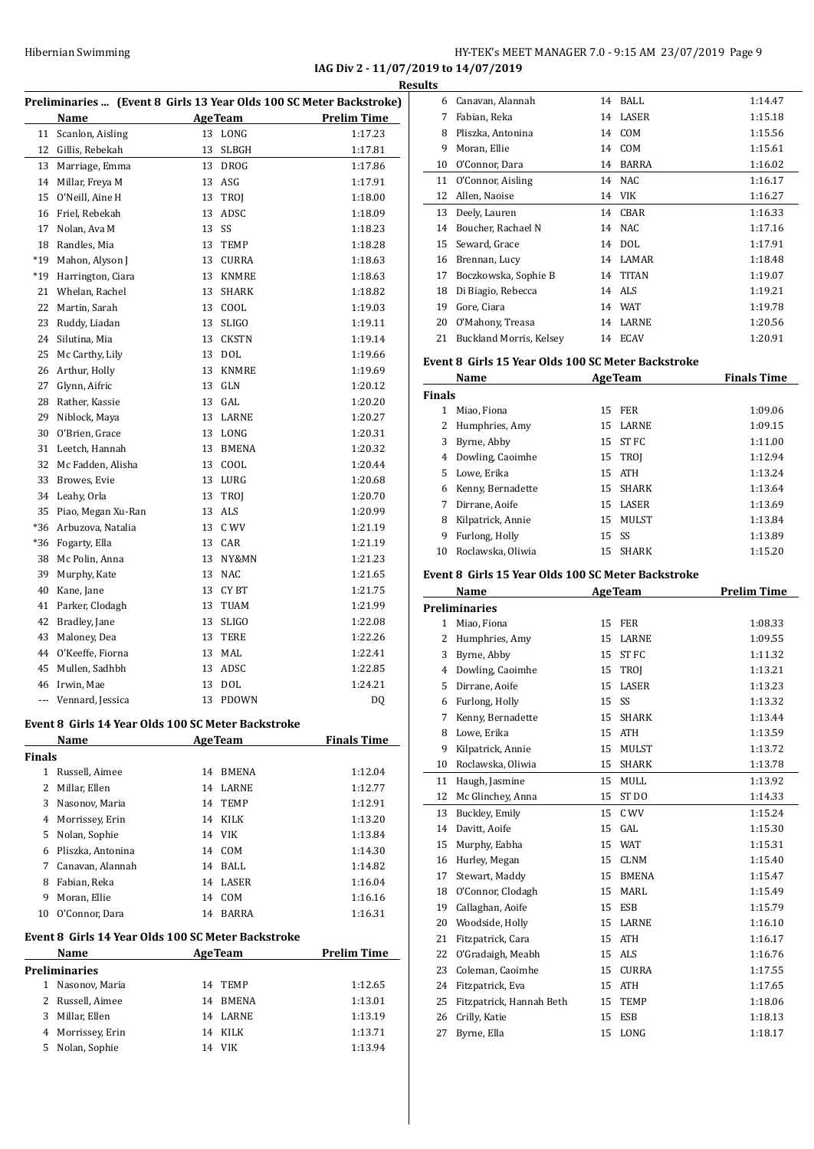**IAG Div 2 - 11/07/2019 to 14/07/2019**

|               |                      |                                                                     | IAU DIV 4 ° 11/07/4019 to 14/07/4019 | <b>Results</b> |                                                    |          |                   |                    |
|---------------|----------------------|---------------------------------------------------------------------|--------------------------------------|----------------|----------------------------------------------------|----------|-------------------|--------------------|
|               |                      | Preliminaries  (Event 8 Girls 13 Year Olds 100 SC Meter Backstroke) |                                      |                | 6 Canavan, Alannah                                 |          | 14 BALL           | 1:14.47            |
|               | Name                 | <b>AgeTeam</b>                                                      | <b>Prelim Time</b>                   | 7              | Fabian, Reka                                       | 14       | LASER             | 1:15.18            |
|               | 11 Scanlon, Aisling  | 13 LONG                                                             | 1:17.23                              | 8              | Pliszka, Antonina                                  | 14       | COM               | 1:15.56            |
|               | 12 Gillis, Rebekah   | 13 SLBGH                                                            | 1:17.81                              | 9              | Moran, Ellie                                       | 14       | COM               | 1:15.61            |
|               | 13 Marriage, Emma    | 13 DROG                                                             | 1:17.86                              | 10             | O'Connor, Dara                                     | 14       | BARRA             | 1:16.02            |
|               | 14 Millar, Freya M   | 13 ASG                                                              | 1:17.91                              | 11             | O'Connor, Aisling                                  | 14       | NAC               | 1:16.17            |
| 15            | O'Neill, Aine H      | TROJ<br>13                                                          | 1:18.00                              |                | 12 Allen, Naoise                                   |          | 14 VIK            | 1:16.27            |
|               | 16 Friel, Rebekah    | 13 ADSC                                                             | 1:18.09                              | 13             | Deely, Lauren                                      |          | 14 CBAR           | 1:16.33            |
| 17            | Nolan, Ava M         | 13 SS                                                               | 1:18.23                              |                | 14 Boucher, Rachael N                              |          | 14 NAC            | 1:17.16            |
| 18            | Randles, Mia         | 13 TEMP                                                             | 1:18.28                              | 15             | Seward, Grace                                      |          | 14 DOL            | 1:17.91            |
| $*19$         | Mahon, Alyson J      | 13 CURRA                                                            | 1:18.63                              | 16             | Brennan, Lucy                                      |          | 14 LAMAR          | 1:18.48            |
| $*19$         | Harrington, Ciara    | 13 KNMRE                                                            | 1:18.63                              | 17             | Boczkowska, Sophie B                               | 14       | <b>TITAN</b>      | 1:19.07            |
| 21            | Whelan, Rachel       | 13 SHARK                                                            | 1:18.82                              | 18             | Di Biagio, Rebecca                                 |          | 14 ALS            | 1:19.21            |
|               | 22 Martin, Sarah     | 13 COOL                                                             | 1:19.03                              | 19             | Gore, Ciara                                        |          | 14 WAT            | 1:19.78            |
| 23            | Ruddy, Liadan        | 13 SLIGO                                                            | 1:19.11                              | 20             | O'Mahony, Treasa                                   | 14       | LARNE             | 1:20.56            |
| 24            | Silutina, Mia        | 13 CKSTN                                                            | 1:19.14                              |                | 21 Buckland Morris, Kelsey                         |          | 14 ECAV           | 1:20.91            |
| 25            | Mc Carthy, Lily      | 13 DOL                                                              | 1:19.66                              |                | Event 8 Girls 15 Year Olds 100 SC Meter Backstroke |          |                   |                    |
| 26            | Arthur, Holly        | KNMRE<br>13                                                         | 1:19.69                              |                | Name                                               |          | <b>AgeTeam</b>    | <b>Finals Time</b> |
| 27            | Glynn, Aifric        | GLN<br>13                                                           | 1:20.12                              | <b>Finals</b>  |                                                    |          |                   |                    |
| 28            | Rather, Kassie       | 13 GAL                                                              | 1:20.20                              |                | 1 Miao, Fiona                                      |          | 15 FER            | 1:09.06            |
| 29            | Niblock, Maya        | 13 LARNE                                                            | 1:20.27                              | 2              | Humphries, Amy                                     |          | 15 LARNE          | 1:09.15            |
| 30            | O'Brien, Grace       | 13 LONG                                                             | 1:20.31                              | 3              | Byrne, Abby                                        |          | 15 ST FC          | 1:11.00            |
| 31            | Leetch, Hannah       | 13 BMENA                                                            | 1:20.32                              | 4              | Dowling, Caoimhe                                   |          | 15 TROJ           | 1:12.94            |
| 32            | Mc Fadden, Alisha    | 13 COOL                                                             | 1:20.44                              | 5              | Lowe, Erika                                        |          | 15 ATH            | 1:13.24            |
| 33            | Browes, Evie         | 13 LURG                                                             | 1:20.68                              | 6              | Kenny, Bernadette                                  | 15       | SHARK             | 1:13.64            |
|               | 34 Leahy, Orla       | 13 TROJ                                                             | 1:20.70                              | 7              | Dirrane, Aoife                                     | 15       | LASER             | 1:13.69            |
| 35            | Piao, Megan Xu-Ran   | 13 ALS                                                              | 1:20.99                              | 8              | Kilpatrick, Annie                                  |          | 15 MULST          | 1:13.84            |
| *36           | Arbuzova, Natalia    | 13 C WV                                                             | 1:21.19                              | 9              | Furlong, Holly                                     |          | 15 SS             | 1:13.89            |
| *36           | Fogarty, Ella        | 13 CAR                                                              | 1:21.19                              | 10             | Roclawska, Oliwia                                  |          | 15 SHARK          | 1:15.20            |
| 38            | Mc Polin, Anna       | 13 NY&MN                                                            | 1:21.23                              |                |                                                    |          |                   |                    |
| 39            | Murphy, Kate         | 13 NAC                                                              | 1:21.65                              |                | Event 8 Girls 15 Year Olds 100 SC Meter Backstroke |          |                   |                    |
| 40            | Kane, Jane           | CY BT<br>13                                                         | 1:21.75                              |                | Name                                               |          | <b>AgeTeam</b>    | <b>Prelim Time</b> |
| 41            | Parker, Clodagh      | 13 TUAM                                                             | 1:21.99                              |                | <b>Preliminaries</b>                               |          |                   |                    |
| 42            | Bradley, Jane        | 13 SLIGO                                                            | 1:22.08                              | $\mathbf{1}$   | Miao, Fiona                                        |          | 15 FER            | 1:08.33            |
| 43            | Maloney, Dea         | 13 TERE                                                             | 1:22.26                              | 2              | Humphries, Amy                                     |          | 15 LARNE          | 1:09.55            |
| 44            | O'Keeffe, Fiorna     | 13 MAL                                                              | 1:22.41                              | 3              | Byrne, Abby                                        |          | 15 ST FC          | 1:11.32            |
|               | 45 Mullen, Sadhbh    | 13 ADSC                                                             | 1:22.85                              |                | 4 Dowling, Caoimhe                                 |          | 15 TROJ           | 1:13.21            |
|               | 46 Irwin, Mae        | 13 DOL                                                              | 1:24.21                              | 5              | Dirrane, Aoife                                     | 15       | LASER             | 1:13.23            |
|               | --- Vennard, Jessica | 13 PDOWN                                                            | DQ                                   | 6              | Furlong, Holly                                     |          | 15 SS             | 1:13.32            |
|               |                      | Event 8 Girls 14 Year Olds 100 SC Meter Backstroke                  |                                      | 7              | Kenny, Bernadette                                  | 15       | SHARK             | 1:13.44            |
|               | Name                 | <b>AgeTeam</b>                                                      | <b>Finals Time</b>                   | 8              | Lowe, Erika                                        |          | 15 ATH            | 1:13.59            |
| <b>Finals</b> |                      |                                                                     |                                      | 9              | Kilpatrick, Annie<br>Roclawska, Oliwia             |          | 15 MULST          | 1:13.72            |
|               | 1 Russell, Aimee     | 14 BMENA                                                            | 1:12.04                              | 10             |                                                    | 15       | SHARK             | 1:13.78            |
| 2             | Millar, Ellen        | 14 LARNE                                                            | 1:12.77                              | 11             | Haugh, Jasmine                                     |          | 15 MULL           | 1:13.92            |
| 3             | Nasonov, Maria       | 14 TEMP                                                             | 1:12.91                              | 12             | Mc Glinchey, Anna                                  | 15       | ST DO             | 1:14.33            |
| 4             | Morrissey, Erin      | 14 KILK                                                             | 1:13.20                              | 13             | Buckley, Emily                                     | 15       | C WV              | 1:15.24            |
| 5             | Nolan, Sophie        | 14 VIK                                                              | 1:13.84                              | 14             | Davitt, Aoife                                      |          | 15 GAL            | 1:15.30            |
| 6             | Pliszka, Antonina    | 14 COM                                                              | 1:14.30                              | 15             | Murphy, Eabha                                      |          | 15 WAT<br>15 CLNM | 1:15.31            |
| 7             | Canavan, Alannah     | 14 BALL                                                             | 1:14.82                              | 16             | Hurley, Megan<br>Stewart, Maddy                    |          | 15 BMENA          | 1:15.40<br>1:15.47 |
| 8             | Fabian, Reka         | 14 LASER                                                            | 1:16.04                              | 17<br>18       | O'Connor, Clodagh                                  |          | 15 MARL           | 1:15.49            |
| 9             | Moran, Ellie         | 14 COM                                                              | 1:16.16                              | 19             | Callaghan, Aoife                                   | 15       | ESB               | 1:15.79            |
|               | 10 O'Connor, Dara    | 14 BARRA                                                            | 1:16.31                              |                | Woodside, Holly                                    |          | LARNE             |                    |
|               |                      | Event 8 Girls 14 Year Olds 100 SC Meter Backstroke                  |                                      | 20<br>21       | Fitzpatrick, Cara                                  | 15<br>15 | <b>ATH</b>        | 1:16.10<br>1:16.17 |
|               | Name                 | <b>AgeTeam</b>                                                      | <b>Prelim Time</b>                   | 22             | O'Gradaigh, Meabh                                  |          | 15 ALS            | 1:16.76            |
|               | <b>Preliminaries</b> |                                                                     |                                      | 23             | Coleman, Caoimhe                                   | 15       | CURRA             | 1:17.55            |
|               | 1 Nasonov, Maria     | 14 TEMP                                                             | 1:12.65                              | 24             | Fitzpatrick, Eva                                   | 15       | <b>ATH</b>        | 1:17.65            |
| 2             | Russell, Aimee       | 14 BMENA                                                            | 1:13.01                              | 25             | Fitzpatrick, Hannah Beth                           | 15       | <b>TEMP</b>       | 1:18.06            |
| 3             | Millar, Ellen        | 14 LARNE                                                            | 1:13.19                              | 26             | Crilly, Katie                                      | 15       | ESB               | 1:18.13            |
| 4             | Morrissey, Erin      | 14 KILK                                                             | 1:13.71                              | 27             | Byrne, Ella                                        |          | 15 LONG           | 1:18.17            |
|               | 5 Nolan, Sophie      | 14 VIK                                                              | 1:13.94                              |                |                                                    |          |                   |                    |
|               |                      |                                                                     |                                      |                |                                                    |          |                   |                    |

| 6                   | Canavan, Alannah                                    | 14       | BALL           | 1:14.47            |
|---------------------|-----------------------------------------------------|----------|----------------|--------------------|
| 7                   | Fabian, Reka                                        | 14       | LASER          | 1:15.18            |
| 8                   | Pliszka, Antonina                                   | 14       | COM            | 1:15.56            |
| 9                   | Moran, Ellie                                        | 14       | COM            | 1:15.61            |
| 10                  | O'Connor, Dara                                      | 14       | <b>BARRA</b>   | 1:16.02            |
| 11                  | O'Connor, Aisling                                   | 14       | <b>NAC</b>     | 1:16.17            |
| 12                  | Allen, Naoise                                       |          | 14 VIK         | 1:16.27            |
| 13                  | Deely, Lauren                                       | 14       | CBAR           | 1:16.33            |
| 14                  | Boucher, Rachael N                                  | 14       | <b>NAC</b>     | 1:17.16            |
| 15                  | Seward, Grace                                       |          | 14 DOL         | 1:17.91            |
| 16                  | Brennan, Lucy                                       |          | 14 LAMAR       | 1:18.48            |
| 17                  | Boczkowska, Sophie B                                | 14       | <b>TITAN</b>   | 1:19.07            |
| 18                  | Di Biagio, Rebecca                                  |          | 14 ALS         | 1:19.21            |
| 19                  | Gore, Ciara                                         |          | 14 WAT         | 1:19.78            |
| 20                  | O'Mahony, Treasa                                    | 14       | LARNE          | 1:20.56            |
| 21                  | Buckland Morris, Kelsey                             | 14       | <b>ECAV</b>    | 1:20.91            |
|                     | Event 8  Girls 15 Year Olds 100 SC Meter Backstroke |          |                |                    |
|                     | Name                                                |          | <b>AgeTeam</b> | <b>Finals Time</b> |
| Finals              |                                                     |          |                |                    |
| $\mathbf{1}$        | Miao, Fiona                                         | 15       | FER            | 1:09.06            |
| $\overline{c}$      | Humphries, Amy                                      | 15       | LARNE          | 1:09.15            |
| 3                   | Byrne, Abby                                         |          | 15 ST FC       | 1:11.00            |
| 4                   | Dowling, Caoimhe                                    |          | 15 TROJ        | 1:12.94            |
| 5                   | Lowe, Erika                                         | 15       | ATH            | 1:13.24            |
| 6                   | Kenny, Bernadette                                   | 15       | <b>SHARK</b>   | 1:13.64            |
| 7                   | Dirrane, Aoife                                      | 15       | LASER          | 1:13.69            |
| 8                   | Kilpatrick, Annie                                   | 15       | MULST          | 1:13.84            |
| 9                   | Furlong, Holly                                      | 15       | SS             | 1:13.89            |
| 10                  | Roclawska, Oliwia                                   | 15       | <b>SHARK</b>   | 1:15.20            |
|                     | Event 8 Girls 15 Year Olds 100 SC Meter Backstroke  |          |                |                    |
|                     | Name                                                |          | <b>AgeTeam</b> | <b>Prelim Time</b> |
|                     | <b>Preliminaries</b>                                |          |                |                    |
| $\mathbf{1}$        | Miao, Fiona                                         | 15       | <b>FER</b>     | 1:08.33            |
| 2                   | Humphries, Amy                                      |          | 15 LARNE       | 1:09.55            |
| 3                   |                                                     |          |                |                    |
|                     |                                                     |          |                |                    |
|                     | Byrne, Abby                                         | 15       | <b>STFC</b>    | 1:11.32            |
| $\overline{4}$<br>5 | Dowling, Caoimhe<br>Dirrane, Aoife                  | 15<br>15 | TROJ<br>LASER  | 1:13.21<br>1:13.23 |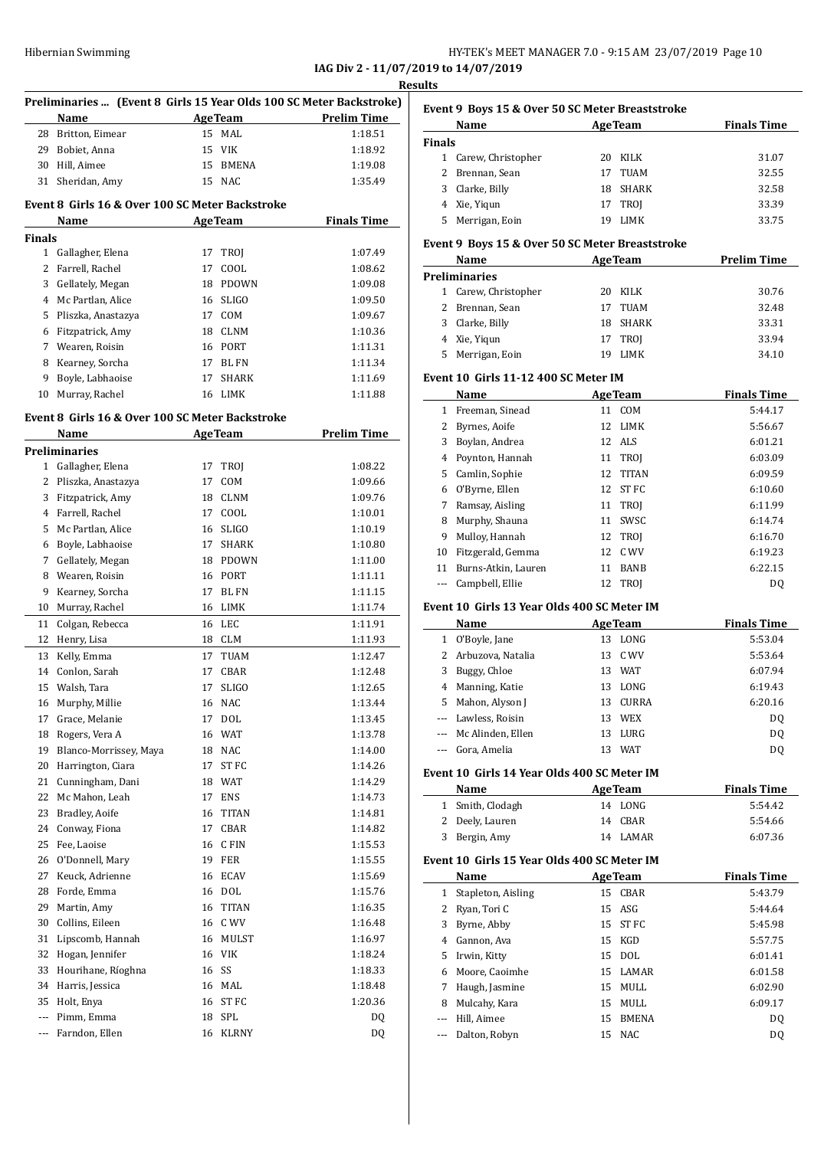**IAG Div 2 - 11/07/2019 to 14/07/2019 Results**

| Preliminaries  (Event 8 Girls 15 Year Olds 100 SC Meter Backstroke) |                                                 |    |                      |                    |
|---------------------------------------------------------------------|-------------------------------------------------|----|----------------------|--------------------|
|                                                                     | Name                                            |    | <b>AgeTeam</b>       | <b>Prelim Time</b> |
|                                                                     | 28 Britton, Eimear                              |    | 15 MAL               | 1:18.51            |
|                                                                     | 29 Bobiet, Anna                                 |    | 15 VIK               | 1:18.92            |
|                                                                     | 30 Hill, Aimee                                  |    | 15 BMENA             | 1:19.08            |
| 31                                                                  | Sheridan, Amy                                   |    | 15 NAC               | 1:35.49            |
|                                                                     |                                                 |    |                      |                    |
|                                                                     | Event 8 Girls 16 & Over 100 SC Meter Backstroke |    |                      |                    |
|                                                                     | Name                                            |    | <b>AgeTeam</b>       | <b>Finals Time</b> |
| <b>Finals</b>                                                       |                                                 |    |                      |                    |
| $\mathbf{1}$                                                        | Gallagher, Elena                                | 17 | <b>TROJ</b>          | 1:07.49            |
|                                                                     | 2 Farrell, Rachel                               | 17 | COOL                 | 1:08.62            |
|                                                                     | 3 Gellately, Megan                              | 18 | PDOWN                | 1:09.08            |
|                                                                     | 4 Mc Partlan, Alice                             | 16 | <b>SLIGO</b>         | 1:09.50            |
|                                                                     | 5 Pliszka, Anastazya                            |    | 17 COM               | 1:09.67            |
|                                                                     | 6 Fitzpatrick, Amy                              |    | 18 CLNM              | 1:10.36            |
|                                                                     | 7 Wearen, Roisin                                |    | 16 PORT              | 1:11.31            |
|                                                                     | 8 Kearney, Sorcha                               |    | 17 BL FN             | 1:11.34            |
| 9                                                                   | Boyle, Labhaoise                                | 17 | <b>SHARK</b>         | 1:11.69            |
| 10                                                                  | Murray, Rachel                                  |    | 16 LIMK              | 1:11.88            |
|                                                                     |                                                 |    |                      |                    |
|                                                                     | Event 8 Girls 16 & Over 100 SC Meter Backstroke |    |                      |                    |
|                                                                     | Name                                            |    | <b>AgeTeam</b>       | <b>Prelim Time</b> |
|                                                                     | <b>Preliminaries</b>                            |    |                      |                    |
|                                                                     | 1 Gallagher, Elena                              | 17 | <b>TROJ</b>          | 1:08.22            |
|                                                                     | 2 Pliszka, Anastazya                            | 17 | COM                  | 1:09.66            |
|                                                                     | 3 Fitzpatrick, Amy                              | 18 | CLNM                 | 1:09.76            |
|                                                                     | 4 Farrell, Rachel                               | 17 | COOL                 | 1:10.01            |
| 5                                                                   | Mc Partlan, Alice                               |    | 16 SLIGO             | 1:10.19            |
|                                                                     | 6 Boyle, Labhaoise                              |    | 17 SHARK             | 1:10.80            |
|                                                                     | 7 Gellately, Megan                              |    | 18 PDOWN             | 1:11.00            |
| 8                                                                   | Wearen, Roisin                                  |    | 16 PORT              | 1:11.11            |
| 9                                                                   | Kearney, Sorcha                                 | 17 | <b>BL FN</b>         | 1:11.15            |
| 10                                                                  | Murray, Rachel                                  |    | 16 LIMK              | 1:11.74            |
| 11                                                                  | Colgan, Rebecca                                 |    | 16 LEC               | 1:11.91            |
|                                                                     | 12 Henry, Lisa                                  |    | 18 CLM               | 1:11.93            |
| 13                                                                  | Kelly, Emma                                     | 17 | <b>TUAM</b>          | 1:12.47            |
| 14                                                                  | Conlon, Sarah                                   | 17 | <b>CBAR</b>          | 1:12.48            |
| 15                                                                  | Walsh, Tara                                     | 17 | <b>SLIGO</b>         | 1:12.65            |
| 16                                                                  | Murphy, Millie                                  | 16 | NAC                  | 1:13.44            |
| 17                                                                  | Grace, Melanie                                  | 17 | DOL                  | 1:13.45            |
| 18                                                                  | Rogers, Vera A                                  | 16 | <b>WAT</b>           | 1:13.78            |
| 19                                                                  | Blanco-Morrissey, Maya                          | 18 | <b>NAC</b>           | 1:14.00            |
| 20                                                                  | Harrington, Ciara                               | 17 | ST FC                | 1:14.26            |
| 21                                                                  | Cunningham, Dani                                | 18 | WAT                  | 1:14.29            |
| 22                                                                  | Mc Mahon, Leah                                  | 17 | <b>ENS</b>           | 1:14.73            |
| 23                                                                  | Bradley, Aoife                                  | 16 | TITAN                | 1:14.81            |
| 24                                                                  | Conway, Fiona                                   | 17 | CBAR                 | 1:14.82            |
| 25                                                                  | Fee, Laoise                                     | 16 | C FIN                | 1:15.53            |
| 26                                                                  | O'Donnell, Mary                                 | 19 | FER                  | 1:15.55            |
| 27                                                                  | Keuck, Adrienne                                 | 16 | ECAV                 | 1:15.69            |
| 28                                                                  | Forde, Emma                                     | 16 | <b>DOL</b>           | 1:15.76            |
| 29                                                                  | Martin, Amy                                     | 16 | <b>TITAN</b>         | 1:16.35            |
| 30                                                                  | Collins, Eileen                                 | 16 | $\mbox{C\,{\sc WV}}$ | 1:16.48            |
| 31                                                                  | Lipscomb, Hannah                                | 16 | MULST                | 1:16.97            |
| 32                                                                  | Hogan, Jennifer                                 | 16 | <b>VIK</b>           | 1:18.24            |
| 33                                                                  | Hourihane, Ríoghna                              | 16 | SS                   | 1:18.33            |
| 34                                                                  | Harris, Jessica                                 | 16 | MAL                  | 1:18.48            |
| 35                                                                  | Holt, Enya                                      | 16 | ST FC                | 1:20.36            |
| ---                                                                 | Pimm, Emma                                      | 18 | SPL                  | DQ                 |
| ---                                                                 | Farndon, Ellen                                  | 16 | KLRNY                | DQ                 |
|                                                                     |                                                 |    |                      |                    |

# **Event 9 Boys 15 & Over 50 SC Meter Breaststroke**

|               | Name               | <b>AgeTeam</b> |             | <b>Finals Time</b> |
|---------------|--------------------|----------------|-------------|--------------------|
| <b>Finals</b> |                    |                |             |                    |
| 1             | Carew, Christopher | 20.            | KILK        | 31.07              |
|               | 2 Brennan, Sean    | 17             | <b>TUAM</b> | 32.55              |
| 3             | Clarke, Billy      | 18             | SHARK       | 32.58              |
|               | 4 Xie, Yigun       | 17             | TROI        | 33.39              |
| 5.            | Merrigan, Eoin     | 19             | LIMK        | 33.75              |

### **Event 9 Boys 15 & Over 50 SC Meter Breaststroke**

|    | <b>Name</b>          | <b>AgeTeam</b> |         | <b>Prelim Time</b> |  |
|----|----------------------|----------------|---------|--------------------|--|
|    | Preliminaries        |                |         |                    |  |
|    | 1 Carew, Christopher |                | 20 KILK | 30.76              |  |
|    | 2 Brennan, Sean      | 17             | TUAM    | 32.48              |  |
| 3  | Clarke, Billy        | 18.            | SHARK   | 33.31              |  |
| 4  | Xie, Yigun           |                | 17 TROJ | 33.94              |  |
| 5. | Merrigan, Eoin       | 19             | LIMK    | 34.10              |  |
|    |                      |                |         |                    |  |

#### **Event 10 Girls 11-12 400 SC Meter IM**

|              | Name                |     | <b>AgeTeam</b> | <b>Finals Time</b> |
|--------------|---------------------|-----|----------------|--------------------|
| 1            | Freeman, Sinead     | 11  | COM            | 5:44.17            |
| $\mathbf{Z}$ | Byrnes, Aoife       | 12  | LIMK           | 5:56.67            |
| 3            | Boylan, Andrea      |     | 12 ALS         | 6:01.21            |
| 4            | Poynton, Hannah     |     | 11 TROI        | 6:03.09            |
| 5            | Camlin, Sophie      | 12. | <b>TITAN</b>   | 6:09.59            |
| 6            | O'Byrne, Ellen      | 12  | ST FC          | 6:10.60            |
| 7            | Ramsay, Aisling     | 11  | <b>TROI</b>    | 6:11.99            |
| 8            | Murphy, Shauna      | 11  | <b>SWSC</b>    | 6:14.74            |
| 9            | Mulloy, Hannah      |     | 12 TROI        | 6:16.70            |
| 10           | Fitzgerald, Gemma   | 12  | C. WV          | 6:19.23            |
| 11           | Burns-Atkin, Lauren | 11  | <b>BANB</b>    | 6:22.15            |
|              | Campbell, Ellie     | 12  | TROI           | DO.                |

#### **Event 10 Girls 13 Year Olds 400 SC Meter IM**

|   | Name                  |    | <b>AgeTeam</b> | <b>Finals Time</b> |
|---|-----------------------|----|----------------|--------------------|
| 1 | O'Boyle, Jane         | 13 | LONG           | 5:53.04            |
|   | 2 Arbuzova, Natalia   | 13 | C WV           | 5:53.64            |
| 3 | Buggy, Chloe          | 13 | WAT            | 6:07.94            |
| 4 | Manning, Katie        |    | 13 LONG        | 6:19.43            |
|   | 5 Mahon, Alyson J     | 13 | <b>CURRA</b>   | 6:20.16            |
|   | --- Lawless, Roisin   | 13 | WEX            | DQ                 |
|   | --- Mc Alinden, Ellen | 13 | LURG           | DO.                |
|   | Gora, Amelia          | 13 | <b>WAT</b>     | D <sub>0</sub>     |

#### **Event 10 Girls 14 Year Olds 400 SC Meter IM**

| Name             | <b>AgeTeam</b> | <b>Finals Time</b> |
|------------------|----------------|--------------------|
| 1 Smith, Clodagh | 14 LONG        | 5:54.42            |
| 2 Deely, Lauren  | 14 CBAR        | 5:54.66            |
| 3 Bergin, Amy    | 14 LAMAR       | 6:07.36            |

#### **Event 10 Girls 15 Year Olds 400 SC Meter IM**

|    | <b>Name</b>        |     | <b>AgeTeam</b> | <b>Finals Time</b> |
|----|--------------------|-----|----------------|--------------------|
| 1  | Stapleton, Aisling |     | 15 CBAR        | 5:43.79            |
|    | Ryan, Tori C       |     | $15$ ASG       | 5:44.64            |
| 3  | Byrne, Abby        |     | 15 ST FC       | 5:45.98            |
| 4  | Gannon. Ava        |     | 15 KGD         | 5:57.75            |
| 5. | Irwin, Kitty       |     | 15 DOL         | 6:01.41            |
| 6  | Moore, Caoimhe     |     | 15 LAMAR       | 6:01.58            |
| 7  | Haugh, Jasmine     | 15  | MULL           | 6:02.90            |
| 8  | Mulcahy, Kara      | 15  | MULL           | 6:09.17            |
|    | Hill. Aimee        | 15  | <b>BMENA</b>   | D <sub>0</sub>     |
|    | Dalton, Robyn      | 15. | NAC.           | D <sub>0</sub>     |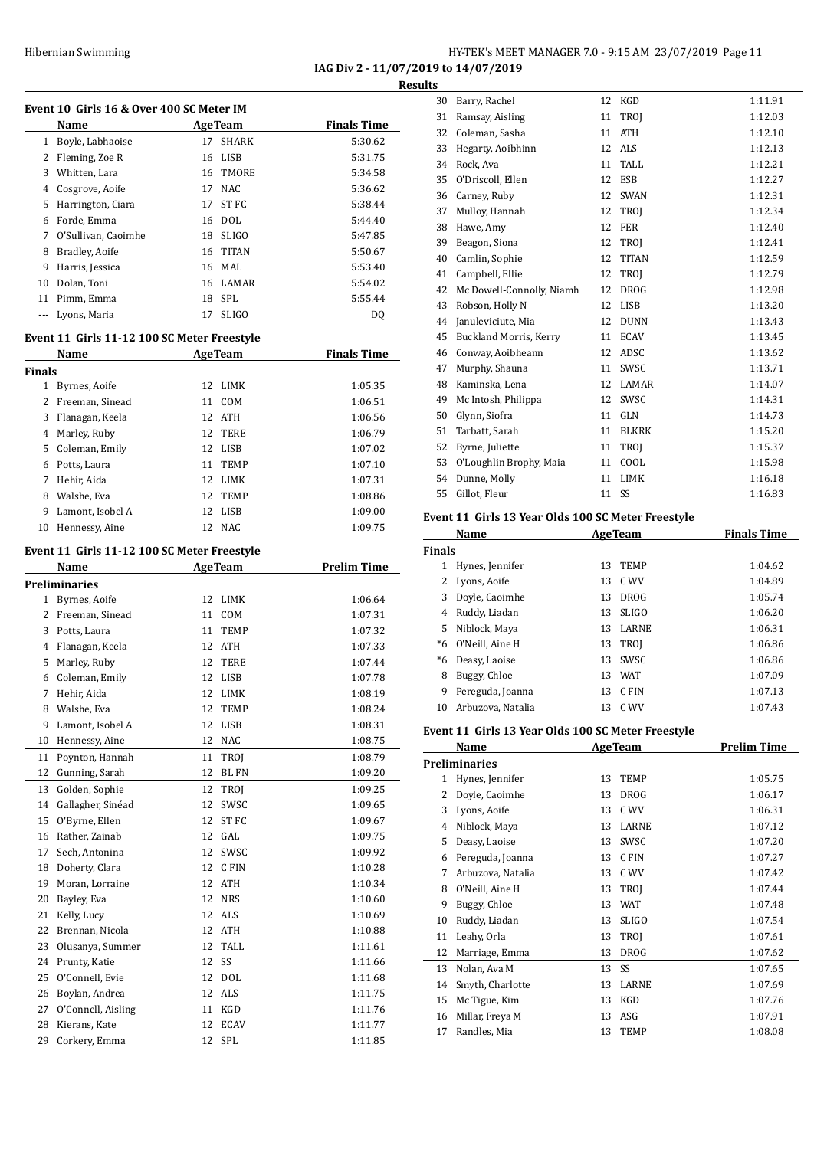#### Hibernian Swimming **HY-TEK's MEET MANAGER 7.0 - 9:15 AM 23/07/2019** Page 11 **IAG Div 2 - 11/07/2019 to 14/07/2019**

**Results**

|               | Event 10 Girls 16 & Over 400 SC Meter IM            |    |                |                    |
|---------------|-----------------------------------------------------|----|----------------|--------------------|
|               | Name                                                |    | <b>AgeTeam</b> | <b>Finals Time</b> |
|               | 1 Boyle, Labhaoise                                  | 17 | <b>SHARK</b>   | 5:30.62            |
|               | 2 Fleming, Zoe R                                    | 16 | LISB           | 5:31.75            |
|               | 3 Whitten, Lara                                     |    | 16 TMORE       | 5:34.58            |
|               | 4 Cosgrove, Aoife                                   |    | 17 NAC         | 5:36.62            |
|               | 5 Harrington, Ciara                                 | 17 | ST FC          | 5:38.44            |
|               | 6 Forde, Emma                                       |    | 16 DOL         | 5:44.40            |
|               | 7 O'Sullivan, Caoimhe                               |    | 18 SLIGO       | 5:47.85            |
| 8             | Bradley, Aoife                                      | 16 | <b>TITAN</b>   | 5:50.67            |
|               | 9 Harris, Jessica                                   |    | 16 MAL         | 5:53.40            |
|               | 10 Dolan, Toni                                      |    | 16 LAMAR       | 5:54.02            |
|               | 11 Pimm, Emma                                       | 18 | SPL            | 5:55.44            |
|               | --- Lyons, Maria                                    | 17 | <b>SLIGO</b>   | DQ                 |
|               |                                                     |    |                |                    |
|               | Event 11 Girls 11-12 100 SC Meter Freestyle<br>Name |    | <b>AgeTeam</b> | <b>Finals Time</b> |
| <b>Finals</b> |                                                     |    |                |                    |
|               | 1 Byrnes, Aoife                                     |    | 12 LIMK        | 1:05.35            |
|               | 2 Freeman, Sinead                                   |    | 11 COM         | 1:06.51            |
|               | 3 Flanagan, Keela                                   |    | 12 ATH         | 1:06.56            |
|               | 4 Marley, Ruby                                      |    | 12 TERE        | 1:06.79            |
|               | 5 Coleman, Emily                                    |    | 12 LISB        | 1:07.02            |
|               | 6 Potts, Laura                                      | 11 | <b>TEMP</b>    | 1:07.10            |
|               | 7 Hehir, Aida                                       | 12 | LIMK           | 1:07.31            |
|               | 8 Walshe, Eva                                       | 12 | TEMP           | 1:08.86            |
| 9             | Lamont, Isobel A                                    | 12 | <b>LISB</b>    | 1:09.00            |
| 10            | Hennessy, Aine                                      | 12 | NAC            | 1:09.75            |
|               |                                                     |    |                |                    |
|               | Event 11 Girls 11-12 100 SC Meter Freestyle<br>Name |    | <b>AgeTeam</b> | <b>Prelim Time</b> |
|               | <b>Preliminaries</b>                                |    |                |                    |
|               | 1 Byrnes, Aoife                                     | 12 | LIMK           | 1:06.64            |
|               | 2 Freeman, Sinead                                   |    | 11 COM         | 1:07.31            |
|               | 3 Potts, Laura                                      |    | 11 TEMP        | 1:07.32            |
|               | 4 Flanagan, Keela                                   |    | 12 ATH         | 1:07.33            |
|               | 5 Marley, Ruby                                      |    | 12 TERE        | 1:07.44            |
|               | 6 Coleman, Emily                                    | 12 | <b>LISB</b>    | 1:07.78            |
| 7             | Hehir, Aida                                         | 12 | LIMK           | 1:08.19            |
| 8             | Walshe, Eva                                         | 12 | TEMP           | 1:08.24            |
| 9             | Lamont, Isobel A                                    | 12 | LISB           | 1:08.31            |
| 10            | Hennessy, Aine                                      | 12 | NAC            | 1:08.75            |
| 11            | Poynton, Hannah                                     | 11 | TROJ           | 1:08.79            |
| 12            | Gunning, Sarah                                      | 12 | <b>BL FN</b>   | 1:09.20            |
| 13            | Golden, Sophie                                      | 12 | TROI           | 1:09.25            |
| 14            | Gallagher, Sinéad                                   | 12 | SWSC           | 1:09.65            |
| 15            | O'Byrne, Ellen                                      | 12 | ST FC          | 1:09.67            |
| 16            | Rather, Zainab                                      | 12 | GAL            | 1:09.75            |
| 17            | Sech, Antonina                                      | 12 | SWSC           | 1:09.92            |
| 18            | Doherty, Clara                                      | 12 | C FIN          | 1:10.28            |
| 19            | Moran, Lorraine                                     | 12 | ATH            | 1:10.34            |
| 20            | Bayley, Eva                                         | 12 | <b>NRS</b>     | 1:10.60            |
| 21            | Kelly, Lucy                                         | 12 | ALS            |                    |
|               |                                                     |    |                | 1:10.69            |
| 22            | Brennan, Nicola                                     | 12 | ATH            | 1:10.88            |
| 23            | Olusanya, Summer                                    | 12 | TALL           | 1:11.61            |
| 24            | Prunty, Katie                                       | 12 | SS             | 1:11.66            |
| 25            | O'Connell, Evie                                     | 12 | <b>DOL</b>     | 1:11.68            |
| 26            | Boylan, Andrea                                      | 12 | ALS            | 1:11.75            |
| 27            | O'Connell, Aisling                                  | 11 | KGD            | 1:11.76            |
| 28            | Kierans, Kate                                       | 12 | <b>ECAV</b>    | 1:11.77            |
| 29            | Corkery, Emma                                       | 12 | SPL            | 1:11.85            |

| 30 | Barry, Rachel                 | 12 | <b>KGD</b>   | 1:11.91 |
|----|-------------------------------|----|--------------|---------|
| 31 | Ramsay, Aisling               | 11 | TROJ         | 1:12.03 |
| 32 | Coleman, Sasha                | 11 | <b>ATH</b>   | 1:12.10 |
| 33 | Hegarty, Aoibhinn             | 12 | <b>ALS</b>   | 1:12.13 |
| 34 | Rock, Ava                     | 11 | <b>TALL</b>  | 1:12.21 |
| 35 | O'Driscoll, Ellen             | 12 | <b>ESB</b>   | 1:12.27 |
| 36 | Carney, Ruby                  | 12 | <b>SWAN</b>  | 1:12.31 |
| 37 | Mulloy, Hannah                | 12 | <b>TROI</b>  | 1:12.34 |
| 38 | Hawe, Amy                     | 12 | <b>FER</b>   | 1:12.40 |
| 39 | Beagon, Siona                 | 12 | TROJ         | 1:12.41 |
| 40 | Camlin, Sophie                | 12 | <b>TITAN</b> | 1:12.59 |
| 41 | Campbell, Ellie               | 12 | <b>TROI</b>  | 1:12.79 |
| 42 | Mc Dowell-Connolly, Niamh     | 12 | <b>DROG</b>  | 1:12.98 |
| 43 | Robson, Holly N               | 12 | <b>LISB</b>  | 1:13.20 |
| 44 | Januleviciute, Mia            | 12 | <b>DUNN</b>  | 1:13.43 |
| 45 | <b>Buckland Morris, Kerry</b> | 11 | <b>ECAV</b>  | 1:13.45 |
| 46 | Conway, Aoibheann             | 12 | ADSC         | 1:13.62 |
| 47 | Murphy, Shauna                | 11 | SWSC         | 1:13.71 |
| 48 | Kaminska, Lena                | 12 | LAMAR        | 1:14.07 |
| 49 | Mc Intosh, Philippa           | 12 | SWSC         | 1:14.31 |
| 50 | Glynn, Siofra                 | 11 | <b>GLN</b>   | 1:14.73 |
| 51 | Tarbatt, Sarah                | 11 | <b>BLKRK</b> | 1:15.20 |
| 52 | Byrne, Juliette               | 11 | TROJ         | 1:15.37 |
| 53 | O'Loughlin Brophy, Maia       | 11 | COOL         | 1:15.98 |
| 54 | Dunne, Molly                  | 11 | <b>LIMK</b>  | 1:16.18 |
| 55 | Gillot, Fleur                 | 11 | SS           | 1:16.83 |
|    |                               |    |              |         |

#### **Event 11 Girls 13 Year Olds 100 SC Meter Freestyle**

|               | Name<br><b>AgeTeam</b> |    |              | <b>Finals Time</b> |
|---------------|------------------------|----|--------------|--------------------|
| <b>Finals</b> |                        |    |              |                    |
| 1             | Hynes, Jennifer        | 13 | <b>TEMP</b>  | 1:04.62            |
| 2             | Lyons, Aoife           | 13 | C WV         | 1:04.89            |
| 3             | Doyle, Caoimhe         | 13 | <b>DROG</b>  | 1:05.74            |
| 4             | Ruddy, Liadan          | 13 | SLIGO        | 1:06.20            |
| 5.            | Niblock, Maya          | 13 | <b>LARNE</b> | 1:06.31            |
| $*6$          | O'Neill, Aine H        |    | 13 TROI      | 1:06.86            |
| *6            | Deasy, Laoise          | 13 | <b>SWSC</b>  | 1:06.86            |
| 8             | Buggy, Chloe           | 13 | <b>WAT</b>   | 1:07.09            |
| 9             | Pereguda, Joanna       | 13 | C FIN        | 1:07.13            |
| 10            | Arbuzova, Natalia      | 13 | C WV         | 1:07.43            |

#### **Event 11 Girls 13 Year Olds 100 SC Meter Freestyle**

|    | Name                 | <b>AgeTeam</b> |              | <b>Prelim Time</b> |
|----|----------------------|----------------|--------------|--------------------|
|    | <b>Preliminaries</b> |                |              |                    |
| 1  | Hynes, Jennifer      | 13             | <b>TEMP</b>  | 1:05.75            |
| 2  | Doyle, Caoimhe       | 13             | <b>DROG</b>  | 1:06.17            |
| 3  | Lyons, Aoife         | 13             | C WV         | 1:06.31            |
| 4  | Niblock, Maya        | 13             | LARNE        | 1:07.12            |
| 5  | Deasy, Laoise        | 13             | SWSC         | 1:07.20            |
| 6  | Pereguda, Joanna     | 13             | C FIN        | 1:07.27            |
| 7  | Arbuzova, Natalia    | 13             | C WV         | 1:07.42            |
| 8  | 0'Neill, Aine H      | 13             | <b>TROI</b>  | 1:07.44            |
| 9  | Buggy, Chloe         | 13             | <b>WAT</b>   | 1:07.48            |
| 10 | Ruddy, Liadan        | 13             | <b>SLIGO</b> | 1:07.54            |
| 11 | Leahy, Orla          | 13             | <b>TROI</b>  | 1:07.61            |
| 12 | Marriage, Emma       | 13             | <b>DROG</b>  | 1:07.62            |
| 13 | Nolan, Ava M         | 13             | SS           | 1:07.65            |
| 14 | Smyth, Charlotte     | 13             | LARNE        | 1:07.69            |
| 15 | Mc Tigue, Kim        | 13             | KGD          | 1:07.76            |
| 16 | Millar, Freya M      | 13             | ASG          | 1:07.91            |
| 17 | Randles, Mia         | 13             | <b>TEMP</b>  | 1:08.08            |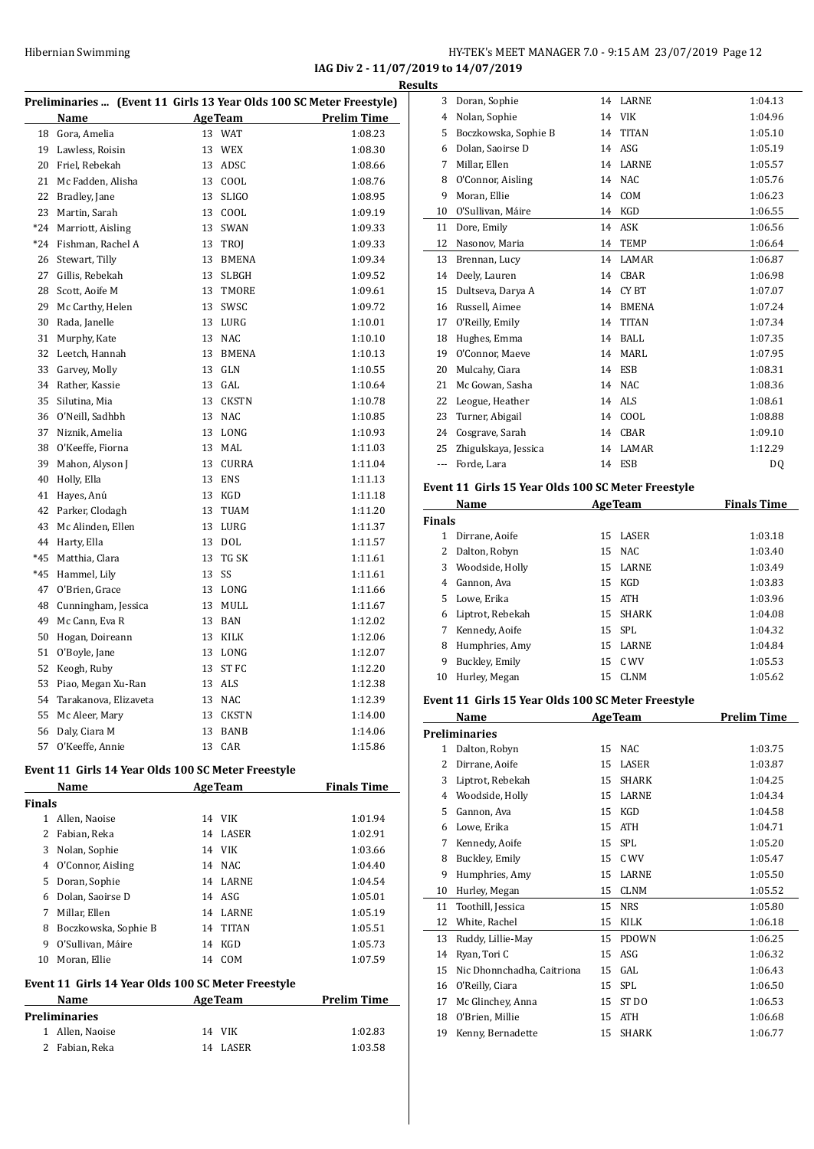**IAG Div 2 - 11/07/2019 to 14/07/2019 Results**

| Preliminaries  (Event 11 Girls 13 Year Olds 100 SC Meter Freestyle) |                       |    |              |                    |
|---------------------------------------------------------------------|-----------------------|----|--------------|--------------------|
|                                                                     | Name                  |    | AgeTeam      | <b>Prelim Time</b> |
| 18                                                                  | Gora, Amelia          |    | 13 WAT       | 1:08.23            |
| 19                                                                  | Lawless, Roisin       | 13 | <b>WEX</b>   | 1:08.30            |
| 20                                                                  | Friel, Rebekah        | 13 | ADSC         | 1:08.66            |
| 21                                                                  | Mc Fadden, Alisha     | 13 | COOL         | 1:08.76            |
| 22                                                                  | Bradley, Jane         | 13 | <b>SLIGO</b> | 1:08.95            |
| 23                                                                  | Martin, Sarah         | 13 | COOL         | 1:09.19            |
| $*24$                                                               | Marriott, Aisling     |    | 13 SWAN      | 1:09.33            |
| *24                                                                 | Fishman, Rachel A     | 13 | TROJ         | 1:09.33            |
| 26                                                                  | Stewart, Tilly        | 13 | <b>BMENA</b> | 1:09.34            |
| 27                                                                  | Gillis, Rebekah       | 13 | <b>SLBGH</b> | 1:09.52            |
| 28                                                                  | Scott, Aoife M        |    | 13 TMORE     | 1:09.61            |
| 29                                                                  | Mc Carthy, Helen      | 13 | SWSC         | 1:09.72            |
| 30                                                                  | Rada, Janelle         | 13 | LURG         | 1:10.01            |
| 31                                                                  | Murphy, Kate          | 13 | <b>NAC</b>   | 1:10.10            |
| 32                                                                  | Leetch, Hannah        | 13 | <b>BMENA</b> | 1:10.13            |
| 33                                                                  | Garvey, Molly         |    | 13 GLN       | 1:10.55            |
| 34                                                                  | Rather, Kassie        | 13 | GAL          | 1:10.64            |
| 35                                                                  | Silutina, Mia         | 13 | <b>CKSTN</b> | 1:10.78            |
| 36                                                                  | O'Neill, Sadhbh       | 13 | <b>NAC</b>   | 1:10.85            |
| 37                                                                  | Niznik, Amelia        |    | 13 LONG      | 1:10.93            |
| 38                                                                  | O'Keeffe, Fiorna      | 13 | MAL          | 1:11.03            |
| 39                                                                  | Mahon, Alyson J       | 13 | <b>CURRA</b> | 1:11.04            |
| 40                                                                  | Holly, Ella           | 13 | <b>ENS</b>   | 1:11.13            |
| 41                                                                  | Hayes, Anú            |    | 13 KGD       | 1:11.18            |
| 42                                                                  | Parker, Clodagh       | 13 | <b>TUAM</b>  | 1:11.20            |
| 43                                                                  | Mc Alinden, Ellen     | 13 | LURG         | 1:11.37            |
| 44                                                                  | Harty, Ella           | 13 | <b>DOL</b>   | 1:11.57            |
| *45                                                                 | Matthia, Clara        | 13 | TG SK        | 1:11.61            |
| $*45$                                                               | Hammel, Lily          | 13 | SS           | 1:11.61            |
| 47                                                                  | O'Brien, Grace        |    | 13 LONG      | 1:11.66            |
| 48                                                                  | Cunningham, Jessica   | 13 | MULL         | 1:11.67            |
| 49                                                                  | Mc Cann, Eva R        |    | 13 BAN       | 1:12.02            |
| 50                                                                  | Hogan, Doireann       | 13 | KILK         | 1:12.06            |
| 51                                                                  | O'Boyle, Jane         |    | 13 LONG      | 1:12.07            |
| 52                                                                  | Keogh, Ruby           | 13 | ST FC        | 1:12.20            |
| 53                                                                  | Piao, Megan Xu-Ran    |    | 13 ALS       | 1:12.38            |
| 54                                                                  | Tarakanova, Elizaveta |    | 13 NAC       | 1:12.39            |
| 55                                                                  | Mc Aleer, Mary        | 13 | <b>CKSTN</b> | 1:14.00            |
| 56                                                                  | Daly, Ciara M         | 13 | BANB         | 1:14.06            |
| 57                                                                  | O'Keeffe, Annie       | 13 | CAR          | 1:15.86            |
|                                                                     |                       |    |              |                    |

#### **Event 11 Girls 14 Year Olds 100 SC Meter Freestyle**

|                                                    | Name                 |    | <b>AgeTeam</b> | <b>Finals Time</b> |  |  |
|----------------------------------------------------|----------------------|----|----------------|--------------------|--|--|
| <b>Finals</b>                                      |                      |    |                |                    |  |  |
| 1                                                  | Allen, Naoise        |    | 14 VIK         | 1:01.94            |  |  |
| 2                                                  | Fabian, Reka         | 14 | LASER          | 1:02.91            |  |  |
| 3                                                  | Nolan, Sophie        |    | 14 VIK         | 1:03.66            |  |  |
| 4                                                  | O'Connor, Aisling    |    | 14 NAC         | 1:04.40            |  |  |
| 5                                                  | Doran, Sophie        |    | 14 LARNE       | 1:04.54            |  |  |
| 6                                                  | Dolan, Saoirse D     |    | 14 ASG         | 1:05.01            |  |  |
| 7                                                  | Millar, Ellen        | 14 | LARNE          | 1:05.19            |  |  |
| 8                                                  | Boczkowska, Sophie B | 14 | <b>TITAN</b>   | 1:05.51            |  |  |
| 9                                                  | O'Sullivan, Máire    | 14 | KGD            | 1:05.73            |  |  |
| 10                                                 | Moran, Ellie         | 14 | <b>COM</b>     | 1:07.59            |  |  |
| Event 11 Girls 14 Year Olds 100 SC Meter Freestyle |                      |    |                |                    |  |  |

#### **Name Age Team Prelim Time Preliminaries** Allen, Naoise 14 VIK 1:02.83 Fabian, Reka 14 LASER 1:03.58

| <b>AgeTeam</b><br><b>Finals Time</b><br>Name |                                                    |    |              |         |  |  |
|----------------------------------------------|----------------------------------------------------|----|--------------|---------|--|--|
|                                              | Event 11 Girls 15 Year Olds 100 SC Meter Freestyle |    |              |         |  |  |
| ---                                          | Forde, Lara                                        |    | 14 ESB       | DQ      |  |  |
| 25                                           | Zhigulskaya, Jessica                               | 14 | LAMAR        | 1:12.29 |  |  |
| 24                                           | Cosgrave, Sarah                                    | 14 | <b>CBAR</b>  | 1:09.10 |  |  |
| 23                                           | Turner, Abigail                                    | 14 | COOL         | 1:08.88 |  |  |
| 22                                           | Leogue, Heather                                    | 14 | ALS          | 1:08.61 |  |  |
| 21                                           | Mc Gowan, Sasha                                    | 14 | <b>NAC</b>   | 1:08.36 |  |  |
| 20                                           | Mulcahy, Ciara                                     | 14 | ESB          | 1:08.31 |  |  |
| 19                                           | O'Connor, Maeve                                    | 14 | <b>MARL</b>  | 1:07.95 |  |  |
| 18                                           | Hughes, Emma                                       | 14 | <b>BALL</b>  | 1:07.35 |  |  |
| 17                                           | O'Reilly, Emily                                    | 14 | <b>TITAN</b> | 1:07.34 |  |  |
| 16                                           | Russell, Aimee                                     | 14 | <b>BMENA</b> | 1:07.24 |  |  |
| 15                                           | Dultseva, Darya A                                  | 14 | CY BT        | 1:07.07 |  |  |
| 14                                           | Deely, Lauren                                      | 14 | <b>CBAR</b>  | 1:06.98 |  |  |
| 13                                           | Brennan, Lucy                                      | 14 | LAMAR        | 1:06.87 |  |  |
| 12                                           | Nasonov, Maria                                     | 14 | <b>TEMP</b>  | 1:06.64 |  |  |
| 11                                           | Dore, Emily                                        | 14 | ASK          | 1:06.56 |  |  |
| 10                                           | O'Sullivan, Máire                                  | 14 | KGD          | 1:06.55 |  |  |
| 9                                            | Moran, Ellie                                       | 14 | COM          | 1:06.23 |  |  |
| 8                                            | O'Connor, Aisling                                  | 14 | <b>NAC</b>   | 1:05.76 |  |  |
| 7                                            | Millar, Ellen                                      | 14 | <b>LARNE</b> | 1:05.57 |  |  |
| 6                                            | Dolan, Saoirse D                                   | 14 | ASG          | 1:05.19 |  |  |
| 5                                            | Boczkowska, Sophie B                               | 14 | <b>TITAN</b> | 1:05.10 |  |  |
| 4                                            | Nolan, Sophie                                      | 14 | <b>VIK</b>   | 1:04.96 |  |  |
| 3                                            | Doran, Sophie                                      | 14 | LARNE        | 1:04.13 |  |  |

|               | name             |    | Age ream    | rinais Time |
|---------------|------------------|----|-------------|-------------|
| <b>Finals</b> |                  |    |             |             |
| 1             | Dirrane, Aoife   |    | 15 LASER    | 1:03.18     |
| 2             | Dalton, Robyn    |    | 15 NAC      | 1:03.40     |
| 3             | Woodside, Holly  |    | 15 LARNE    | 1:03.49     |
| 4             | Gannon, Ava      |    | 15 KGD      | 1:03.83     |
| 5.            | Lowe, Erika      |    | 15 ATH      | 1:03.96     |
| 6             | Liptrot, Rebekah |    | 15 SHARK    | 1:04.08     |
| 7             | Kennedy, Aoife   |    | 15 SPL      | 1:04.32     |
| 8             | Humphries, Amy   |    | 15 LARNE    | 1:04.84     |
| 9             | Buckley, Emily   |    | 15 C WV     | 1:05.53     |
| 10            | Hurley, Megan    | 15 | <b>CLNM</b> | 1:05.62     |

#### **Event 11 Girls 15 Year Olds 100 SC Meter Freestyle**

|    | Name                       |    | <b>AgeTeam</b> | Prelim Time |
|----|----------------------------|----|----------------|-------------|
|    | <b>Preliminaries</b>       |    |                |             |
| 1  | Dalton, Robyn              | 15 | <b>NAC</b>     | 1:03.75     |
| 2  | Dirrane, Aoife             | 15 | <b>LASER</b>   | 1:03.87     |
| 3  | Liptrot, Rebekah           | 15 | <b>SHARK</b>   | 1:04.25     |
| 4  | Woodside, Holly            | 15 | <b>LARNE</b>   | 1:04.34     |
| 5  | Gannon. Ava                | 15 | <b>KGD</b>     | 1:04.58     |
| 6  | Lowe, Erika                | 15 | <b>ATH</b>     | 1:04.71     |
| 7  | Kennedy, Aoife             | 15 | <b>SPL</b>     | 1:05.20     |
| 8  | Buckley, Emily             | 15 | C WV           | 1:05.47     |
| 9  | Humphries, Amy             | 15 | <b>LARNE</b>   | 1:05.50     |
| 10 | Hurley, Megan              | 15 | <b>CLNM</b>    | 1:05.52     |
| 11 | Toothill, Jessica          | 15 | <b>NRS</b>     | 1:05.80     |
| 12 | White, Rachel              | 15 | <b>KILK</b>    | 1:06.18     |
| 13 | Ruddy, Lillie-May          | 15 | <b>PDOWN</b>   | 1:06.25     |
| 14 | Ryan, Tori C               | 15 | ASG            | 1:06.32     |
| 15 | Nic Dhonnchadha, Caitriona | 15 | GAL            | 1:06.43     |
| 16 | O'Reilly, Ciara            | 15 | <b>SPL</b>     | 1:06.50     |
| 17 | Mc Glinchey, Anna          | 15 | ST DO          | 1:06.53     |
| 18 | O'Brien, Millie            | 15 | <b>ATH</b>     | 1:06.68     |
| 19 | Kenny, Bernadette          | 15 | <b>SHARK</b>   | 1:06.77     |
|    |                            |    |                |             |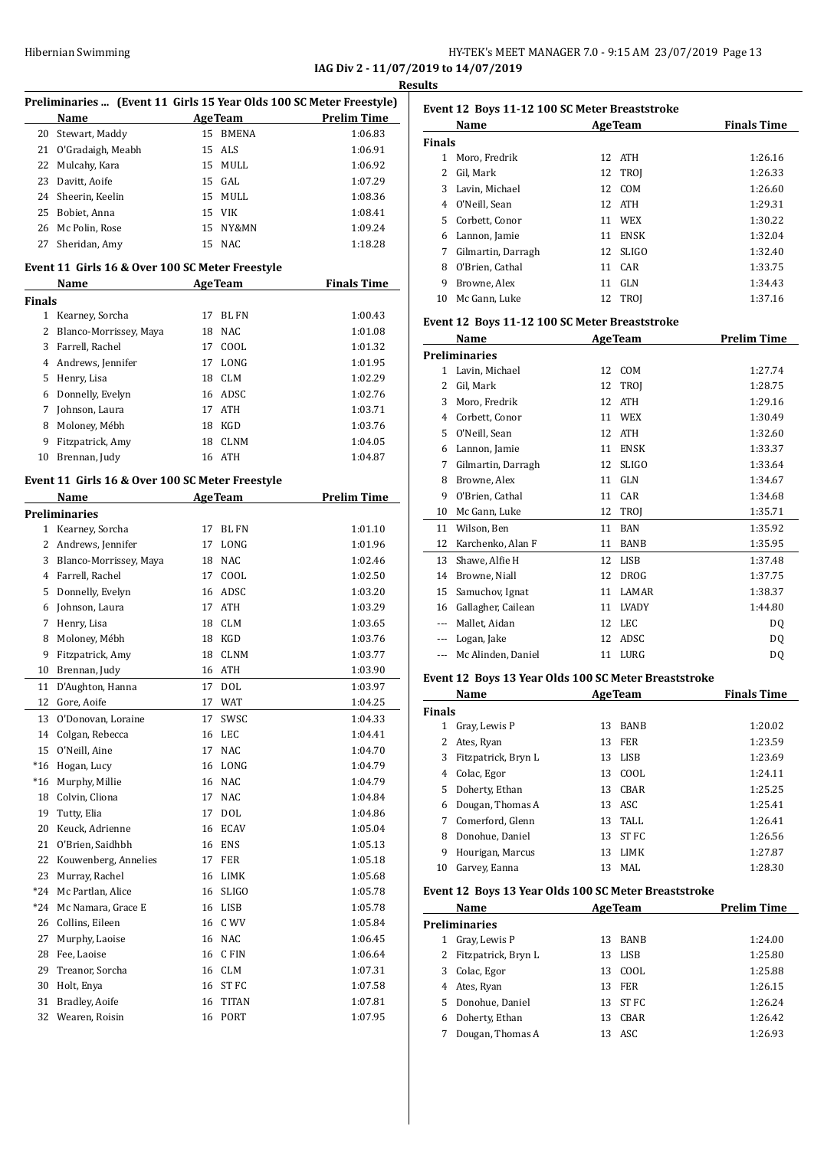#### HY-TEK's MEET MANAGER 7.0 - 9:15 AM 23/07/2019 Page 13 **IAG Div 2 - 11/07/2019 to 14/07/2019**

**Results**

| Preliminaries  (Event 11 Girls 15 Year Olds 100 SC Meter Freestyle)                      |                                                 |    |                |                    |  |
|------------------------------------------------------------------------------------------|-------------------------------------------------|----|----------------|--------------------|--|
|                                                                                          | Name                                            |    | <b>AgeTeam</b> | <b>Prelim Time</b> |  |
| 20                                                                                       | Stewart, Maddy                                  | 15 | <b>BMENA</b>   | 1:06.83            |  |
| 21                                                                                       | O'Gradaigh, Meabh                               | 15 | ALS            | 1:06.91            |  |
| 22                                                                                       | Mulcahy, Kara                                   | 15 | MULL           | 1:06.92            |  |
| 23                                                                                       | Davitt, Aoife                                   | 15 | GAL            | 1:07.29            |  |
| 24                                                                                       | Sheerin, Keelin                                 | 15 | MULL           | 1:08.36            |  |
| 25                                                                                       | Bobiet, Anna                                    | 15 | <b>VIK</b>     | 1:08.41            |  |
| 26                                                                                       | Mc Polin, Rose                                  | 15 | NY&MN          | 1:09.24            |  |
| 27                                                                                       | Sheridan, Amy                                   | 15 | <b>NAC</b>     | 1:18.28            |  |
|                                                                                          | Event 11 Girls 16 & Over 100 SC Meter Freestyle |    |                |                    |  |
|                                                                                          | <b>Name</b>                                     |    | <b>AgeTeam</b> | <b>Finals Time</b> |  |
| <b>Finals</b>                                                                            |                                                 |    |                |                    |  |
|                                                                                          | 1 Kearney, Sorcha                               | 17 | BL FN          | 1:00.43            |  |
| 2                                                                                        | Blanco-Morrissey, Maya                          | 18 | <b>NAC</b>     | 1:01.08            |  |
|                                                                                          | 3 Farrell, Rachel                               | 17 | COOL           | 1:01.32            |  |
|                                                                                          | 4 Andrews, Jennifer                             | 17 | LONG           | 1:01.95            |  |
| 5                                                                                        | Henry, Lisa                                     | 18 | <b>CLM</b>     | 1:02.29            |  |
| 6                                                                                        | Donnelly, Evelyn                                | 16 | ADSC           | 1:02.76            |  |
| 7                                                                                        | Johnson, Laura                                  | 17 | ATH            | 1:03.71            |  |
| 8                                                                                        | Moloney, Mébh                                   | 18 | KGD            | 1:03.76            |  |
| 9                                                                                        | Fitzpatrick, Amy                                | 18 | <b>CLNM</b>    | 1:04.05            |  |
| 10                                                                                       | Brennan, Judy                                   | 16 | ATH            | 1:04.87            |  |
|                                                                                          |                                                 |    |                |                    |  |
| Event 11 Girls 16 & Over 100 SC Meter Freestyle<br><b>Prelim Time</b><br>Name<br>AgeTeam |                                                 |    |                |                    |  |
|                                                                                          | Preliminaries                                   |    |                |                    |  |
|                                                                                          | 1 Kearney, Sorcha                               | 17 | BL FN          | 1:01.10            |  |
|                                                                                          | 2 Andrews, Jennifer                             | 17 | LONG           | 1:01.96            |  |
| 3                                                                                        | Blanco-Morrissey, Maya                          | 18 | <b>NAC</b>     | 1:02.46            |  |
|                                                                                          | 4 Farrell, Rachel                               | 17 | COOL           | 1:02.50            |  |
| 5                                                                                        | Donnelly, Evelyn                                | 16 | ADSC           | 1:03.20            |  |
| 6                                                                                        | Johnson, Laura                                  | 17 | ATH            | 1:03.29            |  |
| 7                                                                                        | Henry, Lisa                                     | 18 | CLM            | 1:03.65            |  |
| 8                                                                                        | Moloney, Mébh                                   | 18 | KGD            | 1:03.76            |  |
| 9                                                                                        | Fitzpatrick, Amy                                | 18 | <b>CLNM</b>    | 1:03.77            |  |
|                                                                                          | Brennan, Judy                                   |    |                |                    |  |
| 10                                                                                       |                                                 | 16 | ATH            | 1:03.90            |  |
| 11                                                                                       | D'Aughton, Hanna                                |    | 17 DOL         | 1:03.97            |  |
|                                                                                          | 12 Gore, Aoife                                  |    | 17 WAT         | 1:04.25            |  |
| 13                                                                                       | O'Donovan, Loraine                              | 17 | SWSC           | 1:04.33            |  |
| 14                                                                                       | Colgan, Rebecca                                 | 16 | LEC            | 1:04.41            |  |
| 15                                                                                       | O'Neill, Aine                                   | 17 | NAC            | 1:04.70            |  |
| $*16$                                                                                    | Hogan, Lucy                                     | 16 | LONG           | 1:04.79            |  |
| $*16$                                                                                    | Murphy, Millie                                  | 16 | NAC            | 1:04.79            |  |
| 18                                                                                       | Colvin, Cliona                                  | 17 | NAC            | 1:04.84            |  |
| 19                                                                                       | Tutty, Elia                                     | 17 | DOL            | 1:04.86            |  |
| 20                                                                                       | Keuck, Adrienne                                 | 16 | <b>ECAV</b>    | 1:05.04            |  |
| 21                                                                                       | O'Brien, Saidhbh                                | 16 | ENS            | 1:05.13            |  |
| 22                                                                                       | Kouwenberg, Annelies                            | 17 | FER            | 1:05.18            |  |
| 23                                                                                       | Murray, Rachel                                  | 16 | LIMK           | 1:05.68            |  |
| $*24$                                                                                    | Mc Partlan, Alice                               | 16 | <b>SLIGO</b>   | 1:05.78            |  |
| *24                                                                                      | Mc Namara, Grace E                              | 16 | LISB           | 1:05.78            |  |
| 26                                                                                       | Collins, Eileen                                 | 16 | C WV           | 1:05.84            |  |
| 27                                                                                       | Murphy, Laoise                                  | 16 | NAC            | 1:06.45            |  |
| 28                                                                                       | Fee, Laoise                                     | 16 | C FIN          | 1:06.64            |  |
| 29                                                                                       | Treanor, Sorcha                                 | 16 | CLM            | 1:07.31            |  |
| 30                                                                                       | Holt, Enya                                      | 16 | ST FC          | 1:07.58            |  |
| 31                                                                                       | Bradley, Aoife                                  | 16 | TITAN          | 1:07.81            |  |
| 32                                                                                       | Wearen, Roisin                                  | 16 | PORT           | 1:07.95            |  |

|               | Name               |    | <b>AgeTeam</b> | <b>Finals Time</b> |
|---------------|--------------------|----|----------------|--------------------|
| <b>Finals</b> |                    |    |                |                    |
| 1             | Moro, Fredrik      |    | 12 ATH         | 1:26.16            |
|               | Gil, Mark          |    | 12 TROI        | 1:26.33            |
| 3             | Lavin. Michael     |    | 12 COM         | 1:26.60            |
| 4             | O'Neill, Sean      |    | 12 ATH         | 1:29.31            |
|               | 5 Corbett, Conor   |    | 11 WEX         | 1:30.22            |
| 6             | Lannon, Jamie      | 11 | <b>ENSK</b>    | 1:32.04            |
| 7             | Gilmartin, Darragh |    | 12 SLIGO       | 1:32.40            |
| 8             | O'Brien, Cathal    |    | 11 CAR         | 1:33.75            |
| 9             | Browne, Alex       | 11 | GLN            | 1:34.43            |
| 10            | Mc Gann, Luke      |    | 12 TROI        | 1:37.16            |

#### **Event 12 Boys 11-12 100 SC Meter Breaststroke**

|     | Name                 | <b>AgeTeam</b> |              | <b>Prelim Time</b> |
|-----|----------------------|----------------|--------------|--------------------|
|     | <b>Preliminaries</b> |                |              |                    |
| 1   | Lavin, Michael       | 12             | <b>COM</b>   | 1:27.74            |
| 2   | Gil, Mark            | 12             | TROI         | 1:28.75            |
| 3   | Moro, Fredrik        | 12             | <b>ATH</b>   | 1:29.16            |
| 4   | Corbett, Conor       | 11             | <b>WEX</b>   | 1:30.49            |
| 5   | O'Neill, Sean        | 12             | <b>ATH</b>   | 1:32.60            |
| 6   | Lannon, Jamie        | 11             | <b>ENSK</b>  | 1:33.37            |
| 7   | Gilmartin, Darragh   | 12             | <b>SLIGO</b> | 1:33.64            |
| 8   | Browne, Alex         | 11             | <b>GLN</b>   | 1:34.67            |
| 9   | O'Brien, Cathal      | 11             | CAR          | 1:34.68            |
| 10  | Mc Gann, Luke        | 12             | <b>TROI</b>  | 1:35.71            |
| 11  | Wilson, Ben          | 11             | <b>BAN</b>   | 1:35.92            |
| 12  | Karchenko, Alan F    | 11             | <b>BANB</b>  | 1:35.95            |
| 13  | Shawe, Alfie H       | 12             | <b>LISB</b>  | 1:37.48            |
| 14  | Browne, Niall        | 12             | <b>DROG</b>  | 1:37.75            |
| 15  | Samuchov, Ignat      | 11             | <b>LAMAR</b> | 1:38.37            |
| 16  | Gallagher, Cailean   | 11             | <b>LVADY</b> | 1:44.80            |
| --- | Mallet, Aidan        | 12             | <b>LEC</b>   | DQ                 |
|     | Logan, Jake          | 12             | ADSC         | DQ                 |
|     | Mc Alinden, Daniel   | 11             | LURG         | DQ                 |
|     |                      |                |              |                    |

#### **Event 12 Boys 13 Year Olds 100 SC Meter Breaststroke**

|        | Name                | <b>AgeTeam</b> |             | <b>Finals Time</b> |
|--------|---------------------|----------------|-------------|--------------------|
| Finals |                     |                |             |                    |
| 1      | Gray, Lewis P       | 13             | <b>BANB</b> | 1:20.02            |
| 2      | Ates, Ryan          | 13             | FER         | 1:23.59            |
| 3      | Fitzpatrick, Bryn L | 13             | LISB        | 1:23.69            |
| 4      | Colac, Egor         |                | 13 COOL     | 1:24.11            |
| 5.     | Doherty, Ethan      | 13             | CBAR        | 1:25.25            |
| 6      | Dougan, Thomas A    |                | 13 ASC      | 1:25.41            |
| 7      | Comerford, Glenn    |                | $13$ TALL   | 1:26.41            |
| 8      | Donohue. Daniel     | 13             | ST FC       | 1:26.56            |
| 9      | Hourigan, Marcus    | 13             | <b>LIMK</b> | 1:27.87            |
| 10     | Garvey, Eanna       | 13             | MAL.        | 1:28.30            |

#### **Event 12 Boys 13 Year Olds 100 SC Meter Breaststroke**

|                      | Name                |     | <b>AgeTeam</b> | <b>Prelim Time</b> |  |  |
|----------------------|---------------------|-----|----------------|--------------------|--|--|
| <b>Preliminaries</b> |                     |     |                |                    |  |  |
| 1                    | Gray, Lewis P       |     | 13 BANB        | 1:24.00            |  |  |
| 2                    | Fitzpatrick, Bryn L | 13  | LISB           | 1:25.80            |  |  |
| 3                    | Colac, Egor         | 13  | COOL           | 1:25.88            |  |  |
| 4                    | Ates, Ryan          | 13. | FER            | 1:26.15            |  |  |
| 5.                   | Donohue, Daniel     |     | 13 ST FC       | 1:26.24            |  |  |
| 6                    | Doherty, Ethan      | 13  | CBAR           | 1:26.42            |  |  |
|                      | Dougan, Thomas A    | 13  | ASC            | 1:26.93            |  |  |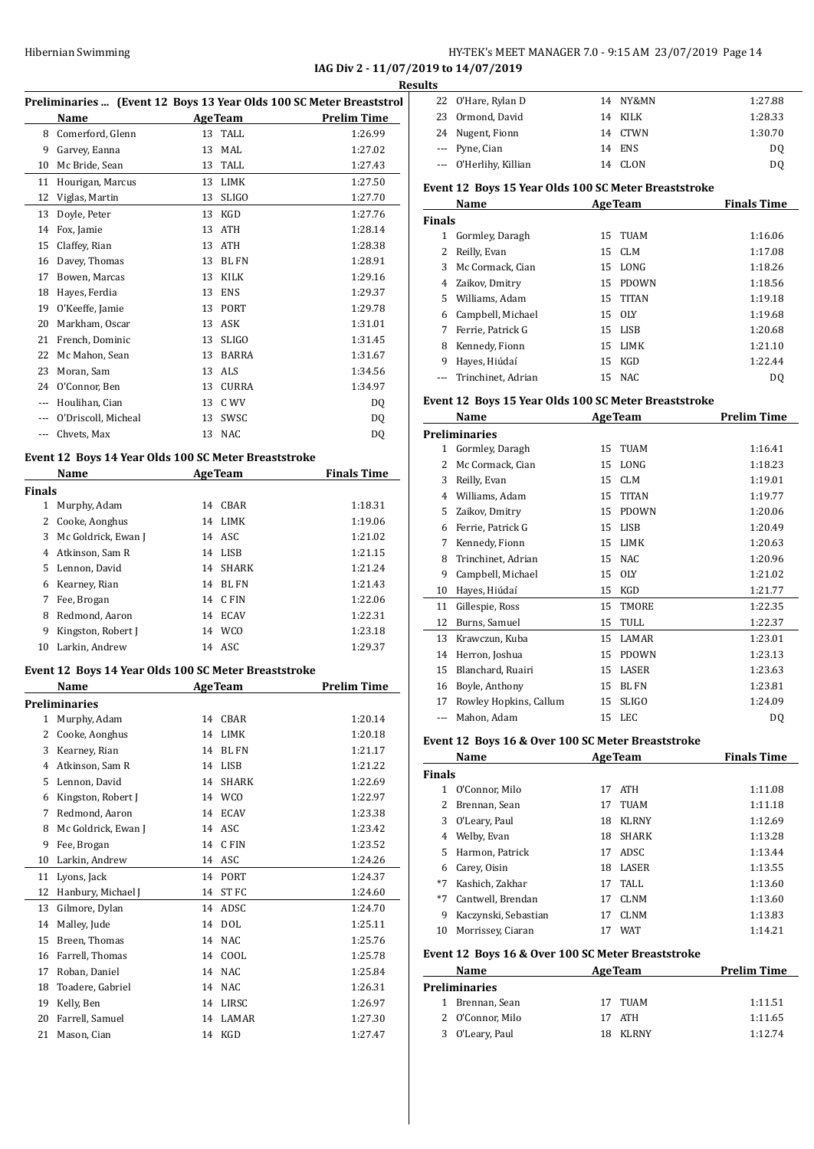#### Hibernian Swimming **HY-TEK's MEET MANAGER 7.0 - 9:15 AM 23/07/2019** Page 14

**IAG Div 2 - 11/07/2019 to 14/07/2019**

|               | <b>HIDEFINALL SWITHINING</b>                         |                    | IAG Div 2 - 11/07/201                                                        |
|---------------|------------------------------------------------------|--------------------|------------------------------------------------------------------------------|
|               |                                                      |                    | Resul<br>Preliminaries  (Event 12 Boys 13 Year Olds 100 SC Meter Breaststrol |
|               | Name                                                 | <b>AgeTeam</b>     | <b>Prelim Time</b>                                                           |
|               | 8 Comerford, Glenn                                   | 13 TALL            | 1:26.99                                                                      |
|               | 9 Garvey, Eanna                                      | 13 MAL             | 1:27.02                                                                      |
|               | 10 Mc Bride, Sean                                    | 13 TALL            | 1:27.43                                                                      |
|               | 11 Hourigan, Marcus                                  | 13 LIMK            | 1:27.50                                                                      |
|               | 12 Viglas, Martin                                    | 13 SLIGO           | 1:27.70                                                                      |
|               | 13 Doyle, Peter                                      | 13 KGD             | 1:27.76                                                                      |
|               | 14 Fox, Jamie                                        | 13 ATH             | 1:28.14                                                                      |
| 15            | Claffey, Rian                                        | 13 ATH             | 1:28.38                                                                      |
|               | 16 Davey, Thomas                                     | 13 BL FN           | 1:28.91                                                                      |
|               | 17 Bowen, Marcas                                     | 13 KILK            | 1:29.16                                                                      |
|               | 18 Hayes, Ferdia                                     | 13 ENS             | 1:29.37                                                                      |
|               | 19 O'Keeffe, Jamie                                   | 13 PORT            | 1:29.78                                                                      |
|               | 20 Markham, Oscar                                    | 13 ASK             | 1:31.01                                                                      |
|               | 21 French, Dominic                                   | 13 SLIGO           | 1:31.45                                                                      |
|               | 22 Mc Mahon, Sean                                    | 13 BARRA           | 1:31.67                                                                      |
|               | 23 Moran, Sam                                        | 13 ALS             | 1:34.56                                                                      |
|               | 24 O'Connor, Ben                                     | 13 CURRA           | 1:34.97                                                                      |
|               | --- Houlihan, Cian                                   | 13 C WV            | DQ                                                                           |
|               | --- O'Driscoll, Micheal                              | 13 SWSC            | DQ                                                                           |
| ---           | Chvets, Max                                          | 13 NAC             | DQ                                                                           |
|               | Event 12 Boys 14 Year Olds 100 SC Meter Breaststroke |                    |                                                                              |
|               | Name                                                 | <b>AgeTeam</b>     | <b>Finals Time</b>                                                           |
| <b>Finals</b> |                                                      |                    |                                                                              |
|               | 1 Murphy, Adam                                       | 14 CBAR            | 1:18.31                                                                      |
|               | 2 Cooke, Aonghus                                     | 14 LIMK            | 1:19.06                                                                      |
|               | 3 Mc Goldrick, Ewan J                                | 14 ASC             | 1:21.02                                                                      |
|               | 4 Atkinson, Sam R                                    | 14 LISB            | 1:21.15                                                                      |
|               | 5 Lennon, David                                      | 14 SHARK           | 1:21.24                                                                      |
|               | 6 Kearney, Rian                                      | 14 BL FN           | 1:21.43                                                                      |
|               | 7 Fee, Brogan                                        | 14 CFIN            | 1:22.06                                                                      |
|               | 8 Redmond, Aaron                                     | 14 ECAV            | 1:22.31                                                                      |
| 9             | Kingston, Robert J                                   | 14 WCO             | 1:23.18                                                                      |
|               | 10 Larkin, Andrew                                    | 14 ASC             | 1:29.37                                                                      |
|               |                                                      |                    |                                                                              |
|               | Event 12 Boys 14 Year Olds 100 SC Meter Breaststroke |                    |                                                                              |
|               | Name                                                 | <b>AgeTeam</b>     | <b>Prelim Time</b>                                                           |
|               | <b>Preliminaries</b>                                 |                    |                                                                              |
| $\mathbf{1}$  | Murphy, Adam                                         | CBAR<br>14         | 1:20.14                                                                      |
| 2             | Cooke, Aonghus                                       | 14<br>LIMK         | 1:20.18                                                                      |
| 3             | Kearney, Rian                                        | <b>BLFN</b><br>14  | 1:21.17                                                                      |
| 4             | Atkinson, Sam R                                      | 14<br>LISB         | 1:21.22                                                                      |
|               | 5 Lennon, David                                      | <b>SHARK</b><br>14 | 1:22.69                                                                      |

| 3  | Kearney, Rian       | 14 | <b>BL FN</b> | 1:21.17 |
|----|---------------------|----|--------------|---------|
| 4  | Atkinson, Sam R     | 14 | <b>LISB</b>  | 1:21.22 |
| 5  | Lennon, David       | 14 | <b>SHARK</b> | 1:22.69 |
| 6  | Kingston, Robert J  | 14 | <b>WCO</b>   | 1:22.97 |
| 7  | Redmond, Aaron      | 14 | <b>ECAV</b>  | 1:23.38 |
| 8  | Mc Goldrick, Ewan J | 14 | ASC          | 1:23.42 |
| 9  | Fee, Brogan         | 14 | C FIN        | 1:23.52 |
| 10 | Larkin, Andrew      | 14 | ASC          | 1:24.26 |
| 11 | Lyons, Jack         | 14 | PORT         | 1:24.37 |
| 12 | Hanbury, Michael J  | 14 | ST FC        | 1:24.60 |
| 13 | Gilmore, Dylan      | 14 | ADSC         | 1:24.70 |
| 14 | Malley, Jude        | 14 | <b>DOL</b>   | 1:25.11 |
| 15 | Breen, Thomas       | 14 | <b>NAC</b>   | 1:25.76 |
| 16 | Farrell, Thomas     | 14 | COOL         | 1:25.78 |
| 17 | Roban, Daniel       | 14 | <b>NAC</b>   | 1:25.84 |
| 18 | Toadere, Gabriel    | 14 | NAC          | 1:26.31 |
| 19 | Kelly, Ben          | 14 | LIRSC        | 1:26.97 |
| 20 | Farrell, Samuel     | 14 | LAMAR        | 1:27.30 |
| 21 | Mason, Cian         | 14 | KGD          | 1:27.47 |

| ults |                        |          |         |
|------|------------------------|----------|---------|
|      | 22 O'Hare, Rylan D     | 14 NY&MN | 1:27.88 |
|      | 23 Ormond, David       | 14 KILK  | 1:28.33 |
|      | 24 Nugent, Fionn       | 14 CTWN  | 1:30.70 |
|      | --- Pyne, Cian         | 14 ENS   | DO      |
|      | --- O'Herlihy, Killian | 14 CLON  | D0      |

#### **Event 12 Boys 15 Year Olds 100 SC Meter Breaststroke**

|               | Name<br><b>AgeTeam</b> |    |          | <b>Finals Time</b> |
|---------------|------------------------|----|----------|--------------------|
| <b>Finals</b> |                        |    |          |                    |
| 1             | Gormley, Daragh        |    | 15 TUAM  | 1:16.06            |
| 2             | Reilly, Evan           |    | 15 CLM   | 1:17.08            |
| 3             | Mc Cormack, Cian       |    | 15 LONG  | 1:18.26            |
| 4             | Zaikov, Dmitry         | 15 | PDOWN    | 1:18.56            |
| 5.            | Williams, Adam         |    | 15 TITAN | 1:19.18            |
| 6             | Campbell, Michael      |    | 15 OLY   | 1:19.68            |
| 7             | Ferrie, Patrick G      |    | 15 LISB  | 1:20.68            |
| 8             | Kennedy, Fionn         | 15 | LIMK     | 1:21.10            |
| 9             | Hayes, Hiúdaí          |    | 15 KGD   | 1:22.44            |
|               | --- Trinchinet, Adrian |    | 15 NAC   | D <sub>0</sub>     |

#### **Event 12 Boys 15 Year Olds 100 SC Meter Breaststroke**

|               | Name                                              |    | <b>AgeTeam</b> | <b>Prelim Time</b> |
|---------------|---------------------------------------------------|----|----------------|--------------------|
|               | <b>Preliminaries</b>                              |    |                |                    |
| 1             | Gormley, Daragh                                   | 15 | <b>TUAM</b>    | 1:16.41            |
| $\mathcal{L}$ | Mc Cormack, Cian                                  | 15 | LONG           | 1:18.23            |
| 3             | Reilly, Evan                                      | 15 | CLM            | 1:19.01            |
| 4             | Williams, Adam                                    | 15 | <b>TITAN</b>   | 1:19.77            |
| 5             | Zaikov, Dmitry                                    | 15 | <b>PDOWN</b>   | 1:20.06            |
| 6             | Ferrie, Patrick G                                 | 15 | <b>LISB</b>    | 1:20.49            |
| 7             | Kennedy, Fionn                                    | 15 | <b>LIMK</b>    | 1:20.63            |
| 8             | Trinchinet. Adrian                                | 15 | NAC.           | 1:20.96            |
| 9             | Campbell, Michael                                 | 15 | <b>OLY</b>     | 1:21.02            |
| 10            | Hayes, Hiúdaí                                     | 15 | <b>KGD</b>     | 1:21.77            |
| 11            | Gillespie, Ross                                   | 15 | <b>TMORE</b>   | 1:22.35            |
| 12            | Burns, Samuel                                     | 15 | TULL           | 1:22.37            |
| 13            | Krawczun, Kuba                                    | 15 | LAMAR          | 1:23.01            |
| 14            | Herron, Joshua                                    | 15 | <b>PDOWN</b>   | 1:23.13            |
| 15            | Blanchard, Ruairi                                 | 15 | <b>LASER</b>   | 1:23.63            |
| 16            | Boyle, Anthony                                    | 15 | <b>BLFN</b>    | 1:23.81            |
| 17            | Rowley Hopkins, Callum                            | 15 | <b>SLIGO</b>   | 1:24.09            |
| $---$         | Mahon, Adam                                       | 15 | LEC            | DQ                 |
|               | Event 12 Boys 16 & Over 100 SC Meter Breaststroke |    |                |                    |
|               | Name                                              |    | <b>AgeTeam</b> | <b>Finals Time</b> |

| Name          |                      |    | <b>AgeTeam</b> | <b>Finals Time</b> |  |
|---------------|----------------------|----|----------------|--------------------|--|
| <b>Finals</b> |                      |    |                |                    |  |
|               | O'Connor, Milo       | 17 | <b>ATH</b>     | 1:11.08            |  |
|               | Brennan, Sean        | 17 | <b>TUAM</b>    | 1:11.18            |  |
| 3             | O'Leary, Paul        | 18 | <b>KLRNY</b>   | 1:12.69            |  |
| 4             | Welby, Evan          | 18 | <b>SHARK</b>   | 1:13.28            |  |
| 5.            | Harmon, Patrick      | 17 | ADSC           | 1:13.44            |  |
| 6             | Carey, Oisin         | 18 | LASER          | 1:13.55            |  |
| $*7$          | Kashich, Zakhar      | 17 | TALL.          | 1:13.60            |  |
| $*7$          | Cantwell, Brendan    | 17 | <b>CLNM</b>    | 1:13.60            |  |
| 9             | Kaczynski, Sebastian | 17 | <b>CLNM</b>    | 1:13.83            |  |
| 10            | Morrissey, Ciaran    |    | <b>WAT</b>     | 1:14.21            |  |

#### **Event 12 Boys 16 & Over 100 SC Meter Breaststroke**

| Name |                      | <b>AgeTeam</b> | <b>Prelim Time</b> |
|------|----------------------|----------------|--------------------|
|      | <b>Preliminaries</b> |                |                    |
|      | 1 Brennan, Sean      | 17 TUAM        | 1:11.51            |
|      | 2 O'Connor. Milo     | 17 ATH         | 1:11.65            |
|      | 3 O'Leary, Paul      | 18 KLRNY       | 1:12.74            |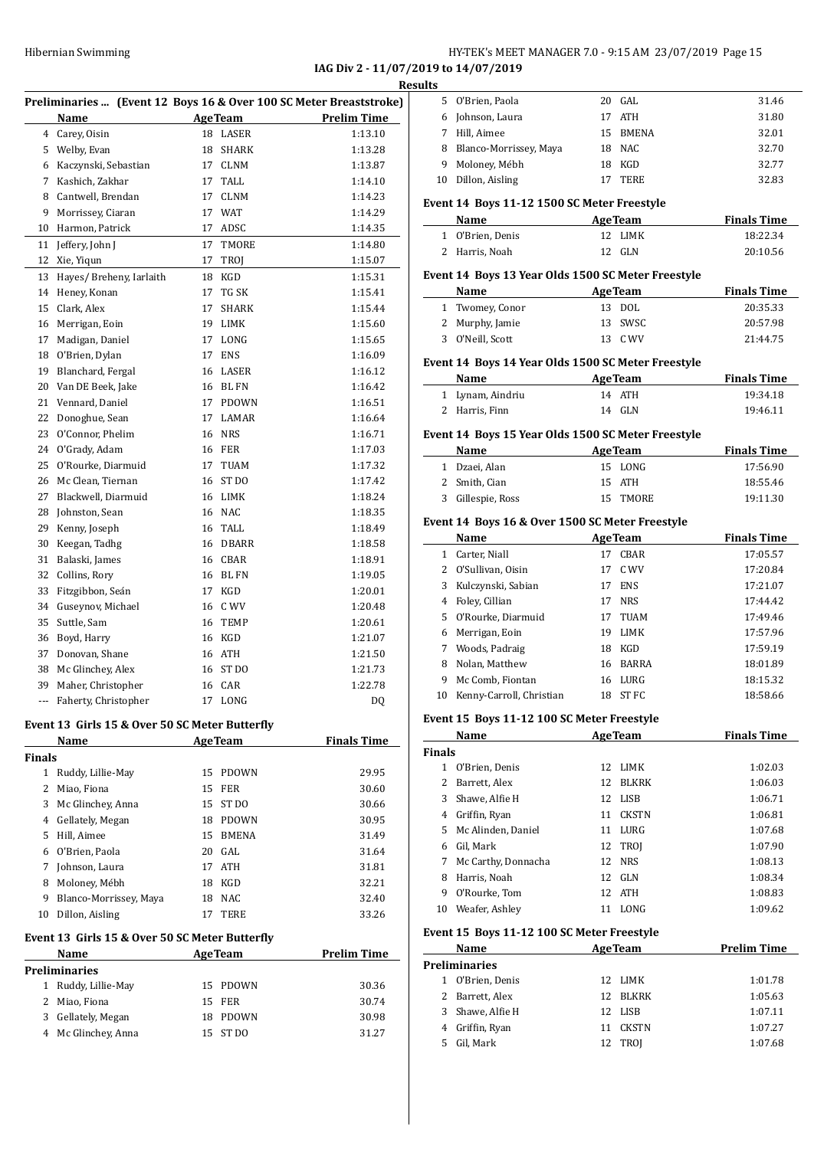**IAG Div 2 - 11/07/2019 to 14/07/2019**

|               | Name                                           |    | <b>AgeTeam</b>   | <u>к</u><br>Preliminaries  (Event 12 Boys 16 & Over 100 SC Meter Breaststroke)<br><b>Prelim Time</b> |
|---------------|------------------------------------------------|----|------------------|------------------------------------------------------------------------------------------------------|
|               | 4 Carey, Oisin                                 | 18 | LASER            | 1:13.10                                                                                              |
|               | 5 Welby, Evan                                  | 18 | <b>SHARK</b>     | 1:13.28                                                                                              |
|               | 6 Kaczynski, Sebastian                         | 17 | <b>CLNM</b>      | 1:13.87                                                                                              |
| 7             | Kashich, Zakhar                                | 17 | TALL             | 1:14.10                                                                                              |
| 8             | Cantwell, Brendan                              | 17 | <b>CLNM</b>      | 1:14.23                                                                                              |
| 9             | Morrissey, Ciaran                              | 17 | <b>WAT</b>       | 1:14.29                                                                                              |
| 10            | Harmon, Patrick                                | 17 | ADSC             | 1:14.35                                                                                              |
| 11            | Jeffery, John J                                | 17 | TMORE            | 1:14.80                                                                                              |
| 12            | Xie, Yigun                                     | 17 | TROJ             | 1:15.07                                                                                              |
| 13            | Hayes/ Breheny, Iarlaith                       | 18 | KGD              | 1:15.31                                                                                              |
| 14            | Heney, Konan                                   | 17 | TG SK            | 1:15.41                                                                                              |
| 15            | Clark, Alex                                    | 17 | SHARK            | 1:15.44                                                                                              |
| 16            | Merrigan, Eoin                                 | 19 | LIMK             | 1:15.60                                                                                              |
| 17            | Madigan, Daniel                                | 17 | LONG             | 1:15.65                                                                                              |
| 18            | O'Brien, Dylan                                 | 17 | <b>ENS</b>       | 1:16.09                                                                                              |
| 19            | Blanchard, Fergal                              | 16 | LASER            | 1:16.12                                                                                              |
| 20            | Van DE Beek, Jake                              | 16 | <b>BL FN</b>     | 1:16.42                                                                                              |
| 21            | Vennard, Daniel                                | 17 | <b>PDOWN</b>     | 1:16.51                                                                                              |
| 22            | Donoghue, Sean                                 | 17 | LAMAR            | 1:16.64                                                                                              |
| 23            | O'Connor, Phelim                               | 16 | <b>NRS</b>       | 1:16.71                                                                                              |
| 24            |                                                | 16 | FER              | 1:17.03                                                                                              |
| 25            | O'Grady, Adam<br>O'Rourke, Diarmuid            | 17 | <b>TUAM</b>      | 1:17.32                                                                                              |
|               |                                                |    | ST DO            |                                                                                                      |
| 26            | Mc Clean, Tiernan                              | 16 |                  | 1:17.42                                                                                              |
| 27            | Blackwell, Diarmuid                            | 16 | LIMK             | 1:18.24                                                                                              |
| 28            | Johnston, Sean                                 | 16 | NAC              | 1:18.35                                                                                              |
| 29            | Kenny, Joseph                                  | 16 | TALL             | 1:18.49                                                                                              |
| 30            | Keegan, Tadhg                                  | 16 | DBARR            | 1:18.58                                                                                              |
| 31            | Balaski, James                                 |    | 16 CBAR          | 1:18.91                                                                                              |
| 32            | Collins, Rory                                  |    | 16 BL FN         | 1:19.05                                                                                              |
| 33            | Fitzgibbon, Seán                               | 17 | KGD              | 1:20.01                                                                                              |
| 34            | Guseynov, Michael                              | 16 | C WV             | 1:20.48                                                                                              |
| 35            | Suttle, Sam                                    | 16 | <b>TEMP</b>      | 1:20.61                                                                                              |
| 36            | Boyd, Harry                                    | 16 | KGD              | 1:21.07                                                                                              |
| 37            | Donovan, Shane                                 | 16 | ATH              | 1:21.50                                                                                              |
| 38            | Mc Glinchey, Alex                              | 16 | ST <sub>DO</sub> | 1:21.73                                                                                              |
| 39            | Maher, Christopher                             |    | 16 CAR           | 1:22.78                                                                                              |
|               | Faherty, Christopher                           |    | 17 LONG          | DQ                                                                                                   |
|               | Event 13 Girls 15 & Over 50 SC Meter Butterfly |    |                  |                                                                                                      |
|               | Name                                           |    | <b>AgeTeam</b>   | <b>Finals Time</b>                                                                                   |
| <b>Finals</b> |                                                |    |                  |                                                                                                      |
|               | 1 Ruddy, Lillie-May                            | 15 | <b>PDOWN</b>     | 29.95                                                                                                |
|               | 2 Miao, Fiona                                  | 15 | FER              | 30.60                                                                                                |
|               | 3 Mc Glinchey, Anna                            | 15 | ST DO            | 30.66                                                                                                |
|               | 4 Gellately, Megan                             | 18 | PDOWN            | 30.95                                                                                                |
|               | 5 Hill, Aimee                                  | 15 | BMENA            | 31.49                                                                                                |
|               | 6 O'Brien, Paola                               |    | 20 GAL           | 31.64                                                                                                |
| 7             | Johnson, Laura                                 |    | 17 ATH           | 31.81                                                                                                |
|               | 8 Moloney, Mébh                                | 18 | KGD              | 32.21                                                                                                |
| 9             | Blanco-Morrissey, Maya                         | 18 | NAC              | 32.40                                                                                                |
| 10            | Dillon, Aisling                                | 17 | TERE             | 33.26                                                                                                |

# **Event 13 Girls 15 & Over 50 SC Meter Butterfly**

|                               | Event 13 Girls 15 & Over 50 SC Meter Butterny |     |                    |       |  |  |
|-------------------------------|-----------------------------------------------|-----|--------------------|-------|--|--|
| <b>Name</b><br><b>AgeTeam</b> |                                               |     | <b>Prelim Time</b> |       |  |  |
| Preliminaries                 |                                               |     |                    |       |  |  |
| 1.                            | Ruddy, Lillie-May                             |     | 15 PDOWN           | 30.36 |  |  |
|                               | 2 Miao, Fiona                                 |     | 15 FER             | 30.74 |  |  |
| 3                             | Gellately, Megan                              | 18. | PDOWN              | 30.98 |  |  |
|                               | 4 Mc Glinchey, Anna                           |     | 15 ST DO           | 31.27 |  |  |

| <b>Results</b> |                                                    |                           |                |                    |
|----------------|----------------------------------------------------|---------------------------|----------------|--------------------|
|                | 5 O'Brien, Paola                                   |                           | 20 GAL         | 31.46              |
|                | 6 Johnson, Laura                                   |                           | 17 ATH         | 31.80              |
|                | 7 Hill, Aimee                                      |                           | 15 BMENA       | 32.01              |
|                | 8 Blanco-Morrissey, Maya                           |                           | 18 NAC         | 32.70              |
|                | 9 Moloney, Mébh                                    |                           | 18 KGD         | 32.77              |
|                | 10 Dillon, Aisling                                 |                           | 17 TERE        | 32.83              |
|                | Event 14 Boys 11-12 1500 SC Meter Freestyle        |                           |                |                    |
|                | Name<br><b>Example 2.1 Age Team</b>                |                           |                | <b>Finals Time</b> |
|                | 1 O'Brien, Denis                                   |                           | 12 LIMK        | 18:22.34           |
|                | 2 Harris, Noah                                     |                           | 12 GLN         | 20:10.56           |
|                | Event 14 Boys 13 Year Olds 1500 SC Meter Freestyle |                           |                |                    |
|                | Name                                               |                           | <b>AgeTeam</b> | <b>Finals Time</b> |
|                | 1 Twomey, Conor                                    |                           | 13 DOL         | 20:35.33           |
|                | 2 Murphy, Jamie                                    |                           | 13 SWSC        | 20:57.98           |
|                | 3 O'Neill, Scott                                   |                           | 13 C WV        | 21:44.75           |
|                | Event 14 Boys 14 Year Olds 1500 SC Meter Freestyle |                           |                |                    |
|                | Name<br>Age Team                                   |                           |                | <b>Finals Time</b> |
|                | 1 Lynam, Aindriu                                   |                           | 14 ATH         | 19:34.18           |
|                | 2 Harris, Finn                                     |                           | 14 GLN         | 19:46.11           |
|                | Event 14 Boys 15 Year Olds 1500 SC Meter Freestyle |                           |                |                    |
|                | Name                                               | <b>Example 2</b> Age Team |                | <b>Finals Time</b> |
|                | 1 Dzaei, Alan                                      |                           | 15 LONG        | 17:56.90           |
|                | 2 Smith, Cian                                      |                           | 15 ATH         | 18:55.46           |
|                | 3 Gillespie, Ross                                  |                           | 15 TMORE       | 19:11.30           |
|                | Event 14 Boys 16 & Over 1500 SC Meter Freestyle    |                           |                |                    |
|                | Name                                               |                           | Age Team       | <b>Finals Time</b> |
|                | 1 Carter, Niall                                    |                           | 17 CBAR        | 17:05.57           |
|                | 2 O'Sullivan, Oisin                                |                           | 17 C WV        | 17:20.84           |
|                | 3 Kulczynski, Sabian                               |                           | 17 ENS         | 17:21.07           |
|                | 4 Foley, Cillian                                   |                           | 17 NRS         | 17:44.42           |
|                | 5 O'Rourke, Diarmuid                               |                           | 17 TUAM        | 17:49.46           |
|                | 6 Merrigan, Eoin                                   |                           | 19 LIMK        | 17:57.96           |
|                | 7 Woods, Padraig                                   |                           | 18 KGD         | 17:59.19           |
|                | 8 Nolan, Matthew                                   |                           | 16 BARRA       | 18:01.89           |
| 9              | Mc Comb, Fiontan                                   |                           | 16 LURG        | 18:15.32           |
|                | 10 Kenny-Carroll, Christian                        |                           | 18 ST FC       | 18:58.66           |
|                | Event 15 Boys 11-12 100 SC Meter Freestyle         |                           |                |                    |
| Finals         | Name                                               |                           | <b>AgeTeam</b> | <b>Finals Time</b> |
|                | 1 O'Brien, Denis                                   |                           | 12 LIMK        | 1:02.03            |
|                | 2 Barrett, Alex                                    |                           | 12 BLKRK       | 1:06.03            |
|                | 3 Shawe, Alfie H                                   |                           | 12 LISB        | 1:06.71            |
|                | 4 Griffin, Ryan                                    |                           | 11 CKSTN       | 1:06.81            |
|                | 5 Mc Alinden, Daniel                               |                           | 11 LURG        | 1:07.68            |
|                |                                                    |                           |                |                    |
|                | 6 Gil, Mark                                        |                           | 12 TROJ        | 1:07.90            |
|                | 7 Mc Carthy, Donnacha                              |                           | 12 NRS         | 1:08.13            |
|                | 8 Harris, Noah                                     |                           | 12 GLN         | 1:08.34            |
|                | 9 O'Rourke, Tom                                    |                           | 12 ATH         | 1:08.83            |
|                | 10 Weafer, Ashley                                  |                           | 11 LONG        | 1:09.62            |
|                | Event 15 Boys 11-12 100 SC Meter Freestyle         |                           |                |                    |
|                | Name                                               |                           | AgeTeam        | <b>Prelim Time</b> |
|                | Preliminaries                                      |                           |                |                    |
|                |                                                    |                           |                |                    |

|   | reliminaries'    |          |         |
|---|------------------|----------|---------|
|   | 1 O'Brien, Denis | 12 LIMK  | 1:01.78 |
|   | 2 Barrett, Alex  | 12 BLKRK | 1:05.63 |
|   | 3 Shawe, Alfie H | 12 LISB  | 1:07.11 |
|   | 4 Griffin, Ryan  | 11 CKSTN | 1:07.27 |
| 5 | Gil, Mark        | 12 TROI  | 1:07.68 |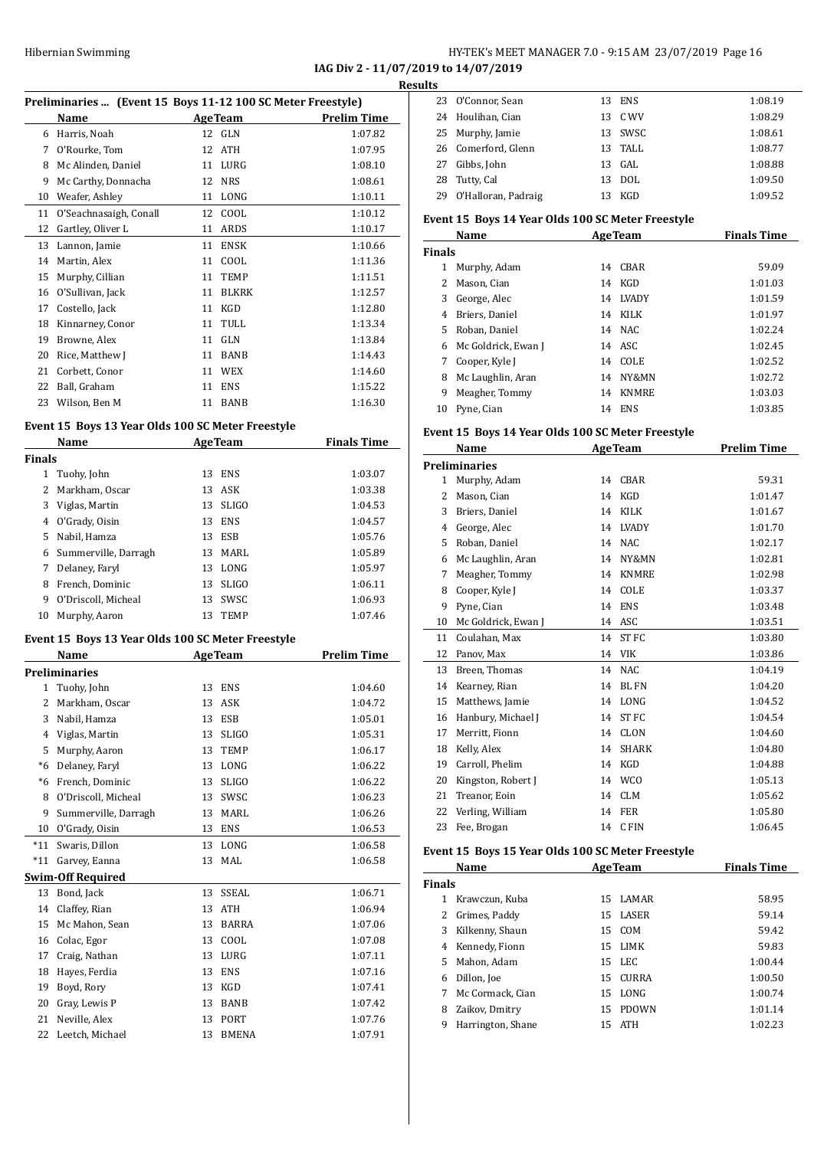**IAG Div 2 - 11/07/2019 to 14/07/2019**

|              |                                                             |    |                | IAG Div 2 - 11/07/20 | <b>Resul</b> |
|--------------|-------------------------------------------------------------|----|----------------|----------------------|--------------|
|              | Preliminaries  (Event 15 Boys 11-12 100 SC Meter Freestyle) |    |                |                      |              |
|              | Name                                                        |    |                | AgeTeam Prelim Time  |              |
|              | 6 Harris, Noah                                              |    | 12 GLN         | 1:07.82              |              |
|              | 7 O'Rourke, Tom                                             |    | 12 ATH         | 1:07.95              |              |
|              | 8 Mc Alinden, Daniel                                        |    | 11 LURG        | 1:08.10              |              |
| 9            | Mc Carthy, Donnacha                                         |    | 12 NRS         | 1:08.61              |              |
|              | 10 Weafer, Ashley                                           |    | 11 LONG        | 1:10.11              |              |
| 11           | O'Seachnasaigh, Conall                                      |    | 12 COOL        | 1:10.12              |              |
| 12           | Gartley, Oliver L                                           |    | 11 ARDS        | 1:10.17              | I            |
| 13           | Lannon, Jamie                                               |    | 11 ENSK        | 1:10.66              |              |
| 14           | Martin, Alex                                                |    | 11 COOL        | 1:11.36              | I            |
|              | 15 Murphy, Cillian                                          |    | 11 TEMP        | 1:11.51              |              |
|              | 16 O'Sullivan, Jack                                         |    | 11 BLKRK       | 1:12.57              |              |
|              | 17 Costello, Jack                                           |    | 11 KGD         | 1:12.80              |              |
|              | 18 Kinnarney, Conor                                         |    | 11 TULL        | 1:13.34              |              |
|              | 19 Browne, Alex                                             |    | 11 GLN         | 1:13.84              |              |
|              | 20 Rice, Matthew J                                          |    | 11 BANB        | 1:14.43              |              |
|              | 21 Corbett, Conor                                           |    | 11 WEX         | 1:14.60              |              |
|              | 22 Ball, Graham                                             |    | 11 ENS         | 1:15.22              |              |
|              | 23 Wilson, Ben M                                            |    | 11 BANB        | 1:16.30              |              |
|              |                                                             |    |                |                      |              |
|              | Event 15 Boys 13 Year Olds 100 SC Meter Freestyle           |    |                |                      | I            |
|              | Name                                                        |    | <b>AgeTeam</b> | <b>Finals Time</b>   |              |
| Finals       |                                                             |    |                |                      | I            |
| $\mathbf{1}$ | Tuohy, John                                                 |    | 13 ENS         | 1:03.07              |              |
| $\mathbf{2}$ | Markham, Oscar                                              |    | 13 ASK         | 1:03.38              |              |
|              | 3 Viglas, Martin                                            |    | 13 SLIGO       | 1:04.53              |              |
|              | 4 O'Grady, Oisin                                            |    | 13 ENS         | 1:04.57              |              |
|              | 5 Nabil, Hamza                                              |    | 13 ESB         | 1:05.76              |              |
|              | 6 Summerville, Darragh                                      |    | 13 MARL        | 1:05.89              |              |
| 7            | Delaney, Faryl                                              |    | 13 LONG        | 1:05.97              |              |
| 8            | French, Dominic                                             |    | 13 SLIGO       | 1:06.11              |              |
|              | 9 O'Driscoll, Micheal                                       |    | 13 SWSC        | 1:06.93              |              |
|              | 10 Murphy, Aaron                                            |    | 13 TEMP        | 1:07.46              |              |
|              | Event 15 Boys 13 Year Olds 100 SC Meter Freestyle           |    |                |                      |              |
|              | Name                                                        |    | <b>AgeTeam</b> | <b>Prelim Time</b>   |              |
|              | Preliminaries                                               |    |                |                      |              |
| 1            | Tuohy, John                                                 | 13 | ENS            | 1:04.60              |              |
| 2            | Markham, Oscar                                              | 13 | ASK            | 1:04.72              |              |
| 3            | Nabil, Hamza                                                | 13 | ESB            | 1:05.01              |              |
| 4            | Viglas, Martin                                              | 13 | SLIGO          | 1:05.31              |              |
| 5            | Murphy, Aaron                                               | 13 | TEMP           | 1:06.17              |              |
| *6           | Delaney, Faryl                                              | 13 | LONG           | 1:06.22              |              |
| *6           | French, Dominic                                             | 13 | SLIGO          | 1:06.22              |              |
| 8            | O'Driscoll, Micheal                                         | 13 | SWSC           | 1:06.23              |              |
| 9            | Summerville, Darragh                                        | 13 | MARL           | 1:06.26              |              |
| 10           | O'Grady, Oisin                                              | 13 | ENS            | 1:06.53              |              |
| $*11$        | Swaris, Dillon                                              | 13 | LONG           | 1:06.58              |              |
| $*11$        | Garvey, Eanna                                               | 13 | MAL            | 1:06.58              | ł            |
|              | <b>Swim-Off Required</b>                                    |    |                |                      |              |
| 13           | Bond, Jack                                                  | 13 | SSEAL          | 1:06.71              | I            |
| 14           | Claffey, Rian                                               | 13 | ATH            | 1:06.94              |              |
| 15           | Mc Mahon, Sean                                              | 13 | BARRA          | 1:07.06              |              |
| 16           | Colac, Egor                                                 | 13 | COOL           | 1:07.08              |              |
| 17           | Craig, Nathan                                               |    | 13 LURG        | 1:07.11              |              |
| 18           | Hayes, Ferdia                                               | 13 | ENS            | 1:07.16              |              |
| 19           | Boyd, Rory                                                  | 13 | KGD            | 1:07.41              |              |

20 Gray, Lewis P 13 BANB 1:07.42 21 Neville, Alex 13 PORT 1:07.76 22 Leetch, Michael 13 BMENA 1:07.91

|                     | 13                                                                                           |     | 1:08.19                                                      |
|---------------------|----------------------------------------------------------------------------------------------|-----|--------------------------------------------------------------|
|                     |                                                                                              |     | 1:08.29                                                      |
|                     |                                                                                              |     | 1:08.61                                                      |
|                     | 13.                                                                                          |     | 1:08.77                                                      |
| Gibbs, John         |                                                                                              |     | 1:08.88                                                      |
|                     | 13                                                                                           |     | 1:09.50                                                      |
| O'Halloran, Padraig | 13.                                                                                          | KGD | 1:09.52                                                      |
|                     | 23 O'Connor, Sean<br>24 Houlihan, Cian<br>25 Murphy, Jamie<br>Comerford, Glenn<br>Tutty, Cal |     | <b>ENS</b><br>13 C WV<br>13 SWSC<br>TALL<br>$13$ GAL<br>DOL. |

#### **Event 15 Boys 14 Year Olds 100 SC Meter Freestyle**

|        | Name                | <b>AgeTeam</b> |         | <b>Finals Time</b> |
|--------|---------------------|----------------|---------|--------------------|
| Finals |                     |                |         |                    |
| 1      | Murphy, Adam        |                | 14 CBAR | 59.09              |
| 2      | Mason, Cian         | 14             | KGD     | 1:01.03            |
| 3      | George, Alec        | 14             | LVADY   | 1:01.59            |
| 4      | Briers. Daniel      |                | 14 KILK | 1:01.97            |
| 5.     | Roban, Daniel       |                | 14 NAC  | 1:02.24            |
| 6      | Mc Goldrick, Ewan J |                | 14 ASC  | 1:02.45            |
| 7      | Cooper, Kyle J      |                | 14 COLE | 1:02.52            |
| 8      | Mc Laughlin, Aran   | 14             | NY&MN   | 1:02.72            |
| 9      | Meagher, Tommy      | 14             | KNMRE   | 1:03.03            |
| 10     | Pyne, Cian          | 14             | ENS     | 1:03.85            |

#### **Event 15 Boys 14 Year Olds 100 SC Meter Freestyle**

|              | Name                | <b>AgeTeam</b> |                  | <b>Prelim Time</b> |  |
|--------------|---------------------|----------------|------------------|--------------------|--|
|              | Preliminaries       |                |                  |                    |  |
| $\mathbf{1}$ | Murphy, Adam        | 14             | CBAR             | 59.31              |  |
| 2            | Mason, Cian         | 14             | <b>KGD</b>       | 1:01.47            |  |
| 3            | Briers, Daniel      | 14             | <b>KILK</b>      | 1:01.67            |  |
| 4            | George, Alec        | 14             | <b>LVADY</b>     | 1:01.70            |  |
| 5            | Roban, Daniel       | 14             | <b>NAC</b>       | 1:02.17            |  |
| 6            | Mc Laughlin, Aran   | 14             | NY&MN            | 1:02.81            |  |
| 7            | Meagher, Tommy      | 14             | <b>KNMRE</b>     | 1:02.98            |  |
| 8            | Cooper, Kyle J      | 14             | COLE             | 1:03.37            |  |
| 9            | Pyne, Cian          | 14             | <b>ENS</b>       | 1:03.48            |  |
| 10           | Mc Goldrick, Ewan J | 14             | ASC              | 1:03.51            |  |
| 11           | Coulahan, Max       | 14             | ST FC            | 1:03.80            |  |
| 12           | Panov, Max          | 14             | <b>VIK</b>       | 1:03.86            |  |
| 13           | Breen, Thomas       | 14             | NAC              | 1:04.19            |  |
| 14           | Kearney, Rian       | 14             | <b>BL FN</b>     | 1:04.20            |  |
| 15           | Matthews, Jamie     | 14             | LONG             | 1:04.52            |  |
| 16           | Hanbury, Michael J  | 14             | ST <sub>FC</sub> | 1:04.54            |  |
| 17           | Merritt, Fionn      | 14             | CLON             | 1:04.60            |  |
| 18           | Kelly, Alex         | 14             | <b>SHARK</b>     | 1:04.80            |  |
| 19           | Carroll, Phelim     | 14             | <b>KGD</b>       | 1:04.88            |  |
| 20           | Kingston, Robert J  | 14             | <b>WCO</b>       | 1:05.13            |  |
| 21           | Treanor, Eoin       | 14             | <b>CLM</b>       | 1:05.62            |  |
| 22           | Verling, William    | 14             | <b>FER</b>       | 1:05.80            |  |
| 23           | Fee. Brogan         | 14             | C FIN            | 1:06.45            |  |

#### **Event 15 Boys 15 Year Olds 100 SC Meter Freestyle**

|        | Name              |    | <b>AgeTeam</b> | <b>Finals Time</b> |  |
|--------|-------------------|----|----------------|--------------------|--|
| Finals |                   |    |                |                    |  |
| 1      | Krawczun, Kuba    |    | 15 LAMAR       | 58.95              |  |
| 2      | Grimes, Paddy     |    | 15 LASER       | 59.14              |  |
| 3      | Kilkenny, Shaun   |    | 15 COM         | 59.42              |  |
| 4      | Kennedy, Fionn    |    | 15 LIMK        | 59.83              |  |
| 5.     | Mahon, Adam       |    | 15 LEC         | 1:00.44            |  |
| 6      | Dillon, Joe       |    | 15 CURRA       | 1:00.50            |  |
| 7      | Mc Cormack, Cian  |    | 15 LONG        | 1:00.74            |  |
| 8      | Zaikov, Dmitry    | 15 | <b>PDOWN</b>   | 1:01.14            |  |
| 9      | Harrington, Shane |    | 15 ATH         | 1:02.23            |  |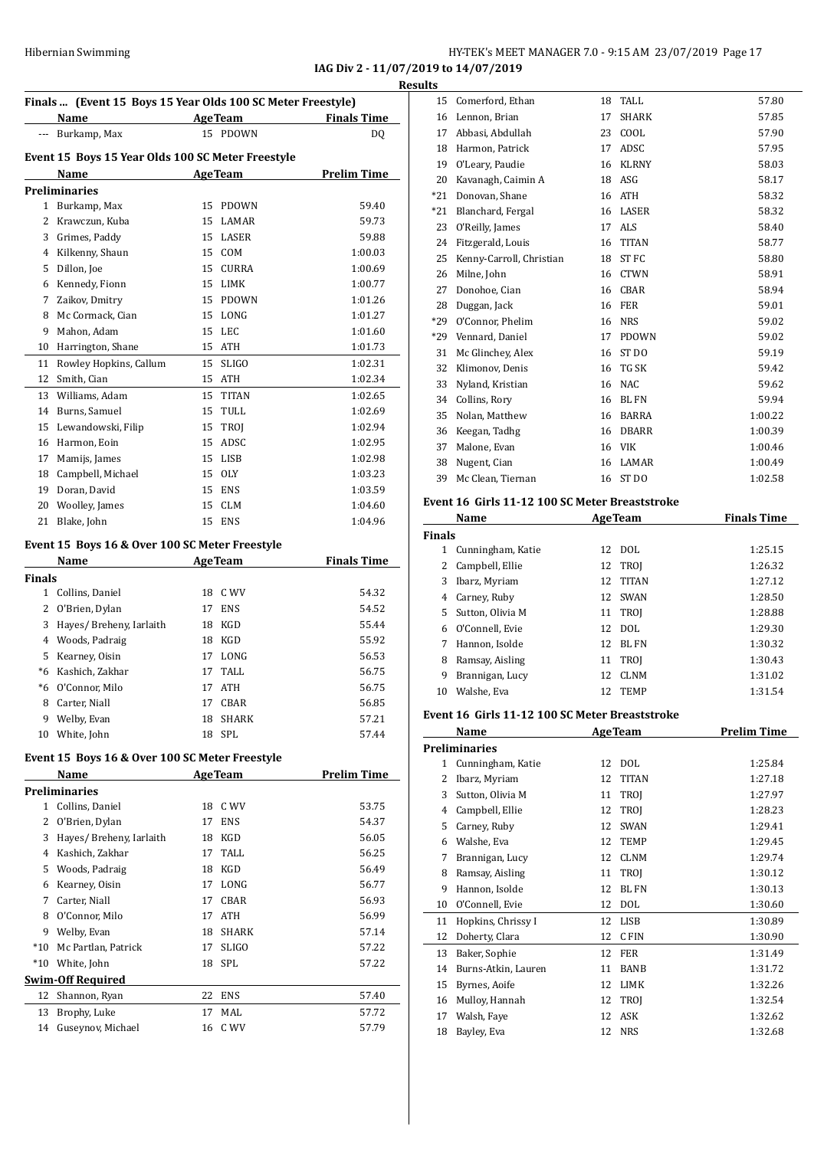**IAG Div 2 - 11/07/2019 to 14/07/2019 Results**

|               | Finals  (Event 15 Boys 15 Year Olds 100 SC Meter Freestyle)<br>Name |    | <b>AgeTeam</b> | <b>Finals Time</b> |
|---------------|---------------------------------------------------------------------|----|----------------|--------------------|
|               | --- Burkamp, Max                                                    |    | 15 PDOWN       | DQ                 |
|               | Event 15 Boys 15 Year Olds 100 SC Meter Freestyle                   |    |                |                    |
|               | Name                                                                |    | AgeTeam        | <b>Prelim Time</b> |
|               | <b>Preliminaries</b>                                                |    |                |                    |
|               | 1 Burkamp, Max                                                      | 15 | PDOWN          | 59.40              |
| 2             | Krawczun, Kuba                                                      | 15 | LAMAR          | 59.73              |
|               | 3 Grimes, Paddy                                                     |    | 15 LASER       | 59.88              |
|               | 4 Kilkenny, Shaun                                                   |    | 15 COM         | 1:00.03            |
|               | 5 Dillon, Joe                                                       |    | 15 CURRA       | 1:00.69            |
|               | 6 Kennedy, Fionn                                                    |    | 15 LIMK        | 1:00.77            |
|               | 7 Zaikov, Dmitry                                                    |    | 15 PDOWN       | 1:01.26            |
| 8             | Mc Cormack, Cian                                                    |    | 15 LONG        | 1:01.27            |
| 9             | Mahon, Adam                                                         | 15 | LEC            | 1:01.60            |
| 10            | Harrington, Shane                                                   |    | 15 ATH         | 1:01.73            |
| 11            | Rowley Hopkins, Callum                                              | 15 | <b>SLIGO</b>   | 1:02.31            |
| 12            | Smith, Cian                                                         |    | 15 ATH         | 1:02.34            |
| 13            | Williams, Adam                                                      |    | 15 TITAN       | 1:02.65            |
| 14            | Burns, Samuel                                                       |    | 15 TULL        | 1:02.69            |
| 15            | Lewandowski, Filip                                                  |    | 15 TROJ        | 1:02.94            |
| 16            | Harmon, Eoin                                                        |    | 15 ADSC        | 1:02.95            |
| 17            | Mamijs, James                                                       |    | 15 LISB        | 1:02.98            |
| 18            | Campbell, Michael                                                   |    | 15 OLY         | 1:03.23            |
| 19            | Doran, David                                                        |    | 15 ENS         | 1:03.59            |
| 20            | Woolley, James                                                      |    | 15 CLM         | 1:04.60            |
| 21            | Blake, John                                                         |    | 15 ENS         | 1:04.96            |
|               | Event 15 Boys 16 & Over 100 SC Meter Freestyle                      |    |                |                    |
|               | Name                                                                |    | <b>AgeTeam</b> | <b>Finals Time</b> |
| <b>Finals</b> | 1 Collins, Daniel                                                   | 18 | C WV           | 54.32              |
|               | 2 O'Brien, Dylan                                                    | 17 | <b>ENS</b>     | 54.52              |
| 3             | Hayes/ Breheny, Iarlaith                                            | 18 | KGD            | 55.44              |
|               | 4 Woods, Padraig                                                    | 18 | KGD            | 55.92              |
| 5             | Kearney, Oisin                                                      | 17 | LONG           | 56.53              |
|               | *6 Kashich, Zakhar                                                  | 17 | TALL.          | 56.75              |
| $*6$          | O'Connor, Milo                                                      | 17 | <b>ATH</b>     | 56.75              |
| 8             | Carter, Niall                                                       | 17 | CBAR           | 56.85              |
| 9             | Welby, Evan                                                         | 18 | SHARK          | 57.21              |
| 10            | White, John                                                         | 18 | SPL            | 57.44              |
|               | Event 15 Boys 16 & Over 100 SC Meter Freestyle                      |    |                |                    |
|               | Name                                                                |    | <b>AgeTeam</b> | <b>Prelim Time</b> |
|               | <b>Preliminaries</b>                                                |    |                |                    |
| $1 \quad$     | Collins, Daniel                                                     | 18 | C WV           | 53.75              |
| 2             | O'Brien, Dylan                                                      | 17 | <b>ENS</b>     | 54.37              |
| 3             | Hayes/ Breheny, Iarlaith                                            | 18 | KGD            | 56.05              |
| 4             | Kashich, Zakhar                                                     | 17 | TALL           | 56.25              |
| 5             | Woods, Padraig                                                      | 18 | KGD            | 56.49              |
| 6             | Kearney, Oisin                                                      | 17 | LONG           | 56.77              |
|               | 7 Carter, Niall                                                     | 17 | CBAR           | 56.93              |
| 8             | O'Connor, Milo                                                      | 17 | ATH            | 56.99              |
| 9             | Welby, Evan                                                         | 18 | SHARK          | 57.14              |
| $*10$         | Mc Partlan, Patrick                                                 | 17 | <b>SLIGO</b>   | 57.22              |
| $*10$         | White, John                                                         | 18 | SPL            | 57.22              |
|               | <b>Swim-Off Required</b>                                            |    |                |                    |
| 12            | Shannon, Ryan<br>Brophy, Luke                                       | 22 | ENS            | 57.40              |
|               |                                                                     | 17 | MAL            | 57.72              |
| 13<br>14      | Guseynov, Michael                                                   | 16 | C WV           | 57.79              |

|               | 15 Comerford, Ethan                            | 18 | TALL           | 57.80              |
|---------------|------------------------------------------------|----|----------------|--------------------|
|               | 16 Lennon, Brian                               | 17 | <b>SHARK</b>   | 57.85              |
|               | 17 Abbasi, Abdullah                            |    | 23 COOL        | 57.90              |
|               | 18 Harmon, Patrick                             | 17 | ADSC           | 57.95              |
|               | 19 O'Leary, Paudie                             |    | 16 KLRNY       | 58.03              |
| 20            | Kavanagh, Caimin A                             |    | 18 ASG         | 58.17              |
| *21           | Donovan, Shane                                 |    | 16 ATH         | 58.32              |
| *21           | Blanchard, Fergal                              |    | 16 LASER       | 58.32              |
| 23            | O'Reilly, James                                |    | 17 ALS         | 58.40              |
|               | 24 Fitzgerald, Louis                           |    | 16 TITAN       | 58.77              |
|               |                                                |    |                |                    |
| 25            | Kenny-Carroll, Christian                       |    | 18 ST FC       | 58.80              |
| 26            | Milne, John                                    |    | 16 CTWN        | 58.91              |
| 27            | Donohoe, Cian                                  |    | 16 CBAR        | 58.94              |
| 28            | Duggan, Jack                                   |    | 16 FER         | 59.01              |
| *29           | O'Connor, Phelim                               |    | 16 NRS         | 59.02              |
| *29           | Vennard, Daniel                                |    | 17 PDOWN       | 59.02              |
| 31            | Mc Glinchey, Alex                              |    | 16 ST DO       | 59.19              |
| 32            | Klimonov, Denis                                |    | 16 TG SK       | 59.42              |
| 33            | Nyland, Kristian                               |    | 16 NAC         | 59.62              |
|               | 34 Collins, Rory                               |    | 16 BLFN        | 59.94              |
| 35            | Nolan, Matthew                                 |    | 16 BARRA       | 1:00.22            |
|               | 36 Keegan, Tadhg                               |    | 16 DBARR       | 1:00.39            |
| 37            | Malone, Evan                                   |    | 16 VIK         | 1:00.46            |
| 38            | Nugent, Cian                                   |    | 16 LAMAR       | 1:00.49            |
| 39            | Mc Clean, Tiernan                              |    | 16 ST DO       | 1:02.58            |
|               |                                                |    |                |                    |
|               | Event 16 Girls 11-12 100 SC Meter Breaststroke |    |                |                    |
|               | Name                                           |    | <b>AgeTeam</b> | <b>Finals Time</b> |
| <b>Finals</b> |                                                |    |                |                    |
|               | 1 Cunningham, Katie                            |    | 12 DOL         | 1:25.15            |
|               | 2 Campbell, Ellie                              | 12 | TROJ           | 1:26.32            |
|               |                                                |    |                |                    |
| 3             | Ibarz, Myriam                                  | 12 | <b>TITAN</b>   | 1:27.12            |
|               | 4 Carney, Ruby                                 |    | 12 SWAN        | 1:28.50            |
| 5             | Sutton, Olivia M                               | 11 | <b>TROI</b>    | 1:28.88            |
|               | 6 O'Connell, Evie                              | 12 | DOL            | 1:29.30            |
| 7             | Hannon, Isolde                                 |    | 12 BLFN        | 1:30.32            |
| 8             | Ramsay, Aisling                                | 11 | TROJ           | 1:30.43            |
| 9             | Brannigan, Lucy                                | 12 | <b>CLNM</b>    | 1:31.02            |
| 10            | Walshe, Eva                                    | 12 | <b>TEMP</b>    | 1:31.54            |
|               |                                                |    |                |                    |
|               | Event 16 Girls 11-12 100 SC Meter Breaststroke |    |                |                    |
|               | Name                                           |    | <b>AgeTeam</b> | <b>Prelim Time</b> |
|               | <b>Preliminaries</b>                           |    |                |                    |
|               | 1 Cunningham, Katie                            |    | 12 DOL         | 1:25.84            |
|               | 2 Ibarz, Myriam                                | 12 | <b>TITAN</b>   | 1:27.18            |
| 3             | Sutton, Olivia M                               | 11 | TROJ           | 1:27.97            |
|               | 4 Campbell, Ellie                              |    | 12 TROI        | 1:28.23            |
| 5             | Carney, Ruby                                   |    | 12 SWAN        | 1:29.41            |
|               | 6 Walshe, Eva                                  | 12 | <b>TEMP</b>    | 1:29.45            |
| 7             | Brannigan, Lucy                                |    | 12 CLNM        | 1:29.74            |
| 8             | Ramsay, Aisling                                | 11 | TROJ           | 1:30.12            |
| 9             | Hannon, Isolde                                 | 12 | BL FN          | 1:30.13            |
| 10            | O'Connell, Evie                                |    | 12 DOL         | 1:30.60            |
| 11            | Hopkins, Chrissy I                             |    | 12 LISB        | 1:30.89            |
| 12            |                                                |    |                |                    |
|               | Doherty, Clara                                 |    | 12 CFIN        | 1:30.90            |
| 13            | Baker, Sophie                                  |    | 12 FER         | 1:31.49            |
| 14            | Burns-Atkin, Lauren                            |    | 11 BANB        | 1:31.72            |
| 15            | Byrnes, Aoife                                  |    | 12 LIMK        | 1:32.26            |
|               | 16 Mulloy, Hannah                              | 12 | TROJ           | 1:32.54            |
| 17            | Walsh, Faye                                    | 12 | ASK            | 1:32.62            |
| 18            | Bayley, Eva                                    | 12 | NRS            | 1:32.68            |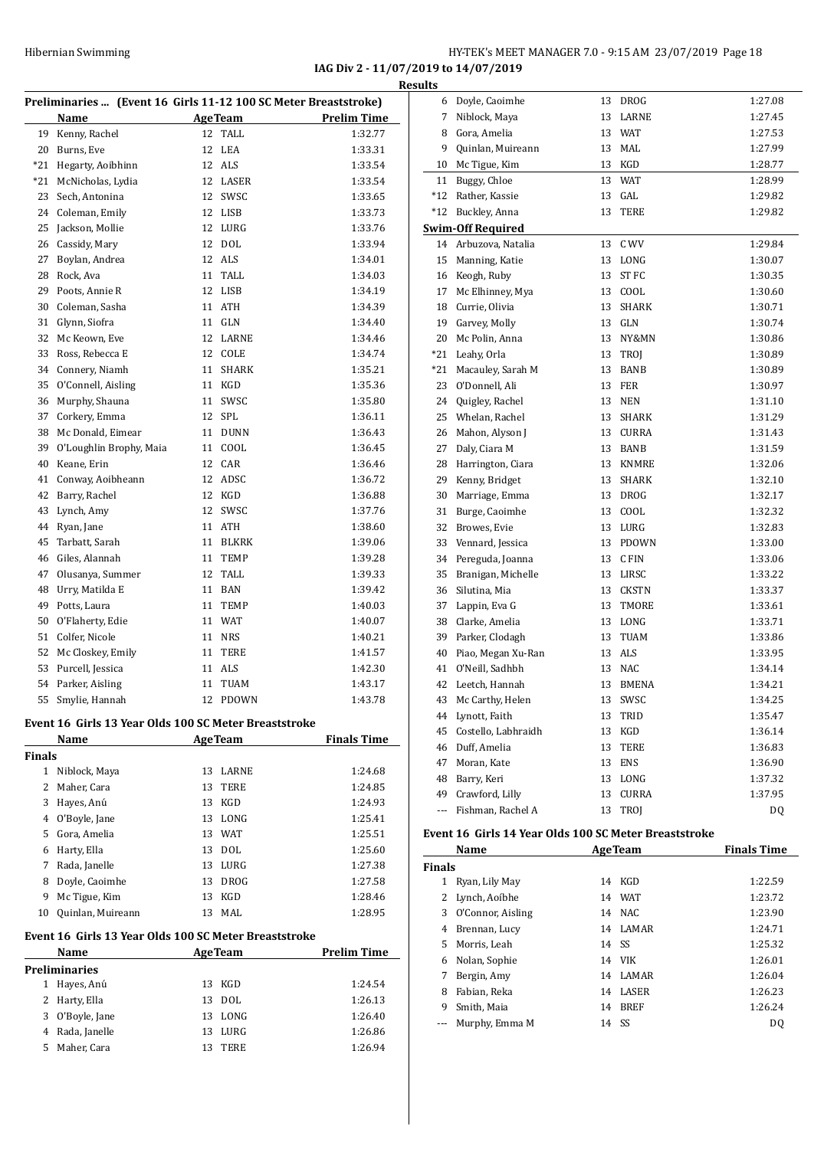**IAG Div 2 - 11/07/2019 to 14/07/2019 Results**

| Preliminaries  (Event 16 Girls 11-12 100 SC Meter Breaststroke) |                                                       |    |                |                    |  |  |  |
|-----------------------------------------------------------------|-------------------------------------------------------|----|----------------|--------------------|--|--|--|
|                                                                 | Name                                                  |    | <b>AgeTeam</b> | <b>Prelim Time</b> |  |  |  |
| 19                                                              | Kenny, Rachel                                         | 12 | <b>TALL</b>    | 1:32.77            |  |  |  |
| 20                                                              | Burns, Eve                                            | 12 | LEA            | 1:33.31            |  |  |  |
| $*21$                                                           | Hegarty, Aoibhinn                                     |    | 12 ALS         | 1:33.54            |  |  |  |
| $*21$                                                           | McNicholas, Lydia                                     | 12 | LASER          | 1:33.54            |  |  |  |
| 23                                                              | Sech, Antonina                                        | 12 | SWSC           | 1:33.65            |  |  |  |
| 24                                                              | Coleman, Emily                                        | 12 | LISB           | 1:33.73            |  |  |  |
| 25                                                              | Jackson, Mollie                                       | 12 | LURG           | 1:33.76            |  |  |  |
| 26                                                              | Cassidy, Mary                                         | 12 | <b>DOL</b>     | 1:33.94            |  |  |  |
| 27                                                              | Boylan, Andrea                                        | 12 | ALS            | 1:34.01            |  |  |  |
| 28                                                              | Rock, Ava                                             | 11 | TALL           | 1:34.03            |  |  |  |
| 29                                                              | Poots, Annie R                                        | 12 | LISB           | 1:34.19            |  |  |  |
| 30                                                              | Coleman, Sasha                                        | 11 | <b>ATH</b>     | 1:34.39            |  |  |  |
| 31                                                              | Glynn, Siofra                                         | 11 | <b>GLN</b>     | 1:34.40            |  |  |  |
| 32                                                              | Mc Keown, Eve                                         | 12 | LARNE          | 1:34.46            |  |  |  |
| 33                                                              | Ross, Rebecca E                                       | 12 | COLE           | 1:34.74            |  |  |  |
| 34                                                              | Connery, Niamh                                        | 11 | <b>SHARK</b>   | 1:35.21            |  |  |  |
| 35                                                              | O'Connell, Aisling                                    | 11 | KGD            | 1:35.36            |  |  |  |
| 36                                                              | Murphy, Shauna                                        | 11 | SWSC           | 1:35.80            |  |  |  |
| 37                                                              | Corkery, Emma                                         | 12 | <b>SPL</b>     | 1:36.11            |  |  |  |
| 38                                                              | Mc Donald, Eimear                                     | 11 | <b>DUNN</b>    | 1:36.43            |  |  |  |
| 39                                                              | O'Loughlin Brophy, Maia                               | 11 | COOL           | 1:36.45            |  |  |  |
| 40                                                              | Keane, Erin                                           | 12 | CAR            | 1:36.46            |  |  |  |
| 41                                                              | Conway, Aoibheann                                     | 12 | ADSC           | 1:36.72            |  |  |  |
| 42                                                              | Barry, Rachel                                         | 12 | KGD            | 1:36.88            |  |  |  |
| 43                                                              | Lynch, Amy                                            | 12 | SWSC           | 1:37.76            |  |  |  |
| 44                                                              | Ryan, Jane                                            | 11 | ATH            | 1:38.60            |  |  |  |
| 45                                                              | Tarbatt, Sarah                                        | 11 | <b>BLKRK</b>   | 1:39.06            |  |  |  |
| 46                                                              | Giles, Alannah                                        | 11 | TEMP           | 1:39.28            |  |  |  |
| 47                                                              | Olusanya, Summer                                      | 12 | TALL           | 1:39.33            |  |  |  |
| 48                                                              | Urry, Matilda E                                       | 11 | <b>BAN</b>     | 1:39.42            |  |  |  |
| 49                                                              | Potts, Laura                                          | 11 | TEMP           | 1:40.03            |  |  |  |
| 50                                                              | O'Flaherty, Edie                                      | 11 | WAT            | 1:40.07            |  |  |  |
| 51                                                              | Colfer, Nicole                                        | 11 | <b>NRS</b>     | 1:40.21            |  |  |  |
| 52                                                              | Mc Closkey, Emily                                     | 11 | <b>TERE</b>    | 1:41.57            |  |  |  |
| 53                                                              | Purcell, Jessica                                      | 11 | ALS            | 1:42.30            |  |  |  |
| 54                                                              | Parker, Aisling                                       | 11 | TUAM           | 1:43.17            |  |  |  |
| 55                                                              | Smylie, Hannah                                        | 12 | PDOWN          | 1:43.78            |  |  |  |
|                                                                 | Event 16 Girls 13 Year Olds 100 SC Meter Breaststroke |    |                |                    |  |  |  |
|                                                                 | Name<br>Finale Timo<br>AgaTaam                        |    |                |                    |  |  |  |

|        | Name<br><b>AgeTeam</b> |    |             | <b>Finals Time</b> |
|--------|------------------------|----|-------------|--------------------|
| Finals |                        |    |             |                    |
| 1      | Niblock, Maya          | 13 | LARNE       | 1:24.68            |
| 2      | Maher, Cara            | 13 | TERE        | 1:24.85            |
| 3      | Hayes, Anú             | 13 | KGD         | 1:24.93            |
| 4      | O'Boyle, Jane          | 13 | LONG        | 1:25.41            |
| 5.     | Gora, Amelia           | 13 | <b>WAT</b>  | 1:25.51            |
| 6      | Harty, Ella            |    | 13 DOL      | 1:25.60            |
| 7      | Rada, Janelle          | 13 | LURG        | 1:27.38            |
| 8      | Doyle, Caoimhe         | 13 | <b>DROG</b> | 1:27.58            |
| 9      | Mc Tigue, Kim          | 13 | KGD         | 1:28.46            |
| 10     | Quinlan, Muireann      | 13 | MAL         | 1:28.95            |

#### **Event 16 Girls 13 Year Olds 100 SC Meter Breaststroke**

| Name |                 |    | <b>AgeTeam</b> | <b>Prelim Time</b> |
|------|-----------------|----|----------------|--------------------|
|      | Preliminaries   |    |                |                    |
|      | Hayes, Anú      |    | 13 KGD         | 1:24.54            |
|      | 2 Harty, Ella   |    | 13 DOL         | 1:26.13            |
|      | 3 O'Boyle, Jane |    | 13 LONG        | 1:26.40            |
|      | 4 Rada, Janelle |    | 13 LURG        | 1:26.86            |
| 5.   | Maher, Cara     | 13 | TERE           | 1:26.94            |
|      |                 |    |                |                    |

| <u>uits</u> |                          |    |              |         |
|-------------|--------------------------|----|--------------|---------|
| 6           | Doyle, Caoimhe           | 13 | <b>DROG</b>  | 1:27.08 |
| 7           | Niblock, Maya            | 13 | LARNE        | 1:27.45 |
| 8           | Gora, Amelia             | 13 | WAT          | 1:27.53 |
| 9           | Quinlan, Muireann        | 13 | MAL          | 1:27.99 |
| 10          | Mc Tigue, Kim            | 13 | KGD          | 1:28.77 |
| 11          | Buggy, Chloe             | 13 | <b>WAT</b>   | 1:28.99 |
| *12         | Rather, Kassie           | 13 | GAL          | 1:29.82 |
| *12         | Buckley, Anna            | 13 | <b>TERE</b>  | 1:29.82 |
|             | <b>Swim-Off Required</b> |    |              |         |
| 14          | Arbuzova, Natalia        | 13 | C WV         | 1:29.84 |
| 15          | Manning, Katie           | 13 | LONG         | 1:30.07 |
| 16          | Keogh, Ruby              | 13 | ST FC        | 1:30.35 |
| 17          | Mc Elhinney, Mya         | 13 | COOL         | 1:30.60 |
| 18          | Currie, Olivia           | 13 | <b>SHARK</b> | 1:30.71 |
| 19          | Garvey, Molly            | 13 | GLN          | 1:30.74 |
| 20          | Mc Polin, Anna           | 13 | NY&MN        | 1:30.86 |
| *21         | Leahy, Orla              | 13 | <b>TROI</b>  | 1:30.89 |
| *21         | Macauley, Sarah M        | 13 | <b>BANB</b>  | 1:30.89 |
| 23          | O'Donnell, Ali           | 13 | FER          | 1:30.97 |
| 24          | Quigley, Rachel          | 13 | <b>NEN</b>   | 1:31.10 |
| 25          | Whelan, Rachel           | 13 | <b>SHARK</b> | 1:31.29 |
| 26          | Mahon, Alyson J          | 13 | <b>CURRA</b> | 1:31.43 |
| 27          | Daly, Ciara M            | 13 | <b>BANB</b>  | 1:31.59 |
| 28          | Harrington, Ciara        | 13 | <b>KNMRE</b> | 1:32.06 |
| 29          | Kenny, Bridget           | 13 | <b>SHARK</b> | 1:32.10 |
| 30          | Marriage, Emma           | 13 | <b>DROG</b>  | 1:32.17 |
| 31          | Burge, Caoimhe           | 13 | COOL         | 1:32.32 |
| 32          | Browes, Evie             | 13 | LURG         | 1:32.83 |
| 33          | Vennard, Jessica         | 13 | <b>PDOWN</b> | 1:33.00 |
| 34          | Pereguda, Joanna         | 13 | C FIN        | 1:33.06 |
| 35          | Branigan, Michelle       | 13 | LIRSC        | 1:33.22 |
| 36          | Silutina, Mia            | 13 | CKSTN        | 1:33.37 |
| 37          | Lappin, Eva G            | 13 | TMORE        | 1:33.61 |
| 38          | Clarke, Amelia           | 13 | LONG         | 1:33.71 |
| 39          | Parker, Clodagh          | 13 | <b>TUAM</b>  | 1:33.86 |
| 40          | Piao, Megan Xu-Ran       | 13 | ALS          | 1:33.95 |
| 41          | O'Neill, Sadhbh          | 13 | <b>NAC</b>   | 1:34.14 |
| 42          | Leetch, Hannah           | 13 | <b>BMENA</b> | 1:34.21 |
| 43          | Mc Carthy, Helen         | 13 | SWSC         | 1:34.25 |
| 44          | Lynott, Faith            | 13 | TRID         | 1:35.47 |
| 45          | Costello, Labhraidh      | 13 | KGD          | 1:36.14 |
| 46          | Duff, Amelia             | 13 | TERE         | 1:36.83 |
| 47          | Moran, Kate              | 13 | ENS          | 1:36.90 |
| 48          | Barry, Keri              | 13 | LONG         | 1:37.32 |
| 49          | Crawford, Lilly          | 13 | CURRA        | 1:37.95 |
| ---         | Fishman, Rachel A        | 13 | TROJ         | DQ      |

#### **Event 16 Girls 14 Year Olds 100 SC Meter Breaststroke**

| Name              | <b>AgeTeam</b> |              | <b>Finals Time</b>                                   |  |  |
|-------------------|----------------|--------------|------------------------------------------------------|--|--|
| <b>Finals</b>     |                |              |                                                      |  |  |
| Ryan, Lily May    | 14             | KGD          | 1:22.59                                              |  |  |
| 2 Lynch, Aoibhe   |                |              | 1:23.72                                              |  |  |
| O'Connor, Aisling |                |              | 1:23.90                                              |  |  |
| Brennan, Lucy     | 14             |              | 1:24.71                                              |  |  |
| Morris, Leah      |                |              | 1:25.32                                              |  |  |
| Nolan, Sophie     |                |              | 1:26.01                                              |  |  |
| Bergin, Amy       | 14             | LAMAR        | 1:26.04                                              |  |  |
| Fabian, Reka      | 14             | <b>LASER</b> | 1:26.23                                              |  |  |
| Smith, Maia       | 14             | <b>BREF</b>  | 1:26.24                                              |  |  |
| Murphy, Emma M    | 14             |              | DO.                                                  |  |  |
|                   |                |              | 14 WAT<br>14 NAC<br>LAMAR<br>14 SS<br>14 VIK<br>- SS |  |  |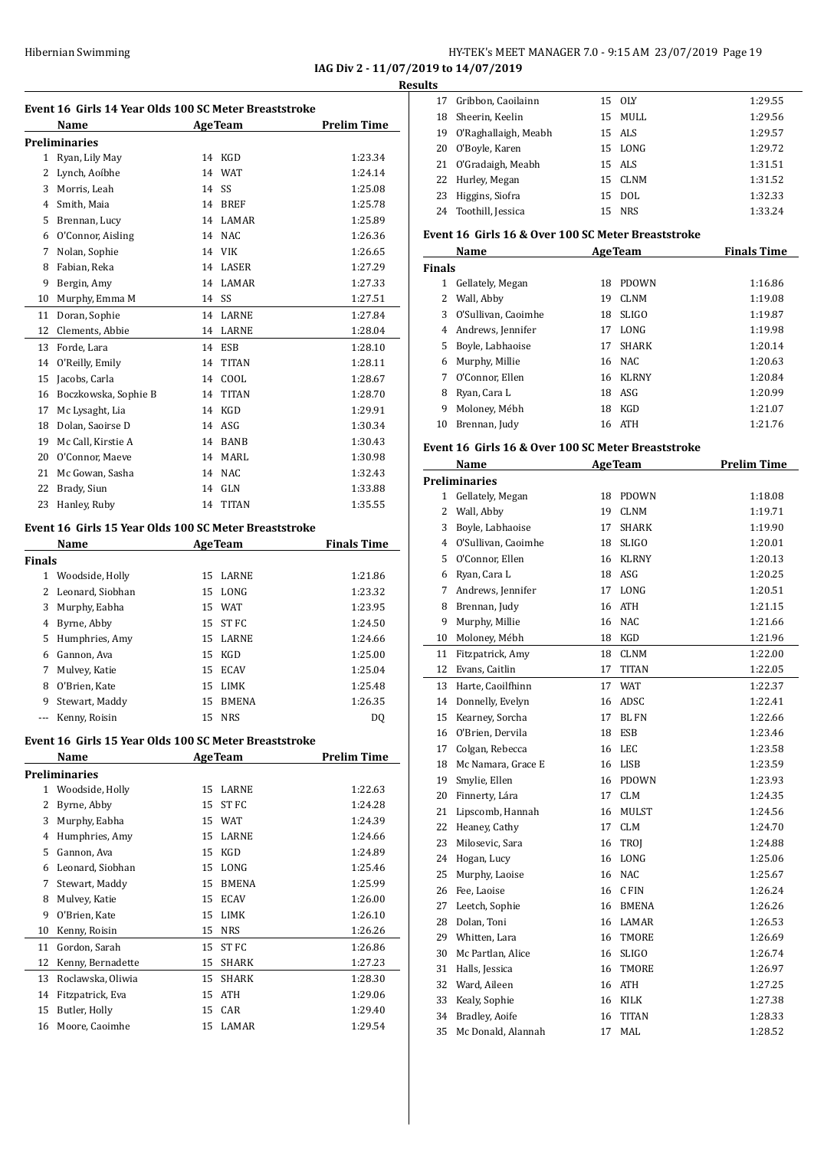**IAG Div 2 - 11/07/2019 to 14/07/2019 Results**

|               | Event 16 Girls 14 Year Olds 100 SC Meter Breaststroke<br>Name |       | <b>AgeTeam</b> | <b>Prelim Time</b> |
|---------------|---------------------------------------------------------------|-------|----------------|--------------------|
|               | <b>Preliminaries</b>                                          |       |                |                    |
|               | 1 Ryan, Lily May                                              |       | 14 KGD         | 1:23.34            |
|               | 2 Lynch, Aoíbhe                                               | 14    | <b>WAT</b>     | 1:24.14            |
|               | 3 Morris, Leah                                                | 14 SS |                | 1:25.08            |
|               | 4 Smith, Maia                                                 |       | 14 BREF        | 1:25.78            |
|               | 5 Brennan, Lucy                                               |       | 14 LAMAR       | 1:25.89            |
|               | 6 O'Connor, Aisling                                           |       | 14 NAC         | 1:26.36            |
|               | 7 Nolan, Sophie                                               |       | 14 VIK         | 1:26.65            |
| 8             | Fabian. Reka                                                  |       | 14 LASER       | 1:27.29            |
| 9             | Bergin, Amy                                                   |       | 14 LAMAR       | 1:27.33            |
| 10            | Murphy, Emma M                                                | 14 SS |                | 1:27.51            |
| 11            | Doran, Sophie                                                 |       | 14 LARNE       | 1:27.84            |
| 12            | Clements, Abbie                                               |       | 14 LARNE       | 1:28.04            |
| 13            | Forde, Lara                                                   | 14    | <b>ESB</b>     | 1:28.10            |
| 14            | O'Reilly, Emily                                               | 14    | <b>TITAN</b>   | 1:28.11            |
| 15            | Jacobs, Carla                                                 | 14    | COOL           | 1:28.67            |
| 16            | Boczkowska, Sophie B                                          |       | 14 TITAN       | 1:28.70            |
| 17            | Mc Lysaght, Lia                                               |       | 14 KGD         | 1:29.91            |
| 18            | Dolan, Saoirse D                                              |       | 14 ASG         | 1:30.34            |
|               | 19 Mc Call, Kirstie A                                         |       | 14 BANB        | 1:30.43            |
|               | 20 O'Connor, Maeve                                            |       | 14 MARL        | 1:30.98            |
| 21            | Mc Gowan, Sasha                                               |       | 14 NAC         | 1:32.43            |
| 22            | Brady, Siun                                                   |       | 14 GLN         | 1:33.88            |
| 23            | Hanley, Ruby                                                  | 14    | <b>TITAN</b>   | 1:35.55            |
|               |                                                               |       |                |                    |
|               | Event 16 Girls 15 Year Olds 100 SC Meter Breaststroke         |       |                |                    |
|               | Name                                                          |       | <b>AgeTeam</b> | <b>Finals Time</b> |
| <b>Finals</b> |                                                               |       |                |                    |
|               | 1 Woodside, Holly                                             |       | 15 LARNE       | 1:21.86            |
| 2             | Leonard, Siobhan                                              |       | 15 LONG        | 1:23.32            |
| 3             | Murphy, Eabha                                                 |       | 15 WAT         | 1:23.95            |
|               | 4 Byrne, Abby                                                 |       | 15 ST FC       | 1:24.50            |
|               | 5 Humphries, Amy                                              |       | 15 LARNE       | 1:24.66            |
|               | 6 Gannon, Ava                                                 |       | 15 KGD         | 1:25.00            |
|               | 7 Mulvey, Katie                                               |       | 15 ECAV        | 1:25.04            |
| 8             | O'Brien, Kate                                                 |       | 15 LIMK        | 1:25.48            |
| 9             | Stewart, Maddy                                                |       | 15 BMENA       | 1:26.35            |
|               | --- Kenny, Roisin                                             |       | 15 NRS         | DQ                 |
|               | Event 16 Girls 15 Year Olds 100 SC Meter Breaststroke         |       |                |                    |
|               | Name                                                          |       | <b>AgeTeam</b> | <b>Prelim Time</b> |
|               | <b>Preliminaries</b>                                          |       |                |                    |
| 1             | Woodside, Holly                                               | 15    | LARNE          | 1:22.63            |
| 2             | Byrne, Abby                                                   | 15    | ST FC          | 1:24.28            |
| 3             | Murphy, Eabha                                                 |       | 15 WAT         | 1:24.39            |
| 4             | Humphries, Amy                                                | 15    | <b>LARNE</b>   | 1:24.66            |
| 5             | Gannon, Ava                                                   | 15    | KGD            | 1:24.89            |
| 6             | Leonard, Siobhan                                              | 15    | LONG           | 1:25.46            |
| 7             | Stewart, Maddy                                                | 15    | BMENA          | 1:25.99            |
| 8             | Mulvey, Katie                                                 |       | 15 ECAV        | 1:26.00            |
| 9             | O'Brien, Kate                                                 | 15    | LIMK           | 1:26.10            |
| 10            | Kenny, Roisin                                                 | 15    | <b>NRS</b>     | 1:26.26            |
| 11            | Gordon, Sarah                                                 | 15    | ST FC          | 1:26.86            |
| 12            | Kenny, Bernadette                                             | 15    | SHARK          | 1:27.23            |
| 13            | Roclawska, Oliwia                                             | 15    | SHARK          | 1:28.30            |
| 14            | Fitzpatrick, Eva                                              | 15    | ATH            | 1:29.06            |
| 15            | Butler, Holly                                                 | 15    | CAR            | 1:29.40            |
| 16            | Moore, Caoimhe                                                | 15    | LAMAR          | 1:29.54            |
|               |                                                               |       |                |                    |

| s  |                         |         |         |
|----|-------------------------|---------|---------|
| 17 | Gribbon, Caoilainn      | 15 OLY  | 1:29.55 |
| 18 | Sheerin, Keelin         | 15 MULL | 1:29.56 |
|    | 19 O'Raghallaigh, Meabh | 15 ALS  | 1:29.57 |
|    | 20 O'Boyle, Karen       | 15 LONG | 1:29.72 |
|    | 21 O'Gradaigh, Meabh    | 15 ALS  | 1:31.51 |
|    | 22 Hurley, Megan        | 15 CLNM | 1:31.52 |
| 23 | Higgins, Siofra         | 15 DOL  | 1:32.33 |
|    | 24 Toothill, Jessica    | 15 NRS  | 1:33.24 |
|    |                         |         |         |

#### **Event 16 Girls 16 & Over 100 SC Meter Breaststroke**

| Name          |                     |    | <b>AgeTeam</b> | <b>Finals Time</b> |  |
|---------------|---------------------|----|----------------|--------------------|--|
| <b>Finals</b> |                     |    |                |                    |  |
| 1             | Gellately, Megan    | 18 | <b>PDOWN</b>   | 1:16.86            |  |
| 2             | Wall, Abby          | 19 | <b>CLNM</b>    | 1:19.08            |  |
| 3             | O'Sullivan, Caoimhe | 18 | <b>SLIGO</b>   | 1:19.87            |  |
| 4             | Andrews, Jennifer   | 17 | LONG           | 1:19.98            |  |
| 5.            | Boyle, Labhaoise    | 17 | <b>SHARK</b>   | 1:20.14            |  |
| 6             | Murphy, Millie      |    | 16 NAC         | 1:20.63            |  |
| 7             | O'Connor, Ellen     | 16 | KLRNY          | 1:20.84            |  |
| 8             | Ryan, Cara L        | 18 | ASG            | 1:20.99            |  |
| 9             | Moloney, Mébh       | 18 | KGD            | 1:21.07            |  |
| 10            | Brennan, Judy       |    | 16 ATH         | 1:21.76            |  |

#### **Event 16 Girls 16 & Over 100 SC Meter Breaststroke**

|    | Name                 |    | <b>AgeTeam</b> | <b>Prelim Time</b> |
|----|----------------------|----|----------------|--------------------|
|    | <b>Preliminaries</b> |    |                |                    |
| 1  | Gellately, Megan     | 18 | <b>PDOWN</b>   | 1:18.08            |
| 2  | Wall, Abby           | 19 | <b>CLNM</b>    | 1:19.71            |
| 3  | Boyle, Labhaoise     | 17 | <b>SHARK</b>   | 1:19.90            |
| 4  | O'Sullivan, Caoimhe  | 18 | <b>SLIGO</b>   | 1:20.01            |
| 5  | O'Connor, Ellen      | 16 | <b>KLRNY</b>   | 1:20.13            |
| 6  | Ryan, Cara L         | 18 | ASG            | 1:20.25            |
| 7  | Andrews, Jennifer    | 17 | LONG           | 1:20.51            |
| 8  | Brennan, Judy        | 16 | <b>ATH</b>     | 1:21.15            |
| 9  | Murphy, Millie       | 16 | <b>NAC</b>     | 1:21.66            |
| 10 | Moloney, Mébh        | 18 | KGD            | 1:21.96            |
| 11 | Fitzpatrick, Amy     | 18 | <b>CLNM</b>    | 1:22.00            |
| 12 | Evans, Caitlin       | 17 | <b>TITAN</b>   | 1:22.05            |
| 13 | Harte, Caoilfhinn    | 17 | <b>WAT</b>     | 1:22.37            |
| 14 | Donnelly, Evelyn     | 16 | ADSC           | 1:22.41            |
| 15 | Kearney, Sorcha      | 17 | <b>BL FN</b>   | 1:22.66            |
| 16 | O'Brien, Dervila     | 18 | ESB            | 1:23.46            |
| 17 | Colgan, Rebecca      | 16 | LEC            | 1:23.58            |
| 18 | Mc Namara, Grace E   | 16 | <b>LISB</b>    | 1:23.59            |
| 19 | Smylie, Ellen        | 16 | <b>PDOWN</b>   | 1:23.93            |
| 20 | Finnerty, Lára       | 17 | <b>CLM</b>     | 1:24.35            |
| 21 | Lipscomb, Hannah     | 16 | <b>MULST</b>   | 1:24.56            |
| 22 | Heaney, Cathy        | 17 | <b>CLM</b>     | 1:24.70            |
| 23 | Milosevic, Sara      | 16 | TROJ           | 1:24.88            |
| 24 | Hogan, Lucy          | 16 | LONG           | 1:25.06            |
| 25 | Murphy, Laoise       | 16 | <b>NAC</b>     | 1:25.67            |
| 26 | Fee, Laoise          | 16 | C FIN          | 1:26.24            |
| 27 | Leetch, Sophie       | 16 | <b>BMENA</b>   | 1:26.26            |
| 28 | Dolan, Toni          | 16 | LAMAR          | 1:26.53            |
| 29 | Whitten, Lara        | 16 | <b>TMORE</b>   | 1:26.69            |
| 30 | Mc Partlan, Alice    | 16 | <b>SLIGO</b>   | 1:26.74            |
| 31 | Halls, Jessica       | 16 | <b>TMORE</b>   | 1:26.97            |
| 32 | Ward, Aileen         | 16 | ATH            | 1:27.25            |
| 33 | Kealy, Sophie        | 16 | <b>KILK</b>    | 1:27.38            |
| 34 | Bradley, Aoife       | 16 | TITAN          | 1:28.33            |
| 35 | Mc Donald, Alannah   | 17 | MAL            | 1:28.52            |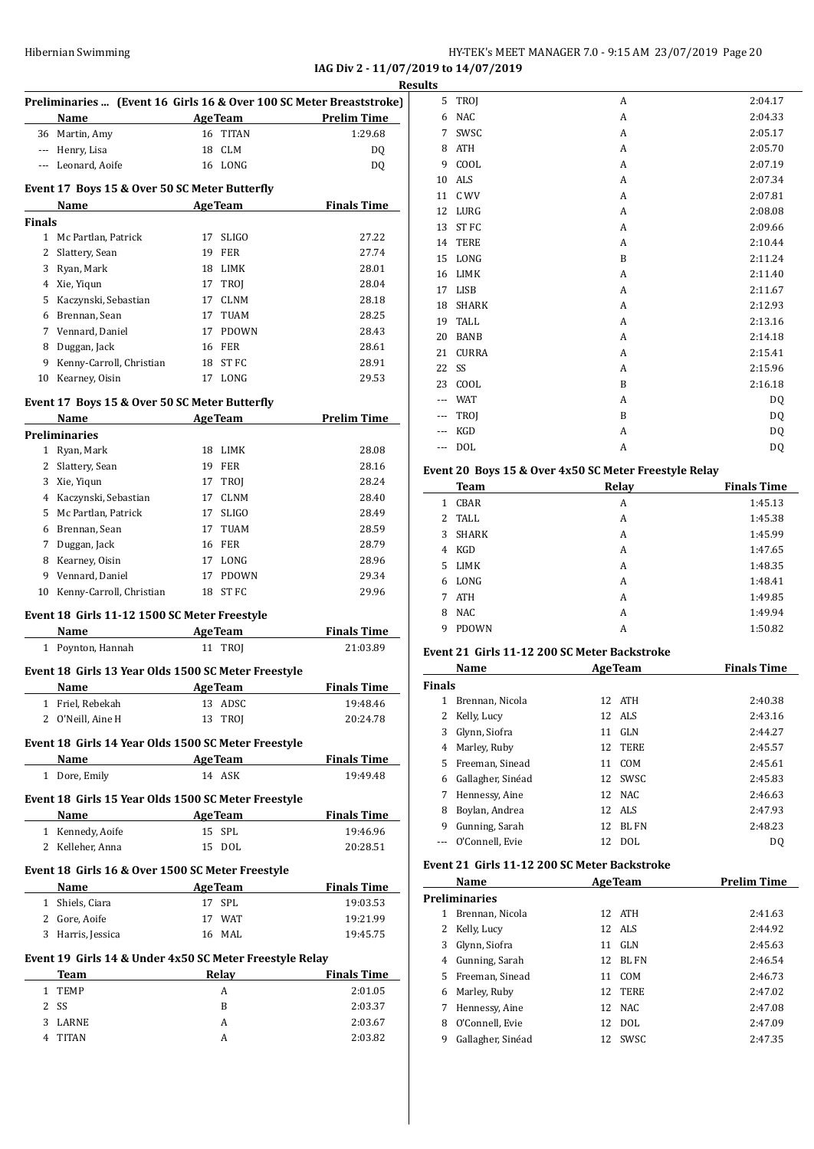#### HY-TEK's MEET MANAGER 7.0 - 9:15 AM 23/07/2019 Page 20 **IAG Div 2 - 11/07/2019 to 14/07/2019**

| Preliminaries  (Event 16 Girls 16 & Over 100 SC Meter Breaststroke) |                                                                                                                                                                                                                                                                                                                                     |                |                                                                                                                                                                                                                                                                                                                                                                                                                                                                                       |
|---------------------------------------------------------------------|-------------------------------------------------------------------------------------------------------------------------------------------------------------------------------------------------------------------------------------------------------------------------------------------------------------------------------------|----------------|---------------------------------------------------------------------------------------------------------------------------------------------------------------------------------------------------------------------------------------------------------------------------------------------------------------------------------------------------------------------------------------------------------------------------------------------------------------------------------------|
| Name                                                                |                                                                                                                                                                                                                                                                                                                                     |                | Prelim Time                                                                                                                                                                                                                                                                                                                                                                                                                                                                           |
| 36 Martin, Amy                                                      |                                                                                                                                                                                                                                                                                                                                     |                | 1:29.68                                                                                                                                                                                                                                                                                                                                                                                                                                                                               |
| --- Henry, Lisa                                                     |                                                                                                                                                                                                                                                                                                                                     |                | DQ                                                                                                                                                                                                                                                                                                                                                                                                                                                                                    |
|                                                                     |                                                                                                                                                                                                                                                                                                                                     |                | DQ                                                                                                                                                                                                                                                                                                                                                                                                                                                                                    |
|                                                                     |                                                                                                                                                                                                                                                                                                                                     |                |                                                                                                                                                                                                                                                                                                                                                                                                                                                                                       |
|                                                                     |                                                                                                                                                                                                                                                                                                                                     |                |                                                                                                                                                                                                                                                                                                                                                                                                                                                                                       |
| Name                                                                |                                                                                                                                                                                                                                                                                                                                     |                | <b>Finals Time</b>                                                                                                                                                                                                                                                                                                                                                                                                                                                                    |
| <b>Finals</b>                                                       |                                                                                                                                                                                                                                                                                                                                     |                |                                                                                                                                                                                                                                                                                                                                                                                                                                                                                       |
| 1 Mc Partlan, Patrick                                               |                                                                                                                                                                                                                                                                                                                                     |                | 27.22                                                                                                                                                                                                                                                                                                                                                                                                                                                                                 |
| 2 Slattery, Sean                                                    |                                                                                                                                                                                                                                                                                                                                     |                | 27.74                                                                                                                                                                                                                                                                                                                                                                                                                                                                                 |
|                                                                     |                                                                                                                                                                                                                                                                                                                                     |                | 28.01                                                                                                                                                                                                                                                                                                                                                                                                                                                                                 |
|                                                                     |                                                                                                                                                                                                                                                                                                                                     |                | 28.04                                                                                                                                                                                                                                                                                                                                                                                                                                                                                 |
|                                                                     |                                                                                                                                                                                                                                                                                                                                     |                | 28.18                                                                                                                                                                                                                                                                                                                                                                                                                                                                                 |
|                                                                     |                                                                                                                                                                                                                                                                                                                                     |                | 28.25                                                                                                                                                                                                                                                                                                                                                                                                                                                                                 |
|                                                                     |                                                                                                                                                                                                                                                                                                                                     |                | 28.43                                                                                                                                                                                                                                                                                                                                                                                                                                                                                 |
|                                                                     |                                                                                                                                                                                                                                                                                                                                     |                |                                                                                                                                                                                                                                                                                                                                                                                                                                                                                       |
|                                                                     |                                                                                                                                                                                                                                                                                                                                     |                | 28.61                                                                                                                                                                                                                                                                                                                                                                                                                                                                                 |
|                                                                     |                                                                                                                                                                                                                                                                                                                                     |                | 28.91                                                                                                                                                                                                                                                                                                                                                                                                                                                                                 |
|                                                                     |                                                                                                                                                                                                                                                                                                                                     |                | 29.53                                                                                                                                                                                                                                                                                                                                                                                                                                                                                 |
|                                                                     |                                                                                                                                                                                                                                                                                                                                     |                |                                                                                                                                                                                                                                                                                                                                                                                                                                                                                       |
|                                                                     |                                                                                                                                                                                                                                                                                                                                     |                | <b>Prelim Time</b>                                                                                                                                                                                                                                                                                                                                                                                                                                                                    |
|                                                                     |                                                                                                                                                                                                                                                                                                                                     |                |                                                                                                                                                                                                                                                                                                                                                                                                                                                                                       |
|                                                                     |                                                                                                                                                                                                                                                                                                                                     |                |                                                                                                                                                                                                                                                                                                                                                                                                                                                                                       |
|                                                                     |                                                                                                                                                                                                                                                                                                                                     |                | 28.08                                                                                                                                                                                                                                                                                                                                                                                                                                                                                 |
|                                                                     |                                                                                                                                                                                                                                                                                                                                     |                | 28.16                                                                                                                                                                                                                                                                                                                                                                                                                                                                                 |
|                                                                     |                                                                                                                                                                                                                                                                                                                                     |                | 28.24                                                                                                                                                                                                                                                                                                                                                                                                                                                                                 |
|                                                                     |                                                                                                                                                                                                                                                                                                                                     |                | 28.40                                                                                                                                                                                                                                                                                                                                                                                                                                                                                 |
| 5 Mc Partlan, Patrick                                               |                                                                                                                                                                                                                                                                                                                                     |                | 28.49                                                                                                                                                                                                                                                                                                                                                                                                                                                                                 |
| 6 Brennan, Sean                                                     |                                                                                                                                                                                                                                                                                                                                     |                | 28.59                                                                                                                                                                                                                                                                                                                                                                                                                                                                                 |
| Duggan, Jack                                                        |                                                                                                                                                                                                                                                                                                                                     |                | 28.79                                                                                                                                                                                                                                                                                                                                                                                                                                                                                 |
| 8 Kearney, Oisin                                                    |                                                                                                                                                                                                                                                                                                                                     |                | 28.96                                                                                                                                                                                                                                                                                                                                                                                                                                                                                 |
| 9 Vennard, Daniel                                                   |                                                                                                                                                                                                                                                                                                                                     |                | 29.34                                                                                                                                                                                                                                                                                                                                                                                                                                                                                 |
|                                                                     |                                                                                                                                                                                                                                                                                                                                     |                | 29.96                                                                                                                                                                                                                                                                                                                                                                                                                                                                                 |
|                                                                     |                                                                                                                                                                                                                                                                                                                                     |                |                                                                                                                                                                                                                                                                                                                                                                                                                                                                                       |
|                                                                     |                                                                                                                                                                                                                                                                                                                                     |                |                                                                                                                                                                                                                                                                                                                                                                                                                                                                                       |
| Name                                                                |                                                                                                                                                                                                                                                                                                                                     |                | <b>Finals Time</b>                                                                                                                                                                                                                                                                                                                                                                                                                                                                    |
|                                                                     |                                                                                                                                                                                                                                                                                                                                     |                |                                                                                                                                                                                                                                                                                                                                                                                                                                                                                       |
| 1 Poynton, Hannah                                                   |                                                                                                                                                                                                                                                                                                                                     | 11 TROJ        | 21:03.89                                                                                                                                                                                                                                                                                                                                                                                                                                                                              |
|                                                                     |                                                                                                                                                                                                                                                                                                                                     |                |                                                                                                                                                                                                                                                                                                                                                                                                                                                                                       |
| Event 18 Girls 13 Year Olds 1500 SC Meter Freestyle                 |                                                                                                                                                                                                                                                                                                                                     |                |                                                                                                                                                                                                                                                                                                                                                                                                                                                                                       |
| Name                                                                | <b>AgeTeam</b>                                                                                                                                                                                                                                                                                                                      |                |                                                                                                                                                                                                                                                                                                                                                                                                                                                                                       |
| 1 Friel, Rebekah                                                    |                                                                                                                                                                                                                                                                                                                                     | 13 ADSC        | <b>Finals Time</b><br>19:48.46                                                                                                                                                                                                                                                                                                                                                                                                                                                        |
| 2 O'Neill, Aine H                                                   |                                                                                                                                                                                                                                                                                                                                     | 13 TROJ        | 20:24.78                                                                                                                                                                                                                                                                                                                                                                                                                                                                              |
|                                                                     |                                                                                                                                                                                                                                                                                                                                     |                |                                                                                                                                                                                                                                                                                                                                                                                                                                                                                       |
| Event 18 Girls 14 Year Olds 1500 SC Meter Freestyle                 |                                                                                                                                                                                                                                                                                                                                     |                |                                                                                                                                                                                                                                                                                                                                                                                                                                                                                       |
| Name AgeTeam                                                        |                                                                                                                                                                                                                                                                                                                                     |                |                                                                                                                                                                                                                                                                                                                                                                                                                                                                                       |
| 1 Dore, Emily                                                       |                                                                                                                                                                                                                                                                                                                                     | 14 ASK         | 19:49.48                                                                                                                                                                                                                                                                                                                                                                                                                                                                              |
|                                                                     |                                                                                                                                                                                                                                                                                                                                     |                |                                                                                                                                                                                                                                                                                                                                                                                                                                                                                       |
| Event 18 Girls 15 Year Olds 1500 SC Meter Freestyle                 |                                                                                                                                                                                                                                                                                                                                     |                |                                                                                                                                                                                                                                                                                                                                                                                                                                                                                       |
| Name<br><u> 1990 - Johann Barbara, p</u> ersonal                    |                                                                                                                                                                                                                                                                                                                                     | <b>AgeTeam</b> |                                                                                                                                                                                                                                                                                                                                                                                                                                                                                       |
| 1 Kennedy, Aoife                                                    |                                                                                                                                                                                                                                                                                                                                     | 15 SPL         | 19:46.96                                                                                                                                                                                                                                                                                                                                                                                                                                                                              |
| 2 Kelleher, Anna                                                    |                                                                                                                                                                                                                                                                                                                                     | 15 DOL         | 20:28.51                                                                                                                                                                                                                                                                                                                                                                                                                                                                              |
| Event 18 Girls 16 & Over 1500 SC Meter Freestyle                    |                                                                                                                                                                                                                                                                                                                                     |                |                                                                                                                                                                                                                                                                                                                                                                                                                                                                                       |
| Name                                                                |                                                                                                                                                                                                                                                                                                                                     |                |                                                                                                                                                                                                                                                                                                                                                                                                                                                                                       |
| <b>Example 2 AgeTeam</b><br>1 Shiels, Ciara                         | 17                                                                                                                                                                                                                                                                                                                                  | SPL            | 19:03.53                                                                                                                                                                                                                                                                                                                                                                                                                                                                              |
|                                                                     |                                                                                                                                                                                                                                                                                                                                     | 17 WAT         |                                                                                                                                                                                                                                                                                                                                                                                                                                                                                       |
| 2 Gore, Aoife                                                       |                                                                                                                                                                                                                                                                                                                                     |                | 19:21.99                                                                                                                                                                                                                                                                                                                                                                                                                                                                              |
| 3 Harris, Jessica                                                   |                                                                                                                                                                                                                                                                                                                                     | 16 MAL         | 19:45.75                                                                                                                                                                                                                                                                                                                                                                                                                                                                              |
| Event 19 Girls 14 & Under 4x50 SC Meter Freestyle Relay             |                                                                                                                                                                                                                                                                                                                                     |                |                                                                                                                                                                                                                                                                                                                                                                                                                                                                                       |
|                                                                     |                                                                                                                                                                                                                                                                                                                                     | Relay          |                                                                                                                                                                                                                                                                                                                                                                                                                                                                                       |
| <b>Team</b><br>1 TEMP                                               |                                                                                                                                                                                                                                                                                                                                     | A              | 2:01.05                                                                                                                                                                                                                                                                                                                                                                                                                                                                               |
|                                                                     |                                                                                                                                                                                                                                                                                                                                     |                | <b>Finals Time</b><br><b>Finals Time</b><br><b>Finals Time</b><br><b>Finals Time</b>                                                                                                                                                                                                                                                                                                                                                                                                  |
| SS<br>LARNE                                                         |                                                                                                                                                                                                                                                                                                                                     | B<br>A         | 2:03.37<br>2:03.67                                                                                                                                                                                                                                                                                                                                                                                                                                                                    |
|                                                                     | --- Leonard, Aoife<br>3 Ryan, Mark<br>4 Xie, Yiqun<br>5 Kaczynski, Sebastian<br>6 Brennan, Sean<br>7 Vennard, Daniel<br>8 Duggan, Jack<br>9 Kenny-Carroll, Christian<br>Kearney, Oisin<br>Name<br><b>Preliminaries</b><br>1 Ryan, Mark<br>2 Slattery, Sean<br>3 Xie, Yiqun<br>4 Kaczynski, Sebastian<br>10 Kenny-Carroll, Christian |                | <b>AgeTeam</b><br>16 TITAN<br>18 CLM<br>16 LONG<br>Event 17 Boys 15 & Over 50 SC Meter Butterfly<br>AgeTeam<br>17 SLIGO<br>19 FER<br>18 LIMK<br>17 TROJ<br>17 CLNM<br>17 TUAM<br>17 PDOWN<br>16 FER<br>18 ST FC<br>17 LONG<br>Event 17 Boys 15 & Over 50 SC Meter Butterfly<br><b>AgeTeam</b><br>18 LIMK<br>19 FER<br>17 TROJ<br>17 CLNM<br>17 SLIGO<br>17 TUAM<br><b>16 FER</b><br>17 LONG<br>17 PDOWN<br>18 ST FC<br>Event 18 Girls 11-12 1500 SC Meter Freestyle<br><b>AgeTeam</b> |

| <b>desults</b> |              |   |           |
|----------------|--------------|---|-----------|
| 5              | TROJ         | A | 2:04.17   |
| 6              | <b>NAC</b>   | A | 2:04.33   |
| 7              | SWSC         | A | 2:05.17   |
| 8              | <b>ATH</b>   | A | 2:05.70   |
| 9              | COOL         | A | 2:07.19   |
| 10             | <b>ALS</b>   | A | 2:07.34   |
| 11             | C WV         | A | 2:07.81   |
| 12             | LURG         | A | 2:08.08   |
| 13             | ST FC        | A | 2:09.66   |
| 14             | <b>TERE</b>  | A | 2:10.44   |
| 15             | LONG         | B | 2:11.24   |
| 16             | LIMK         | A | 2:11.40   |
| 17             | LISB         | A | 2:11.67   |
| 18             | <b>SHARK</b> | A | 2:12.93   |
| 19             | <b>TALL</b>  | A | 2:13.16   |
| 20             | <b>BANB</b>  | A | 2:14.18   |
| 21             | <b>CURRA</b> | A | 2:15.41   |
| 22             | SS           | A | 2:15.96   |
| 23             | COOL         | B | 2:16.18   |
|                | <b>WAT</b>   | A | DQ        |
| ---            | TROJ         | B | DQ        |
|                | KGD          | A | <b>DQ</b> |
| ---            | <b>DOL</b>   | A | DQ        |
|                |              |   |           |

#### **Event 20 Boys 15 & Over 4x50 SC Meter Freestyle Relay**

| <b>Team</b>         | Relay | <b>Finals Time</b> |
|---------------------|-------|--------------------|
| CBAR<br>1.          | A     | 1:45.13            |
| TALL<br>$2^{\circ}$ | A     | 1:45.38            |
| <b>SHARK</b><br>3   | A     | 1:45.99            |
| KGD<br>4            | A     | 1:47.65            |
| <b>LIMK</b><br>5.   | A     | 1:48.35            |
| LONG<br>6           | A     | 1:48.41            |
| <b>ATH</b><br>7     | A     | 1:49.85            |
| <b>NAC</b><br>8     | A     | 1:49.94            |
| <b>PDOWN</b><br>9   | А     | 1:50.82            |

#### **Event 21 Girls 11-12 200 SC Meter Backstroke**

| Name          |                   |    | <b>AgeTeam</b> | <b>Finals Time</b> |  |
|---------------|-------------------|----|----------------|--------------------|--|
| <b>Finals</b> |                   |    |                |                    |  |
|               | Brennan, Nicola   |    | 12 ATH         | 2:40.38            |  |
| 2             | Kelly, Lucy       |    | 12 ALS         | 2:43.16            |  |
| 3             | Glynn, Siofra     | 11 | GLN            | 2:44.27            |  |
| 4             | Marley, Ruby      | 12 | TERE           | 2:45.57            |  |
| 5.            | Freeman, Sinead   | 11 | COM            | 2:45.61            |  |
| 6             | Gallagher, Sinéad |    | 12 SWSC        | 2:45.83            |  |
| 7             | Hennessy, Aine    |    | 12 NAC         | 2:46.63            |  |
| 8             | Boylan, Andrea    |    | 12 ALS         | 2:47.93            |  |
| 9             | Gunning, Sarah    | 12 | <b>BLFN</b>    | 2:48.23            |  |
|               | O'Connell. Evie   | 12 | <b>DOL</b>     | DO.                |  |

#### **Event 21 Girls 11-12 200 SC Meter Backstroke**

|    | Name                 |     | <b>AgeTeam</b> | <b>Prelim Time</b> |
|----|----------------------|-----|----------------|--------------------|
|    | <b>Preliminaries</b> |     |                |                    |
| 1  | Brennan, Nicola      |     | 12 ATH         | 2:41.63            |
| 2  | Kelly, Lucy          |     | 12 ALS         | 2:44.92            |
| 3  | Glynn, Siofra        | 11  | GLN            | 2:45.63            |
| 4  | Gunning, Sarah       | 12. | BL FN          | 2:46.54            |
| 5. | Freeman, Sinead      | 11  | COM            | 2:46.73            |
| 6  | Marley, Ruby         |     | 12 TERE        | 2:47.02            |
| 7  | Hennessy, Aine       |     | 12 NAC         | 2:47.08            |
| 8  | O'Connell. Evie      | 12  | DOL.           | 2:47.09            |
| 9  | Gallagher, Sinéad    | 12  | <b>SWSC</b>    | 2:47.35            |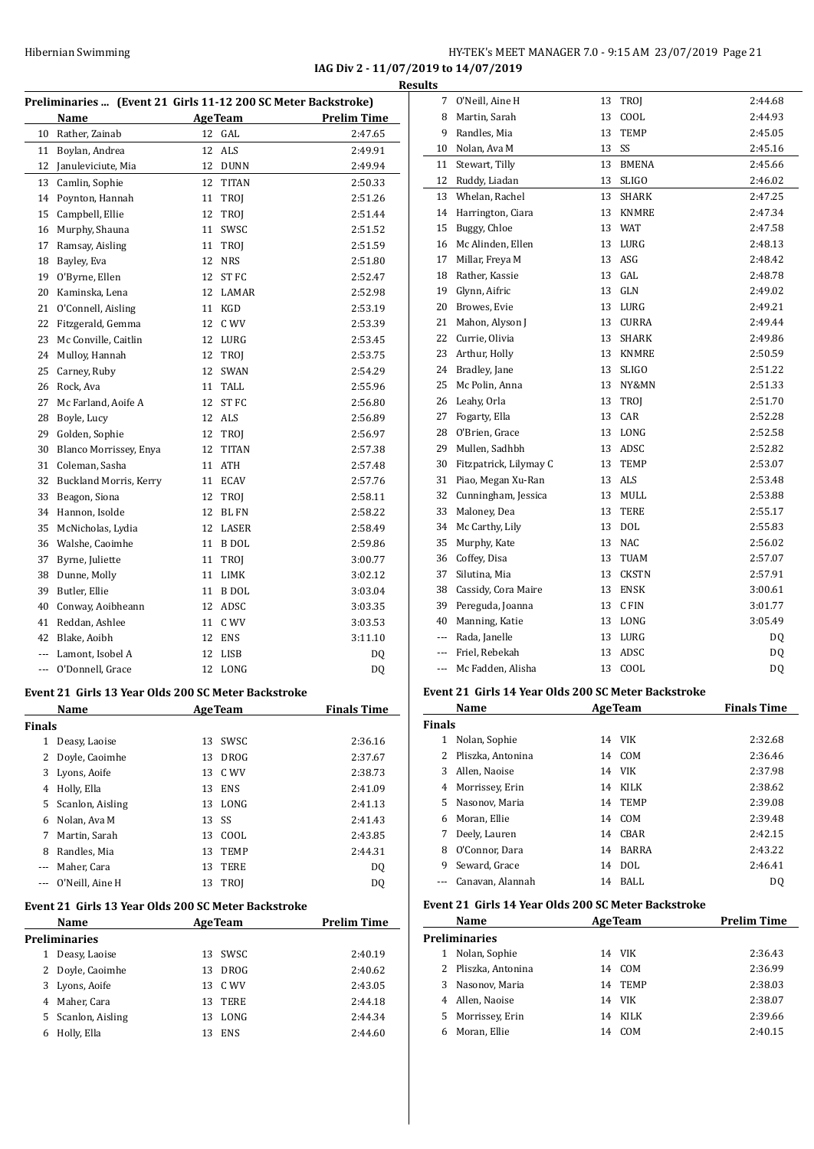#### HY-TEK's MEET MANAGER 7.0 - 9:15 AM 23/07/2019 Page 21 **IAG Div 2 - 11/07/2019 to 14/07/2019**

**Results**

|                | Preliminaries  (Event 21 Girls 11-12 200 SC Meter Backstroke)      |    |                        |                    |
|----------------|--------------------------------------------------------------------|----|------------------------|--------------------|
|                | Name                                                               |    | <b>AgeTeam</b>         | <b>Prelim Time</b> |
| 10             | Rather, Zainab                                                     | 12 | GAL                    | 2:47.65            |
| 11             | Boylan, Andrea                                                     | 12 | ALS                    | 2:49.91            |
| 12             | Januleviciute, Mia                                                 | 12 | <b>DUNN</b>            | 2:49.94            |
| 13             | Camlin, Sophie                                                     | 12 | <b>TITAN</b>           | 2:50.33            |
| 14             | Poynton, Hannah                                                    | 11 | <b>TROJ</b>            | 2:51.26            |
| 15             | Campbell, Ellie                                                    | 12 | TROJ                   | 2:51.44            |
| 16             | Murphy, Shauna                                                     | 11 | SWSC                   | 2:51.52            |
| 17             | Ramsay, Aisling                                                    | 11 | <b>TROJ</b>            | 2:51.59            |
| 18             | Bayley, Eva                                                        | 12 | <b>NRS</b>             | 2:51.80            |
| 19             | O'Byrne, Ellen                                                     | 12 | ST FC                  | 2:52.47            |
| 20             | Kaminska, Lena                                                     |    | 12 LAMAR               | 2:52.98            |
| 21             | O'Connell, Aisling                                                 | 11 | KGD                    | 2:53.19            |
| 22             | Fitzgerald, Gemma                                                  | 12 | C WV                   | 2:53.39            |
| 23             | Mc Conville, Caitlin                                               | 12 | LURG                   | 2:53.45            |
| 24             | Mulloy, Hannah                                                     | 12 | <b>TROJ</b>            | 2:53.75            |
| 25             | Carney, Ruby                                                       | 12 | <b>SWAN</b>            | 2:54.29            |
| 26             | Rock, Ava                                                          | 11 | TALL.                  | 2:55.96            |
| 27             | Mc Farland, Aoife A                                                | 12 | ST FC                  | 2:56.80            |
| 28             | Boyle, Lucy                                                        | 12 | ALS                    | 2:56.89            |
| 29             | Golden, Sophie                                                     | 12 | TROI                   | 2:56.97            |
| 30             | Blanco Morrissey, Enya                                             | 12 | <b>TITAN</b>           | 2:57.38            |
| 31             | Coleman, Sasha                                                     | 11 | ATH                    | 2:57.48            |
| 32             | Buckland Morris, Kerry                                             | 11 | <b>ECAV</b>            | 2:57.76            |
| 33             | Beagon, Siona                                                      | 12 | TROJ                   | 2:58.11            |
| 34             | Hannon, Isolde                                                     | 12 | <b>BL FN</b>           | 2:58.22            |
| 35             | McNicholas, Lydia                                                  | 12 | LASER                  | 2:58.49            |
|                | 36 Walshe, Caoimhe                                                 | 11 | B DOL                  | 2:59.86            |
| 37             | Byrne, Juliette                                                    | 11 | <b>TROJ</b>            | 3:00.77            |
| 38             | Dunne, Molly                                                       | 11 | LIMK                   | 3:02.12            |
| 39             | Butler, Ellie                                                      | 11 | B DOL                  | 3:03.04            |
| 40             |                                                                    |    | 12 ADSC                | 3:03.35            |
| 41             | Conway, Aoibheann<br>Reddan, Ashlee                                |    | 11 C WV                | 3:03.53            |
|                |                                                                    |    |                        |                    |
| 42             | Blake, Aoibh                                                       |    | 12 ENS                 | 3:11.10            |
| $\overline{a}$ | Lamont. Isobel A                                                   | 12 | <b>LISB</b><br>12 LONG | DQ                 |
| $\cdots$       | O'Donnell, Grace                                                   |    |                        | DQ                 |
|                | Event 21 Girls 13 Year Olds 200 SC Meter Backstroke<br><u>Name</u> |    | <b>AgeTeam</b>         | <b>Finals Time</b> |
| <b>Finals</b>  |                                                                    |    |                        |                    |
|                | Deasy, Laoise                                                      |    | 13 SWSC                | 2:36.16            |
| 1              |                                                                    |    |                        |                    |
|                |                                                                    |    |                        |                    |
| 2              | Doyle, Caoimhe                                                     | 13 | DROG                   | 2:37.67            |
|                | 3 Lyons, Aoife                                                     |    | 13 C WV                | 2:38.73            |
|                | 4 Holly, Ella                                                      | 13 | ENS                    | 2:41.09            |
|                | 5 Scanlon, Aisling                                                 | 13 | LONG                   | 2:41.13            |
|                | 6 Nolan, Ava M                                                     | 13 | SS                     | 2:41.43            |
|                | 7 Martin, Sarah                                                    |    | 13 COOL                | 2:43.85            |
|                | 8 Randles, Mia                                                     |    | 13 TEMP                |                    |
|                | --- Maher, Cara                                                    | 13 | TERE                   | 2:44.31<br>DQ      |
| ---            | O'Neill, Aine H                                                    | 13 | TROJ                   | DQ                 |
|                | Event 21 Girls 13 Year Olds 200 SC Meter Backstroke<br>Name        |    | <b>AgeTeam</b>         | <b>Prelim Time</b> |
|                | Preliminaries                                                      |    |                        |                    |
| 1              | Deasy, Laoise                                                      | 13 | SWSC                   | 2:40.19            |
| 2              |                                                                    | 13 | DROG                   | 2:40.62            |
|                | Doyle, Caoimhe                                                     |    |                        | 2:43.05            |
|                | 3 Lyons, Aoife                                                     | 13 | 13 C WV                | 2:44.18            |
| 5              | 4 Maher, Cara<br>Scanlon, Aisling                                  | 13 | TERE<br>LONG           | 2:44.34            |

| <u>uits</u>   |                                                     |    |                |                    |
|---------------|-----------------------------------------------------|----|----------------|--------------------|
| 7             | O'Neill, Aine H                                     | 13 | TROJ           | 2:44.68            |
| 8             | Martin, Sarah                                       | 13 | COOL           | 2:44.93            |
| 9             | Randles, Mia                                        | 13 | <b>TEMP</b>    | 2:45.05            |
| 10            | Nolan, Ava M                                        | 13 | SS             | 2:45.16            |
| 11            | Stewart, Tilly                                      | 13 | <b>BMENA</b>   | 2:45.66            |
| 12            | Ruddy, Liadan                                       | 13 | <b>SLIGO</b>   | 2:46.02            |
| 13            | Whelan, Rachel                                      | 13 | SHARK          | 2:47.25            |
| 14            | Harrington, Ciara                                   | 13 | <b>KNMRE</b>   | 2:47.34            |
| 15            | Buggy, Chloe                                        | 13 | WAT            | 2:47.58            |
| 16            | Mc Alinden, Ellen                                   | 13 | LURG           | 2:48.13            |
| 17            | Millar, Freya M                                     | 13 | ASG            | 2:48.42            |
| 18            | Rather, Kassie                                      |    | 13 GAL         | 2:48.78            |
|               | 19 Glynn, Aifric                                    |    | 13 GLN         | 2:49.02            |
| 20            | Browes, Evie                                        |    | 13 LURG        | 2:49.21            |
| 21            | Mahon, Alyson J                                     |    | 13 CURRA       | 2:49.44            |
| 22            | Currie, Olivia                                      | 13 | SHARK          | 2:49.86            |
| 23            | Arthur, Holly                                       |    | 13 KNMRE       | 2:50.59            |
|               | 24 Bradley, Jane                                    | 13 | <b>SLIGO</b>   | 2:51.22            |
| 25            | Mc Polin, Anna                                      | 13 | NY&MN          | 2:51.33            |
| 26            | Leahy, Orla                                         | 13 | TROJ           | 2:51.70            |
| 27            | Fogarty, Ella                                       | 13 | CAR            | 2:52.28            |
| 28            | O'Brien, Grace                                      | 13 | LONG           | 2:52.58            |
|               | 29 Mullen, Sadhbh                                   |    | 13 ADSC        | 2:52.82            |
| 30            | Fitzpatrick, Lilymay C                              | 13 | <b>TEMP</b>    | 2:53.07            |
| 31            | Piao, Megan Xu-Ran                                  | 13 | ALS            | 2:53.48            |
| 32            | Cunningham, Jessica                                 |    | 13 MULL        | 2:53.88            |
| 33            | Maloney, Dea                                        | 13 | TERE           | 2:55.17            |
| 34            | Mc Carthy, Lily                                     | 13 | DOL            | 2:55.83            |
| 35            | Murphy, Kate                                        |    | 13 NAC         | 2:56.02            |
| 36            | Coffey, Disa                                        | 13 | TUAM           | 2:57.07            |
| 37            | Silutina, Mia                                       | 13 | CKSTN          | 2:57.91            |
| 38            | Cassidy, Cora Maire                                 | 13 | ENSK           | 3:00.61            |
| 39            | Pereguda, Joanna                                    | 13 | C FIN          | 3:01.77            |
| 40            | Manning, Katie                                      |    | 13 LONG        | 3:05.49            |
|               | --- Rada, Janelle                                   | 13 | LURG           | DQ                 |
| $---$         | Friel, Rebekah                                      | 13 | ADSC           | DQ                 |
| ---           | Mc Fadden, Alisha                                   |    | 13 COOL        | DQ                 |
|               | Event 21 Girls 14 Year Olds 200 SC Meter Backstroke |    |                |                    |
|               | <b>Name</b>                                         |    | <b>AgeTeam</b> | <b>Finals Time</b> |
| <b>Finals</b> |                                                     |    |                |                    |
| 1             | Nolan, Sophie                                       |    | 14 VIK         | 2:32.68            |
| 2             | Pliszka, Antonina                                   | 14 | COM            | 2:36.46            |
| 3             | Allen, Naoise                                       | 14 | <b>VIK</b>     | 2:37.98            |
| 4             | Morrissey, Erin                                     | 14 | KILK           | 2:38.62            |
| 5             | Nasonov, Maria                                      | 14 | TEMP           | 2:39.08            |
| 6             | Moran, Ellie                                        | 14 | COM            | 2:39.48            |
| 7             | Deely, Lauren                                       | 14 | CBAR           | 2:42.15            |

#### **Event 21 Girls 14 Year Olds 200 SC Meter Backstroke**

 $\overline{a}$ 

|    | Name                |    | <b>AgeTeam</b> | <b>Prelim Time</b> |
|----|---------------------|----|----------------|--------------------|
|    | Preliminaries       |    |                |                    |
| 1  | Nolan, Sophie       |    | 14 VIK         | 2:36.43            |
|    | 2 Pliszka, Antonina | 14 | COM            | 2:36.99            |
| 3  | Nasonov, Maria      | 14 | <b>TEMP</b>    | 2:38.03            |
| 4  | Allen, Naoise       |    | 14 VIK         | 2:38.07            |
| 5. | Morrissey, Erin     | 14 | KILK           | 2:39.66            |
| 6  | Moran, Ellie        | 14 | COM            | 2:40.15            |
|    |                     |    |                |                    |

 O'Connor, Dara 14 BARRA 2:43.22 Seward, Grace 14 DOL 2:46.41 --- Canavan, Alannah 14 BALL DQ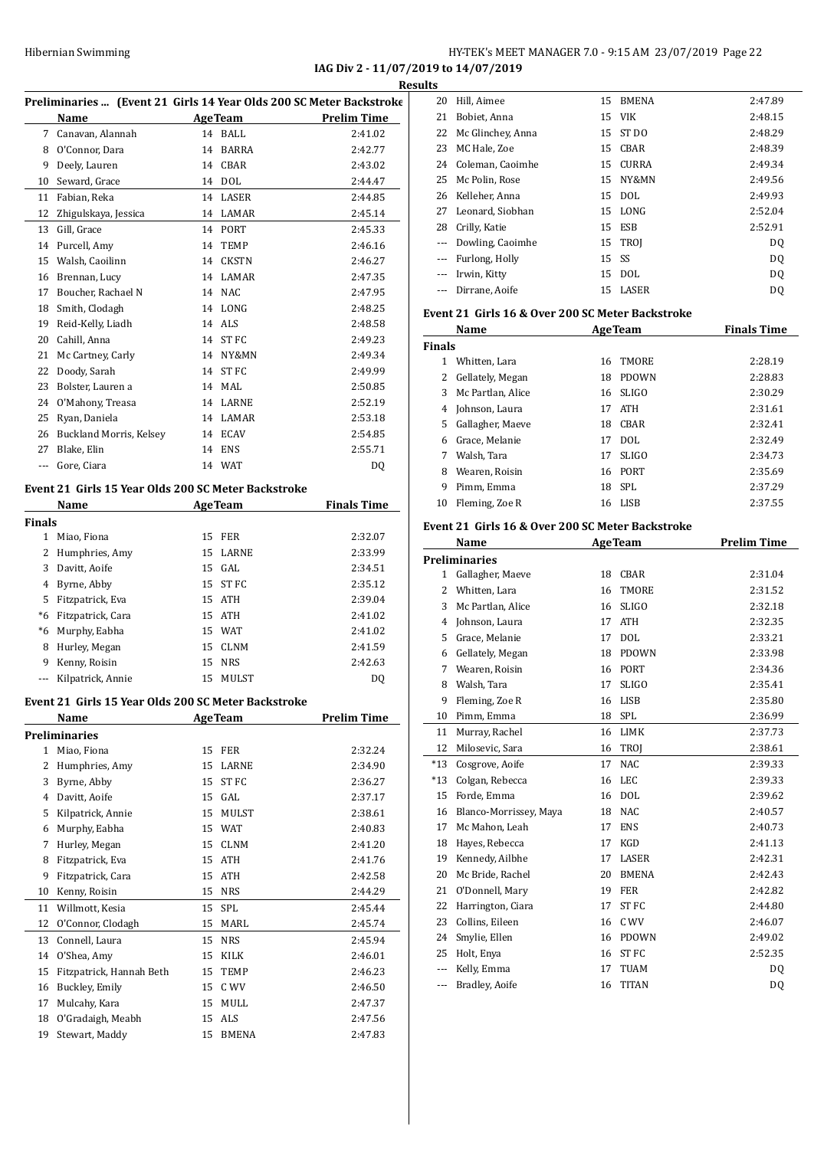#### HY-TEK's MEET MANAGER 7.0 - 9:15 AM 23/07/2019 Page 22 **IAG Div 2 - 11/07/2019 to 14/07/2019**

**Results**

| Preliminaries  (Event 21 Girls 14 Year Olds 200 SC Meter Backstroke |                                                     |    |                |                    |
|---------------------------------------------------------------------|-----------------------------------------------------|----|----------------|--------------------|
|                                                                     | Name                                                |    | <b>AgeTeam</b> | <b>Prelim Time</b> |
| $7^{\circ}$                                                         | Canavan, Alannah                                    |    | 14 BALL        | 2:41.02            |
| 8                                                                   | O'Connor, Dara                                      | 14 | BARRA          | 2:42.77            |
| 9                                                                   | Deely, Lauren                                       | 14 | <b>CBAR</b>    | 2:43.02            |
| 10                                                                  | Seward, Grace                                       | 14 | <b>DOL</b>     | 2:44.47            |
| 11                                                                  | Fabian, Reka                                        | 14 | <b>LASER</b>   | 2:44.85            |
| 12                                                                  | Zhigulskaya, Jessica                                | 14 | LAMAR          | 2:45.14            |
| 13                                                                  | Gill, Grace                                         | 14 | PORT           | 2:45.33            |
| 14                                                                  | Purcell, Amy                                        | 14 | <b>TEMP</b>    | 2:46.16            |
| 15                                                                  | Walsh, Caoilinn                                     | 14 | <b>CKSTN</b>   | 2:46.27            |
| 16                                                                  | Brennan, Lucy                                       | 14 | LAMAR          | 2:47.35            |
| 17                                                                  | Boucher, Rachael N                                  | 14 | NAC            | 2:47.95            |
| 18                                                                  | Smith, Clodagh                                      | 14 | LONG           | 2:48.25            |
| 19                                                                  | Reid-Kelly, Liadh                                   |    | 14 ALS         | 2:48.58            |
| 20                                                                  | Cahill, Anna                                        | 14 | <b>STFC</b>    | 2:49.23            |
| 21                                                                  | Mc Cartney, Carly                                   | 14 | NY&MN          | 2:49.34            |
| 22                                                                  | Doody, Sarah                                        | 14 | ST FC          | 2:49.99            |
| 23                                                                  | Bolster, Lauren a                                   | 14 | MAL            | 2:50.85            |
| 24                                                                  | O'Mahony, Treasa                                    | 14 | LARNE          | 2:52.19            |
| 25                                                                  | Ryan, Daniela                                       | 14 | LAMAR          | 2:53.18            |
| 26                                                                  | Buckland Morris, Kelsey                             | 14 | ECAV           | 2:54.85            |
| 27                                                                  | Blake, Elin                                         | 14 | <b>ENS</b>     | 2:55.71            |
| ---                                                                 | Gore, Ciara                                         |    | 14 WAT         | DQ                 |
|                                                                     | Event 21 Girls 15 Year Olds 200 SC Meter Backstroke |    |                |                    |
|                                                                     | Name                                                |    | <b>AgeTeam</b> | <b>Finals Time</b> |
| <b>Finals</b>                                                       |                                                     |    |                |                    |
| 1                                                                   | Miao, Fiona                                         |    | <b>15 FER</b>  | 2:32.07            |
|                                                                     | 2 Humphrice Amy                                     |    | 1E IADNE       | 2.22 OO            |

|    | 2 Humphries, Amy      | 15 LARNE | 2:33.99 |
|----|-----------------------|----------|---------|
| 3  | Davitt, Aoife         | 15 GAL   | 2:34.51 |
|    | 4 Byrne, Abby         | 15 ST FC | 2:35.12 |
| 5. | Fitzpatrick, Eva      | 15 ATH   | 2:39.04 |
| *6 | Fitzpatrick, Cara     | 15 ATH   | 2:41.02 |
| *6 | Murphy, Eabha         | 15 WAT   | 2:41.02 |
| 8  | Hurley, Megan         | 15 CLNM  | 2:41.59 |
| 9  | Kenny, Roisin         | 15 NRS   | 2:42.63 |
|    | --- Kilpatrick, Annie | 15 MULST | DO      |

#### **Event 21 Girls 15 Year Olds 200 SC Meter Backstroke**

|                | Name                     |    | <b>AgeTeam</b> | Prelim Time |
|----------------|--------------------------|----|----------------|-------------|
|                | Preliminaries            |    |                |             |
| 1              | Miao, Fiona              | 15 | <b>FER</b>     | 2:32.24     |
| 2              | Humphries, Amy           | 15 | LARNE          | 2:34.90     |
| 3              | Byrne, Abby              | 15 | ST FC          | 2:36.27     |
| $\overline{4}$ | Davitt, Aoife            | 15 | GAL            | 2:37.17     |
| 5              | Kilpatrick, Annie        | 15 | <b>MULST</b>   | 2:38.61     |
| 6              | Murphy, Eabha            | 15 | <b>WAT</b>     | 2:40.83     |
| 7              | Hurley, Megan            | 15 | <b>CLNM</b>    | 2:41.20     |
| 8              | Fitzpatrick, Eva         | 15 | <b>ATH</b>     | 2:41.76     |
| 9              | Fitzpatrick, Cara        | 15 | <b>ATH</b>     | 2:42.58     |
| 10             | Kenny, Roisin            | 15 | <b>NRS</b>     | 2:44.29     |
| 11             | Willmott, Kesia          | 15 | <b>SPL</b>     | 2:45.44     |
| 12             | O'Connor, Clodagh        | 15 | MARL           | 2:45.74     |
| 13             | Connell, Laura           | 15 | <b>NRS</b>     | 2:45.94     |
| 14             | O'Shea, Amy              | 15 | <b>KILK</b>    | 2:46.01     |
| 15             | Fitzpatrick, Hannah Beth | 15 | <b>TEMP</b>    | 2:46.23     |
| 16             | Buckley, Emily           | 15 | C WV           | 2:46.50     |
| 17             | Mulcahy, Kara            | 15 | MULL           | 2:47.37     |
| 18             | O'Gradaigh, Meabh        | 15 | <b>ALS</b>     | 2:47.56     |
| 19             | Stewart, Maddy           | 15 | <b>BMENA</b>   | 2:47.83     |

| ιls      |                     |       |                     |                |
|----------|---------------------|-------|---------------------|----------------|
| 20       | Hill, Aimee         | 15    | <b>BMENA</b>        | 2:47.89        |
| 21       | Bobiet, Anna        |       | 15 VIK              | 2:48.15        |
| 22       | Mc Glinchey, Anna   |       | 15 ST DO            | 2:48.29        |
| 23       | MC Hale, Zoe        |       | 15 CBAR             | 2:48.39        |
|          | 24 Coleman, Caoimhe |       | 15 CURRA            | 2:49.34        |
| 25       | Mc Polin, Rose      |       | <b>15 NY&amp;MN</b> | 2:49.56        |
| 26       | Kelleher, Anna      |       | 15 DOL              | 2:49.93        |
|          | 27 Leonard, Siobhan |       | 15 LONG             | 2:52.04        |
| 28       | Crilly, Katie       |       | 15 ESB              | 2:52.91        |
| $\cdots$ | Dowling, Caoimhe    |       | 15 TROI             | DQ             |
|          | Furlong, Holly      | 15 SS |                     | D <sub>0</sub> |
|          | Irwin, Kitty        |       | 15 DOL              | DQ             |
|          | Dirrane, Aoife      |       | 15 LASER            | DQ             |
|          |                     |       |                     |                |

#### **Event 21 Girls 16 & Over 200 SC Meter Backstroke**

| Name          |                   |    | <b>AgeTeam</b> | <b>Finals Time</b> |  |
|---------------|-------------------|----|----------------|--------------------|--|
| <b>Finals</b> |                   |    |                |                    |  |
|               | Whitten, Lara     | 16 | <b>TMORE</b>   | 2:28.19            |  |
| 2             | Gellately, Megan  | 18 | <b>PDOWN</b>   | 2:28.83            |  |
| 3             | Mc Partlan, Alice | 16 | <b>SLIGO</b>   | 2:30.29            |  |
| 4             | Johnson, Laura    | 17 | ATH            | 2:31.61            |  |
| 5.            | Gallagher, Maeve  | 18 | <b>CBAR</b>    | 2:32.41            |  |
| 6             | Grace, Melanie    | 17 | DOL.           | 2:32.49            |  |
| 7             | Walsh, Tara       | 17 | <b>SLIGO</b>   | 2:34.73            |  |
| 8             | Wearen, Roisin    | 16 | <b>PORT</b>    | 2:35.69            |  |
| 9             | Pimm, Emma        | 18 | <b>SPL</b>     | 2:37.29            |  |
| 10            | Fleming, Zoe R    |    | 16 LISB        | 2:37.55            |  |

#### **Event 21 Girls 16 & Over 200 SC Meter Backstroke**

|              | <b>Name</b>            | <b>AgeTeam</b> |              | <b>Prelim Time</b> |
|--------------|------------------------|----------------|--------------|--------------------|
|              | <b>Preliminaries</b>   |                |              |                    |
| $\mathbf{1}$ | Gallagher, Maeve       | 18             | CBAR         | 2:31.04            |
| 2            | Whitten, Lara          | 16             | <b>TMORE</b> | 2:31.52            |
| 3            | Mc Partlan, Alice      | 16             | <b>SLIGO</b> | 2:32.18            |
| 4            | Johnson, Laura         | 17             | <b>ATH</b>   | 2:32.35            |
| 5            | Grace, Melanie         | 17             | <b>DOL</b>   | 2:33.21            |
| 6            | Gellately, Megan       | 18             | <b>PDOWN</b> | 2:33.98            |
| 7            | Wearen, Roisin         | 16             | <b>PORT</b>  | 2:34.36            |
| 8            | Walsh, Tara            | 17             | <b>SLIGO</b> | 2:35.41            |
| 9            | Fleming, Zoe R         | 16             | <b>LISB</b>  | 2:35.80            |
| 10           | Pimm, Emma             | 18             | SPL          | 2:36.99            |
| 11           | Murray, Rachel         | 16             | <b>LIMK</b>  | 2:37.73            |
| 12           | Milosevic, Sara        | 16             | TROJ         | 2:38.61            |
| $*13$        | Cosgrove, Aoife        | 17             | <b>NAC</b>   | 2:39.33            |
| $*13$        | Colgan, Rebecca        | 16             | <b>LEC</b>   | 2:39.33            |
| 15           | Forde, Emma            | 16             | <b>DOL</b>   | 2:39.62            |
| 16           | Blanco-Morrissey, Maya | 18             | <b>NAC</b>   | 2:40.57            |
| 17           | Mc Mahon, Leah         | 17             | <b>ENS</b>   | 2:40.73            |
| 18           | Hayes, Rebecca         | 17             | KGD          | 2:41.13            |
| 19           | Kennedy, Ailbhe        | 17             | <b>LASER</b> | 2:42.31            |
| 20           | Mc Bride, Rachel       | 20             | <b>BMENA</b> | 2:42.43            |
| 21           | O'Donnell, Mary        | 19             | <b>FER</b>   | 2:42.82            |
| 22           | Harrington, Ciara      | 17             | <b>STFC</b>  | 2:44.80            |
| 23           | Collins, Eileen        | 16             | C WV         | 2:46.07            |
| 24           | Smylie, Ellen          | 16             | <b>PDOWN</b> | 2:49.02            |
| 25           | Holt, Enya             | 16             | <b>STFC</b>  | 2:52.35            |
| $---$        | Kelly, Emma            | 17             | <b>TUAM</b>  | DQ                 |
| ---          | Bradley, Aoife         | 16             | <b>TITAN</b> | DQ                 |
|              |                        |                |              |                    |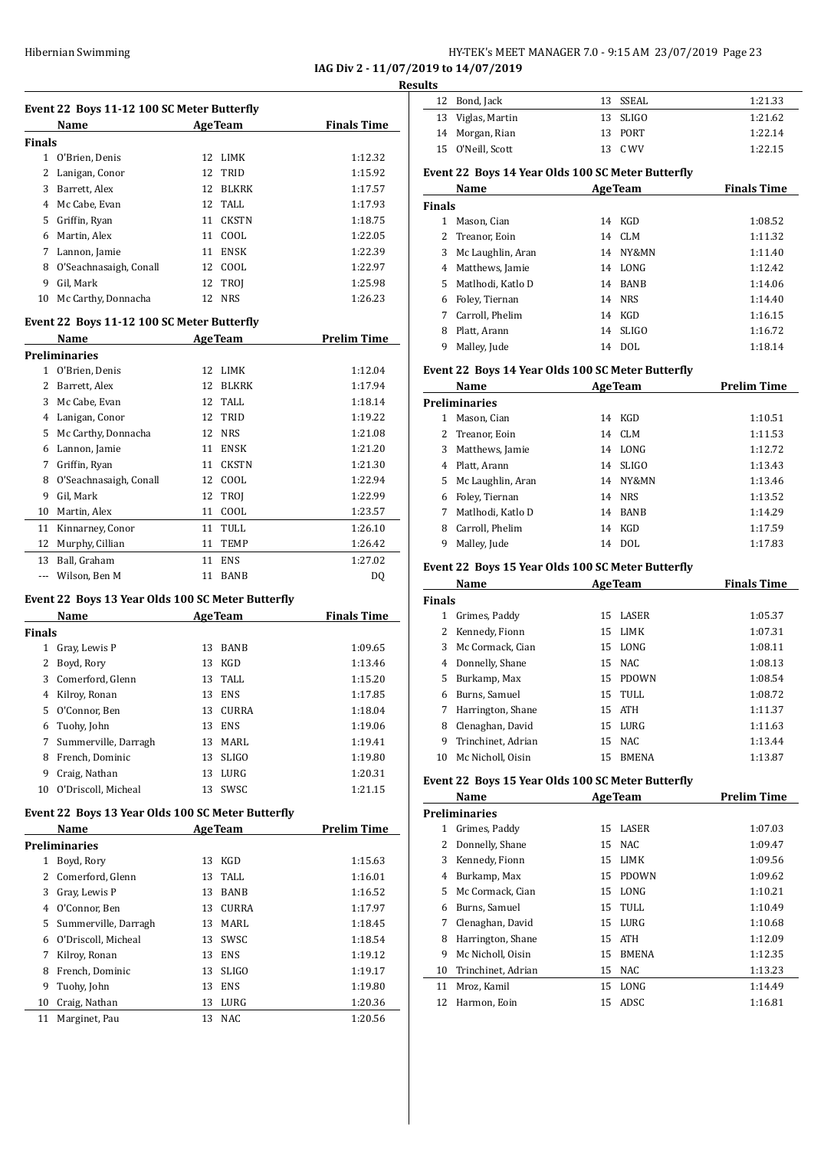# Hibernian Swimming HY-TEK's MEET MANAGER 7.0 - 9:15 AM 23/07/2019 Page 23

**IAG Div 2 - 11/07/2019 to 14/07/2019**

**Results**

|               |                                                   |                    | $\frac{1}{2}$<br><b>Resul</b> |
|---------------|---------------------------------------------------|--------------------|-------------------------------|
|               | Event 22 Boys 11-12 100 SC Meter Butterfly        |                    |                               |
|               | Name AgeTeam                                      |                    | <b>Finals Time</b>            |
| <b>Finals</b> |                                                   |                    |                               |
|               | 1 O'Brien, Denis                                  | 12 LIMK            | 1:12.32                       |
|               | 2 Lanigan, Conor                                  | 12 TRID            | 1:15.92                       |
| 3             | Barrett, Alex                                     | 12 BLKRK           | 1:17.57                       |
|               | 4 Mc Cabe, Evan                                   | 12 TALL            | 1:17.93                       |
|               | 5 Griffin, Ryan                                   | 11 CKSTN           | 1:18.75                       |
|               | 6 Martin, Alex                                    | 11 COOL            | 1:22.05                       |
|               | 7 Lannon, Jamie                                   | 11 ENSK            | 1:22.39                       |
|               | 8 O'Seachnasaigh, Conall                          | 12 COOL            | 1:22.97                       |
|               | 9 Gil, Mark                                       | 12 TROJ            | 1:25.98                       |
|               | 10 Mc Carthy, Donnacha                            | 12 NRS             | 1:26.23                       |
|               | Event 22 Boys 11-12 100 SC Meter Butterfly        |                    |                               |
|               | Name AgeTeam                                      |                    | <b>Prelim Time</b>            |
|               | <b>Preliminaries</b>                              |                    |                               |
|               | 1 O'Brien, Denis                                  | 12 LIMK            | 1:12.04                       |
|               | 2 Barrett, Alex                                   | 12 BLKRK           | 1:17.94                       |
|               | 3 Mc Cabe, Evan                                   | 12 TALL            | 1:18.14                       |
|               | 4 Lanigan, Conor                                  | 12 TRID            | 1:19.22                       |
|               | 5 Mc Carthy, Donnacha                             | 12 NRS             | 1:21.08                       |
|               | 6 Lannon, Jamie                                   | 11 ENSK            | 1:21.20                       |
|               | 7 Griffin, Ryan                                   | 11 CKSTN           | 1:21.30                       |
|               | 8 O'Seachnasaigh, Conall                          | 12 COOL            | 1:22.94                       |
|               | 9 Gil, Mark                                       | 12 TROJ            | 1:22.99                       |
|               | 10 Martin, Alex                                   | 11 COOL            | 1:23.57                       |
| 11            | Kinnarney, Conor                                  | 11 TULL            | 1:26.10                       |
| 12            | Murphy, Cillian                                   | 11 TEMP            | 1:26.42                       |
| 13            | Ball, Graham                                      | 11 ENS             | 1:27.02                       |
|               | --- Wilson, Ben M                                 | 11 BANB            | DQ                            |
|               | Event 22 Boys 13 Year Olds 100 SC Meter Butterfly |                    |                               |
|               | Name AgeTeam                                      |                    | <b>Finals Time</b>            |
| <b>Finals</b> |                                                   |                    |                               |
|               | 1 Gray, Lewis P                                   | 13<br>BANB         | 1:09.65                       |
| 2             | Boyd, Rory                                        | KGD<br>13          | 1:13.46                       |
| 3             | Comerford, Glenn                                  | TALL<br>13         | 1:15.20                       |
|               | 4 Kilroy, Ronan                                   | 13 ENS             | 1:17.85                       |
|               | 5 O'Connor, Ben                                   | 13 CURRA           | 1:18.04                       |
|               | 6 Tuohy, John                                     | 13 ENS             | 1:19.06                       |
| 7             | Summerville, Darragh                              | 13 MARL            | 1:19.41                       |
| 8             | French, Dominic                                   | 13 SLIGO           | 1:19.80                       |
| 9             | Craig, Nathan                                     | 13 LURG            | 1:20.31                       |
|               | 10 O'Driscoll, Micheal                            | SWSC<br>13         | 1:21.15                       |
|               | Event 22 Boys 13 Year Olds 100 SC Meter Butterfly |                    |                               |
|               | Name                                              | AgeTeam            | <b>Prelim Time</b>            |
|               | <b>Preliminaries</b>                              |                    |                               |
| $\mathbf{1}$  | Boyd, Rory                                        | 13 KGD             | 1:15.63                       |
|               | 2 Comerford, Glenn                                | 13<br>TALL         | 1:16.01                       |
| 3             | Gray, Lewis P                                     | 13 BANB            | 1:16.52                       |
|               | 4 O'Connor, Ben                                   | 13 CURRA           | 1:17.97                       |
| 5             | Summerville, Darragh                              | 13 MARL            | 1:18.45                       |
|               | 6 O'Driscoll, Micheal                             | 13 SWSC            | 1:18.54                       |
| 7             | Kilroy, Ronan                                     | 13 ENS             | 1:19.12                       |
| 8             | French, Dominic                                   | 13<br><b>SLIGO</b> | 1:19.17                       |
| 9             | Tuohy, John                                       | 13 ENS             | 1:19.80                       |
| 10            | Craig, Nathan                                     | 13 LURG            | 1:20.36                       |

11 Marginet, Pau 13 NAC 1:20.56

12 Bond, Jack 13 SSEAL 1:21.33 13 Viglas, Martin 13 SLIGO 1:21.62 14 Morgan, Rian 13 PORT 1:22.14 O'Neill, Scott 13 C WV 1:22.15

#### **Event 22 Boys 14 Year Olds 100 SC Meter Butterfly**

|        | Name              | <b>AgeTeam</b> |             | <b>Finals Time</b> |
|--------|-------------------|----------------|-------------|--------------------|
| Finals |                   |                |             |                    |
| 1      | Mason, Cian       | 14             | KGD         | 1:08.52            |
|        | 2 Treanor, Eoin   | 14             | CLM         | 1:11.32            |
| 3      | Mc Laughlin, Aran | 14             | NY&MN       | 1:11.40            |
| 4      | Matthews, Jamie   |                | 14 LONG     | 1:12.42            |
| 5.     | Matlhodi, Katlo D | 14             | <b>BANB</b> | 1:14.06            |
| 6      | Foley, Tiernan    |                | 14 NRS      | 1:14.40            |
| 7      | Carroll, Phelim   | 14             | KGD         | 1:16.15            |
| 8      | Platt, Arann      |                | $14$ SLIGO  | 1:16.72            |
| 9      | Malley, Jude      | 14             | DOL.        | 1:18.14            |

#### **Event 22 Boys 14 Year Olds 100 SC Meter Butterfly**

|    | Name              | <b>AgeTeam</b> |          | <b>Prelim Time</b> |  |  |
|----|-------------------|----------------|----------|--------------------|--|--|
|    | Preliminaries     |                |          |                    |  |  |
| 1  | Mason, Cian       | 14             | KGD      | 1:10.51            |  |  |
| 2  | Treanor, Eoin     |                | 14 CLM   | 1:11.53            |  |  |
| 3  | Matthews, Jamie   |                | 14 LONG  | 1:12.72            |  |  |
| 4  | Platt, Arann      |                | 14 SLIGO | 1:13.43            |  |  |
| 5. | Mc Laughlin, Aran |                | 14 NY&MN | 1:13.46            |  |  |
| 6  | Foley, Tiernan    |                | 14 NRS   | 1:13.52            |  |  |
| 7  | Matlhodi, Katlo D | 14             | BANB     | 1:14.29            |  |  |
| 8  | Carroll, Phelim   | 14             | KGD      | 1:17.59            |  |  |
| 9  | Malley, Jude      | 14             | DOL.     | 1:17.83            |  |  |

#### **Event 22 Boys 15 Year Olds 100 SC Meter Butterfly**

|        | Name               | <b>AgeTeam</b> |              | <b>Finals Time</b> |
|--------|--------------------|----------------|--------------|--------------------|
| Finals |                    |                |              |                    |
| 1      | Grimes, Paddy      |                | 15 LASER     | 1:05.37            |
| 2      | Kennedy, Fionn     |                | 15 LIMK      | 1:07.31            |
| 3      | Mc Cormack, Cian   |                | 15 LONG      | 1:08.11            |
| 4      | Donnelly, Shane    |                | 15 NAC       | 1:08.13            |
| 5.     | Burkamp, Max       | 15.            | PDOWN        | 1:08.54            |
| 6      | Burns, Samuel      |                | 15 TULL      | 1:08.72            |
| 7      | Harrington, Shane  |                | 15 ATH       | 1:11.37            |
| 8      | Clenaghan, David   | 15             | LURG         | 1:11.63            |
| 9      | Trinchinet, Adrian |                | 15 NAC       | 1:13.44            |
| 10     | Mc Nicholl, Oisin  | 15             | <b>BMENA</b> | 1:13.87            |

#### **Event 22 Boys 15 Year Olds 100 SC Meter Butterfly**

|    | Name               |    | <b>AgeTeam</b> | <b>Prelim Time</b> |  |  |
|----|--------------------|----|----------------|--------------------|--|--|
|    | Preliminaries      |    |                |                    |  |  |
| 1  | Grimes, Paddy      | 15 | LASER          | 1:07.03            |  |  |
| 2  | Donnelly, Shane    | 15 | NAC.           | 1:09.47            |  |  |
| 3  | Kennedy, Fionn     | 15 | LIMK           | 1:09.56            |  |  |
| 4  | Burkamp, Max       | 15 | <b>PDOWN</b>   | 1:09.62            |  |  |
| 5. | Mc Cormack, Cian   | 15 | LONG           | 1:10.21            |  |  |
| 6  | Burns, Samuel      | 15 | TULL           | 1:10.49            |  |  |
| 7  | Clenaghan, David   | 15 | LURG           | 1:10.68            |  |  |
| 8  | Harrington, Shane  |    | 15 ATH         | 1:12.09            |  |  |
| 9  | Mc Nicholl, Oisin  | 15 | <b>BMENA</b>   | 1:12.35            |  |  |
| 10 | Trinchinet, Adrian | 15 | <b>NAC</b>     | 1:13.23            |  |  |
| 11 | Mroz, Kamil        | 15 | LONG           | 1:14.49            |  |  |
| 12 | Harmon, Eoin       | 15 | ADSC           | 1:16.81            |  |  |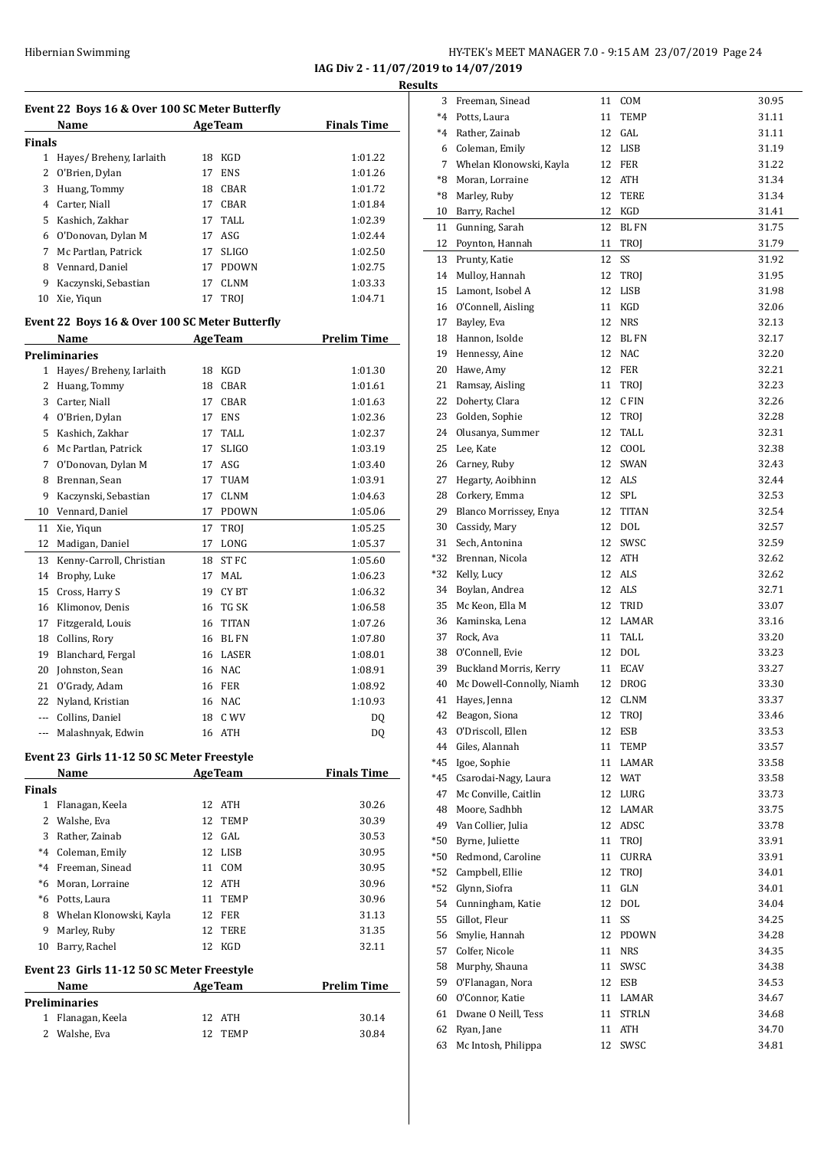**IAG Div 2 - 11/07/2019 to 14/07/2019**

|               | Event 22 Boys 16 & Over 100 SC Meter Butterfly     |                                 |                    |
|---------------|----------------------------------------------------|---------------------------------|--------------------|
|               | Name                                               | <b>AgeTeam</b>                  | <b>Finals Time</b> |
| <b>Finals</b> |                                                    |                                 |                    |
| $\mathbf{2}$  | 1 Hayes/ Breheny, Iarlaith                         | 18 KGD<br>17<br><b>ENS</b>      | 1:01.22            |
|               | O'Brien, Dylan                                     |                                 | 1:01.26            |
|               | 3 Huang, Tommy                                     | <b>CBAR</b><br>18               | 1:01.72            |
|               | 4 Carter, Niall                                    | 17<br><b>CBAR</b>               | 1:01.84            |
|               | 5 Kashich, Zakhar                                  | TALL<br>17                      | 1:02.39            |
|               | 6 O'Donovan, Dylan M                               | ASG<br>17                       | 1:02.44            |
|               | 7 Mc Partlan, Patrick                              | 17<br><b>SLIGO</b>              | 1:02.50            |
|               | 8 Vennard, Daniel                                  | 17<br><b>PDOWN</b>              | 1:02.75            |
| 9<br>10       | Kaczynski, Sebastian<br>Xie, Yiqun                 | 17<br><b>CLNM</b><br>17<br>TROJ | 1:03.33<br>1:04.71 |
|               |                                                    |                                 |                    |
|               | Event 22 Boys 16 & Over 100 SC Meter Butterfly     |                                 |                    |
|               | Name                                               | <b>AgeTeam</b>                  | <b>Prelim Time</b> |
| $\mathbf{1}$  | <b>Preliminaries</b><br>Hayes/ Breheny, Iarlaith   | 18 KGD                          | 1:01.30            |
| 2             | Huang, Tommy                                       | CBAR<br>18                      | 1:01.61            |
|               | 3 Carter, Niall                                    | 17<br><b>CBAR</b>               |                    |
|               | 4 O'Brien, Dylan                                   | 17<br>ENS                       | 1:01.63<br>1:02.36 |
|               | 5 Kashich, Zakhar                                  | 17<br>TALL                      |                    |
|               | 6 Mc Partlan, Patrick                              | 17                              | 1:02.37            |
| 7             | O'Donovan, Dylan M                                 | <b>SLIGO</b><br>17<br>ASG       | 1:03.19            |
| 8             |                                                    | TUAM<br>17                      | 1:03.40            |
|               | Brennan, Sean                                      |                                 | 1:03.91            |
| 9             | Kaczynski, Sebastian                               | 17<br><b>CLNM</b>               | 1:04.63            |
| 10            | Vennard, Daniel                                    | 17<br><b>PDOWN</b>              | 1:05.06            |
| 11            | Xie, Yiqun                                         | 17<br>TROJ                      | 1:05.25            |
| 12            | Madigan, Daniel                                    | 17<br>LONG                      | 1:05.37            |
|               | 13 Kenny-Carroll, Christian                        | ST FC<br>18                     | 1:05.60            |
| 14            | Brophy, Luke                                       | MAL<br>17                       | 1:06.23            |
| 15            | Cross, Harry S                                     | 19<br>CY BT                     | 1:06.32            |
|               | 16 Klimonov, Denis                                 | TG SK<br>16                     | 1:06.58            |
|               | 17 Fitzgerald, Louis                               | <b>TITAN</b><br>16              | 1:07.26            |
|               | 18 Collins, Rory                                   | BL FN<br>16                     | 1:07.80            |
| 19            | Blanchard, Fergal                                  | 16<br>LASER                     | 1:08.01            |
| 20            | Johnston, Sean                                     | 16<br>NAC                       | 1:08.91            |
| 21            | O'Grady, Adam                                      | 16<br>FER                       | 1:08.92            |
|               | 22 Nyland, Kristian                                | 16 NAC                          | 1:10.93            |
|               | --- Collins, Daniel                                | 18<br>C WV                      | DQ                 |
| $\cdots$      | Malashnyak, Edwin                                  | 16 ATH                          | DQ                 |
|               | Event 23 Girls 11-12 50 SC Meter Freestyle         |                                 |                    |
|               | Name                                               | <b>AgeTeam</b>                  | <b>Finals Time</b> |
| <b>Finals</b> |                                                    |                                 |                    |
|               | 1 Flanagan, Keela                                  | 12 ATH                          | 30.26              |
|               | 2 Walshe, Eva                                      | 12<br>TEMP                      | 30.39              |
|               | 3 Rather, Zainab                                   | 12 GAL                          | 30.53              |
|               | *4 Coleman, Emily                                  | LISB<br>12                      | 30.95              |
|               | *4 Freeman, Sinead                                 | 11<br>COM                       | 30.95              |
|               | *6 Moran, Lorraine                                 | 12<br>ATH                       | 30.96              |
|               | *6 Potts, Laura                                    | 11<br>TEMP                      | 30.96              |
|               | 8 Whelan Klonowski, Kayla                          | 12<br>FER                       | 31.13              |
| 9             | Marley, Ruby                                       | 12<br>TERE                      | 31.35              |
|               | 10 Barry, Rachel                                   | 12<br>KGD                       | 32.11              |
|               | Event 23 Girls 11-12 50 SC Meter Freestyle<br>Name | <b>AgeTeam</b>                  | <b>Prelim Time</b> |
|               | <b>Preliminaries</b>                               |                                 |                    |
| $\mathbf{1}$  | Flanagan, Keela                                    | 12 ATH                          | 30.14              |
|               |                                                    |                                 |                    |

| esults   |                                       |          |                            |                |
|----------|---------------------------------------|----------|----------------------------|----------------|
|          | 3 Freeman, Sinead                     | 11       | COM                        | 30.95          |
|          | *4 Potts, Laura                       | 11       | <b>TEMP</b>                | 31.11          |
|          | *4 Rather, Zainab                     | 12       | GAL                        | 31.11          |
|          | 6 Coleman, Emily                      | 12       | LISB                       | 31.19          |
|          | 7 Whelan Klonowski, Kayla             | 12       | FER                        | 31.22          |
|          | *8 Moran, Lorraine                    | 12       | ATH                        | 31.34          |
| *8       | Marley, Ruby                          | 12       | <b>TERE</b>                | 31.34          |
| 10       | Barry, Rachel                         | 12       | KGD                        | 31.41          |
| 11       | Gunning, Sarah                        | 12       | BL FN                      | 31.75          |
| 12       | Poynton, Hannah                       | 11       | TROJ                       | 31.79          |
| 13       | Prunty, Katie                         | 12       | SS                         | 31.92          |
| 14       | Mulloy, Hannah                        | 12       | <b>TROI</b>                | 31.95          |
| 15       | Lamont, Isobel A                      | 12       | LISB                       | 31.98          |
|          | 16 O'Connell, Aisling                 | 11       | KGD                        | 32.06          |
| 17       | Bayley, Eva                           | 12       | <b>NRS</b>                 | 32.13          |
| 18       | Hannon, Isolde                        | 12       | <b>BL FN</b>               | 32.17          |
| 19       | Hennessy, Aine                        | 12       | <b>NAC</b>                 | 32.20          |
| 20       | Hawe, Amy                             | 12       | FER                        | 32.21          |
| 21       | Ramsay, Aisling                       | 11       | TROJ                       | 32.23          |
| 22       | Doherty, Clara                        | 12       | C FIN                      | 32.26          |
| 23       | Golden, Sophie                        | 12       | TROJ                       | 32.28          |
| 24<br>25 | Olusanya, Summer                      | 12<br>12 | TALL<br>COOL               | 32.31<br>32.38 |
| 26       | Lee, Kate                             | 12       | <b>SWAN</b>                | 32.43          |
| 27       | Carney, Ruby<br>Hegarty, Aoibhinn     | 12       | ALS                        | 32.44          |
|          | 28 Corkery, Emma                      | 12       | SPL                        | 32.53          |
| 29       | Blanco Morrissey, Enya                | 12       | <b>TITAN</b>               | 32.54          |
|          | 30 Cassidy, Mary                      | 12       | <b>DOL</b>                 | 32.57          |
| 31       | Sech, Antonina                        | 12       | SWSC                       | 32.59          |
| *32      | Brennan, Nicola                       | 12       | <b>ATH</b>                 | 32.62          |
| *32      | Kelly, Lucy                           | 12       | <b>ALS</b>                 | 32.62          |
| 34       | Boylan, Andrea                        | 12       | ALS                        | 32.71          |
| 35       | Mc Keon, Ella M                       | 12       | TRID                       | 33.07          |
| 36       | Kaminska, Lena                        | 12       | LAMAR                      | 33.16          |
| 37       | Rock, Ava                             | 11       | TALL                       | 33.20          |
|          | 38 O'Connell, Evie                    | 12       | <b>DOL</b>                 | 33.23          |
| 39       | <b>Buckland Morris, Kerry</b>         | 11       | <b>ECAV</b>                | 33.27          |
| 40       | Mc Dowell-Connolly, Niamh             | 12       | <b>DROG</b>                | 33.30          |
| 41       | Hayes, Jenna                          |          | 12 CLNM                    | 33.37          |
| 42       | Beagon, Siona                         | 12       | TROJ                       | 33.46          |
| 43       | O'Driscoll, Ellen                     | 12       | ESB                        | 33.53          |
|          | 44 Giles, Alannah                     | 11       | TEMP                       | 33.57          |
| *45      | Igoe, Sophie                          | 11       | LAMAR                      | 33.58          |
| *45      | Csarodai-Nagy, Laura                  | 12       | WAT                        | 33.58          |
| 47       | Mc Conville, Caitlin                  | 12       | LURG                       | 33.73          |
| 48       | Moore, Sadhbh                         | 12       | LAMAR                      | 33.75          |
|          | 49 Van Collier, Julia                 | 12       | ADSC                       | 33.78          |
| $*50$    | Byrne, Juliette                       | 11       | TROJ                       | 33.91          |
| $*50$    | Redmond, Caroline                     | 11       | <b>CURRA</b>               | 33.91          |
| *52      | Campbell, Ellie                       | 12       | TROJ                       | 34.01          |
| $*52$    | Glynn, Siofra                         | 11       | GLN                        | 34.01          |
|          | 54 Cunningham, Katie<br>Gillot, Fleur | 12       | DOL                        | 34.04          |
| 55       |                                       | 11       | SS                         | 34.25          |
| 56<br>57 | Smylie, Hannah<br>Colfer, Nicole      | 12<br>11 | <b>PDOWN</b><br><b>NRS</b> | 34.28<br>34.35 |
| 58       | Murphy, Shauna                        | 11       | SWSC                       | 34.38          |
| 59       | O'Flanagan, Nora                      | 12       | ESB                        | 34.53          |
| 60       | O'Connor, Katie                       | 11       | LAMAR                      | 34.67          |
| 61       | Dwane O Neill, Tess                   | 11       | <b>STRLN</b>               | 34.68          |
| 62       | Ryan, Jane                            | 11       | ATH                        | 34.70          |
| 63       | Mc Intosh, Philippa                   | 12       | SWSC                       | 34.81          |
|          |                                       |          |                            |                |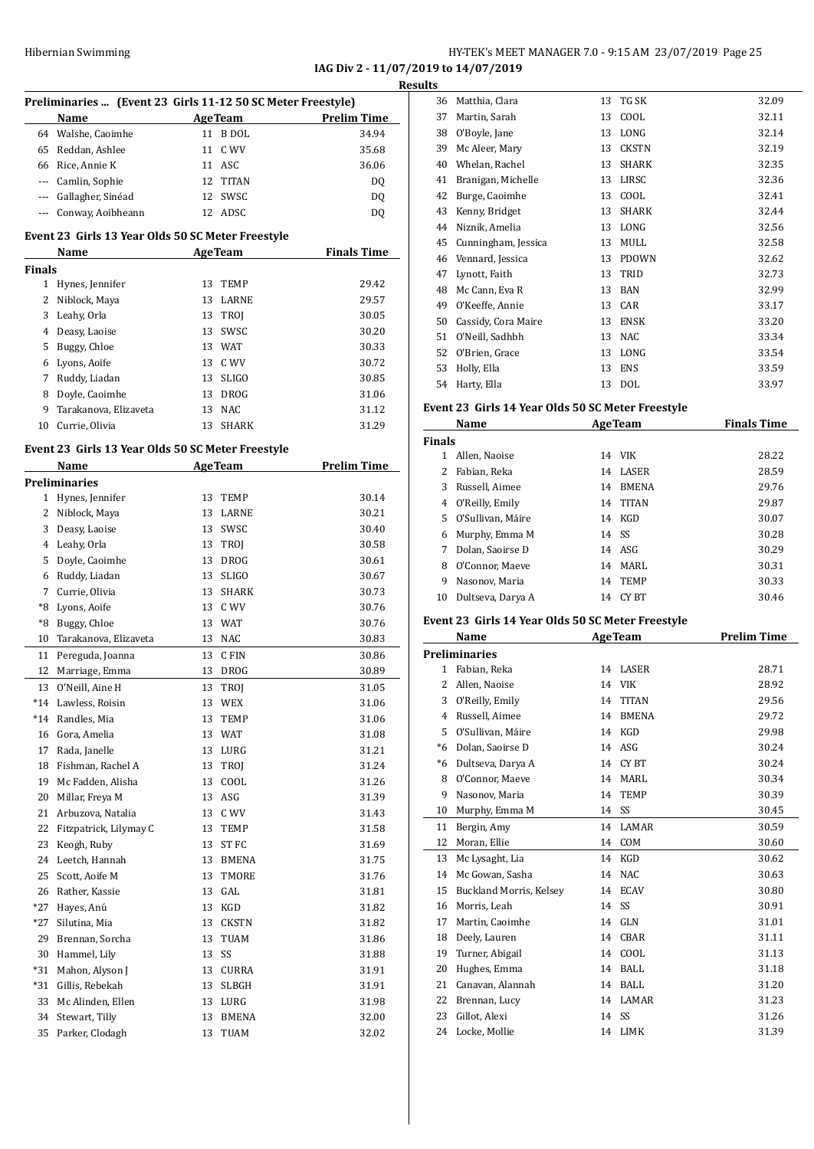# Hibernian Swimming **HY-TEK's MEET MANAGER 7.0** - 9:15 AM 23/07/2019 Page 25

**IAG Div 2 - 11/07/2019 to 14/07/2019 Results**

| Preliminaries  (Event 23 Girls 11-12 50 SC Meter Freestyle) |                                                   |    |                |                    |  |
|-------------------------------------------------------------|---------------------------------------------------|----|----------------|--------------------|--|
|                                                             | Name                                              |    | <b>AgeTeam</b> | <b>Prelim Time</b> |  |
|                                                             |                                                   |    | 11 B DOL       |                    |  |
|                                                             | 64 Walshe, Caoimhe                                |    |                | 34.94              |  |
|                                                             | 65 Reddan, Ashlee                                 | 11 | C WV           | 35.68              |  |
|                                                             | 66 Rice, Annie K                                  |    | 11 ASC         | 36.06              |  |
|                                                             | --- Camlin, Sophie                                | 12 | <b>TITAN</b>   | DQ                 |  |
|                                                             | --- Gallagher, Sinéad                             | 12 | SWSC           | DQ                 |  |
| $\cdots$                                                    | Conway, Aoibheann                                 | 12 | ADSC           | DQ                 |  |
|                                                             | Event 23 Girls 13 Year Olds 50 SC Meter Freestyle |    |                |                    |  |
|                                                             | Name                                              |    | <b>AgeTeam</b> | <b>Finals Time</b> |  |
| <b>Finals</b>                                               |                                                   |    |                |                    |  |
|                                                             | 1 Hynes, Jennifer                                 | 13 | TEMP           | 29.42              |  |
|                                                             | 2 Niblock, Maya                                   | 13 | LARNE          | 29.57              |  |
|                                                             | 3 Leahy, Orla                                     | 13 | TROJ           | 30.05              |  |
|                                                             | 4 Deasy, Laoise                                   | 13 | SWSC           | 30.20              |  |
|                                                             | 5 Buggy, Chloe                                    |    | 13 WAT         | 30.33              |  |
|                                                             | 6 Lyons, Aoife                                    |    | 13 C WV        | 30.72              |  |
| 7                                                           | Ruddy, Liadan                                     | 13 | <b>SLIGO</b>   | 30.85              |  |
|                                                             |                                                   |    | <b>DROG</b>    |                    |  |
| 8<br>9                                                      | Doyle, Caoimhe                                    | 13 |                | 31.06              |  |
|                                                             | Tarakanova, Elizaveta                             | 13 | <b>NAC</b>     | 31.12              |  |
| 10                                                          | Currie, Olivia                                    | 13 | SHARK          | 31.29              |  |
|                                                             | Event 23 Girls 13 Year Olds 50 SC Meter Freestyle |    |                |                    |  |
|                                                             | Name                                              |    | <b>AgeTeam</b> | <b>Prelim Time</b> |  |
|                                                             | <b>Preliminaries</b>                              |    |                |                    |  |
|                                                             | 1 Hynes, Jennifer                                 | 13 | TEMP           | 30.14              |  |
|                                                             | 2 Niblock, Maya                                   | 13 | LARNE          | 30.21              |  |
|                                                             | 3 Deasy, Laoise                                   |    | 13 SWSC        | 30.40              |  |
|                                                             | 4 Leahy, Orla                                     | 13 | TROJ           | 30.58              |  |
|                                                             | 5 Doyle, Caoimhe                                  | 13 | DROG           | 30.61              |  |
|                                                             | 6 Ruddy, Liadan                                   | 13 | <b>SLIGO</b>   | 30.67              |  |
| 7                                                           | Currie, Olivia                                    | 13 | <b>SHARK</b>   | 30.73              |  |
|                                                             | *8 Lyons, Aoife                                   | 13 | C WV           | 30.76              |  |
| *8                                                          | Buggy, Chloe                                      | 13 | <b>WAT</b>     | 30.76              |  |
| 10                                                          | Tarakanova, Elizaveta                             | 13 | <b>NAC</b>     | 30.83              |  |
| 11                                                          |                                                   | 13 | C FIN          | 30.86              |  |
|                                                             | Pereguda, Joanna                                  |    |                | 30.89              |  |
| 12                                                          | Marriage, Emma                                    | 13 | DROG           |                    |  |
| 13                                                          | O'Neill. Aine H                                   | 13 | TROJ           | 31.05              |  |
| *14                                                         | Lawless, Roisin                                   | 13 | WEX            | 31.06              |  |
| $*14$                                                       | Randles, Mia                                      | 13 | TEMP           | 31.06              |  |
| 16                                                          | Gora, Amelia                                      | 13 | WAT            | 31.08              |  |
| 17                                                          | Rada, Janelle                                     | 13 | LURG           | 31.21              |  |
| 18                                                          | Fishman, Rachel A                                 | 13 | TROJ           | 31.24              |  |
| 19                                                          | Mc Fadden, Alisha                                 | 13 | COOL           | 31.26              |  |
| 20                                                          | Millar, Freya M                                   | 13 | ASG            | 31.39              |  |
| 21                                                          | Arbuzova, Natalia                                 | 13 | C WV           | 31.43              |  |
| 22                                                          | Fitzpatrick, Lilymay C                            | 13 | TEMP           | 31.58              |  |
| 23                                                          | Keogh, Ruby                                       | 13 | ST FC          | 31.69              |  |
| 24                                                          | Leetch, Hannah                                    | 13 | <b>BMENA</b>   | 31.75              |  |
| 25                                                          | Scott, Aoife M                                    | 13 | TMORE          | 31.76              |  |
| 26                                                          | Rather, Kassie                                    | 13 | GAL            | 31.81              |  |
| *27                                                         | Hayes, Anú                                        | 13 | KGD            | 31.82              |  |
| *27                                                         | Silutina, Mia                                     | 13 | <b>CKSTN</b>   | 31.82              |  |
| 29                                                          | Brennan, Sorcha                                   | 13 | TUAM           | 31.86              |  |
| 30                                                          | Hammel, Lily                                      | 13 | SS             | 31.88              |  |
| *31                                                         | Mahon, Alyson J                                   | 13 | CURRA          | 31.91              |  |
| *31                                                         | Gillis, Rebekah                                   | 13 | SLBGH          | 31.91              |  |
| 33                                                          | Mc Alinden, Ellen                                 | 13 | LURG           | 31.98              |  |
| 34                                                          | Stewart, Tilly                                    | 13 | BMENA          | 32.00              |  |
| 35                                                          | Parker, Clodagh                                   | 13 | TUAM           | 32.02              |  |

| .S |                     |    |              |       |
|----|---------------------|----|--------------|-------|
| 36 | Matthia, Clara      | 13 | TG SK        | 32.09 |
| 37 | Martin, Sarah       | 13 | COOL         | 32.11 |
| 38 | O'Boyle, Jane       | 13 | LONG         | 32.14 |
| 39 | Mc Aleer, Mary      | 13 | <b>CKSTN</b> | 32.19 |
| 40 | Whelan, Rachel      | 13 | <b>SHARK</b> | 32.35 |
| 41 | Branigan, Michelle  | 13 | LIRSC        | 32.36 |
| 42 | Burge, Caoimhe      | 13 | COOL         | 32.41 |
| 43 | Kenny, Bridget      | 13 | <b>SHARK</b> | 32.44 |
| 44 | Niznik, Amelia      | 13 | LONG         | 32.56 |
| 45 | Cunningham, Jessica | 13 | MULL         | 32.58 |
| 46 | Vennard, Jessica    | 13 | <b>PDOWN</b> | 32.62 |
| 47 | Lynott, Faith       | 13 | TRID         | 32.73 |
| 48 | Mc Cann, Eva R      | 13 | <b>BAN</b>   | 32.99 |
| 49 | O'Keeffe, Annie     | 13 | CAR          | 33.17 |
| 50 | Cassidy, Cora Maire | 13 | <b>ENSK</b>  | 33.20 |
| 51 | O'Neill, Sadhbh     | 13 | <b>NAC</b>   | 33.34 |
| 52 | O'Brien, Grace      | 13 | LONG         | 33.54 |
| 53 | Holly, Ella         | 13 | <b>ENS</b>   | 33.59 |
| 54 | Harty, Ella         | 13 | <b>DOL</b>   | 33.97 |
|    |                     |    |              |       |

#### **Event 23 Girls 14 Year Olds 50 SC Meter Freestyle**

| Name          |                   |    | <b>AgeTeam</b> | <b>Finals Time</b> |  |
|---------------|-------------------|----|----------------|--------------------|--|
| <b>Finals</b> |                   |    |                |                    |  |
|               | Allen, Naoise     |    | 14 VIK         | 28.22              |  |
| 2             | Fabian, Reka      | 14 | LASER          | 28.59              |  |
| 3             | Russell, Aimee    | 14 | <b>BMENA</b>   | 29.76              |  |
| 4             | O'Reilly, Emily   |    | 14 TITAN       | 29.87              |  |
| 5.            | O'Sullivan, Máire | 14 | KGD            | 30.07              |  |
| 6             | Murphy, Emma M    |    | 14 SS          | 30.28              |  |
|               | Dolan, Saoirse D  |    | 14 ASG         | 30.29              |  |
| 8             | O'Connor, Maeve   | 14 | MARL           | 30.31              |  |
| 9             | Nasonov, Maria    | 14 | <b>TEMP</b>    | 30.33              |  |
| 10            | Dultseva, Darya A | 14 | CY BT          | 30.46              |  |

#### **Event 23 Girls 14 Year Olds 50 SC Meter Freestyle**

|                          | Name                    |    | <b>AgeTeam</b> | <b>Prelim Time</b> |
|--------------------------|-------------------------|----|----------------|--------------------|
|                          | <b>Preliminaries</b>    |    |                |                    |
| 1                        | Fabian, Reka            | 14 | LASER          | 28.71              |
| $\overline{\mathcal{L}}$ | Allen, Naoise           | 14 | <b>VIK</b>     | 28.92              |
| 3                        | O'Reilly, Emily         | 14 | <b>TITAN</b>   | 29.56              |
| $\overline{4}$           | Russell, Aimee          | 14 | <b>BMENA</b>   | 29.72              |
| 5                        | O'Sullivan, Máire       | 14 | <b>KGD</b>     | 29.98              |
| $*6$                     | Dolan, Saoirse D        | 14 | ASG            | 30.24              |
| *6                       | Dultseva, Darya A       | 14 | CY BT          | 30.24              |
| 8                        | O'Connor, Maeve         | 14 | MARI.          | 30.34              |
| 9                        | Nasonov, Maria          | 14 | <b>TEMP</b>    | 30.39              |
| 10                       | Murphy, Emma M          | 14 | SS             | 30.45              |
| 11                       | Bergin, Amy             | 14 | <b>LAMAR</b>   | 30.59              |
| 12                       | Moran, Ellie            | 14 | <b>COM</b>     | 30.60              |
| 13                       | Mc Lysaght, Lia         | 14 | KGD            | 30.62              |
| 14                       | Mc Gowan, Sasha         | 14 | <b>NAC</b>     | 30.63              |
| 15                       | Buckland Morris, Kelsey | 14 | <b>ECAV</b>    | 30.80              |
| 16                       | Morris, Leah            | 14 | SS             | 30.91              |
| 17                       | Martin, Caoimhe         | 14 | <b>GLN</b>     | 31.01              |
| 18                       | Deely, Lauren           | 14 | CBAR           | 31.11              |
| 19                       | Turner, Abigail         | 14 | COOL           | 31.13              |
| 20                       | Hughes, Emma            | 14 | <b>BALL</b>    | 31.18              |
| 21                       | Canavan, Alannah        | 14 | <b>BALL</b>    | 31.20              |
| 22                       | Brennan, Lucy           | 14 | <b>LAMAR</b>   | 31.23              |
| 23                       | Gillot, Alexi           | 14 | SS             | 31.26              |
| 24                       | Locke, Mollie           | 14 | LIMK           | 31.39              |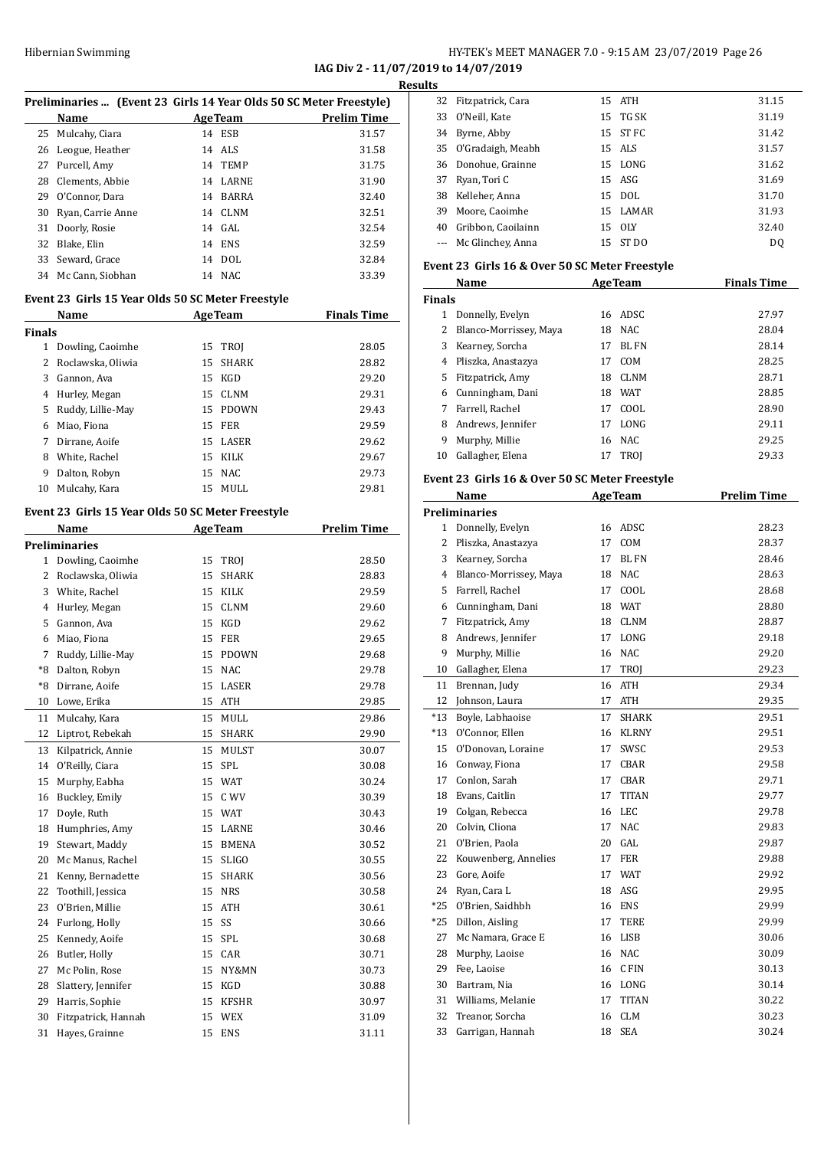**IAG Div 2 - 11/07/2019 to 14/07/2019 Results**

|  | Preliminaries  (Event 23 Girls 14 Year Olds 50 SC Meter Freestyle) |
|--|--------------------------------------------------------------------|
|  |                                                                    |

|    | <b>Name</b>         |    | <b>AgeTeam</b> | <b>Prelim Time</b> |
|----|---------------------|----|----------------|--------------------|
|    | 25 Mulcahy, Ciara   |    | 14 ESB         | 31.57              |
|    | 26 Leogue, Heather  |    | 14 ALS         | 31.58              |
|    | 27 Purcell, Amy     |    | 14 TEMP        | 31.75              |
| 28 | Clements. Abbie     |    | 14 LARNE       | 31.90              |
| 29 | O'Connor, Dara      | 14 | BARRA          | 32.40              |
| 30 | Ryan, Carrie Anne   |    | 14 CLNM        | 32.51              |
| 31 | Doorly, Rosie       |    | 14 GAL         | 32.54              |
| 32 | Blake, Elin         |    | 14 ENS         | 32.59              |
| 33 | Seward. Grace       |    | 14 DOL         | 32.84              |
|    | 34 Mc Cann, Siobhan |    | 14 NAC         | 33.39              |

#### **Event 23 Girls 15 Year Olds 50 SC Meter Freestyle**

|        | Name              |    | <b>AgeTeam</b> | <b>Finals Time</b> |  |
|--------|-------------------|----|----------------|--------------------|--|
| Finals |                   |    |                |                    |  |
| 1      | Dowling, Caoimhe  | 15 | TROI           | 28.05              |  |
| 2      | Roclawska, Oliwia | 15 | <b>SHARK</b>   | 28.82              |  |
| 3      | Gannon, Ava       | 15 | KGD            | 29.20              |  |
| 4      | Hurley, Megan     |    | 15 CLNM        | 29.31              |  |
| 5      | Ruddy, Lillie-May | 15 | PDOWN          | 29.43              |  |
| 6      | Miao, Fiona       | 15 | <b>FER</b>     | 29.59              |  |
| 7      | Dirrane, Aoife    |    | 15 LASER       | 29.62              |  |
| 8      | White, Rachel     | 15 | KILK           | 29.67              |  |
| 9      | Dalton, Robyn     | 15 | <b>NAC</b>     | 29.73              |  |
| 10     | Mulcahy, Kara     | 15 | MULL           | 29.81              |  |
|        |                   |    |                |                    |  |

#### **Event 23 Girls 15 Year Olds 50 SC Meter Freestyle**

|      | Name                 |    | <b>AgeTeam</b> | <b>Prelim Time</b> |
|------|----------------------|----|----------------|--------------------|
|      | <b>Preliminaries</b> |    |                |                    |
| 1    | Dowling, Caoimhe     | 15 | TROI           | 28.50              |
| 2    | Roclawska, Oliwia    | 15 | <b>SHARK</b>   | 28.83              |
| 3    | White, Rachel        | 15 | <b>KILK</b>    | 29.59              |
| 4    | Hurley, Megan        | 15 | <b>CLNM</b>    | 29.60              |
| 5    | Gannon, Ava          | 15 | KGD            | 29.62              |
| 6    | Miao, Fiona          | 15 | <b>FER</b>     | 29.65              |
| 7    | Ruddy, Lillie-May    | 15 | <b>PDOWN</b>   | 29.68              |
| $*8$ | Dalton, Robyn        | 15 | <b>NAC</b>     | 29.78              |
| $*8$ | Dirrane, Aoife       | 15 | LASER          | 29.78              |
| 10   | Lowe, Erika          | 15 | <b>ATH</b>     | 29.85              |
| 11   | Mulcahy, Kara        | 15 | <b>MULL</b>    | 29.86              |
| 12   | Liptrot, Rebekah     | 15 | <b>SHARK</b>   | 29.90              |
| 13   | Kilpatrick, Annie    | 15 | <b>MULST</b>   | 30.07              |
| 14   | O'Reilly, Ciara      | 15 | SPL            | 30.08              |
| 15   | Murphy, Eabha        | 15 | <b>WAT</b>     | 30.24              |
| 16   | Buckley, Emily       | 15 | C WV           | 30.39              |
| 17   | Doyle, Ruth          | 15 | <b>WAT</b>     | 30.43              |
| 18   | Humphries, Amy       | 15 | LARNE          | 30.46              |
| 19   | Stewart, Maddy       | 15 | <b>BMENA</b>   | 30.52              |
| 20   | Mc Manus, Rachel     | 15 | <b>SLIGO</b>   | 30.55              |
| 21   | Kenny, Bernadette    | 15 | <b>SHARK</b>   | 30.56              |
| 22   | Toothill, Jessica    | 15 | <b>NRS</b>     | 30.58              |
| 23   | O'Brien, Millie      | 15 | ATH            | 30.61              |
| 24   | Furlong, Holly       | 15 | SS             | 30.66              |
| 25   | Kennedy, Aoife       | 15 | SPL            | 30.68              |
| 26   | Butler, Holly        | 15 | CAR            | 30.71              |
| 27   | Mc Polin, Rose       | 15 | NY&MN          | 30.73              |
| 28   | Slattery, Jennifer   | 15 | KGD            | 30.88              |
| 29   | Harris, Sophie       | 15 | <b>KFSHR</b>   | 30.97              |
| 30   | Fitzpatrick, Hannah  | 15 | <b>WEX</b>     | 31.09              |
| 31   | Hayes, Grainne       | 15 | <b>ENS</b>     | 31.11              |

| 32 | Fitzpatrick, Cara     |    | 15 ATH   | 31.15 |
|----|-----------------------|----|----------|-------|
| 33 | O'Neill, Kate         |    | 15 TG SK | 31.19 |
| 34 | Byrne, Abby           |    | 15 ST FC | 31.42 |
|    | 35 O'Gradaigh, Meabh  |    | 15 ALS   | 31.57 |
|    | 36 Donohue, Grainne   |    | 15 LONG  | 31.62 |
| 37 | Ryan, Tori C          |    | 15 ASG   | 31.69 |
| 38 | Kelleher, Anna        |    | 15 DOL   | 31.70 |
| 39 | Moore, Caoimhe        |    | 15 LAMAR | 31.93 |
| 40 | Gribbon, Caoilainn    |    | 15 OLY   | 32.40 |
|    | --- Mc Glinchey, Anna | 15 | ST DO    | DO.   |
|    |                       |    |          |       |

#### **Event 23 Girls 16 & Over 50 SC Meter Freestyle**

| Name          |                        |    | <b>AgeTeam</b> | <b>Finals Time</b> |  |
|---------------|------------------------|----|----------------|--------------------|--|
| <b>Finals</b> |                        |    |                |                    |  |
| 1             | Donnelly, Evelyn       | 16 | ADSC           | 27.97              |  |
| 2             | Blanco-Morrissey, Maya | 18 | <b>NAC</b>     | 28.04              |  |
| 3             | Kearney, Sorcha        | 17 | BL FN          | 28.14              |  |
| 4             | Pliszka, Anastazya     | 17 | COM            | 28.25              |  |
| 5.            | Fitzpatrick, Amy       | 18 | <b>CLNM</b>    | 28.71              |  |
| 6             | Cunningham, Dani       | 18 | <b>WAT</b>     | 28.85              |  |
|               | Farrell, Rachel        | 17 | COOL           | 28.90              |  |
| 8             | Andrews, Jennifer      | 17 | LONG           | 29.11              |  |
| 9             | Murphy, Millie         |    | 16 NAC         | 29.25              |  |
| 10            | Gallagher, Elena       | 17 | <b>TROI</b>    | 29.33              |  |

#### **Event 23 Girls 16 & Over 50 SC Meter Freestyle**

|             | Name                   |    | <b>AgeTeam</b> | <b>Prelim Time</b> |
|-------------|------------------------|----|----------------|--------------------|
|             | <b>Preliminaries</b>   |    |                |                    |
| 1           | Donnelly, Evelyn       | 16 | ADSC           | 28.23              |
| 2           | Pliszka, Anastazya     | 17 | COM            | 28.37              |
| 3           | Kearney, Sorcha        | 17 | <b>BL FN</b>   | 28.46              |
| 4           | Blanco-Morrissey, Maya | 18 | <b>NAC</b>     | 28.63              |
| 5           | Farrell, Rachel        | 17 | COOL           | 28.68              |
| 6           | Cunningham, Dani       | 18 | <b>WAT</b>     | 28.80              |
| 7           | Fitzpatrick, Amy       | 18 | CLNM           | 28.87              |
| 8           | Andrews, Jennifer      | 17 | LONG           | 29.18              |
| 9           | Murphy, Millie         | 16 | <b>NAC</b>     | 29.20              |
| 10          | Gallagher, Elena       | 17 | TROJ           | 29.23              |
| 11          | Brennan, Judy          | 16 | ATH            | 29.34              |
| 12          | Johnson, Laura         | 17 | <b>ATH</b>     | 29.35              |
| $^{\ast}13$ | Boyle, Labhaoise       | 17 | <b>SHARK</b>   | 29.51              |
| $*13$       | O'Connor, Ellen        | 16 | <b>KLRNY</b>   | 29.51              |
| 15          | O'Donovan, Loraine     | 17 | SWSC           | 29.53              |
| 16          | Conway, Fiona          | 17 | <b>CBAR</b>    | 29.58              |
| 17          | Conlon, Sarah          | 17 | CBAR           | 29.71              |
| 18          | Evans, Caitlin         | 17 | <b>TITAN</b>   | 29.77              |
| 19          | Colgan, Rebecca        | 16 | <b>LEC</b>     | 29.78              |
| 20          | Colvin, Cliona         | 17 | <b>NAC</b>     | 29.83              |
| 21          | O'Brien, Paola         | 20 | GAL            | 29.87              |
| 22          | Kouwenberg, Annelies   | 17 | <b>FER</b>     | 29.88              |
| 23          | Gore, Aoife            | 17 | <b>WAT</b>     | 29.92              |
| 24          | Ryan, Cara L           | 18 | ASG            | 29.95              |
| $*25$       | O'Brien, Saidhbh       | 16 | <b>ENS</b>     | 29.99              |
| $*25$       | Dillon, Aisling        | 17 | TERE           | 29.99              |
| 27          | Mc Namara, Grace E     | 16 | <b>LISB</b>    | 30.06              |
| 28          | Murphy, Laoise         | 16 | <b>NAC</b>     | 30.09              |
| 29          | Fee, Laoise            | 16 | C FIN          | 30.13              |
| 30          | Bartram, Nia           | 16 | LONG           | 30.14              |
| 31          | Williams, Melanie      | 17 | <b>TITAN</b>   | 30.22              |
| 32          | Treanor, Sorcha        | 16 | <b>CLM</b>     | 30.23              |
| 33          | Garrigan, Hannah       | 18 | <b>SEA</b>     | 30.24              |
|             |                        |    |                |                    |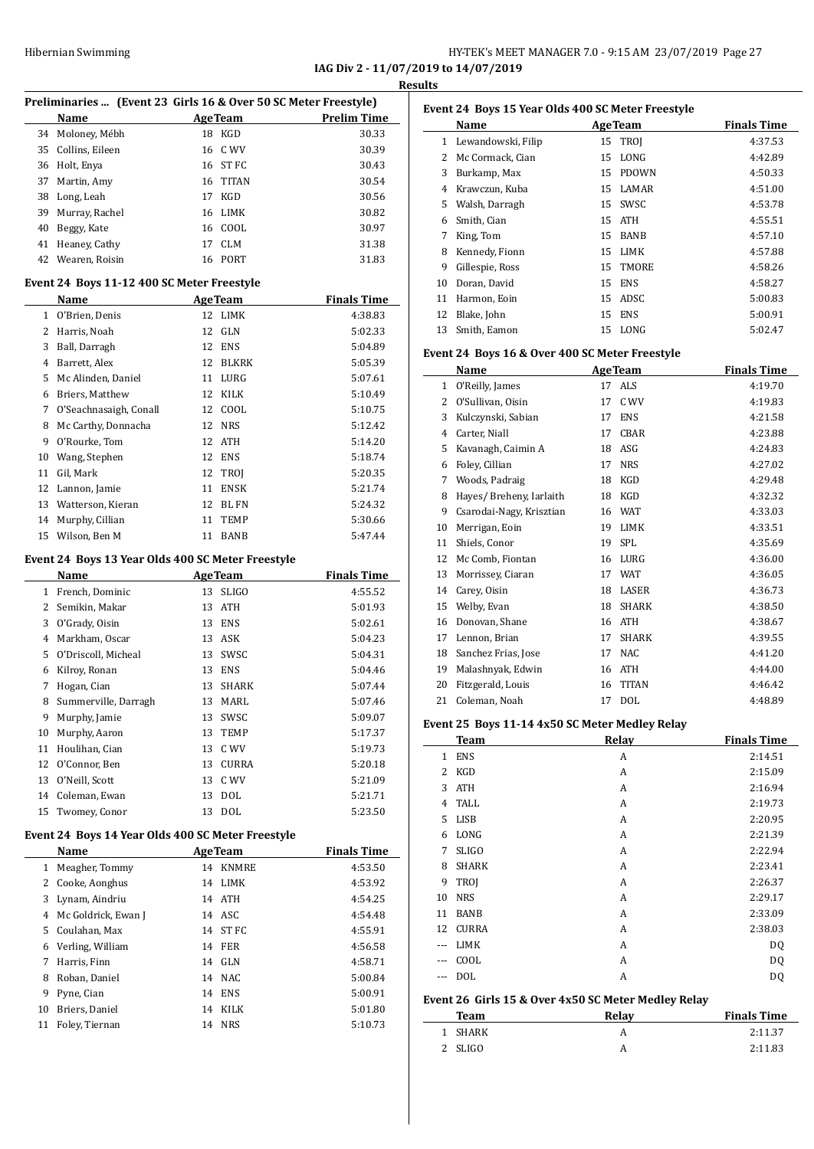#### HY-TEK's MEET MANAGER 7.0 - 9:15 AM 23/07/2019 Page 27 **IAG Div 2 - 11/07/2019 to 14/07/2019**

**Results**

 $\overline{\phantom{a}}$ 

|    | Preliminaries  (Event 23 Girls 16 & Over 50 SC Meter Freestyle) |    |                |                    |
|----|-----------------------------------------------------------------|----|----------------|--------------------|
|    | Name                                                            |    | <b>AgeTeam</b> | <b>Prelim Time</b> |
| 34 | Moloney, Mébh                                                   |    | 18 KGD         | 30.33              |
| 35 | Collins, Eileen                                                 |    | 16 C WV        | 30.39              |
| 36 | Holt, Enya                                                      |    | 16 ST FC       | 30.43              |
| 37 | Martin, Amy                                                     | 16 | TITAN          | 30.54              |
| 38 | Long, Leah                                                      | 17 | KGD            | 30.56              |
| 39 | Murray, Rachel                                                  | 16 | LIMK           | 30.82              |
| 40 | Beggy, Kate                                                     |    | 16 COOL        | 30.97              |
| 41 | Heaney, Cathy                                                   | 17 | <b>CLM</b>     | 31.38              |
| 42 | Wearen, Roisin                                                  |    | 16 PORT        | 31.83              |
|    | Event 24 Boys 11-12 400 SC Meter Freestyle                      |    |                |                    |
|    | <b>Name</b>                                                     |    | <b>AgeTeam</b> | <b>Finals Time</b> |
|    | 1 O'Brien, Denis                                                |    | 12 LIMK        | 4:38.83            |
|    | 2 Harris, Noah                                                  |    | 12 GLN         | 5:02.33            |
| 3  | Ball, Darragh                                                   |    | 12 ENS         | 5:04.89            |
|    | 4 Barrett, Alex                                                 |    | 12 BLKRK       | 5:05.39            |
| 5  | Mc Alinden, Daniel                                              |    | 11 LURG        | 5:07.61            |
| 6  | Briers, Matthew                                                 | 12 | KILK           | 5:10.49            |
| 7  | O'Seachnasaigh, Conall                                          |    | 12 COOL        | 5:10.75            |
| 8  | Mc Carthy, Donnacha                                             | 12 | <b>NRS</b>     | 5:12.42            |
| 9  | O'Rourke, Tom                                                   | 12 | ATH            | 5:14.20            |
| 10 | Wang, Stephen                                                   |    | 12 ENS         | 5:18.74            |
| 11 | Gil, Mark                                                       |    | 12 TROJ        | 5:20.35            |
| 12 | Lannon, Jamie                                                   |    | 11 ENSK        | 5:21.74            |
| 13 | Watterson, Kieran                                               |    | 12 BL FN       | 5:24.32            |
| 14 | Murphy, Cillian                                                 | 11 | <b>TEMP</b>    | 5:30.66            |
| 15 | Wilson, Ben M                                                   |    | 11 BANB        | 5:47.44            |
|    |                                                                 |    |                |                    |
|    | Event 24 Boys 13 Year Olds 400 SC Meter Freestyle               |    |                |                    |
|    | Name                                                            |    | <b>AgeTeam</b> | <b>Finals Time</b> |
|    | 1 French, Dominic                                               | 13 | <b>SLIGO</b>   | 4:55.52            |
| 2  | Semikin, Makar                                                  | 13 | ATH            | 5:01.93            |
| 3  | O'Grady, Oisin                                                  | 13 | ENS            | 5:02.61            |
| 4  | Markham, Oscar                                                  |    | 13 ASK         | 5:04.23            |
| 5  | O'Driscoll, Micheal                                             | 13 | SWSC           | 5:04.31            |
| 6  | Kilroy, Ronan                                                   | 13 | ENS            | 5:04.46            |
| 7  | Hogan, Cian                                                     | 13 | <b>SHARK</b>   | 5:07.44            |
| 8  | Summerville, Darragh                                            | 13 | MARL           | 5:07.46            |
| 9  | Murphy, Jamie                                                   | 13 | SWSC           | 5:09.07            |
| 10 | Murphy, Aaron                                                   | 13 | TEMP           | 5:17.37            |
| 11 | Houlihan, Cian                                                  | 13 | C WV           | 5:19.73            |
| 12 | O'Connor, Ben                                                   | 13 | CURRA          | 5:20.18            |
| 13 | O'Neill, Scott                                                  | 13 | C WV           | 5:21.09            |
| 14 | Coleman, Ewan                                                   | 13 | DOL            | 5:21.71            |
| 15 | Twomey, Conor                                                   | 13 | DOL            | 5:23.50            |
|    | Event 24 Boys 14 Year Olds 400 SC Meter Freestyle               |    |                |                    |
|    | Name                                                            |    | <b>AgeTeam</b> | <b>Finals Time</b> |
| 1  | Meagher, Tommy                                                  |    | 14 KNMRE       | 4:53.50            |
| 2  | Cooke, Aonghus                                                  | 14 | LIMK           | 4:53.92            |
| 3  | Lynam, Aindriu                                                  |    | 14 ATH         | 4:54.25            |
| 4  | Mc Goldrick, Ewan J                                             |    | 14 ASC         | 4:54.48            |
| 5  | Coulahan, Max                                                   | 14 | ST FC          | 4:55.91            |
| 6  | Verling, William                                                | 14 | FER            | 4:56.58            |
| 7  | Harris, Finn                                                    | 14 | GLN            | 4:58.71            |
| 8  | Roban, Daniel                                                   |    | 14 NAC         | 5:00.84            |
| 9  | Pyne, Cian                                                      |    | 14 ENS         | 5:00.91            |
| 10 | Briers, Daniel                                                  | 14 | KILK           | 5:01.80            |
| 11 | Foley, Tiernan                                                  | 14 | NRS            | 5:10.73            |
|    |                                                                 |    |                |                    |

|    | Name               |    | <b>AgeTeam</b> | <b>Finals Time</b> |
|----|--------------------|----|----------------|--------------------|
| 1  | Lewandowski, Filip |    | 15 TROI        | 4:37.53            |
| 2  | Mc Cormack, Cian   | 15 | LONG           | 4:42.89            |
| 3  | Burkamp, Max       | 15 | <b>PDOWN</b>   | 4:50.33            |
| 4  | Krawczun, Kuba     | 15 | LAMAR          | 4:51.00            |
| 5. | Walsh, Darragh     | 15 | SWSC           | 4:53.78            |
| 6  | Smith, Cian        | 15 | ATH            | 4:55.51            |
| 7  | King, Tom          | 15 | BANB           | 4:57.10            |
| 8  | Kennedy, Fionn     | 15 | LIMK           | 4:57.88            |
| 9  | Gillespie, Ross    |    | 15 TMORE       | 4:58.26            |
| 10 | Doran, David       | 15 | <b>ENS</b>     | 4:58.27            |
| 11 | Harmon, Eoin       | 15 | ADSC           | 5:00.83            |
| 12 | Blake, John        | 15 | ENS            | 5:00.91            |
| 13 | Smith, Eamon       |    | 15 LONG        | 5:02.47            |

#### **Event 24 Boys 16 & Over 400 SC Meter Freestyle**

|              | Name                     |    | <b>AgeTeam</b> | <b>Finals Time</b> |
|--------------|--------------------------|----|----------------|--------------------|
| $\mathbf{1}$ | O'Reilly, James          | 17 | ALS            | 4:19.70            |
| 2            | O'Sullivan, Oisin        | 17 | C WV           | 4:19.83            |
| 3            | Kulczynski, Sabian       | 17 | <b>ENS</b>     | 4:21.58            |
| 4            | Carter, Niall            | 17 | <b>CBAR</b>    | 4:23.88            |
| 5            | Kavanagh, Caimin A       | 18 | ASG            | 4:24.83            |
| 6            | Foley, Cillian           | 17 | <b>NRS</b>     | 4:27.02            |
| 7            | Woods, Padraig           | 18 | KGD            | 4:29.48            |
| 8            | Hayes/ Breheny, Iarlaith | 18 | KGD            | 4:32.32            |
| 9            | Csarodai-Nagy, Krisztian | 16 | <b>WAT</b>     | 4:33.03            |
| 10           | Merrigan, Eoin           | 19 | <b>LIMK</b>    | 4:33.51            |
| 11           | Shiels, Conor            | 19 | SPL            | 4:35.69            |
| 12           | Mc Comb, Fiontan         | 16 | LURG           | 4:36.00            |
| 13           | Morrissey, Ciaran        | 17 | <b>WAT</b>     | 4:36.05            |
| 14           | Carey, Oisin             | 18 | LASER          | 4:36.73            |
| 15           | Welby, Evan              | 18 | <b>SHARK</b>   | 4:38.50            |
| 16           | Donovan, Shane           | 16 | <b>ATH</b>     | 4:38.67            |
| 17           | Lennon, Brian            | 17 | <b>SHARK</b>   | 4:39.55            |
| 18           | Sanchez Frias, Jose      | 17 | <b>NAC</b>     | 4:41.20            |
| 19           | Malashnyak, Edwin        | 16 | <b>ATH</b>     | 4:44.00            |
| 20           | Fitzgerald, Louis        | 16 | <b>TITAN</b>   | 4:46.42            |
| 21           | Coleman, Noah            | 17 | <b>DOL</b>     | 4:48.89            |

#### **Event 25 Boys 11-14 4x50 SC Meter Medley Relay**

|              | <b>Team</b>  | Relay | <b>Finals Time</b> |
|--------------|--------------|-------|--------------------|
| $\mathbf{1}$ | <b>ENS</b>   | A     | 2:14.51            |
| 2            | <b>KGD</b>   | A     | 2:15.09            |
| 3            | <b>ATH</b>   | A     | 2:16.94            |
| 4            | <b>TALL</b>  | A     | 2:19.73            |
| 5            | LISB         | A     | 2:20.95            |
| 6            | LONG         | A     | 2:21.39            |
| 7            | <b>SLIGO</b> | A     | 2:22.94            |
| 8            | <b>SHARK</b> | A     | 2:23.41            |
| 9            | TROI         | A     | 2:26.37            |
| 10           | <b>NRS</b>   | A     | 2:29.17            |
| 11           | <b>BANB</b>  | A     | 2:33.09            |
| 12           | <b>CURRA</b> | A     | 2:38.03            |
| $\cdots$     | LIMK         | A     | DQ                 |
| $\cdots$     | COOL         | A     | DQ                 |
| $\cdots$     | DOL          | A     | DQ                 |

#### **Event 26 Girls 15 & Over 4x50 SC Meter Medley Relay**

| Team        | Relav | <b>Finals Time</b> |
|-------------|-------|--------------------|
| SHARK<br>1. |       | 2:11.37            |
| 2 SLIGO     |       | 2:11.83            |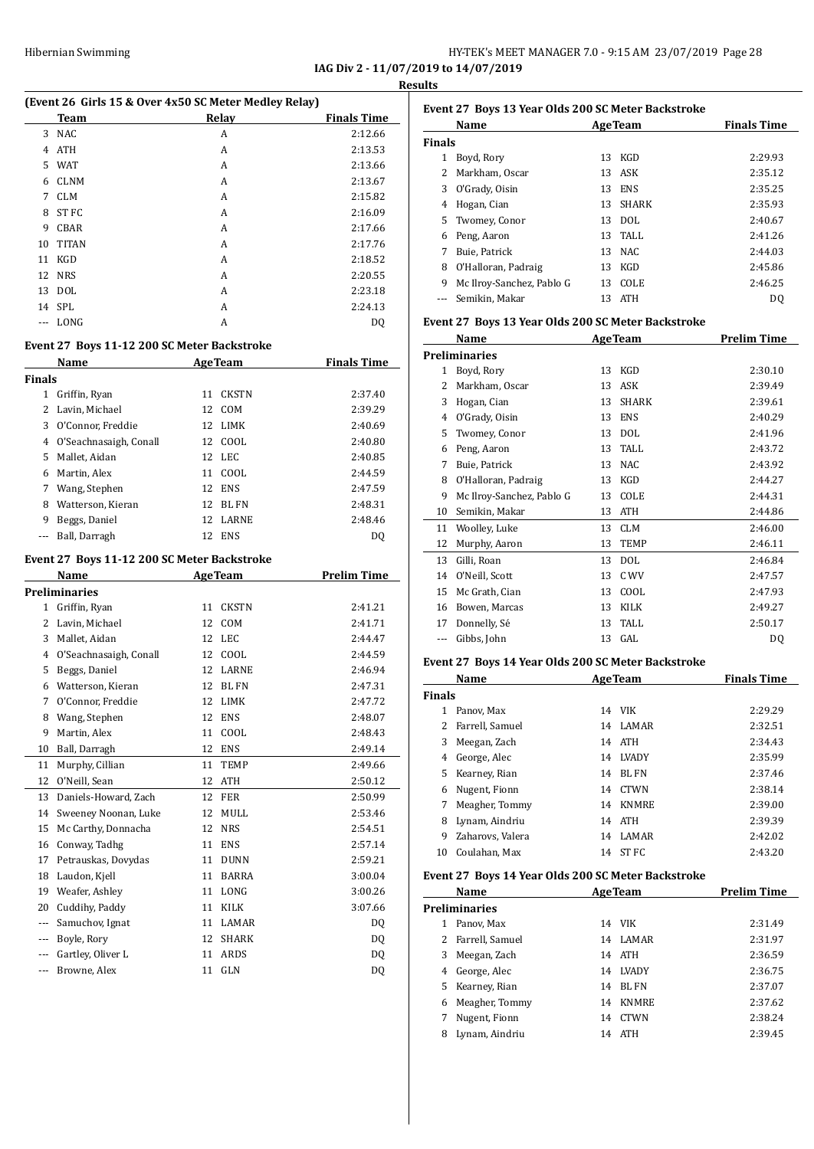#### HY-TEK's MEET MANAGER 7.0 - 9:15 AM 23/07/2019 Page 28 **IAG Div 2 - 11/07/2019 to 14/07/2019**

**Results**

| (Event 26 Girls 15 & Over 4x50 SC Meter Medley Relay) |              |       |                    |
|-------------------------------------------------------|--------------|-------|--------------------|
|                                                       | Team         | Relay | <b>Finals Time</b> |
| 3                                                     | <b>NAC</b>   | A     | 2:12.66            |
| 4                                                     | <b>ATH</b>   | A     | 2:13.53            |
| 5                                                     | <b>WAT</b>   | A     | 2:13.66            |
| 6                                                     | <b>CLNM</b>  | A     | 2:13.67            |
| 7                                                     | <b>CLM</b>   | A     | 2:15.82            |
| 8                                                     | ST FC        | A     | 2:16.09            |
| 9                                                     | CBAR         | A     | 2:17.66            |
| 10                                                    | <b>TITAN</b> | A     | 2:17.76            |
| 11                                                    | <b>KGD</b>   | A     | 2:18.52            |
| 12                                                    | <b>NRS</b>   | A     | 2:20.55            |
|                                                       | 13 DOL       | A     | 2:23.18            |
|                                                       | 14 SPL       | A     | 2:24.13            |
|                                                       | LONG         | А     | DQ                 |

### **Event 27 Boys 11-12 200 SC Meter Backstroke**

|               | Name                   |    | <b>AgeTeam</b> | <b>Finals Time</b> |
|---------------|------------------------|----|----------------|--------------------|
| <b>Finals</b> |                        |    |                |                    |
| 1             | Griffin, Ryan          | 11 | <b>CKSTN</b>   | 2:37.40            |
|               | Lavin, Michael         | 12 | COM            | 2:39.29            |
| 3             | O'Connor, Freddie      | 12 | LIMK           | 2:40.69            |
| 4             | O'Seachnasaigh, Conall |    | 12 COOL        | 2:40.80            |
| 5             | Mallet, Aidan          |    | 12 LEC         | 2:40.85            |
| 6             | Martin, Alex           | 11 | COOL.          | 2:44.59            |
| 7             | Wang, Stephen          | 12 | <b>ENS</b>     | 2:47.59            |
| 8             | Watterson, Kieran      | 12 | BL FN          | 2:48.31            |
| 9             | Beggs, Daniel          | 12 | LARNE          | 2:48.46            |
|               | Ball, Darragh          | 12 | <b>ENS</b>     | DO                 |
|               |                        |    |                |                    |

#### **Event 27 Boys 11-12 200 SC Meter Backstroke**

|              | Name                   |    | <b>AgeTeam</b> | <b>Prelim Time</b> |
|--------------|------------------------|----|----------------|--------------------|
|              | <b>Preliminaries</b>   |    |                |                    |
| $\mathbf{1}$ | Griffin, Ryan          | 11 | <b>CKSTN</b>   | 2:41.21            |
| 2            | Lavin, Michael         | 12 | COM            | 2:41.71            |
| 3            | Mallet, Aidan          | 12 | <b>LEC</b>     | 2:44.47            |
| 4            | O'Seachnasaigh, Conall | 12 | COOL           | 2:44.59            |
| 5            | Beggs, Daniel          | 12 | <b>LARNE</b>   | 2:46.94            |
| 6            | Watterson, Kieran      | 12 | <b>BL FN</b>   | 2:47.31            |
| 7            | O'Connor, Freddie      | 12 | <b>LIMK</b>    | 2:47.72            |
| 8            | Wang, Stephen          | 12 | <b>ENS</b>     | 2:48.07            |
| 9            | Martin, Alex           | 11 | COOL           | 2:48.43            |
| 10           | Ball, Darragh          | 12 | <b>ENS</b>     | 2:49.14            |
| 11           | Murphy, Cillian        | 11 | TEMP           | 2:49.66            |
| 12           | O'Neill, Sean          | 12 | <b>ATH</b>     | 2:50.12            |
| 13           | Daniels-Howard, Zach   | 12 | <b>FER</b>     | 2:50.99            |
| 14           | Sweeney Noonan, Luke   | 12 | <b>MULL</b>    | 2:53.46            |
| 15           | Mc Carthy, Donnacha    | 12 | <b>NRS</b>     | 2:54.51            |
| 16           | Conway, Tadhg          | 11 | <b>ENS</b>     | 2:57.14            |
| 17           | Petrauskas, Dovydas    | 11 | <b>DUNN</b>    | 2:59.21            |
| 18           | Laudon, Kjell          | 11 | <b>BARRA</b>   | 3:00.04            |
| 19           | Weafer, Ashley         | 11 | LONG           | 3:00.26            |
| 20           | Cuddihy, Paddy         | 11 | <b>KILK</b>    | 3:07.66            |
| ---          | Samuchov, Ignat        | 11 | LAMAR          | D <sub>0</sub>     |
| ---          | Boyle, Rory            | 12 | <b>SHARK</b>   | DQ                 |
|              | Gartley, Oliver L      | 11 | <b>ARDS</b>    | DQ                 |
| $---$        | Browne, Alex           | 11 | <b>GLN</b>     | DQ                 |

|               | Event 27 Boys 13 Year Olds 200 SC Meter Backstroke |    |                |                    |
|---------------|----------------------------------------------------|----|----------------|--------------------|
|               | Name                                               |    | <b>AgeTeam</b> | <b>Finals Time</b> |
| <b>Finals</b> |                                                    |    |                |                    |
| 1             | Boyd, Rory                                         | 13 | KGD            | 2:29.93            |
| 2             | Markham, Oscar                                     |    | 13 ASK         | 2:35.12            |
| 3             | O'Grady, Oisin                                     | 13 | <b>ENS</b>     | 2:35.25            |
| 4             | Hogan, Cian                                        | 13 | <b>SHARK</b>   | 2:35.93            |
| 5.            | Twomey, Conor                                      | 13 | <b>DOL</b>     | 2:40.67            |
| 6             | Peng, Aaron                                        | 13 | TALL           | 2:41.26            |
| 7             | Buie, Patrick                                      | 13 | NAC.           | 2:44.03            |
| 8             | O'Halloran, Padraig                                | 13 | KGD            | 2:45.86            |
| 9             | Mc Ilroy-Sanchez, Pablo G                          | 13 | <b>COLE</b>    | 2:46.25            |
|               | Semikin, Makar                                     | 13 | <b>ATH</b>     | DO.                |

#### **Event 27 Boys 13 Year Olds 200 SC Meter Backstroke**

|    | Name                      |    | <b>AgeTeam</b> | <b>Prelim Time</b> |
|----|---------------------------|----|----------------|--------------------|
|    | <b>Preliminaries</b>      |    |                |                    |
| 1  | Boyd, Rory                | 13 | KGD            | 2:30.10            |
| 2  | Markham, Oscar            | 13 | ASK            | 2:39.49            |
| 3  | Hogan, Cian               | 13 | <b>SHARK</b>   | 2:39.61            |
| 4  | O'Grady, Oisin            | 13 | <b>ENS</b>     | 2:40.29            |
| 5  | Twomey, Conor             | 13 | DOL            | 2:41.96            |
| 6  | Peng, Aaron               | 13 | TALL           | 2:43.72            |
| 7  | Buie, Patrick             | 13 | <b>NAC</b>     | 2:43.92            |
| 8  | O'Halloran, Padraig       | 13 | KGD            | 2:44.27            |
| 9  | Mc Ilroy-Sanchez, Pablo G | 13 | COLE           | 2:44.31            |
| 10 | Semikin, Makar            | 13 | ATH            | 2:44.86            |
| 11 | Woolley, Luke             | 13 | <b>CLM</b>     | 2:46.00            |
| 12 | Murphy, Aaron             | 13 | TEMP           | 2:46.11            |
| 13 | Gilli, Roan               | 13 | <b>DOL</b>     | 2:46.84            |
| 14 | O'Neill, Scott            | 13 | C WV           | 2:47.57            |
| 15 | Mc Grath, Cian            | 13 | COOL           | 2:47.93            |
| 16 | Bowen, Marcas             | 13 | <b>KILK</b>    | 2:49.27            |
| 17 | Donnelly, Sé              | 13 | TALL           | 2:50.17            |
|    | Gibbs, John               | 13 | GAL            | DQ                 |
|    |                           |    |                |                    |

#### **Event 27 Boys 14 Year Olds 200 SC Meter Backstroke**

|               | Name             |    | <b>AgeTeam</b> | <b>Finals Time</b> |
|---------------|------------------|----|----------------|--------------------|
| <b>Finals</b> |                  |    |                |                    |
|               | Panov. Max       |    | 14 VIK         | 2:29.29            |
| 2             | Farrell, Samuel  | 14 | LAMAR          | 2:32.51            |
| 3             | Meegan, Zach     | 14 | ATH            | 2:34.43            |
| 4             | George, Alec     | 14 | <b>LVADY</b>   | 2:35.99            |
| 5.            | Kearney, Rian    | 14 | BL FN          | 2:37.46            |
| 6             | Nugent, Fionn    | 14 | <b>CTWN</b>    | 2:38.14            |
| 7             | Meagher, Tommy   | 14 | <b>KNMRE</b>   | 2:39.00            |
| 8             | Lynam, Aindriu   |    | 14 ATH         | 2:39.39            |
| 9             | Zaharovs, Valera | 14 | <b>LAMAR</b>   | 2:42.02            |
| 10            | Coulahan. Max    | 14 | ST FC          | 2:43.20            |

#### **Event 27 Boys 14 Year Olds 200 SC Meter Backstroke**

|    | Name              |    | <b>AgeTeam</b> | <b>Prelim Time</b> |
|----|-------------------|----|----------------|--------------------|
|    | Preliminaries     |    |                |                    |
|    | Panov, Max        | 14 | <b>VIK</b>     | 2:31.49            |
|    | 2 Farrell, Samuel | 14 | LAMAR          | 2:31.97            |
| 3  | Meegan, Zach      | 14 | <b>ATH</b>     | 2:36.59            |
| 4  | George, Alec      | 14 | LVADY          | 2:36.75            |
| 5. | Kearney, Rian     | 14 | <b>BL FN</b>   | 2:37.07            |
| 6  | Meagher, Tommy    | 14 | <b>KNMRE</b>   | 2:37.62            |
| 7  | Nugent, Fionn     | 14 | <b>CTWN</b>    | 2:38.24            |
| 8  | Lynam, Aindriu    | 14 | <b>ATH</b>     | 2:39.45            |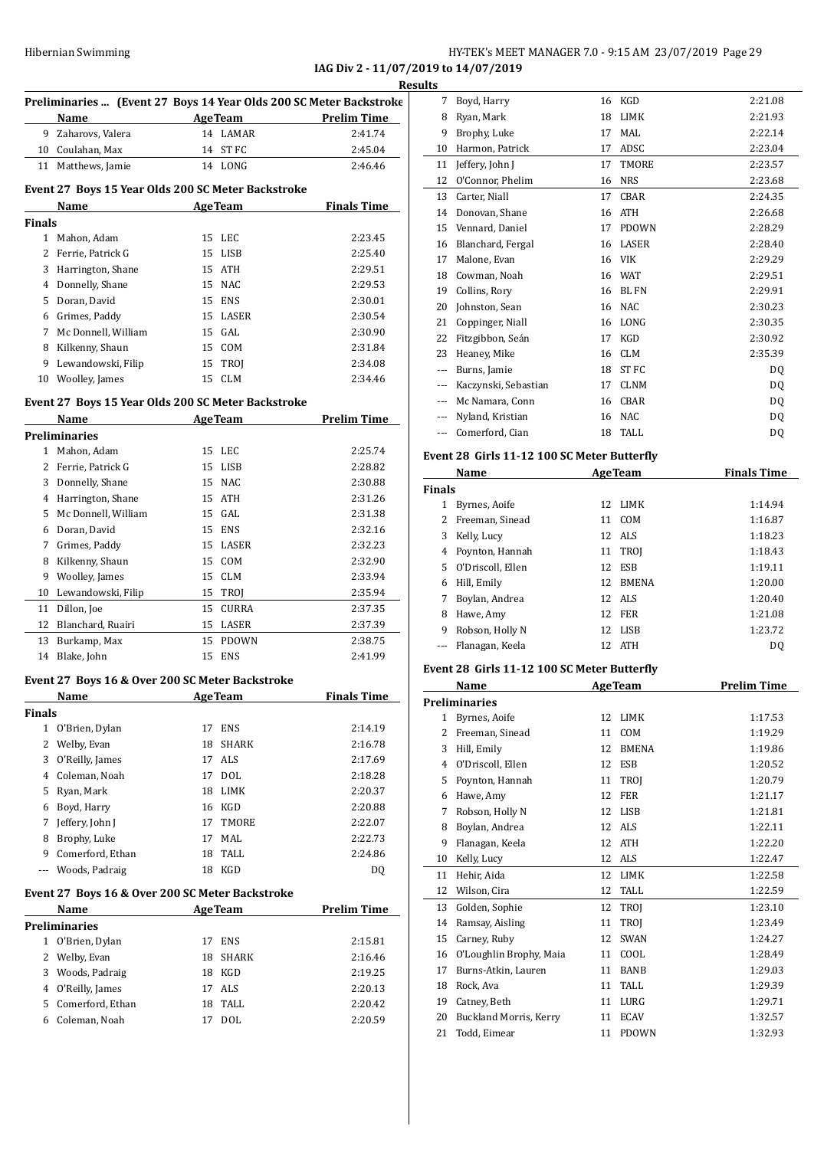#### HY-TEK's MEET MANAGER 7.0 - 9:15 AM 23/07/2019 Page 29 **IAG Div 2 - 11/07/2019 to 14/07/2019**

**Results**

|               | Preliminaries  (Event 27 Boys 14 Year Olds 200 SC Meter Backstroke |                |                |                    |
|---------------|--------------------------------------------------------------------|----------------|----------------|--------------------|
|               | Name                                                               | Age Team       |                | <b>Prelim Time</b> |
|               | 9 Zaharovs, Valera                                                 |                | 14 LAMAR       | 2:41.74            |
|               | 10 Coulahan, Max                                                   |                | 14 ST FC       | 2:45.04            |
|               | 11 Matthews, Jamie                                                 |                | 14 LONG        | 2:46.46            |
|               | Event 27 Boys 15 Year Olds 200 SC Meter Backstroke<br>Name         | <b>AgeTeam</b> |                | <b>Finals Time</b> |
| <b>Finals</b> |                                                                    |                |                |                    |
| $\mathbf{1}$  | Mahon, Adam                                                        | 15             | LEC            | 2:23.45            |
|               | 2 Ferrie, Patrick G                                                | 15             | LISB           | 2:25.40            |
|               | 3 Harrington, Shane                                                | 15             | ATH            | 2:29.51            |
|               | 4 Donnelly, Shane                                                  | 15             | NAC            | 2:29.53            |
|               | 5 Doran, David                                                     | 15             | ENS            | 2:30.01            |
|               | 6 Grimes, Paddy                                                    | 15             | LASER          | 2:30.54            |
|               | 7 Mc Donnell, William                                              |                | 15 GAL         | 2:30.90            |
|               | 8 Kilkenny, Shaun                                                  |                | 15 COM         | 2:31.84            |
| 9             | Lewandowski, Filip                                                 |                | 15 TROJ        | 2:34.08            |
|               | 10 Woolley, James                                                  |                | 15 CLM         | 2:34.46            |
|               |                                                                    |                |                |                    |
|               | Event 27 Boys 15 Year Olds 200 SC Meter Backstroke                 |                |                | <b>Prelim Time</b> |
|               | Name<br><b>Preliminaries</b>                                       | <b>AgeTeam</b> |                |                    |
| 1             | Mahon, Adam                                                        | 15             | LEC            | 2:25.74            |
|               | 2 Ferrie, Patrick G                                                | 15             | LISB           | 2:28.82            |
|               | 3 Donnelly, Shane                                                  | 15             | NAC            | 2:30.88            |
|               | 4 Harrington, Shane                                                | 15             | ATH            | 2:31.26            |
|               |                                                                    |                |                |                    |
|               | 5 Mc Donnell, William                                              |                | 15 GAL         | 2:31.38            |
|               | 6 Doran, David                                                     | 15             | ENS            | 2:32.16            |
|               | 7 Grimes, Paddy                                                    |                | 15 LASER       | 2:32.23            |
|               | 8 Kilkenny, Shaun                                                  |                | 15 COM         | 2:32.90            |
| 9             | Woolley, James                                                     | 15             | CLM            | 2:33.94            |
|               | 10 Lewandowski, Filip                                              | 15             | TROJ           | 2:35.94            |
| 11            | Dillon, Joe                                                        | 15             | CURRA          | 2:37.35            |
|               | 12 Blanchard, Ruairi                                               | 15             | LASER          | 2:37.39            |
|               | 13 Burkamp, Max                                                    | 15             | <b>PDOWN</b>   | 2:38.75            |
|               | 14 Blake, John                                                     | 15             | ENS            | 2:41.99            |
|               | Event 27 Boys 16 & Over 200 SC Meter Backstroke                    |                |                |                    |
|               | Name                                                               |                | <b>AgeTeam</b> | <b>Finals Time</b> |
| <b>Finals</b> |                                                                    |                |                |                    |
| $\mathbf{1}$  | O'Brien, Dylan                                                     | 17             | ENS            | 2:14.19            |
| 2             | Welby, Evan                                                        | 18             | SHARK          | 2:16.78            |
| 3             | O'Reilly, James                                                    | 17             | ALS            | 2:17.69            |
|               | 4 Coleman, Noah                                                    | 17             | <b>DOL</b>     | 2:18.28            |
|               | 5 Ryan, Mark                                                       | 18             | LIMK           | 2:20.37            |
|               | 6 Boyd, Harry                                                      | 16             | KGD            | 2:20.88            |
| 7             | Jeffery, John J                                                    | 17             | TMORE          | 2:22.07            |
|               | 8 Brophy, Luke                                                     | 17             | MAL            | 2:22.73            |
| 9.            | Comerford, Ethan                                                   | 18             | TALL           | 2:24.86            |
| ---           | Woods, Padraig                                                     | 18             | KGD            | DQ                 |
|               | Event 27 Boys 16 & Over 200 SC Meter Backstroke                    |                |                |                    |
|               | Name                                                               |                | <b>AgeTeam</b> | <b>Prelim Time</b> |
|               | Preliminaries                                                      |                |                |                    |
| $\mathbf{1}$  | O'Brien, Dylan                                                     | 17             | <b>ENS</b>     | 2:15.81            |
| 2             | Welby, Evan                                                        | 18             | SHARK          | 2:16.46            |
|               | 3 Woods, Padraig                                                   | 18             | KGD            | 2:19.25            |
|               | 4 O'Reilly, James                                                  | 17             | ALS            | 2:20.13            |
|               | 5 Comerford, Ethan                                                 | 18             | TALL           | 2:20.42            |
| 6             | Coleman, Noah                                                      | 17             | <b>DOL</b>     | 2:20.59            |

| 7             | Boyd, Harry                                 | 16 | KGD            | 2:21.08            |
|---------------|---------------------------------------------|----|----------------|--------------------|
| 8             | Ryan, Mark                                  | 18 | LIMK           | 2:21.93            |
| 9             | Brophy, Luke                                | 17 | MAL            | 2:22.14            |
|               | 10 Harmon, Patrick                          | 17 | ADSC           | 2:23.04            |
|               | 11 Jeffery, John J                          | 17 | TMORE          | 2:23.57            |
| 12            | O'Connor, Phelim                            | 16 | <b>NRS</b>     | 2:23.68            |
|               | 13 Carter, Niall                            | 17 | CBAR           | 2:24.35            |
|               | 14 Donovan, Shane                           | 16 | ATH            | 2:26.68            |
|               | 15 Vennard, Daniel                          | 17 | <b>PDOWN</b>   | 2:28.29            |
|               | 16 Blanchard, Fergal                        | 16 | LASER          | 2:28.40            |
| 17            | Malone, Evan                                |    | 16 VIK         | 2:29.29            |
|               | 18 Cowman, Noah                             |    | 16 WAT         | 2:29.51            |
| 19            | Collins, Rory                               |    | 16 BL FN       | 2:29.91            |
|               | 20 Johnston, Sean                           | 16 | <b>NAC</b>     | 2:30.23            |
| 21            | Coppinger, Niall                            |    | 16 LONG        | 2:30.35            |
|               | 22 Fitzgibbon, Seán                         | 17 | KGD            | 2:30.92            |
|               | 23 Heaney, Mike                             | 16 | <b>CLM</b>     | 2:35.39            |
|               | --- Burns, Jamie                            | 18 | ST FC          | DQ                 |
|               | --- Kaczynski, Sebastian                    | 17 | CLNM           | DQ                 |
|               | --- Mc Namara, Conn                         | 16 | CBAR           | DQ                 |
|               | --- Nyland, Kristian                        | 16 | <b>NAC</b>     | DQ                 |
| $\cdots$      | Comerford, Cian                             | 18 | TALL           | DQ                 |
|               | Event 28 Girls 11-12 100 SC Meter Butterfly |    |                |                    |
|               | Name                                        |    | <b>AgeTeam</b> | <b>Finals Time</b> |
| <b>Finals</b> |                                             |    |                |                    |
|               | 1 Byrnes, Aoife                             | 12 | LIMK           | 1:14.94            |
|               | 2 Freeman, Sinead                           | 11 | COM            | 1:16.87            |
|               | 3 Kelly, Lucy                               | 12 | ALS            | 1:18.23            |
|               | 4 Poynton, Hannah                           | 11 | TROJ           | 1:18.43            |
| 5             | O'Driscoll, Ellen                           | 12 | <b>ESB</b>     | 1:19.11            |
|               | 6 Hill, Emily                               | 12 | <b>BMENA</b>   | 1:20.00            |
| 7             | Boylan, Andrea                              | 12 | ALS            | 1:20.40            |
|               | 8 Hawe, Amy                                 | 12 | FER            | 1:21.08            |
|               | 9 Robson, Holly N                           | 12 | LISB           | 1:23.72            |
| $\cdots$      | Flanagan, Keela                             |    | 12 ATH         | DQ                 |
|               | Event 28 Girls 11-12 100 SC Meter Butterfly |    |                |                    |
|               | Name                                        |    | <b>AgeTeam</b> | <b>Prelim Time</b> |
|               | <b>Preliminaries</b>                        |    |                |                    |
| 1             | Byrnes, Aoife                               | 12 | LIMK           | 1:17.53            |
| 2             | Freeman, Sinead                             | 11 | COM            | 1:19.29            |
| 3             | Hill, Emily                                 | 12 | <b>BMENA</b>   | 1:19.86            |
| 4             | O'Driscoll, Ellen                           | 12 | ESB            | 1:20.52            |
| 5             | Poynton, Hannah                             | 11 | TROJ           | 1:20.79            |
| 6             | Hawe, Amy                                   | 12 | FER            | 1:21.17            |
| 7             | Robson, Holly N                             | 12 | LISB           | 1:21.81            |
| 8             | Boylan, Andrea                              | 12 | ALS            | 1:22.11            |
| 9             | Flanagan, Keela                             | 12 | ATH            | 1:22.20            |
| 10            | Kelly, Lucy                                 | 12 | ALS            | 1:22.47            |
| 11            | Hehir, Aida                                 | 12 | LIMK           | 1:22.58            |
| 12            | Wilson, Cira                                | 12 | TALL           | 1:22.59            |
| 13            | Golden, Sophie                              | 12 | TROJ           | 1:23.10            |
| 14            | Ramsay, Aisling                             | 11 | TROJ           | 1:23.49            |
| 15            | Carney, Ruby                                | 12 | SWAN           | 1:24.27            |
| 16            | O'Loughlin Brophy, Maia                     | 11 | COOL           | 1:28.49            |
| 17            | Burns-Atkin, Lauren                         | 11 | BANB           | 1:29.03            |
| 18            | Rock, Ava                                   | 11 | TALL           | 1:29.39            |
| 19            | Catney, Beth                                | 11 | LURG           | 1:29.71            |
| 20            | <b>Buckland Morris, Kerry</b>               | 11 | ECAV           | 1:32.57            |
| 21            | Todd, Eimear                                | 11 | <b>PDOWN</b>   | 1:32.93            |
|               |                                             |    |                |                    |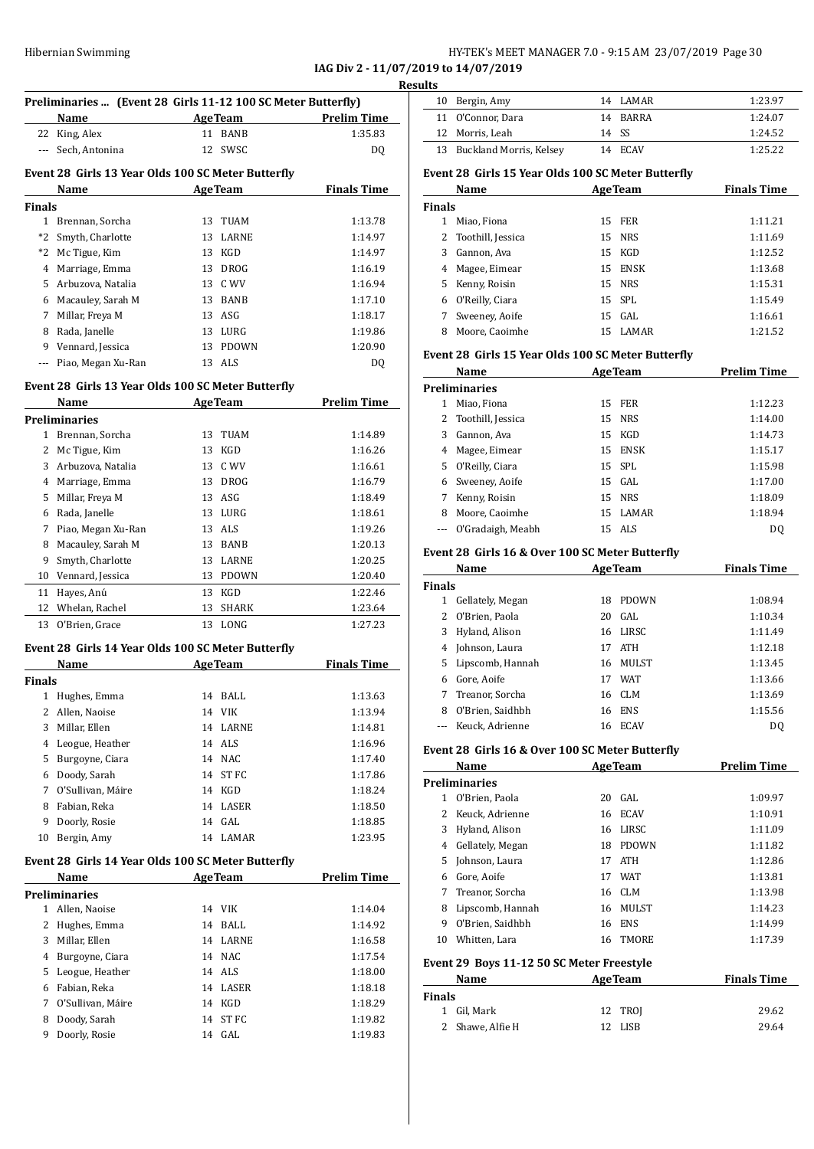# Hibernian Swimming HY-TEK's MEET MANAGER 7.0 - 9:15 AM 23/07/2019 Page 30

**IAG Div 2 - 11/07/2019 to 14/07/2019**

|               | Preliminaries  (Event 28 Girls 11-12 100 SC Meter Butterfly) |        |                    |                    |
|---------------|--------------------------------------------------------------|--------|--------------------|--------------------|
|               | Name                                                         |        | <b>AgeTeam</b>     | <b>Prelim Time</b> |
| $---$         | 22 King, Alex<br>Sech, Antonina                              |        | 11 BANB<br>12 SWSC | 1:35.83<br>DQ      |
|               |                                                              |        |                    |                    |
|               | Event 28 Girls 13 Year Olds 100 SC Meter Butterfly           |        |                    |                    |
| <b>Finals</b> | Name                                                         |        | AgeTeam            | <b>Finals Time</b> |
|               | 1 Brennan, Sorcha                                            |        | 13 TUAM            | 1:13.78            |
|               | *2 Smyth, Charlotte                                          |        | 13 LARNE           | 1:14.97            |
|               |                                                              |        | 13 KGD             | 1:14.97            |
|               | *2 Mc Tigue, Kim                                             |        |                    |                    |
|               | 4 Marriage, Emma                                             |        | 13 DROG            | 1:16.19            |
|               | 5 Arbuzova, Natalia                                          |        | 13 C WV            | 1:16.94            |
|               | 6 Macauley, Sarah M                                          |        | 13 BANB            | 1:17.10            |
|               | 7 Millar, Freya M                                            |        | 13 ASG             | 1:18.17            |
|               | 8 Rada, Janelle                                              |        | 13 LURG            | 1:19.86            |
|               | 9 Vennard, Jessica                                           |        | 13 PDOWN           | 1:20.90            |
| ---           | Piao, Megan Xu-Ran                                           |        | 13 ALS             | DQ                 |
|               | Event 28 Girls 13 Year Olds 100 SC Meter Butterfly           |        |                    |                    |
|               | Name                                                         |        | AgeTeam            | <b>Prelim Time</b> |
|               | <b>Preliminaries</b>                                         |        |                    |                    |
|               | 1 Brennan, Sorcha                                            |        | 13 TUAM            | 1:14.89            |
|               | 2 Mc Tigue, Kim                                              |        | 13 KGD             | 1:16.26            |
|               | 3 Arbuzova, Natalia                                          |        | 13 C WV            | 1:16.61            |
|               | 4 Marriage, Emma                                             |        | 13 DROG            | 1:16.79            |
|               | 5 Millar, Freya M                                            |        | 13 ASG             | 1:18.49            |
|               | 6 Rada, Janelle                                              |        | 13 LURG            | 1:18.61            |
|               | 7 Piao, Megan Xu-Ran                                         |        | 13 ALS             | 1:19.26            |
|               | 8 Macauley, Sarah M                                          |        | 13 BANB            | 1:20.13            |
| 9             | Smyth, Charlotte                                             |        | 13 LARNE           | 1:20.25            |
|               | 10 Vennard, Jessica                                          |        | 13 PDOWN           | 1:20.40            |
| 11            | Hayes, Anú                                                   |        | 13 KGD             | 1:22.46            |
| 12            | Whelan, Rachel                                               | 13     | SHARK              | 1:23.64            |
| 13            | O'Brien, Grace                                               |        | 13 LONG            | 1:27.23            |
|               | Event 28 Girls 14 Year Olds 100 SC Meter Butterfly           |        |                    |                    |
|               | Name                                                         |        | <b>AgeTeam</b>     | <b>Finals Time</b> |
| Finals        |                                                              |        |                    |                    |
|               | 1 Hughes, Emma                                               |        | 14 BALL            | 1:13.63            |
|               | 2 Allen, Naoise                                              |        | 14 VIK             | 1:13.94            |
|               | 3 Millar, Ellen                                              |        | 14 LARNE           | 1:14.81            |
|               | 4 Leogue, Heather                                            |        | 14 ALS             | 1:16.96            |
|               | 5 Burgoyne, Ciara                                            |        | 14 NAC             | 1:17.40            |
|               | 6 Doody, Sarah                                               | 14     | ST FC              | 1:17.86            |
| 7             | O'Sullivan, Máire                                            |        | 14 KGD             | 1:18.24            |
| 8             | Fabian, Reka                                                 | 14     | LASER              | 1:18.50            |
| 9             | Doorly, Rosie                                                | 14     | GAL                | 1:18.85            |
| 10            | Bergin, Amy                                                  |        | 14 LAMAR           | 1:23.95            |
|               | Event 28 Girls 14 Year Olds 100 SC Meter Butterfly           |        |                    |                    |
|               | Name                                                         |        | <b>AgeTeam</b>     | <b>Prelim Time</b> |
|               | <b>Preliminaries</b>                                         |        |                    |                    |
|               | Allen, Naoise                                                |        | 14 VIK             | 1:14.04            |
| $\mathbf{1}$  | 2 Hughes, Emma                                               | 14     | BALL               | 1:14.92            |
|               |                                                              |        | 14 LARNE           | 1:16.58            |
|               | 3 Millar, Ellen                                              |        |                    | 1:17.54            |
|               | 4 Burgoyne, Ciara                                            | 14 NAC |                    |                    |
|               | 5 Leogue, Heather                                            |        | 14 ALS             | 1:18.00            |
|               | 6 Fabian, Reka                                               |        | 14 LASER           | 1:18.18            |
| 7             | O'Sullivan, Máire                                            |        | 14 KGD             | 1:18.29            |
| 8             | Doody, Sarah                                                 | 14     | ST FC              | 1:19.82            |

| sults |                            |          |         |
|-------|----------------------------|----------|---------|
|       | 10 Bergin, Amy             | 14 LAMAR | 1:23.97 |
|       | 11 O'Connor, Dara          | 14 RARRA | 1:24.07 |
|       | 12 Morris, Leah            | 14 SS    | 1:24.52 |
|       | 13 Buckland Morris, Kelsey | 14 ECAV  | 1:25.22 |
|       |                            |          |         |

#### **Event 28 Girls 15 Year Olds 100 SC Meter Butterfly**

|               | Name                | <b>AgeTeam</b> |             | <b>Finals Time</b> |
|---------------|---------------------|----------------|-------------|--------------------|
| <b>Finals</b> |                     |                |             |                    |
| 1             | Miao, Fiona         | 15             | FER         | 1:11.21            |
|               | 2 Toothill, Jessica |                | 15 NRS      | 1:11.69            |
| 3.            | Gannon, Ava         |                | 15 KGD      | 1:12.52            |
|               | 4 Magee, Eimear     | 15             | <b>ENSK</b> | 1:13.68            |
| 5             | Kenny, Roisin       |                | 15 NRS      | 1:15.31            |
| 6             | O'Reilly, Ciara     |                | 15 SPL      | 1:15.49            |
| 7             | Sweeney, Aoife      |                | $15$ GAL    | 1:16.61            |
| 8             | Moore, Caoimhe      | 15             | LAMAR       | 1:21.52            |

#### **Event 28 Girls 15 Year Olds 100 SC Meter Butterfly**

|    | Name                |    | <b>AgeTeam</b> | Prelim Time |
|----|---------------------|----|----------------|-------------|
|    | Preliminaries       |    |                |             |
| 1  | Miao, Fiona         |    | 15 FER         | 1:12.23     |
|    | 2 Toothill, Jessica | 15 | NRS            | 1:14.00     |
| 3  | Gannon. Ava         | 15 | KGD            | 1:14.73     |
| 4  | Magee, Eimear       | 15 | ENSK           | 1:15.17     |
| 5. | O'Reilly, Ciara     |    | 15 SPL         | 1:15.98     |
| 6  | Sweeney, Aoife      |    | $15$ GAL       | 1:17.00     |
| 7  | Kenny, Roisin       | 15 | NRS            | 1:18.09     |
| 8  | Moore, Caoimhe      |    | 15 LAMAR       | 1:18.94     |
|    | O'Gradaigh, Meabh   |    | 15 ALS         | DO.         |
|    |                     |    |                |             |

#### **Event 28 Girls 16 & Over 100 SC Meter Butterfly**

| Name          |                     | <b>AgeTeam</b> |              | <b>Finals Time</b> |  |
|---------------|---------------------|----------------|--------------|--------------------|--|
| <b>Finals</b> |                     |                |              |                    |  |
|               | Gellately, Megan    | 18             | <b>PDOWN</b> | 1:08.94            |  |
|               | O'Brien, Paola      | 20             | GAL.         | 1:10.34            |  |
| 3             | Hyland, Alison      | 16             | LIRSC        | 1:11.49            |  |
| 4             | Johnson, Laura      | 17             | <b>ATH</b>   | 1:12.18            |  |
| 5.            | Lipscomb, Hannah    | 16             | <b>MULST</b> | 1:13.45            |  |
| 6             | Gore, Aoife         | 17             | <b>WAT</b>   | 1:13.66            |  |
| 7             | Treanor, Sorcha     |                | 16 CLM       | 1:13.69            |  |
| 8             | O'Brien, Saidhbh    | 16             | <b>ENS</b>   | 1:15.56            |  |
|               | --- Keuck, Adrienne | 16             | <b>ECAV</b>  | D <sub>0</sub>     |  |

#### **Event 28 Girls 16 & Over 100 SC Meter Butterfly**

|    | Name                                      |    | <b>AgeTeam</b>                                                  | <b>Prelim Time</b> |
|----|-------------------------------------------|----|-----------------------------------------------------------------|--------------------|
|    | <b>Preliminaries</b>                      |    |                                                                 |                    |
| 1  | O'Brien, Paola                            | 20 | GAL.                                                            | 1:09.97            |
|    | Keuck, Adrienne                           |    | 16 ECAV                                                         | 1:10.91            |
| 3  | Hyland, Alison                            | 16 | LIRSC                                                           | 1:11.09            |
| 4  | Gellately, Megan                          | 18 | <b>PDOWN</b>                                                    | 1:11.82            |
| 5. | Johnson, Laura                            | 17 | ATH                                                             | 1:12.86            |
| 6  | Gore, Aoife                               | 17 | <b>WAT</b>                                                      | 1:13.81            |
| 7  | Treanor, Sorcha                           |    | 16 CLM                                                          | 1:13.98            |
| 8  | Lipscomb, Hannah                          | 16 | MULST                                                           | 1:14.23            |
| 9  | O'Brien, Saidhbh                          | 16 | <b>ENS</b>                                                      | 1:14.99            |
| 10 | Whitten, Lara                             | 16 | <b>TMORE</b>                                                    | 1:17.39            |
|    | Event 29 Boys 11-12 50 SC Meter Freestyle |    |                                                                 |                    |
|    | $\mathbf{M}$ and $\mathbf{M}$             |    | $\mathbf{A}$ and $\mathbf{B}$ and $\mathbf{B}$ and $\mathbf{B}$ | <b>PLANT LATEL</b> |

| Name             | <b>AgeTeam</b> | <b>Finals Time</b> |  |
|------------------|----------------|--------------------|--|
| <b>Finals</b>    |                |                    |  |
| 1 Gil. Mark      | 12 TROJ        | 29.62              |  |
| 2 Shawe, Alfie H | 12 LISB        | 29.64              |  |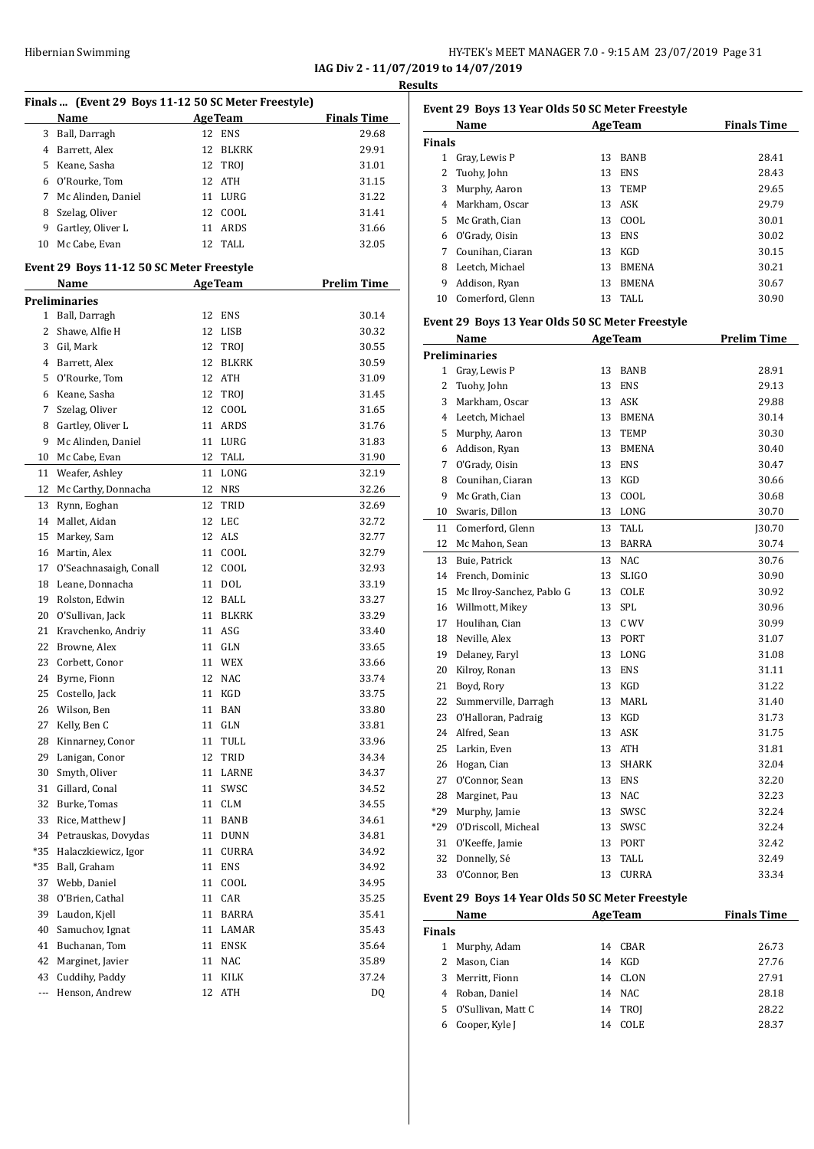|                                      | HY-TEK's MEET MANAGER 7.0 - 9:15 AM 23/07/2019 Page 31 |  |  |
|--------------------------------------|--------------------------------------------------------|--|--|
| IAG Div 2 - 11/07/2019 to 14/07/2019 |                                                        |  |  |

**Results**

| Finals  (Event 29 Boys 11-12 50 SC Meter Freestyle) |                                              |         |                |                    |
|-----------------------------------------------------|----------------------------------------------|---------|----------------|--------------------|
|                                                     | Name                                         | AgeTeam |                | <b>Finals Time</b> |
| 3                                                   | Ball, Darragh                                | 12      | ENS            | 29.68              |
| $\overline{4}$                                      | Barrett, Alex                                | 12      | BLKRK          | 29.91              |
|                                                     | 5 Keane, Sasha                               | 12      | TROJ           | 31.01              |
|                                                     | 6 O'Rourke, Tom                              | 12      | ATH            | 31.15              |
|                                                     | 7 Mc Alinden, Daniel                         |         | 11 LURG        | 31.22              |
| 8                                                   | Szelag, Oliver                               | 12      | COOL           | 31.41              |
|                                                     | 9 Gartley, Oliver L                          | 11      | ARDS           | 31.66              |
| 10                                                  | Mc Cabe, Evan                                |         | 12 TALL        | 32.05              |
|                                                     | Event 29 Boys 11-12 50 SC Meter Freestyle    |         |                |                    |
|                                                     | Name                                         |         | <b>AgeTeam</b> | <b>Prelim Time</b> |
|                                                     | <b>Preliminaries</b>                         |         |                |                    |
| $1 \quad$                                           | Ball, Darragh                                | 12      | ENS            | 30.14              |
| 2                                                   | Shawe, Alfie H                               | 12      | LISB           | 30.32              |
| 3                                                   | Gil, Mark                                    | 12      | TROJ           | 30.55              |
|                                                     | 4 Barrett, Alex                              | 12      | BLKRK          | 30.59              |
| 5                                                   | O'Rourke, Tom                                | 12      | ATH            | 31.09              |
|                                                     | 6 Keane, Sasha                               |         | 12 TROJ        | 31.45              |
|                                                     | 7 Szelag, Oliver                             | 12      | COOL           | 31.65              |
| 8                                                   | Gartley, Oliver L                            | 11      | ARDS           | 31.76              |
| 9                                                   | Mc Alinden, Daniel                           | 11      | LURG           | 31.83              |
| 10                                                  | Mc Cabe, Evan                                |         | 12 TALL        | 31.90              |
| 11                                                  | Weafer, Ashley                               | 11      | LONG           | 32.19              |
| 12                                                  | Mc Carthy, Donnacha                          | 12      | NRS            | 32.26              |
| 13                                                  | Rynn, Eoghan                                 | 12      | TRID           | 32.69              |
| 14                                                  | Mallet, Aidan                                | 12      | LEC            | 32.72              |
| 15                                                  | Markey, Sam                                  | 12      | ALS            | 32.77              |
|                                                     | 16 Martin, Alex                              | 11      | COOL           | 32.79              |
| 17                                                  | O'Seachnasaigh, Conall                       | 12      | COOL           | 32.93              |
|                                                     | 18 Leane, Donnacha                           | 11      | DOL            |                    |
|                                                     | 19 Rolston, Edwin                            | 12      | BALL           | 33.19<br>33.27     |
|                                                     |                                              | 11      | BLKRK          | 33.29              |
|                                                     | 20 O'Sullivan, Jack<br>21 Kravchenko, Andriy |         |                |                    |
|                                                     |                                              | 11      | ASG<br>11 GLN  | 33.40              |
|                                                     | 22 Browne, Alex                              |         |                | 33.65              |
| 23                                                  | Corbett, Conor                               |         | 11 WEX         | 33.66              |
| 24                                                  | Byrne, Fionn                                 | 12      | NAC            | 33.74              |
| 25                                                  | Costello, Jack                               |         | 11 KGD         | 33.75              |
| 26                                                  | Wilson, Ben                                  | 11      | BAN            | 33.80              |
| 27                                                  | Kelly, Ben C                                 | 11      | GLN            | 33.81              |
| 28                                                  | Kinnarney, Conor                             | 11      | TULL           | 33.96              |
| 29                                                  | Lanigan, Conor                               | 12      | TRID           | 34.34              |
| 30                                                  | Smyth, Oliver                                | 11      | LARNE          | 34.37              |
| 31                                                  | Gillard, Conal                               | 11      | SWSC           | 34.52              |
| 32                                                  | Burke, Tomas                                 | 11      | <b>CLM</b>     | 34.55              |
| 33                                                  | Rice, Matthew J                              | 11      | BANB           | 34.61              |
| 34                                                  | Petrauskas, Dovydas                          | 11      | <b>DUNN</b>    | 34.81              |
| *35                                                 | Halaczkiewicz, Igor                          | 11      | CURRA          | 34.92              |
| $*35$                                               | Ball, Graham                                 | 11      | <b>ENS</b>     | 34.92              |
| 37                                                  | Webb, Daniel                                 | 11      | COOL           | 34.95              |
| 38                                                  | O'Brien, Cathal                              | 11      | CAR            | 35.25              |
| 39                                                  | Laudon, Kjell                                | 11      | <b>BARRA</b>   | 35.41              |
| 40                                                  | Samuchov, Ignat                              | 11      | LAMAR          | 35.43              |
| 41                                                  | Buchanan, Tom                                | 11      | ENSK           | 35.64              |
| 42                                                  | Marginet, Javier                             | 11      | NAC            | 35.89              |
| 43                                                  | Cuddihy, Paddy                               | 11      | KILK           | 37.24              |
| ---                                                 | Henson, Andrew                               | 12      | ATH            | DQ                 |

|               | Name                                                            |    | <b>AgeTeam</b> | <b>Finals Time</b> |
|---------------|-----------------------------------------------------------------|----|----------------|--------------------|
| <b>Finals</b> |                                                                 |    |                |                    |
| 1             | Gray, Lewis P                                                   | 13 | BANB           | 28.41              |
| 2             | Tuohy, John                                                     | 13 | <b>ENS</b>     | 28.43              |
| 3             | Murphy, Aaron                                                   | 13 | TEMP           | 29.65              |
| 4             | Markham, Oscar                                                  | 13 | ASK            | 29.79              |
| 5             | Mc Grath, Cian                                                  | 13 | COOL           | 30.01              |
| 6             | O'Grady, Oisin                                                  | 13 | <b>ENS</b>     | 30.02              |
| 7             | Counihan, Ciaran                                                | 13 | KGD            | 30.15              |
| 8             | Leetch, Michael                                                 | 13 | <b>BMENA</b>   | 30.21              |
| 9             | Addison, Ryan                                                   | 13 | <b>BMENA</b>   | 30.67              |
| 10            | Comerford, Glenn                                                | 13 | TALL           | 30.90              |
|               | Event 29 Boys 13 Year Olds 50 SC Meter Freestyle                |    |                |                    |
|               | Name                                                            |    | <b>AgeTeam</b> | <b>Prelim Time</b> |
|               | <b>Preliminaries</b>                                            |    |                |                    |
| 1             | Gray, Lewis P                                                   | 13 | <b>BANB</b>    | 28.91              |
| ີ             | $\mathbf{T}$ and $\mathbf{I}$ and $\mathbf{I}$ and $\mathbf{I}$ |    | 12 FMS         | າດ 1 າ             |

| 1     | Gray, Lewis P             | 13 | <b>BANB</b>  | 28.91         |
|-------|---------------------------|----|--------------|---------------|
| 2     | Tuohy, John               | 13 | <b>ENS</b>   | 29.13         |
| 3     | Markham, Oscar            | 13 | <b>ASK</b>   | 29.88         |
| 4     | Leetch, Michael           | 13 | <b>BMENA</b> | 30.14         |
| 5     | Murphy, Aaron             | 13 | <b>TEMP</b>  | 30.30         |
| 6     | Addison, Ryan             | 13 | <b>BMENA</b> | 30.40         |
| 7     | O'Grady, Oisin            | 13 | <b>ENS</b>   | 30.47         |
| 8     | Counihan, Ciaran          | 13 | KGD          | 30.66         |
| 9     | Mc Grath, Cian            | 13 | COOL         | 30.68         |
| 10    | Swaris, Dillon            | 13 | LONG         | 30.70         |
| 11    | Comerford, Glenn          | 13 | TALL         | <b>J30.70</b> |
| 12    | Mc Mahon, Sean            | 13 | <b>BARRA</b> | 30.74         |
| 13    | Buie, Patrick             | 13 | <b>NAC</b>   | 30.76         |
| 14    | French, Dominic           | 13 | <b>SLIGO</b> | 30.90         |
| 15    | Mc Ilroy-Sanchez, Pablo G | 13 | COLE         | 30.92         |
| 16    | Willmott, Mikey           | 13 | <b>SPL</b>   | 30.96         |
| 17    | Houlihan, Cian            | 13 | C WV         | 30.99         |
| 18    | Neville, Alex             | 13 | PORT         | 31.07         |
| 19    | Delaney, Faryl            | 13 | LONG         | 31.08         |
| 20    | Kilroy, Ronan             | 13 | <b>ENS</b>   | 31.11         |
| 21    | Boyd, Rory                | 13 | <b>KGD</b>   | 31.22         |
| 22    | Summerville, Darragh      | 13 | MARL         | 31.40         |
| 23    | O'Halloran, Padraig       | 13 | KGD          | 31.73         |
| 24    | Alfred, Sean              | 13 | <b>ASK</b>   | 31.75         |
| 25    | Larkin, Even              | 13 | <b>ATH</b>   | 31.81         |
| 26    | Hogan, Cian               | 13 | <b>SHARK</b> | 32.04         |
| 27    | O'Connor, Sean            | 13 | <b>ENS</b>   | 32.20         |
| 28    | Marginet, Pau             | 13 | <b>NAC</b>   | 32.23         |
| $*29$ | Murphy, Jamie             | 13 | SWSC         | 32.24         |
| $*29$ | O'Driscoll, Micheal       | 13 | SWSC         | 32.24         |
| 31    | O'Keeffe, Jamie           | 13 | PORT         | 32.42         |
| 32    | Donnelly, Sé              | 13 | <b>TALL</b>  | 32.49         |
| 33    | O'Connor, Ben             | 13 | <b>CURRA</b> | 33.34         |

#### **Event 29 Boys 14 Year Olds 50 SC Meter Freestyle**

| Name          |                    |    | <b>AgeTeam</b> | <b>Finals Time</b> |
|---------------|--------------------|----|----------------|--------------------|
| <b>Finals</b> |                    |    |                |                    |
|               | Murphy, Adam       | 14 | CBAR           | 26.73              |
|               | 2 Mason, Cian      | 14 | KGD            | 27.76              |
| 3             | Merritt, Fionn     | 14 | CLON           | 27.91              |
| 4             | Roban, Daniel      |    | 14 NAC         | 28.18              |
| 5.            | O'Sullivan, Matt C |    | 14 TROI        | 28.22              |
| 6             | Cooper, Kyle J     | 14 | <b>COLE</b>    | 28.37              |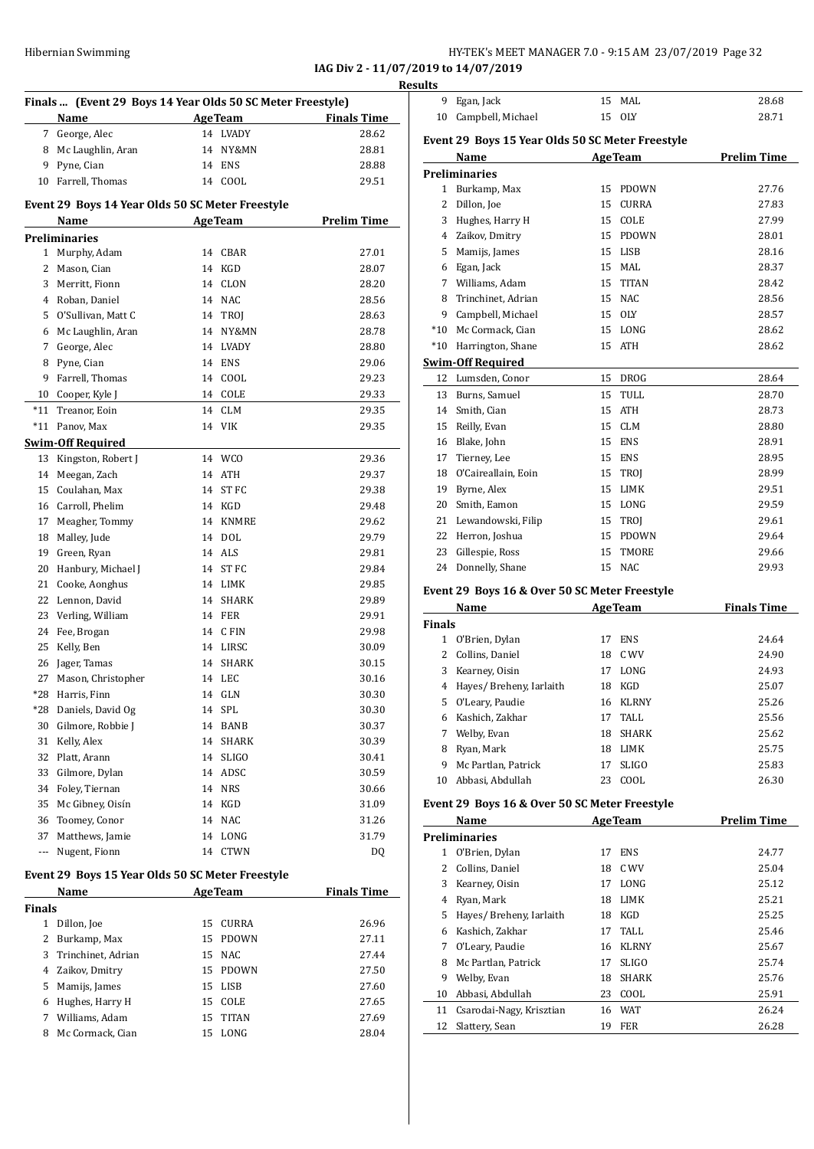| Hibernian Swimming | HY-TEK's MEET MANAGER 7.0 - 9:15 AM 23/07/2019 Page 32 |
|--------------------|--------------------------------------------------------|
|                    |                                                        |

**IAG Div 2 - 11/07/2019 to 14/07/2019**

|                      | Finals  (Event 29 Boys 14 Year Olds 50 SC Meter Freestyle) |                |                    |
|----------------------|------------------------------------------------------------|----------------|--------------------|
|                      | Name                                                       | <b>AgeTeam</b> | <b>Finals Time</b> |
|                      | 7 George, Alec                                             | 14 LVADY       | 28.62              |
| 8                    | Mc Laughlin, Aran                                          | 14 NY&MN       | 28.81              |
|                      | 9 Pyne, Cian                                               | 14 ENS         | 28.88              |
|                      | 10 Farrell, Thomas                                         | 14 COOL        | 29.51              |
|                      |                                                            |                |                    |
|                      | Event 29 Boys 14 Year Olds 50 SC Meter Freestyle           |                |                    |
|                      | Name                                                       | AgeTeam        | <b>Prelim Time</b> |
|                      | <b>Preliminaries</b>                                       |                |                    |
|                      | 1 Murphy, Adam                                             | 14 CBAR        | 27.01              |
| 2                    | Mason, Cian                                                | 14 KGD         | 28.07              |
|                      | 3 Merritt, Fionn                                           | 14 CLON        | 28.20              |
|                      | 4 Roban, Daniel                                            | 14 NAC         | 28.56              |
|                      | 5 O'Sullivan, Matt C                                       | 14 TROJ        | 28.63              |
|                      | 6 Mc Laughlin, Aran                                        | 14 NY&MN       | 28.78              |
|                      | 7 George, Alec                                             | 14 I.VADY      | 28.80              |
|                      | 8 Pyne, Cian                                               | 14 ENS         | 29.06              |
|                      | 9 Farrell, Thomas                                          | 14 COOL        | 29.23              |
|                      | 10 Cooper, Kyle J                                          | 14 COLE        | 29.33              |
| $*11$                | Treanor, Eoin                                              | 14 CLM         | 29.35              |
| $*11$                | Panov, Max                                                 | 14 VIK         | 29.35              |
|                      | <b>Swim-Off Required</b>                                   |                |                    |
|                      | 13 Kingston, Robert J                                      | 14 WCO         | 29.36              |
|                      | 14 Meegan, Zach                                            | 14 ATH         | 29.37              |
|                      | 15 Coulahan, Max                                           | 14 ST FC       | 29.38              |
|                      | 16 Carroll, Phelim                                         | 14 KGD         | 29.48              |
| 17                   | Meagher, Tommy                                             | 14 KNMRE       | 29.62              |
| 18                   | Malley, Jude                                               | 14 DOL         | 29.79              |
|                      | 19 Green, Ryan                                             | 14 ALS         | 29.81              |
|                      | 20 Hanbury, Michael J                                      | 14 ST FC       | 29.84              |
|                      | 21 Cooke, Aonghus                                          | 14 LIMK        | 29.85              |
|                      | 22 Lennon, David                                           | 14 SHARK       | 29.89              |
|                      | 23 Verling, William                                        | <b>14 FER</b>  | 29.91              |
|                      | 24 Fee, Brogan                                             | 14 CFIN        | 29.98              |
| 25                   | Kelly, Ben                                                 | 14 LIRSC       | 30.09              |
| 26                   | Jager, Tamas                                               | 14 SHARK       | 30.15              |
| 27                   | Mason, Christopher                                         | 14 LEC         | 30.16              |
| *28                  | Harris, Finn                                               | GLN<br>14      | 30.30              |
| *28                  | Daniels, David Og                                          | SPL<br>14      | 30.30              |
| 30                   | Gilmore, Robbie J                                          | 14 BANB        | 30.37              |
| 31                   | Kelly, Alex                                                | 14 SHARK       | 30.39              |
| 32                   | Platt, Arann                                               | 14 SLIGO       | 30.41              |
|                      | 33 Gilmore, Dylan                                          | 14 ADSC        | 30.59              |
|                      | 34 Foley, Tiernan                                          | 14 NRS         | 30.66              |
| 35                   | Mc Gibney, Oisín                                           | 14 KGD         | 31.09              |
|                      | 36 Toomey, Conor                                           | 14 NAC         | 31.26              |
| 37                   | Matthews, Jamie                                            | 14 LONG        | 31.79              |
| $\scriptstyle\cdots$ | Nugent, Fionn                                              | 14 CTWN        | DQ                 |
|                      |                                                            |                |                    |
|                      | Event 29 Boys 15 Year Olds 50 SC Meter Freestyle           |                |                    |
|                      | Name                                                       | <b>AgeTeam</b> | <b>Finals Time</b> |
| Finals               |                                                            |                |                    |
| $\mathbf{1}$         | Dillon, Joe                                                | 15<br>CURRA    | 26.96              |
| 2                    | Burkamp, Max                                               | 15 PDOWN       | 27.11              |
| 3                    | Trinchinet, Adrian                                         | 15 NAC         | 27.44              |
| 4                    | Zaikov, Dmitry                                             | 15 PDOWN       | 27.50              |
| 5                    | Mamijs, James                                              | 15 LISB        | 27.60              |
|                      | 6 Hughes, Harry H                                          | 15 COLE        | 27.65              |
| 7                    | Williams, Adam                                             | 15 TITAN       | 27.69              |
| 8                    | Mc Cormack, Cian                                           | 15 LONG        | 28.04              |

| 9             | Egan, Jack                                       |    | 15 MAL         | 28.68              |
|---------------|--------------------------------------------------|----|----------------|--------------------|
| 10            | Campbell, Michael                                | 15 | <b>OLY</b>     | 28.71              |
|               |                                                  |    |                |                    |
|               | Event 29 Boys 15 Year Olds 50 SC Meter Freestyle |    |                |                    |
|               | Name                                             |    | <b>AgeTeam</b> | <b>Prelim Time</b> |
|               | <b>Preliminaries</b>                             |    |                |                    |
|               | 1 Burkamp, Max                                   | 15 | <b>PDOWN</b>   | 27.76              |
| 2             | Dillon, Joe                                      | 15 | CURRA          | 27.83              |
|               | 3 Hughes, Harry H                                | 15 | COLE           | 27.99              |
|               | 4 Zaikov, Dmitry                                 |    | 15 PDOWN       | 28.01              |
| 5             | Mamijs, James                                    |    | 15 LISB        | 28.16              |
|               | 6 Egan, Jack                                     |    | 15 MAL         | 28.37              |
|               | 7 Williams, Adam                                 |    | 15 TITAN       | 28.42              |
|               | 8 Trinchinet, Adrian                             |    | 15 NAC         | 28.56              |
|               | 9 Campbell, Michael                              |    | 15 OLY         | 28.57              |
|               | *10 Mc Cormack, Cian                             |    | 15 LONG        | 28.62              |
| $^*10$        | Harrington, Shane                                | 15 | ATH            | 28.62              |
|               | <b>Swim-Off Required</b>                         |    |                |                    |
|               | 12 Lumsden, Conor                                |    | 15 DROG        | 28.64              |
|               | 13 Burns, Samuel                                 |    | 15 TULL        | 28.70              |
|               | 14 Smith, Cian                                   | 15 | ATH            | 28.73              |
|               | 15 Reilly, Evan                                  | 15 | CLM            | 28.80              |
|               | 16 Blake, John                                   |    | 15 ENS         | 28.91              |
|               | 17 Tierney, Lee                                  |    | 15 ENS         | 28.95              |
|               | 18 O'Caireallain, Eoin                           |    | 15 TROJ        | 28.99              |
|               | 19 Byrne, Alex                                   |    | 15 LIMK        | 29.51              |
|               | 20 Smith, Eamon                                  |    | 15 LONG        | 29.59              |
|               | 21 Lewandowski, Filip                            |    |                | 29.61              |
|               |                                                  |    | 15 TROJ        |                    |
|               | 22 Herron, Joshua                                |    | 15 PDOWN       | 29.64              |
| 23            | Gillespie, Ross                                  |    | 15 TMORE       | 29.66              |
| 24            | Donnelly, Shane                                  |    | 15 NAC         | 29.93              |
|               | Event 29 Boys 16 & Over 50 SC Meter Freestyle    |    |                |                    |
|               | <b>Name</b>                                      |    | <b>AgeTeam</b> | <b>Finals Time</b> |
| <b>Finals</b> |                                                  |    |                |                    |
| $\mathbf{1}$  | O'Brien, Dylan                                   | 17 | <b>ENS</b>     | 24.64              |
| 2             | Collins, Daniel                                  |    | 18 C WV        | 24.90              |
| 3             | Kearney, Oisin                                   |    | 17 LONG        | 24.93              |
|               | 4 Hayes/ Breheny, Iarlaith                       | 18 | KGD            | 25.07              |
| 5             | O'Leary, Paudie                                  | 16 | <b>KLRNY</b>   | 25.26              |
| 6             | Kashich, Zakhar                                  |    | 17 TALL        | 25.56              |
| 7             | Welby, Evan                                      | 18 | SHARK          | 25.62              |
|               | 8 Ryan, Mark                                     |    | 18 LIMK        | 25.75              |
| 9             | Mc Partlan, Patrick                              | 17 | SLIGO          | 25.83              |
| 10            | Abbasi, Abdullah                                 | 23 | COOL           | 26.30              |
|               |                                                  |    |                |                    |
|               | Event 29 Boys 16 & Over 50 SC Meter Freestyle    |    |                |                    |
|               | Name                                             |    | <b>AgeTeam</b> | <b>Prelim Time</b> |
|               | <b>Preliminaries</b>                             |    |                |                    |
|               | 1 O'Brien, Dylan                                 | 17 | ENS            | 24.77              |
| 2             | Collins, Daniel                                  | 18 | C WV           | 25.04              |
|               | 3 Kearney, Oisin                                 | 17 | LONG           | 25.12              |
|               | 4 Ryan, Mark                                     | 18 | LIMK           | 25.21              |
|               | 5 Hayes/ Breheny, Iarlaith                       | 18 | KGD            | 25.25              |
|               |                                                  |    |                |                    |

|               | Name                     |    | <b>AgeTeam</b> | <b>Prelim Time</b> |
|---------------|--------------------------|----|----------------|--------------------|
|               | <b>Preliminaries</b>     |    |                |                    |
| 1             | O'Brien, Dylan           | 17 | <b>ENS</b>     | 24.77              |
| $\mathcal{L}$ | Collins, Daniel          | 18 | C WV           | 25.04              |
| 3             | Kearney, Oisin           | 17 | LONG           | 25.12              |
| 4             | Ryan, Mark               | 18 | LIMK           | 25.21              |
| 5.            | Hayes/Breheny, Iarlaith  | 18 | KGD            | 25.25              |
| 6             | Kashich, Zakhar          | 17 | TALL.          | 25.46              |
| 7             | O'Leary, Paudie          | 16 | <b>KLRNY</b>   | 25.67              |
| 8             | Mc Partlan, Patrick      | 17 | <b>SLIGO</b>   | 25.74              |
| 9             | Welby, Evan              | 18 | <b>SHARK</b>   | 25.76              |
| 10            | Abbasi, Abdullah         | 23 | COOL           | 25.91              |
| 11            | Csarodai-Nagy, Krisztian | 16 | <b>WAT</b>     | 26.24              |
| 12            | Slattery, Sean           | 19 | <b>FER</b>     | 26.28              |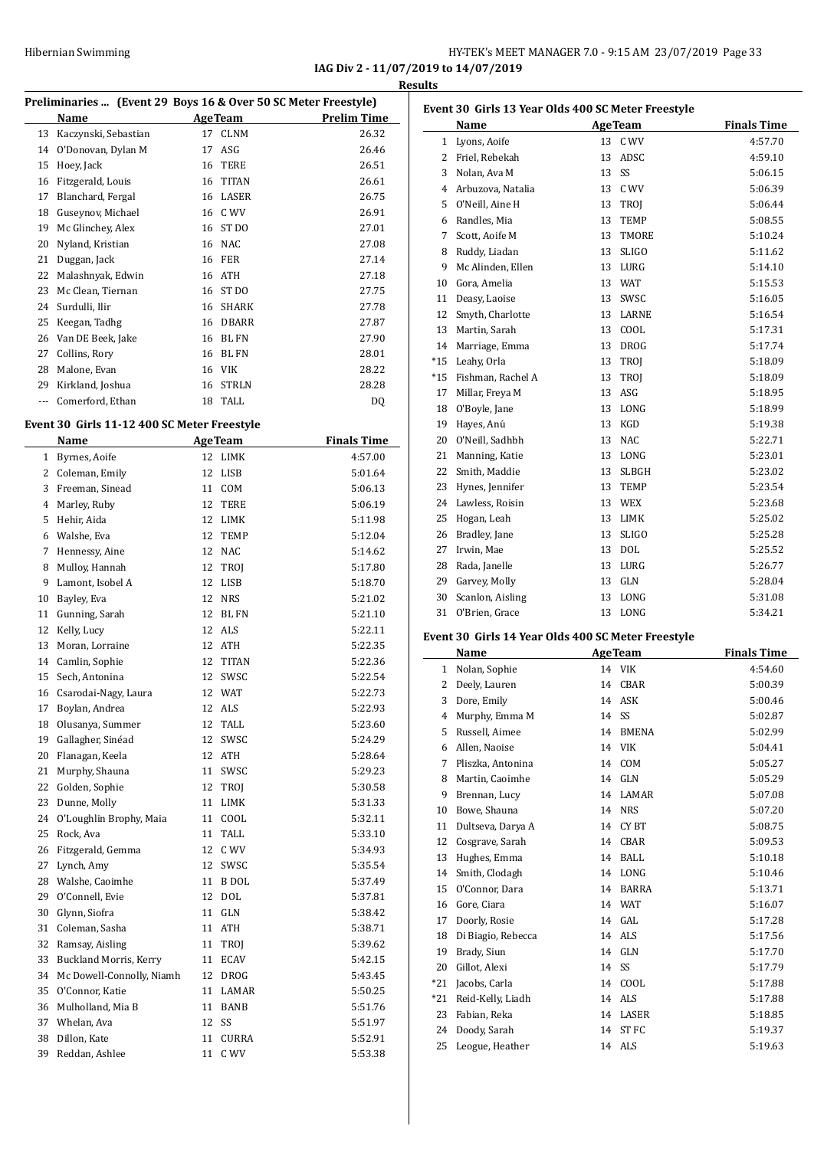#### HY-TEK's MEET MANAGER 7.0 - 9:15 AM 23/07/2019 Page 33 to  $14/07/2019$

|        |                                                                |    |                         | IAG Div 2 - 11/07/2019 |                |
|--------|----------------------------------------------------------------|----|-------------------------|------------------------|----------------|
|        |                                                                |    |                         |                        | <b>Results</b> |
|        | Preliminaries  (Event 29 Boys 16 & Over 50 SC Meter Freestyle) |    |                         |                        | Eve            |
|        | Name                                                           | 17 | Age Team<br><b>CLNM</b> | <b>Prelim Time</b>     |                |
| 14     | 13 Kaczynski, Sebastian<br>O'Donovan, Dylan M                  | 17 | ASG                     | 26.32<br>26.46         |                |
| 15     | Hoey, Jack                                                     |    | 16 TERE                 | 26.51                  |                |
| 16     | Fitzgerald, Louis                                              |    | 16 TITAN                | 26.61                  |                |
| 17     | Blanchard, Fergal                                              |    | 16 LASER                | 26.75                  |                |
| 18     | Guseynov, Michael                                              |    | 16 C WV                 | 26.91                  |                |
| 19     | Mc Glinchey, Alex                                              |    | 16 ST DO                | 27.01                  |                |
| 20     | Nyland, Kristian                                               |    | 16 NAC                  | 27.08                  |                |
| 21     | Duggan, Jack                                                   |    | <b>16 FER</b>           | 27.14                  |                |
| 22     | Malashnyak, Edwin                                              |    | 16 ATH                  | 27.18                  |                |
| 23     | Mc Clean, Tiernan                                              |    | 16 ST DO                | 27.75                  | 1              |
| 24     | Surdulli, Ilir                                                 |    | 16 SHARK                | 27.78                  | 1              |
| 25     | Keegan, Tadhg                                                  |    | 16 DBARR                | 27.87                  | $\mathbf{1}$   |
| 26     | Van DE Beek, Jake                                              |    | 16 BL FN                | 27.90                  | $\mathbf{1}$   |
| 27     | Collins, Rory                                                  |    | 16 BL FN                | 28.01                  | $\mathbf{1}$   |
| 28     | Malone, Evan                                                   |    | 16 VIK                  | 28.22                  | $^*1$          |
| 29     | Kirkland, Joshua                                               | 16 | <b>STRLN</b>            | 28.28                  | *1             |
| ---    | Comerford, Ethan                                               |    | 18 TALL                 | DQ                     | 1              |
|        |                                                                |    |                         |                        | $\mathbf{1}$   |
|        | Event 30 Girls 11-12 400 SC Meter Freestyle                    |    |                         |                        | $\mathbf{1}$   |
|        | Name                                                           |    | <b>AgeTeam</b>          | <b>Finals Time</b>     | 2              |
|        | 1 Byrnes, Aoife                                                |    | 12 LIMK                 | 4:57.00                | 2              |
|        | 2 Coleman, Emily                                               |    | 12 LISB                 | 5:01.64                | 2              |
|        | 3 Freeman, Sinead                                              |    | 11 COM                  | 5:06.13                | 2              |
|        | 4 Marley, Ruby                                                 |    | 12 TERE                 | 5:06.19                | 2              |
| 5.     | Hehir, Aida                                                    |    | 12 LIMK                 | 5:11.98                | 2<br>2         |
|        | 6 Walshe, Eva                                                  |    | 12 TEMP                 | 5:12.04                | 2              |
| 7      | Hennessy, Aine                                                 |    | 12 NAC                  | 5:14.62                | 2              |
| 8<br>9 | Mulloy, Hannah                                                 |    | 12 TROJ<br>12 LISB      | 5:17.80                | 2              |
| 10     | Lamont, Isobel A<br>Bayley, Eva                                | 12 | <b>NRS</b>              | 5:18.70<br>5:21.02     | 3              |
| 11     | Gunning, Sarah                                                 | 12 | BL FN                   | 5:21.10                | 3              |
| 12     | Kelly, Lucy                                                    |    | 12 ALS                  | 5:22.11                |                |
| 13     | Moran, Lorraine                                                |    | 12 ATH                  | 5:22.35                | <b>Eve</b>     |
|        | 14 Camlin, Sophie                                              |    | 12 TITAN                | 5:22.36                |                |
|        | 15 Sech, Antonina                                              |    | 12 SWSC                 | 5:22.54                |                |
| 16     | Csarodai-Nagy, Laura                                           |    | 12 WAT                  | 5:22.73                |                |
| 17     | Boylan, Andrea                                                 |    | 12 ALS                  | 5:22.93                |                |
| 18     | Olusanya, Summer                                               |    | 12 TALL                 | 5:23.60                |                |
| 19     | Gallagher, Sinéad                                              | 12 | SWSC                    | 5:24.29                |                |
| 20     | Flanagan, Keela                                                |    | 12 ATH                  | 5:28.64                |                |
| 21     | Murphy, Shauna                                                 |    | 11 SWSC                 | 5:29.23                |                |
| 22     | Golden, Sophie                                                 | 12 | TROJ                    | 5:30.58                |                |
| 23     | Dunne, Molly                                                   |    | 11 LIMK                 | 5:31.33                |                |
| 24     | O'Loughlin Brophy, Maia                                        | 11 | COOL                    | 5:32.11                | 1              |
| 25     | Rock, Ava                                                      | 11 | TALL                    | 5:33.10                | 1              |
| 26     | Fitzgerald, Gemma                                              |    | 12 C WV                 | 5:34.93                | $\mathbf{1}$   |
| 27     | Lynch, Amy                                                     |    | 12 SWSC                 | 5:35.54                | $\mathbf{1}$   |
| 28     | Walshe, Caoimhe                                                |    | 11 B DOL                | 5:37.49                | $\mathbf{1}$   |
| 29     | O'Connell, Evie                                                |    | 12 DOL                  | 5:37.81                | 1              |
| 30     | Glynn, Siofra                                                  |    | 11 GLN                  | 5:38.42                | 1              |
| 31     | Coleman, Sasha                                                 |    | 11 ATH                  | 5:38.71                | 1<br>1         |
| 32     | Ramsay, Aisling                                                |    | 11 TROJ                 | 5:39.62                | $\mathbf{1}$   |
| 33     | <b>Buckland Morris, Kerry</b>                                  |    | 11 ECAV                 | 5:42.15                | 2              |
| 34     | Mc Dowell-Connolly, Niamh                                      |    | 12 DROG                 | 5:43.45                | $*2$           |
| 35     | O'Connor, Katie                                                |    | 11 LAMAR                | 5:50.25                | $*2$           |
| 36     | Mulholland, Mia B                                              | 11 | BANB                    | 5:51.76                | 2              |
| 37     | Whelan, Ava                                                    | 12 | SS                      | 5:51.97                | 2              |
| 38     | Dillon, Kate                                                   |    | 11 CURRA                | 5:52.91                | 2              |
|        | 39 Reddan, Ashlee                                              |    | 11 C WV                 | 5:53.38                |                |

| Event 30 Girls 13 Year Olds 400 SC Meter Freestyle |                                                    |    |                |                    |  |
|----------------------------------------------------|----------------------------------------------------|----|----------------|--------------------|--|
|                                                    | Name                                               |    | <b>AgeTeam</b> | <b>Finals Time</b> |  |
| 1                                                  | Lyons, Aoife                                       | 13 | C WV           | 4:57.70            |  |
| 2                                                  | Friel, Rebekah                                     | 13 | ADSC           | 4:59.10            |  |
| 3                                                  | Nolan, Ava M                                       | 13 | SS             | 5:06.15            |  |
| 4                                                  | Arbuzova, Natalia                                  | 13 | C WV           | 5:06.39            |  |
| 5                                                  | O'Neill, Aine H                                    | 13 | <b>TROJ</b>    | 5:06.44            |  |
| 6                                                  | Randles, Mia                                       | 13 | <b>TEMP</b>    | 5:08.55            |  |
| 7                                                  | Scott, Aoife M                                     | 13 | TMORE          | 5:10.24            |  |
| 8                                                  | Ruddy, Liadan                                      | 13 | <b>SLIGO</b>   | 5:11.62            |  |
| 9                                                  | Mc Alinden, Ellen                                  | 13 | LURG           | 5:14.10            |  |
| 10                                                 | Gora, Amelia                                       |    | 13 WAT         | 5:15.53            |  |
| 11                                                 | Deasy, Laoise                                      | 13 | SWSC           | 5:16.05            |  |
| 12                                                 | Smyth, Charlotte                                   | 13 | LARNE          | 5:16.54            |  |
| 13                                                 | Martin, Sarah                                      | 13 | COOL           | 5:17.31            |  |
| 14                                                 | Marriage, Emma                                     | 13 | <b>DROG</b>    | 5:17.74            |  |
| $*15$                                              | Leahy, Orla                                        | 13 | TROJ           | 5:18.09            |  |
| $*15$                                              | Fishman, Rachel A                                  | 13 | <b>TROI</b>    | 5:18.09            |  |
| 17                                                 | Millar, Freya M                                    | 13 | ASG            | 5:18.95            |  |
| 18                                                 | O'Boyle, Jane                                      | 13 | LONG           | 5:18.99            |  |
| 19                                                 | Hayes, Anú                                         | 13 | KGD            | 5:19.38            |  |
| 20                                                 | O'Neill, Sadhbh                                    | 13 | NAC            | 5:22.71            |  |
| 21                                                 | Manning, Katie                                     | 13 | LONG           | 5:23.01            |  |
| 22                                                 | Smith. Maddie                                      | 13 | <b>SLBGH</b>   | 5:23.02            |  |
| 23                                                 | Hynes, Jennifer                                    | 13 | TEMP           | 5:23.54            |  |
| 24                                                 | Lawless, Roisin                                    | 13 | WEX            | 5:23.68            |  |
| 25                                                 | Hogan, Leah                                        | 13 | LIMK           | 5:25.02            |  |
| 26                                                 | Bradley, Jane                                      | 13 | <b>SLIGO</b>   | 5:25.28            |  |
| 27                                                 | Irwin, Mae                                         | 13 | DOL            | 5:25.52            |  |
| 28                                                 | Rada, Janelle                                      | 13 | LURG           | 5:26.77            |  |
| 29                                                 | Garvey, Molly                                      | 13 | GLN            | 5:28.04            |  |
| 30                                                 | Scanlon, Aisling                                   | 13 | LONG           | 5:31.08            |  |
| 31                                                 | O'Brien, Grace                                     | 13 | LONG           | 5:34.21            |  |
|                                                    | Event 30 Girls 14 Year Olds 400 SC Meter Freestyle |    |                |                    |  |
|                                                    | Name                                               |    | <b>AgeTeam</b> | <b>Finals Time</b> |  |
| 1                                                  | Nolan, Sophie                                      |    | 14 VIK         | 4:54.60            |  |
|                                                    |                                                    |    |                |                    |  |

| 1     | Nolan, Sophie      |    | 14 VIK       | 4:54.60 |
|-------|--------------------|----|--------------|---------|
| 2     | Deely, Lauren      | 14 | <b>CBAR</b>  | 5:00.39 |
| 3     | Dore, Emily        | 14 | <b>ASK</b>   | 5:00.46 |
| 4     | Murphy, Emma M     | 14 | SS           | 5:02.87 |
| 5     | Russell, Aimee     | 14 | <b>BMENA</b> | 5:02.99 |
| 6     | Allen, Naoise      | 14 | <b>VIK</b>   | 5:04.41 |
| 7     | Pliszka, Antonina  | 14 | COM          | 5:05.27 |
| 8     | Martin, Caoimhe    | 14 | <b>GLN</b>   | 5:05.29 |
| 9     | Brennan, Lucy      | 14 | LAMAR        | 5:07.08 |
| 10    | Bowe, Shauna       | 14 | <b>NRS</b>   | 5:07.20 |
| 11    | Dultseva, Darya A  | 14 | <b>CYBT</b>  | 5:08.75 |
| 12    | Cosgrave, Sarah    | 14 | CBAR         | 5:09.53 |
| 13    | Hughes, Emma       | 14 | <b>BALL</b>  | 5:10.18 |
| 14    | Smith, Clodagh     | 14 | LONG         | 5:10.46 |
| 15    | O'Connor, Dara     | 14 | <b>BARRA</b> | 5:13.71 |
| 16    | Gore, Ciara        | 14 | <b>WAT</b>   | 5:16.07 |
| 17    | Doorly, Rosie      | 14 | GAL          | 5:17.28 |
| 18    | Di Biagio, Rebecca | 14 | <b>ALS</b>   | 5:17.56 |
| 19    | Brady, Siun        | 14 | GLN          | 5:17.70 |
| 20    | Gillot, Alexi      | 14 | SS           | 5:17.79 |
| $*21$ | Jacobs, Carla      | 14 | COOL         | 5:17.88 |
| $*21$ | Reid-Kelly, Liadh  | 14 | ALS          | 5:17.88 |
| 23    | Fabian, Reka       | 14 | LASER        | 5:18.85 |
| 24    | Doody, Sarah       | 14 | <b>STFC</b>  | 5:19.37 |
| 25    | Leogue, Heather    | 14 | <b>ALS</b>   | 5:19.63 |
|       |                    |    |              |         |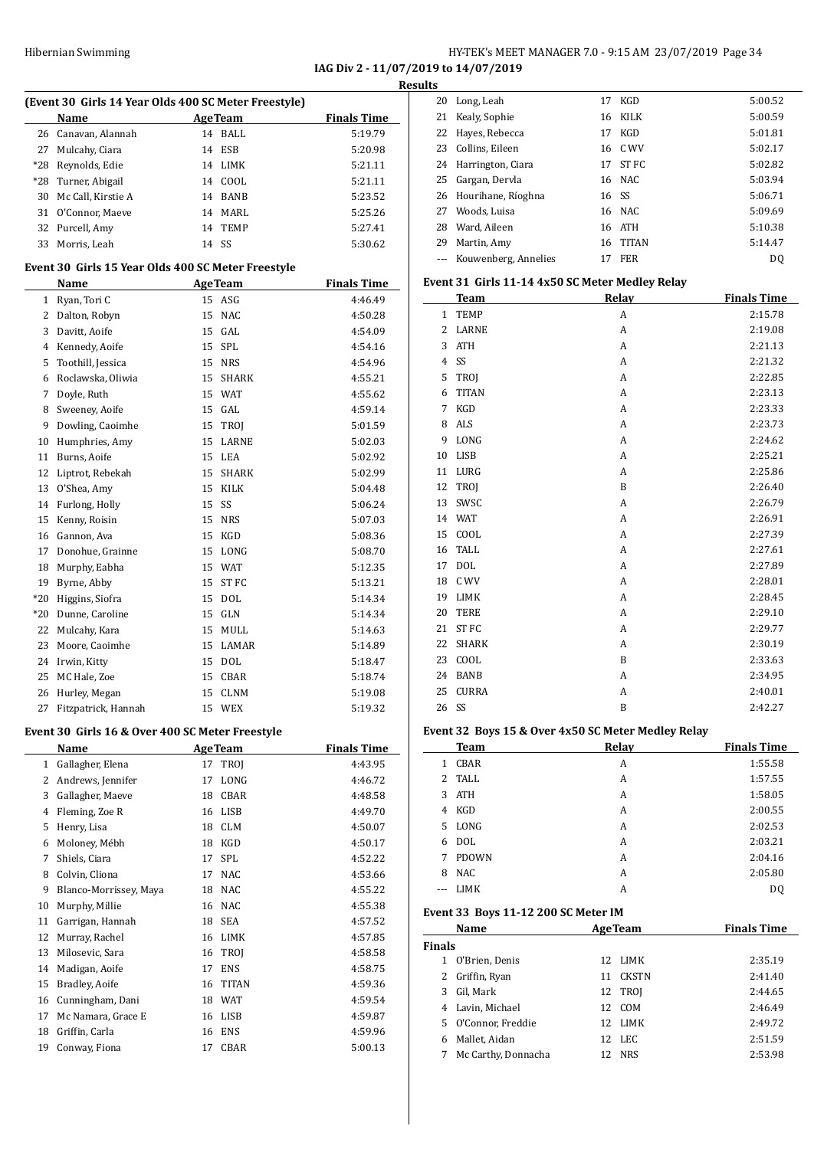**IAG Div 2 - 11/07/2019 to 14/07/2019 Results**

|              | (Event 30 Girls 14 Year Olds 400 SC Meter Freestyle) |                |                  |                    |
|--------------|------------------------------------------------------|----------------|------------------|--------------------|
|              | Name                                                 | <b>AgeTeam</b> |                  | <b>Finals Time</b> |
| 26           | Canavan, Alannah                                     |                | 14 BALL          | 5:19.79            |
| 27           | Mulcahy, Ciara                                       | 14             | ESB              | 5:20.98            |
| $*28$        | Reynolds, Edie                                       |                | 14 LIMK          | 5:21.11            |
| $*28$        | Turner, Abigail                                      |                | 14 COOL          | 5:21.11            |
| 30           | Mc Call, Kirstie A                                   |                | 14 BANB          | 5:23.52            |
| 31           | O'Connor, Maeve                                      |                | 14 MARL          | 5:25.26            |
| 32           | Purcell, Amy                                         | 14             | <b>TEMP</b>      | 5:27.41            |
| 33           | Morris, Leah                                         | 14             | SS               | 5:30.62            |
|              | Event 30 Girls 15 Year Olds 400 SC Meter Freestyle   |                |                  |                    |
|              | Name                                                 |                | <b>AgeTeam</b>   | <b>Finals Time</b> |
|              | 1 Ryan, Tori C                                       |                | 15 ASG           | 4:46.49            |
|              | 2 Dalton, Robyn                                      | 15             | <b>NAC</b>       | 4:50.28            |
|              | 3 Davitt, Aoife                                      | 15             | GAL              | 4:54.09            |
|              | 4 Kennedy, Aoife                                     |                | 15 SPL           | 4:54.16            |
| 5            | Toothill, Jessica                                    |                | 15 NRS           | 4:54.96            |
|              | 6 Roclawska, Oliwia                                  | 15             | <b>SHARK</b>     | 4:55.21            |
| 7            | Doyle, Ruth                                          |                | 15 WAT           | 4:55.62            |
| 8            | Sweeney, Aoife                                       |                | 15 GAL           | 4:59.14            |
| 9            | Dowling, Caoimhe                                     | 15             | TROI             | 5:01.59            |
| 10           | Humphries, Amy                                       | 15             | LARNE            | 5:02.03            |
| 11           | Burns, Aoife                                         | 15             | LEA              | 5:02.92            |
| 12           | Liptrot, Rebekah                                     |                | 15 SHARK         | 5:02.99            |
| 13           | O'Shea, Amy                                          |                | 15 KILK          | 5:04.48            |
| 14           | Furlong, Holly                                       | 15             | SS               | 5:06.24            |
| 15           | Kenny, Roisin                                        | 15             | <b>NRS</b>       | 5:07.03            |
| 16           | Gannon, Ava                                          | 15             | KGD              | 5:08.36            |
| 17           | Donohue, Grainne                                     | 15             | LONG             | 5:08.70            |
|              |                                                      | 15             |                  |                    |
| 18           | Murphy, Eabha                                        |                | WAT              | 5:12.35            |
| 19           | Byrne, Abby                                          | 15             | ST <sub>FC</sub> | 5:13.21            |
| $*20$        | Higgins, Siofra                                      | 15             | <b>DOL</b>       | 5:14.34            |
| $*20$        | Dunne, Caroline                                      | 15             | GLN              | 5:14.34            |
| 22           | Mulcahy, Kara                                        | 15             | MULL             | 5:14.63            |
| 23           | Moore, Caoimhe                                       |                | 15 LAMAR         | 5:14.89            |
| 24           | Irwin, Kitty                                         |                | 15 DOL           | 5:18.47            |
| 25           | MC Hale, Zoe                                         | 15             | CBAR             | 5:18.74            |
| 26           | Hurley, Megan                                        | 15             | <b>CLNM</b>      | 5:19.08            |
| 27           | Fitzpatrick, Hannah                                  | 15             | WEX              | 5:19.32            |
|              | Event 30 Girls 16 & Over 400 SC Meter Freestyle      |                |                  |                    |
|              | Name                                                 |                | <b>AgeTeam</b>   | <b>Finals Time</b> |
| $\mathbf{1}$ | Gallagher, Elena                                     | 17             | TROJ             | 4:43.95            |
| $\mathbf{2}$ | Andrews, Jennifer                                    | 17             | LONG             | 4:46.72            |
|              | 3 Gallagher, Maeve                                   | 18             | CBAR             | 4:48.58            |
|              | 4 Fleming, Zoe R                                     |                | 16 LISB          | 4:49.70            |
|              | 5 Henry, Lisa                                        |                | 18 CLM           | 4:50.07            |
|              | 6 Moloney, Mébh                                      | 18             | KGD              | 4:50.17            |
| $7^{\circ}$  | Shiels, Ciara                                        | 17             | SPL              | 4:52.22            |
|              | 8 Colvin, Cliona                                     | 17             | <b>NAC</b>       | 4:53.66            |
| 9            | Blanco-Morrissey, Maya                               |                | 18 NAC           | 4:55.22            |
| 10           | Murphy, Millie                                       |                | 16 NAC           | 4:55.38            |
| 11           | Garrigan, Hannah                                     | 18             | SEA              | 4:57.52            |
| 12           | Murray, Rachel                                       |                | 16 LIMK          | 4:57.85            |
| 13           | Milosevic, Sara                                      | 16             | TROJ             | 4:58.58            |
| 14           | Madigan, Aoife                                       | 17             | <b>ENS</b>       | 4:58.75            |
| 15           | Bradley, Aoife                                       | 16             | <b>TITAN</b>     | 4:59.36            |
| 16           | Cunningham, Dani                                     |                | 18 WAT           | 4:59.54            |
| 17           | Mc Namara, Grace E                                   |                | 16 LISB          | 4:59.87            |
| 18           | Griffin, Carla                                       | 16             | ENS              | 4:59.96            |
| 19           | Conway, Fiona                                        |                | 17 CBAR          | 5:00.13            |
|              |                                                      |                |                  |                    |

| w  |                       |       |              |         |
|----|-----------------------|-------|--------------|---------|
| 20 | Long, Leah            | 17    | KGD          | 5:00.52 |
|    | 21 Kealy, Sophie      | 16    | KILK         | 5:00.59 |
|    | 22 Hayes, Rebecca     | 17    | KGD          | 5:01.81 |
| 23 | Collins, Eileen       |       | 16 C WV      | 5:02.17 |
|    | 24 Harrington, Ciara  | 17    | ST FC        | 5:02.82 |
| 25 | Gargan, Dervla        |       | 16 NAC       | 5:03.94 |
|    | 26 Hourihane, Ríoghna | 16 SS |              | 5:06.71 |
| 27 | Woods. Luisa          |       | 16 NAC       | 5:09.69 |
| 28 | Ward, Aileen          |       | 16 ATH       | 5:10.38 |
| 29 | Martin, Amy           | 16    | <b>TITAN</b> | 5:14.47 |
|    | Kouwenberg, Annelies  |       | FER          | DO.     |
|    |                       |       |              |         |

#### **Event 31 Girls 11-14 4x50 SC Meter Medley Relay**

|                | <b>Team</b>  | Relay | <b>Finals Time</b> |
|----------------|--------------|-------|--------------------|
| $\mathbf{1}$   | <b>TEMP</b>  | A     | 2:15.78            |
| $\overline{2}$ | LARNE        | A     | 2:19.08            |
| 3              | <b>ATH</b>   | A     | 2:21.13            |
| $\overline{4}$ | SS           | A     | 2:21.32            |
| 5              | TROJ         | A     | 2:22.85            |
| 6              | <b>TITAN</b> | A     | 2:23.13            |
| 7              | <b>KGD</b>   | A     | 2:23.33            |
| 8              | <b>ALS</b>   | A     | 2:23.73            |
| 9              | LONG         | A     | 2:24.62            |
| 10             | LISB         | A     | 2:25.21            |
| 11             | LURG         | A     | 2:25.86            |
| 12             | TROJ         | B     | 2:26.40            |
| 13             | SWSC         | A     | 2:26.79            |
| 14             | <b>WAT</b>   | A     | 2:26.91            |
| 15             | COOL         | A     | 2:27.39            |
| 16             | <b>TALL</b>  | A     | 2:27.61            |
| 17             | <b>DOL</b>   | A     | 2:27.89            |
| 18             | C WV         | A     | 2:28.01            |
| 19             | LIMK         | A     | 2:28.45            |
| 20             | <b>TERE</b>  | A     | 2:29.10            |
| 21             | <b>ST FC</b> | A     | 2:29.77            |
| 22             | <b>SHARK</b> | A     | 2:30.19            |
| 23             | COOL         | B     | 2:33.63            |
| 24             | <b>BANB</b>  | A     | 2:34.95            |
| 25             | <b>CURRA</b> | Α     | 2:40.01            |
| 26             | SS           | B     | 2:42.27            |

#### **Event 32 Boys 15 & Over 4x50 SC Meter Medley Relay**

|      | -- - <i>- ,</i> - | ------ | -------            |
|------|-------------------|--------|--------------------|
|      | Team              | Relay  | <b>Finals Time</b> |
| 1    | CBAR              | A      | 1:55.58            |
| 2    | TALL              | A      | 1:57.55            |
| 3    | ATH               | A      | 1:58.05            |
| 4    | KGD               | A      | 2:00.55            |
| 5.   | LONG              | A      | 2:02.53            |
| 6    | <b>DOL</b>        | A      | 2:03.21            |
| 7    | <b>PDOWN</b>      | A      | 2:04.16            |
| 8    | <b>NAC</b>        | A      | 2:05.80            |
| $--$ | <b>LIMK</b>       | A      | D0                 |

#### **Event 33 Boys 11-12 200 SC Meter IM**

| Name                     | <b>AgeTeam</b>     | <b>Finals Time</b> |
|--------------------------|--------------------|--------------------|
| <b>Finals</b>            |                    |                    |
| O'Brien, Denis           | LIMK<br>12.        | 2:35.19            |
| 2 Griffin, Ryan          | <b>CKSTN</b><br>11 | 2:41.40            |
| Gil, Mark<br>3           | 12 TROI            | 2:44.65            |
| 4 Lavin, Michael         | COM<br>12          | 2:46.49            |
| O'Connor, Freddie<br>5.  | LIMK<br>12         | 2:49.72            |
| Mallet, Aidan<br>6       | 12 LEC             | 2:51.59            |
| Mc Carthy, Donnacha<br>7 | <b>NRS</b><br>12   | 2:53.98            |
|                          |                    |                    |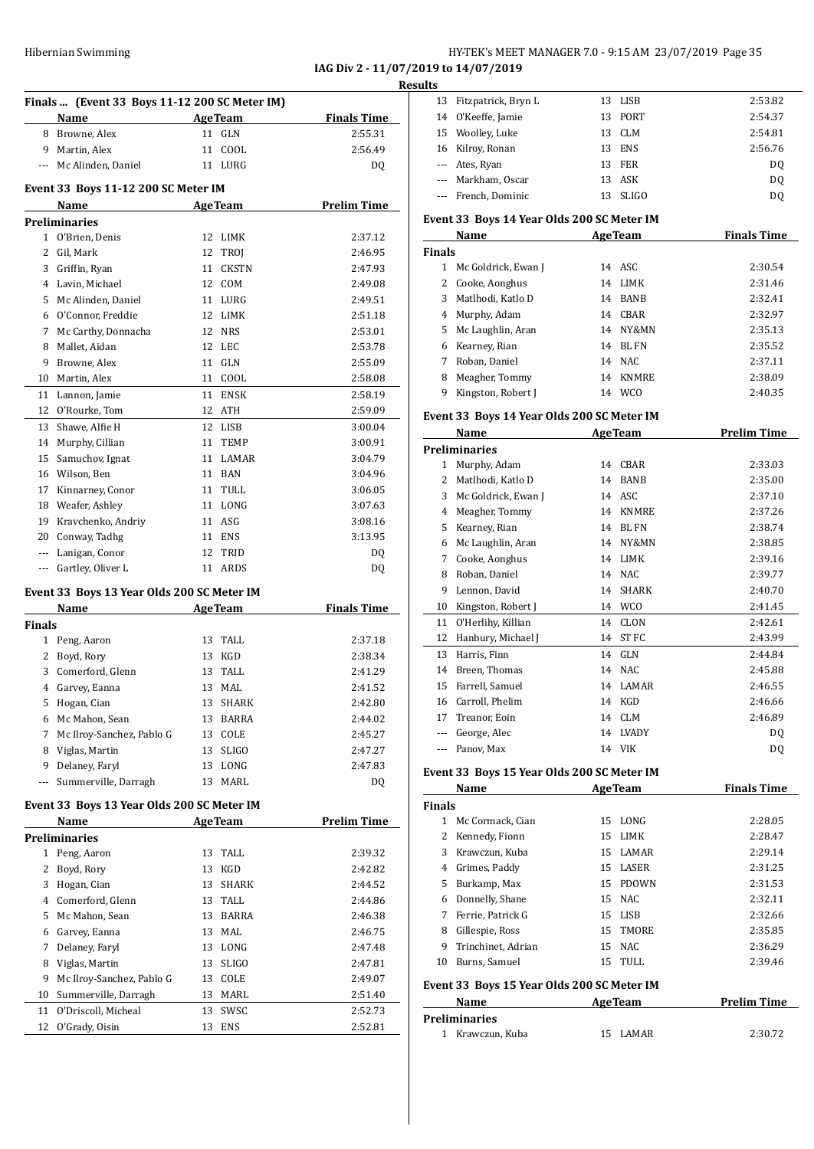**IAG Div 2 - 11/07/2019 to 14/07/2019**

|               | Finals  (Event 33 Boys 11-12 200 SC Meter IM)      |                    |                    |
|---------------|----------------------------------------------------|--------------------|--------------------|
|               | Name                                               | <b>AgeTeam</b>     | <b>Finals Time</b> |
|               | 8 Browne, Alex                                     | 11 GLN             | 2:55.31            |
|               | 9 Martin, Alex                                     | 11<br>COOL         | 2:56.49            |
|               | --- Mc Alinden, Daniel                             | 11 LURG            | DQ                 |
|               |                                                    |                    |                    |
|               | Event 33 Boys 11-12 200 SC Meter IM<br>Name        | <b>AgeTeam</b>     | <b>Prelim Time</b> |
|               | <b>Preliminaries</b>                               |                    |                    |
| 1             | O'Brien, Denis                                     | 12<br><b>LIMK</b>  | 2:37.12            |
| 2             | Gil, Mark                                          | 12<br><b>TROJ</b>  | 2:46.95            |
|               | 3 Griffin, Ryan                                    | 11<br><b>CKSTN</b> | 2:47.93            |
|               | 4 Lavin, Michael                                   | 12 COM             | 2:49.08            |
|               | 5 Mc Alinden, Daniel                               | 11 LURG            | 2:49.51            |
|               | 6 O'Connor, Freddie                                | 12 LIMK            | 2:51.18            |
| 7             | Mc Carthy, Donnacha                                | 12 NRS             | 2:53.01            |
| 8             | Mallet, Aidan                                      | 12 LEC             | 2:53.78            |
| 9             | Browne, Alex                                       | 11<br><b>GLN</b>   | 2:55.09            |
|               | 10 Martin, Alex                                    | 11 COOL            | 2:58.08            |
| 11            | Lannon, Jamie                                      | 11<br><b>ENSK</b>  | 2:58.19            |
|               | 12 O'Rourke, Tom                                   | 12 ATH             | 2:59.09            |
| 13            | Shawe, Alfie H                                     | 12<br>LISB         | 3:00.04            |
| 14            | Murphy, Cillian                                    | 11<br><b>TEMP</b>  | 3:00.91            |
| 15            | Samuchov, Ignat                                    | 11 LAMAR           | 3:04.79            |
|               | 16 Wilson, Ben                                     | 11 BAN             | 3:04.96            |
|               | 17 Kinnarney, Conor                                | 11 TULL            | 3:06.05            |
|               | 18 Weafer, Ashley                                  | LONG<br>11         | 3:07.63            |
|               | 19 Kravchenko, Andriy                              | 11 ASG             | 3:08.16            |
|               | 20 Conway, Tadhg                                   | 11 ENS             | 3:13.95            |
|               | --- Lanigan, Conor                                 | 12<br>TRID         | DQ                 |
| $---$         | Gartley, Oliver L                                  | 11 ARDS            | DQ                 |
|               |                                                    |                    |                    |
|               | Event 33 Boys 13 Year Olds 200 SC Meter IM<br>Name | <b>AgeTeam</b>     | <b>Finals Time</b> |
| <b>Finals</b> |                                                    |                    |                    |
|               | 1 Peng, Aaron                                      | TALL<br>13         | 2:37.18            |
| 2             | Boyd, Rory                                         | KGD<br>13          | 2:38.34            |
| 3             | Comerford, Glenn                                   | TALL<br>13         | 2:41.29            |
|               | 4 Garvey, Eanna                                    | 13<br>MAL          | 2:41.52            |
| 5             | Hogan, Cian                                        | 13<br>SHARK        | 2:42.80            |
| 6             | Mc Mahon, Sean                                     | 13<br>BARRA        | 2:44.02            |
| 7             | Mc Ilroy-Sanchez, Pablo G                          | 13<br>COLE         | 2:45.27            |
|               | 8 Viglas, Martin                                   | <b>SLIGO</b><br>13 | 2:47.27            |
| 9             | Delaney, Faryl                                     | 13<br>LONG         | 2:47.83            |
| ---           | Summerville, Darragh                               | MARL<br>13         | DQ                 |
|               | Event 33 Boys 13 Year Olds 200 SC Meter IM         |                    |                    |
|               | Name                                               | <b>AgeTeam</b>     | <b>Prelim Time</b> |
|               | <b>Preliminaries</b>                               |                    |                    |
| $\mathbf{1}$  | Peng, Aaron                                        | TALL<br>13         | 2:39.32            |
| 2             | Boyd, Rory                                         | KGD<br>13          | 2:42.82            |
| 3             | Hogan, Cian                                        | 13<br><b>SHARK</b> | 2:44.52            |
|               | 4 Comerford, Glenn                                 | 13<br>TALL         | 2:44.86            |
| 5             | Mc Mahon, Sean                                     | BARRA<br>13        | 2:46.38            |
| 6             | Garvey, Eanna                                      | MAL<br>13          | 2:46.75            |
| 7             | Delaney, Faryl                                     | LONG<br>13         | 2:47.48            |
| 8             | Viglas, Martin                                     | <b>SLIGO</b><br>13 | 2:47.81            |
| 9             | Mc Ilroy-Sanchez, Pablo G                          | 13<br>COLE         | 2:49.07            |
| 10            | Summerville, Darragh                               | 13<br>MARL         | 2:51.40            |
| 11            | O'Driscoll, Micheal                                | 13<br>SWSC         | 2:52.73            |
| 12            | O'Grady, Oisin                                     | 13<br>ENS          | 2:52.81            |
|               |                                                    |                    |                    |

| <b>Results</b> |                        |    |         |                |
|----------------|------------------------|----|---------|----------------|
|                | 13 Fitzpatrick, Bryn L |    | 13 LISB | 2:53.82        |
|                | 14 O'Keeffe, Jamie     |    | 13 PORT | 2:54.37        |
|                | 15 Woolley, Luke       |    | 13 CLM  | 2:54.81        |
|                | 16 Kilroy, Ronan       | 13 | ENS     | 2:56.76        |
|                | --- Ates, Ryan         | 13 | FER     | DQ             |
|                | --- Markham, Oscar     |    | 13 ASK  | DQ             |
|                | --- French, Dominic    | 13 | SLIGO   | D <sub>0</sub> |

#### **Event 33 Boys 14 Year Olds 200 SC Meter IM**

|               | Name                |    | <b>AgeTeam</b>  | <b>Finals Time</b> |
|---------------|---------------------|----|-----------------|--------------------|
| <b>Finals</b> |                     |    |                 |                    |
|               | Mc Goldrick, Ewan J |    | 14 ASC          | 2:30.54            |
|               | 2 Cooke, Aonghus    | 14 | LIMK            | 2:31.46            |
| 3             | Matlhodi, Katlo D   | 14 | <b>BANB</b>     | 2:32.41            |
| 4             | Murphy, Adam        | 14 | CBAR            | 2:32.97            |
| 5.            | Mc Laughlin, Aran   | 14 | NY&MN           | 2:35.13            |
| 6             | Kearney, Rian       | 14 | BL FN           | 2:35.52            |
|               | Roban, Daniel       |    | 14 NAC          | 2:37.11            |
| 8             | Meagher, Tommy      | 14 | <b>KNMRE</b>    | 2:38.09            |
| 9             | Kingston, Robert J  | 14 | WC <sub>0</sub> | 2:40.35            |

#### **Event 33 Boys 14 Year Olds 200 SC Meter IM**

|       | Name                 |    | <b>AgeTeam</b> | <b>Prelim Time</b> |
|-------|----------------------|----|----------------|--------------------|
|       | <b>Preliminaries</b> |    |                |                    |
| 1     | Murphy, Adam         | 14 | CBAR           | 2:33.03            |
| 2     | Matlhodi, Katlo D    | 14 | <b>BANB</b>    | 2:35.00            |
| 3     | Mc Goldrick, Ewan J  | 14 | ASC            | 2:37.10            |
| 4     | Meagher, Tommy       | 14 | <b>KNMRE</b>   | 2:37.26            |
| 5     | Kearney, Rian        | 14 | <b>BL FN</b>   | 2:38.74            |
| 6     | Mc Laughlin, Aran    | 14 | NY&MN          | 2:38.85            |
| 7     | Cooke, Aonghus       | 14 | <b>LIMK</b>    | 2:39.16            |
| 8     | Roban, Daniel        | 14 | <b>NAC</b>     | 2:39.77            |
| 9     | Lennon, David        | 14 | <b>SHARK</b>   | 2:40.70            |
| 10    | Kingston, Robert J   | 14 | <b>WCO</b>     | 2:41.45            |
| 11    | O'Herlihy, Killian   | 14 | <b>CLON</b>    | 2:42.61            |
| 12    | Hanbury, Michael J   | 14 | ST FC          | 2:43.99            |
| 13    | Harris, Finn         | 14 | <b>GLN</b>     | 2:44.84            |
| 14    | Breen, Thomas        | 14 | NAC.           | 2:45.88            |
| 15    | Farrell, Samuel      | 14 | LAMAR          | 2:46.55            |
| 16    | Carroll, Phelim      | 14 | KGD            | 2:46.66            |
| 17    | Treanor, Eoin        | 14 | <b>CLM</b>     | 2:46.89            |
| ---   | George, Alec         | 14 | <b>LVADY</b>   | DQ                 |
| $---$ | Panov, Max           | 14 | <b>VIK</b>     | D <sub>0</sub>     |

#### **Event 33 Boys 15 Year Olds 200 SC Meter IM**

|               | Name                                       |    | <b>AgeTeam</b> | <b>Finals Time</b> |
|---------------|--------------------------------------------|----|----------------|--------------------|
| <b>Finals</b> |                                            |    |                |                    |
| 1             | Mc Cormack, Cian                           |    | 15 LONG        | 2:28.05            |
| 2             | Kennedy, Fionn                             | 15 | LIMK           | 2:28.47            |
| 3             | Krawczun. Kuba                             |    | 15 LAMAR       | 2:29.14            |
| 4             | Grimes, Paddy                              | 15 | LASER          | 2:31.25            |
| 5             | Burkamp, Max                               | 15 | <b>PDOWN</b>   | 2:31.53            |
| 6             | Donnelly, Shane                            |    | 15 NAC         | 2:32.11            |
| 7             | Ferrie, Patrick G                          | 15 | LISB           | 2:32.66            |
| 8             | Gillespie, Ross                            |    | 15 TMORE       | 2:35.85            |
| 9             | Trinchinet, Adrian                         | 15 | NAC            | 2:36.29            |
| 10            | Burns, Samuel                              |    | 15 TULL        | 2:39.46            |
|               | Event 33 Boys 15 Year Olds 200 SC Meter IM |    |                |                    |
|               | Name                                       |    | <b>AgeTeam</b> | <b>Prelim Time</b> |
|               | Preliminaries                              |    |                |                    |

| i emminal les    |          |         |
|------------------|----------|---------|
| 1 Krawczun, Kuba | 15 LAMAR | 2:30.72 |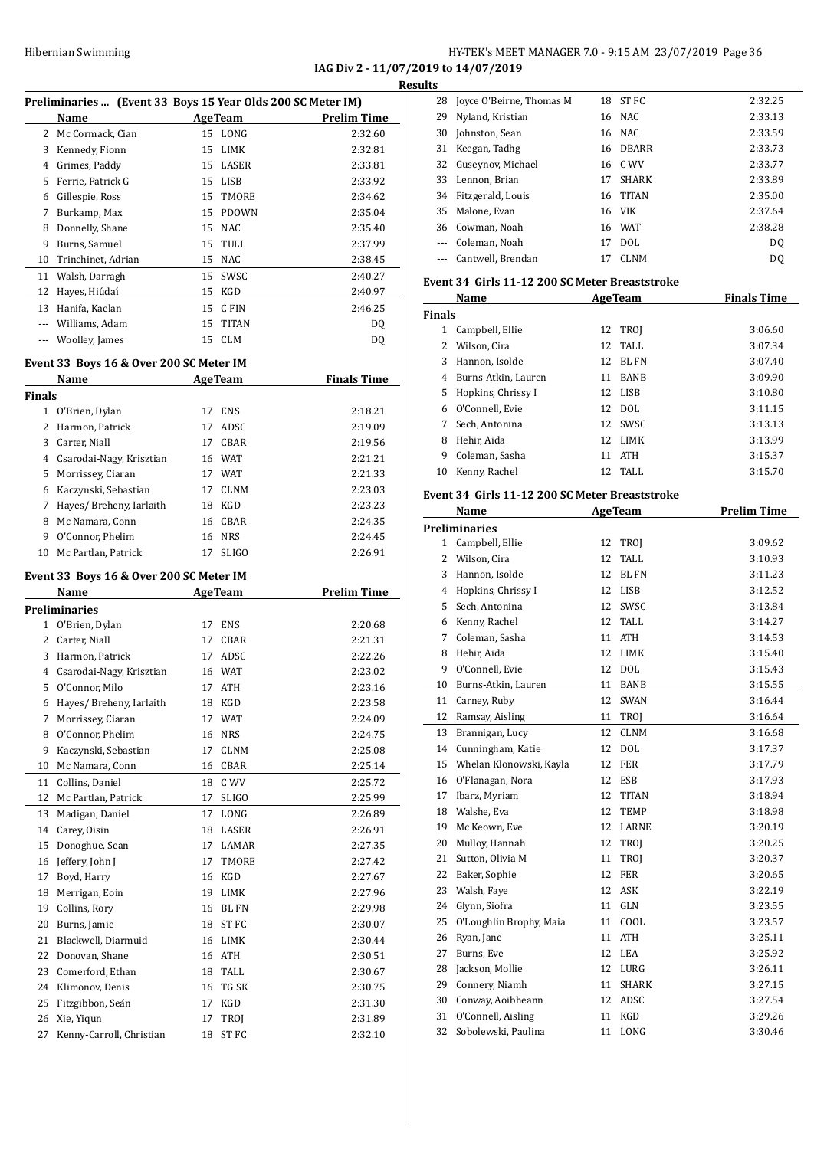**IAG Div 2 - 11/07/2019 to 14/07/2019**

|    |                                                             |    |                |                    | <b>Results</b> |
|----|-------------------------------------------------------------|----|----------------|--------------------|----------------|
|    | Preliminaries  (Event 33 Boys 15 Year Olds 200 SC Meter IM) |    |                |                    | $\overline{2}$ |
|    | Name                                                        |    | <b>AgeTeam</b> | <b>Prelim Time</b> | $2^{\circ}$    |
| 2  | Mc Cormack, Cian                                            |    | 15 LONG        | 2:32.60            | 3              |
| 3  | Kennedy, Fionn                                              | 15 | LIMK           | 2:32.81            | 3              |
| 4  | Grimes, Paddy                                               | 15 | LASER          | 2:33.81            | 3              |
| 5  | Ferrie, Patrick G                                           | 15 | LISB           | 2:33.92            | 3              |
| 6  | Gillespie, Ross                                             | 15 | TMORE          | 2:34.62            | 3.             |
| 7  | Burkamp, Max                                                | 15 | <b>PDOWN</b>   | 2:35.04            | 3              |
| 8  | Donnelly, Shane                                             | 15 | NAC            | 2:35.40            | 3              |
| 9  | Burns, Samuel                                               |    | 15 TULL        | 2:37.99            |                |
| 10 | Trinchinet, Adrian                                          | 15 | NAC            | 2:38.45            |                |
| 11 | Walsh, Darragh                                              | 15 | SWSC           | 2:40.27            | Ever           |
| 12 | Hayes, Hiúdaí                                               | 15 | KGD            | 2:40.97            |                |
| 13 | Hanifa, Kaelan                                              | 15 | C FIN          | 2:46.25            |                |
|    | Williams, Adam                                              | 15 | <b>TITAN</b>   | DQ                 | Fina           |
|    | Woolley, James                                              | 15 | <b>CLM</b>     | DQ                 |                |
|    |                                                             |    |                |                    |                |

#### **Event 33 Boys 16 & Over 200 SC Meter IM**

|               | Name                     |    | <b>AgeTeam</b> | <b>Finals Time</b> |
|---------------|--------------------------|----|----------------|--------------------|
| <b>Finals</b> |                          |    |                |                    |
| 1             | O'Brien, Dylan           | 17 | <b>ENS</b>     | 2:18.21            |
|               | Harmon, Patrick          | 17 | ADSC.          | 2:19.09            |
| 3             | Carter, Niall            | 17 | CBAR           | 2:19.56            |
| 4             | Csarodai-Nagy, Krisztian | 16 | <b>WAT</b>     | 2:21.21            |
| 5.            | Morrissey, Ciaran        | 17 | <b>WAT</b>     | 2:21.33            |
| 6             | Kaczynski, Sebastian     | 17 | <b>CLNM</b>    | 2:23.03            |
|               | Hayes/ Breheny, Iarlaith | 18 | KGD            | 2:23.23            |
| 8             | Mc Namara, Conn          | 16 | CBAR           | 2:24.35            |
| 9             | O'Connor, Phelim         | 16 | <b>NRS</b>     | 2:24.45            |
| 10            | Mc Partlan, Patrick      | 17 | <b>SLIGO</b>   | 2:26.91            |

#### **Event 33 Boys 16 & Over 200 SC Meter IM**

|              | Name                     |    | <b>AgeTeam</b> | <b>Prelim Time</b> |
|--------------|--------------------------|----|----------------|--------------------|
|              | <b>Preliminaries</b>     |    |                |                    |
| $\mathbf{1}$ | O'Brien, Dylan           | 17 | <b>ENS</b>     | 2:20.68            |
| 2            | Carter, Niall            | 17 | CBAR           | 2:21.31            |
| 3            | Harmon, Patrick          | 17 | ADSC           | 2:22.26            |
| 4            | Csarodai-Nagy, Krisztian | 16 | <b>WAT</b>     | 2:23.02            |
| 5            | O'Connor, Milo           | 17 | <b>ATH</b>     | 2:23.16            |
| 6            | Hayes/ Breheny, Iarlaith | 18 | <b>KGD</b>     | 2:23.58            |
| 7            | Morrissey, Ciaran        | 17 | <b>WAT</b>     | 2:24.09            |
| 8            | O'Connor, Phelim         | 16 | <b>NRS</b>     | 2:24.75            |
| 9            | Kaczynski, Sebastian     | 17 | <b>CLNM</b>    | 2:25.08            |
| 10           | Mc Namara, Conn          | 16 | <b>CBAR</b>    | 2:25.14            |
| 11           | Collins, Daniel          | 18 | C WV           | 2:25.72            |
| 12           | Mc Partlan, Patrick      | 17 | <b>SLIGO</b>   | 2:25.99            |
| 13           | Madigan, Daniel          | 17 | LONG           | 2:26.89            |
| 14           | Carey, Oisin             | 18 | <b>LASER</b>   | 2:26.91            |
| 15           | Donoghue, Sean           | 17 | LAMAR          | 2:27.35            |
| 16           | Jeffery, John J          | 17 | TMORE          | 2:27.42            |
| 17           | Boyd, Harry              | 16 | <b>KGD</b>     | 2:27.67            |
| 18           | Merrigan, Eoin           | 19 | <b>LIMK</b>    | 2:27.96            |
| 19           | Collins, Rory            | 16 | <b>BL FN</b>   | 2:29.98            |
| 20           | Burns, Jamie             | 18 | ST FC          | 2:30.07            |
| 21           | Blackwell, Diarmuid      | 16 | <b>LIMK</b>    | 2:30.44            |
| 22           | Donovan, Shane           | 16 | <b>ATH</b>     | 2:30.51            |
| 23           | Comerford, Ethan         | 18 | <b>TALL</b>    | 2:30.67            |
| 24           | Klimonov, Denis          | 16 | TG SK          | 2:30.75            |
| 25           | Fitzgibbon, Seán         | 17 | <b>KGD</b>     | 2:31.30            |
| 26           | Xie, Yiqun               | 17 | <b>TROI</b>    | 2:31.89            |
| 27           | Kenny-Carroll, Christian | 18 | <b>STFC</b>    | 2:32.10            |

| 28                                                                                                                                                                                                                                                                                                                                                                                                                                                                         | Joyce O'Beirne, Thomas M |    | 18 ST FC     | 2:32.25 |
|----------------------------------------------------------------------------------------------------------------------------------------------------------------------------------------------------------------------------------------------------------------------------------------------------------------------------------------------------------------------------------------------------------------------------------------------------------------------------|--------------------------|----|--------------|---------|
| 29                                                                                                                                                                                                                                                                                                                                                                                                                                                                         | Nyland, Kristian         |    | 16 NAC       | 2:33.13 |
| 30                                                                                                                                                                                                                                                                                                                                                                                                                                                                         | Johnston, Sean           |    | 16 NAC       | 2:33.59 |
| 31                                                                                                                                                                                                                                                                                                                                                                                                                                                                         | Keegan, Tadhg            | 16 | <b>DBARR</b> | 2:33.73 |
|                                                                                                                                                                                                                                                                                                                                                                                                                                                                            | 32 Guseynov, Michael     |    | 16 C WV      | 2:33.77 |
| 33                                                                                                                                                                                                                                                                                                                                                                                                                                                                         | Lennon, Brian            | 17 | <b>SHARK</b> | 2:33.89 |
| 34                                                                                                                                                                                                                                                                                                                                                                                                                                                                         | Fitzgerald, Louis        |    | 16 TITAN     | 2:35.00 |
| 35                                                                                                                                                                                                                                                                                                                                                                                                                                                                         | Malone. Evan             |    | 16 VIK       | 2:37.64 |
|                                                                                                                                                                                                                                                                                                                                                                                                                                                                            | 36 Cowman, Noah          | 16 | WAT          | 2:38.28 |
| $\frac{1}{2} \left( \frac{1}{2} \right) \left( \frac{1}{2} \right) \left( \frac{1}{2} \right) \left( \frac{1}{2} \right) \left( \frac{1}{2} \right) \left( \frac{1}{2} \right) \left( \frac{1}{2} \right) \left( \frac{1}{2} \right) \left( \frac{1}{2} \right) \left( \frac{1}{2} \right) \left( \frac{1}{2} \right) \left( \frac{1}{2} \right) \left( \frac{1}{2} \right) \left( \frac{1}{2} \right) \left( \frac{1}{2} \right) \left( \frac{1}{2} \right) \left( \frac$ | Coleman, Noah            | 17 | DOL.         | DO.     |
|                                                                                                                                                                                                                                                                                                                                                                                                                                                                            | --- Cantwell, Brendan    | 17 | <b>CLNM</b>  | DO.     |

#### **Event 34 Girls 11-12 200 SC Meter Breaststroke**

|               | Name                |    | <b>AgeTeam</b> | <b>Finals Time</b> |
|---------------|---------------------|----|----------------|--------------------|
| <b>Finals</b> |                     |    |                |                    |
|               | Campbell, Ellie     |    | 12 TROI        | 3:06.60            |
|               | Wilson, Cira        |    | $12$ TALL      | 3:07.34            |
| 3             | Hannon, Isolde      | 12 | <b>BL FN</b>   | 3:07.40            |
| 4             | Burns-Atkin, Lauren | 11 | <b>BANB</b>    | 3:09.90            |
| 5.            | Hopkins, Chrissy I  | 12 | LISB           | 3:10.80            |
| 6             | O'Connell, Evie     |    | 12 DOL         | 3:11.15            |
| 7             | Sech. Antonina      | 12 | SWSC           | 3:13.13            |
| 8             | Hehir, Aida         | 12 | LIMK           | 3:13.99            |
| 9             | Coleman, Sasha      | 11 | <b>ATH</b>     | 3:15.37            |
| 10            | Kenny, Rachel       | 12 | TALL           | 3:15.70            |

#### **Event 34 Girls 11-12 200 SC Meter Breaststroke**

|                | Name                    |    | <b>AgeTeam</b> | <b>Prelim Time</b> |
|----------------|-------------------------|----|----------------|--------------------|
|                | <b>Preliminaries</b>    |    |                |                    |
|                | 1 Campbell, Ellie       | 12 | TROI           | 3:09.62            |
| $\overline{2}$ | Wilson, Cira            | 12 | <b>TALL</b>    | 3:10.93            |
| 3              | Hannon, Isolde          | 12 | <b>BL FN</b>   | 3:11.23            |
| 4              | Hopkins, Chrissy I      | 12 | <b>LISB</b>    | 3:12.52            |
| 5              | Sech. Antonina          | 12 | SWSC           | 3:13.84            |
| 6              | Kenny, Rachel           | 12 | TALL           | 3:14.27            |
| 7              | Coleman, Sasha          | 11 | <b>ATH</b>     | 3:14.53            |
| 8              | Hehir, Aida             | 12 | <b>LIMK</b>    | 3:15.40            |
| 9              | O'Connell, Evie         | 12 | <b>DOL</b>     | 3:15.43            |
| 10             | Burns-Atkin, Lauren     | 11 | <b>BANB</b>    | 3:15.55            |
| 11             | Carney, Ruby            | 12 | <b>SWAN</b>    | 3:16.44            |
| 12             | Ramsay, Aisling         | 11 | TROJ           | 3:16.64            |
| 13             | Brannigan, Lucy         | 12 | <b>CLNM</b>    | 3:16.68            |
| 14             | Cunningham, Katie       | 12 | <b>DOL</b>     | 3:17.37            |
| 15             | Whelan Klonowski, Kayla | 12 | <b>FER</b>     | 3:17.79            |
| 16             | O'Flanagan, Nora        | 12 | <b>ESB</b>     | 3:17.93            |
| 17             | Ibarz, Myriam           | 12 | <b>TITAN</b>   | 3:18.94            |
| 18             | Walshe, Eva             | 12 | <b>TEMP</b>    | 3:18.98            |
| 19             | Mc Keown, Eve           | 12 | <b>LARNE</b>   | 3:20.19            |
| 20             | Mulloy, Hannah          | 12 | TROJ           | 3:20.25            |
| 21             | Sutton, Olivia M        | 11 | TROJ           | 3:20.37            |
| 22             | Baker, Sophie           | 12 | <b>FER</b>     | 3:20.65            |
| 23             | Walsh, Faye             | 12 | <b>ASK</b>     | 3:22.19            |
| 24             | Glynn, Siofra           | 11 | <b>GLN</b>     | 3:23.55            |
| 25             | O'Loughlin Brophy, Maia | 11 | COOL           | 3:23.57            |
| 26             | Ryan, Jane              | 11 | <b>ATH</b>     | 3:25.11            |
| 27             | Burns, Eve              | 12 | <b>LEA</b>     | 3:25.92            |
| 28             | Jackson, Mollie         | 12 | <b>LURG</b>    | 3:26.11            |
| 29             | Connery, Niamh          | 11 | <b>SHARK</b>   | 3:27.15            |
| 30             | Conway, Aoibheann       | 12 | ADSC           | 3:27.54            |
| 31             | O'Connell, Aisling      | 11 | <b>KGD</b>     | 3:29.26            |
| 32             | Sobolewski, Paulina     | 11 | LONG           | 3:30.46            |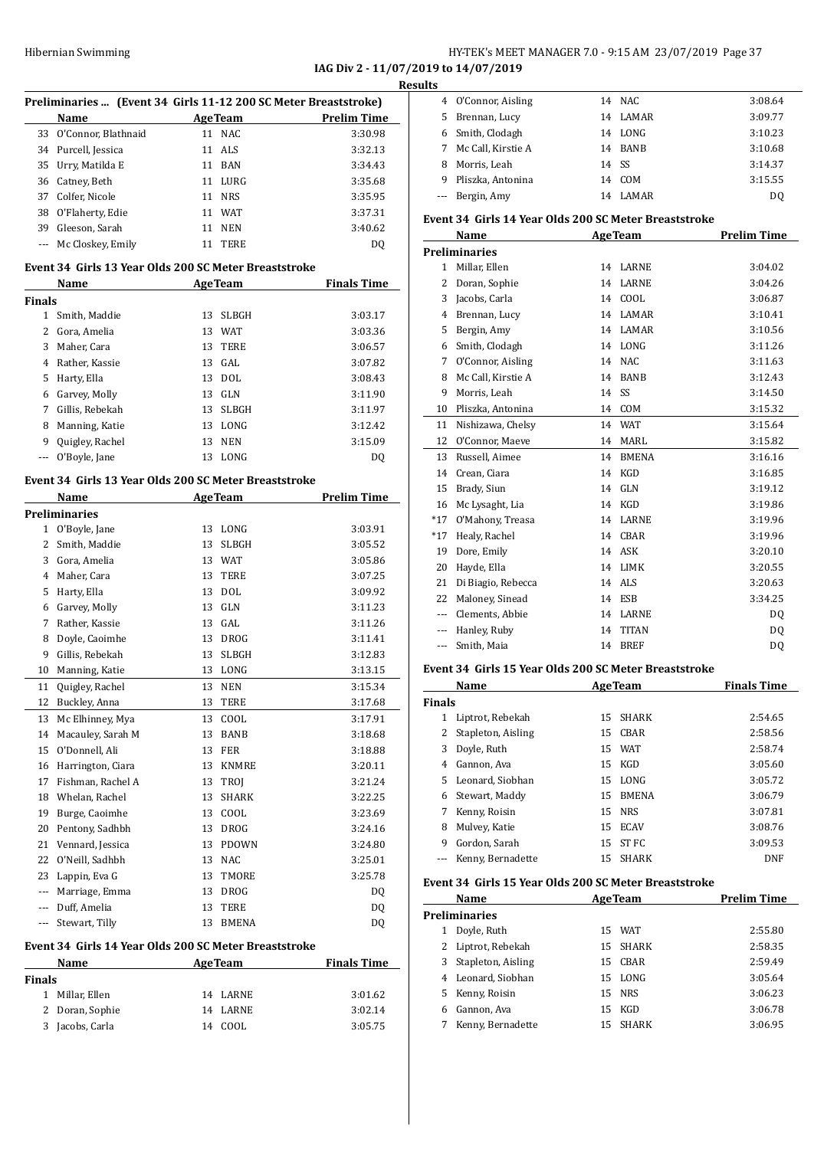### HY-TEK's MEET MANAGER 7.0 - 9:15 AM 23/07/2019 Page 37 **IAG Div 2 - 11/07/2019 to 14/07/2019**

**Results**

|               |                      | Preliminaries  (Event 34 Girls 11-12 200 SC Meter Breaststroke)         |                    |
|---------------|----------------------|-------------------------------------------------------------------------|--------------------|
|               | Name                 | <b>AgeTeam</b>                                                          | <b>Prelim Time</b> |
| 33            | O'Connor, Blathnaid  | 11 NAC                                                                  | 3:30.98            |
|               | 34 Purcell, Jessica  | 11 ALS                                                                  | 3:32.13            |
|               | 35 Urry, Matilda E   | 11 BAN                                                                  | 3:34.43            |
|               | 36 Catney, Beth      | 11 LURG                                                                 | 3:35.68            |
|               | 37 Colfer, Nicole    | 11 NRS                                                                  | 3:35.95            |
|               | 38 O'Flaherty, Edie  | 11 WAT                                                                  | 3:37.31            |
|               | 39 Gleeson, Sarah    | 11 NEN                                                                  | 3:40.62            |
| $\cdots$      | Mc Closkey, Emily    | 11 TERE                                                                 | DQ                 |
|               | Name                 | Event 34 Girls 13 Year Olds 200 SC Meter Breaststroke<br><b>AgeTeam</b> | <b>Finals Time</b> |
| <b>Finals</b> |                      |                                                                         |                    |
|               | 1 Smith, Maddie      | 13<br>SLBGH                                                             | 3:03.17            |
|               | 2 Gora, Amelia       | 13 WAT                                                                  | 3:03.36            |
|               | 3 Maher, Cara        | 13<br>TERE                                                              | 3:06.57            |
|               | 4 Rather, Kassie     | $13$ GAL                                                                | 3:07.82            |
|               | 5 Harty, Ella        | 13 DOL                                                                  | 3:08.43            |
|               | 6 Garvey, Molly      | 13 GLN                                                                  | 3:11.90            |
|               | 7 Gillis, Rebekah    | 13 SLBGH                                                                | 3:11.97            |
|               | 8 Manning, Katie     | 13 LONG                                                                 | 3:12.42            |
|               | 9 Quigley, Rachel    | 13 NEN                                                                  | 3:15.09            |
| $\cdots$      | O'Boyle, Jane        | 13 LONG                                                                 | DQ                 |
|               |                      | Event 34 Girls 13 Year Olds 200 SC Meter Breaststroke                   |                    |
|               | Name                 | <b>AgeTeam</b>                                                          | <b>Prelim Time</b> |
|               | <b>Preliminaries</b> |                                                                         |                    |
|               | 1 O'Boyle, Jane      | 13 LONG                                                                 | 3:03.91            |
|               | 2 Smith, Maddie      | 13 SLBGH                                                                | 3:05.52            |
|               | 3 Gora, Amelia       | 13 WAT                                                                  | 3:05.86            |
|               | 4 Maher, Cara        | TERE<br>13                                                              | 3:07.25            |
|               | 5 Harty, Ella        | 13 DOL                                                                  | 3:09.92            |
|               | 6 Garvey, Molly      | 13 GLN                                                                  | 3:11.23            |
|               | 7 Rather, Kassie     | 13 GAL                                                                  | 3:11.26            |
|               | 8 Doyle, Caoimhe     | 13 DROG                                                                 | 3:11.41            |
| 9             | Gillis, Rebekah      | 13<br>SLBGH                                                             | 3:12.83            |
| 10            | Manning, Katie       | 13 LONG                                                                 | 3:13.15            |
| 11            | Quigley, Rachel      | 13<br>NEN                                                               | 3:15.34            |
| 12            | Buckley, Anna        | 13<br>TERE                                                              | 3:17.68            |
| 13            | Mc Elhinney, Mya     | 13<br>COOL                                                              | 3:17.91            |
| 14            | Macauley, Sarah M    | BANB<br>13                                                              | 3:18.68            |
| 15            | O'Donnell, Ali       | 13 FER                                                                  | 3:18.88            |
|               | 16 Harrington, Ciara | 13 KNMRE                                                                | 3:20.11            |
| 17            | Fishman, Rachel A    | 13<br>TROJ                                                              | 3:21.24            |
|               | 18 Whelan, Rachel    | 13<br>SHARK                                                             | 3:22.25            |
|               | 19 Burge, Caoimhe    | 13<br>COOL                                                              | 3:23.69            |
|               | 20 Pentony, Sadhbh   | 13<br>DROG                                                              | 3:24.16            |
|               | 21 Vennard, Jessica  | 13 PDOWN                                                                | 3:24.80            |
|               | 22 O'Neill, Sadhbh   | 13 NAC                                                                  | 3:25.01            |
|               | 23 Lappin, Eva G     | 13<br>TMORE                                                             | 3:25.78            |
|               | --- Marriage, Emma   | <b>DROG</b><br>13                                                       | DQ                 |
|               | --- Duff, Amelia     | TERE<br>13                                                              |                    |
|               |                      |                                                                         | DQ                 |
| $\cdots$      | Stewart, Tilly       | BMENA<br>13                                                             | DQ                 |
|               | Name                 | Event 34 Girls 14 Year Olds 200 SC Meter Breaststroke<br><b>AgeTeam</b> | <b>Finals Time</b> |
| <b>Finals</b> |                      |                                                                         |                    |
|               |                      | 14<br>LARNE                                                             | 3:01.62            |
| 1             | Millar, Ellen        |                                                                         |                    |
| 2             | Doran, Sophie        | 14<br>LARNE                                                             | 3:02.14            |

| LS. |                     |       |         |         |
|-----|---------------------|-------|---------|---------|
|     | 4 O'Connor, Aisling |       | 14 NAC  | 3:08.64 |
|     | 5 Brennan, Lucy     | 14    | LAMAR   | 3:09.77 |
|     | 6 Smith, Clodagh    | 14    | LONG    | 3:10.23 |
| 7   | Mc Call, Kirstie A  |       | 14 BANB | 3:10.68 |
| 8   | Morris, Leah        | 14 SS |         | 3:14.37 |
| 9   | Pliszka, Antonina   | 14    | COM     | 3:15.55 |
|     | --- Bergin, Amy     | 14    | LAMAR   | DO      |
|     |                     |       |         |         |

#### **Event 34 Girls 14 Year Olds 200 SC Meter Breaststroke**

|              | Name               |    | <b>AgeTeam</b> | <b>Prelim Time</b> |
|--------------|--------------------|----|----------------|--------------------|
|              | Preliminaries      |    |                |                    |
| $\mathbf{1}$ | Millar, Ellen      | 14 | <b>LARNE</b>   | 3:04.02            |
| 2            | Doran, Sophie      | 14 | <b>LARNE</b>   | 3:04.26            |
| 3            | Jacobs, Carla      | 14 | COOL           | 3:06.87            |
| 4            | Brennan, Lucy      | 14 | <b>LAMAR</b>   | 3:10.41            |
| 5            | Bergin, Amy        | 14 | <b>LAMAR</b>   | 3:10.56            |
| 6            | Smith, Clodagh     | 14 | LONG           | 3:11.26            |
| 7            | O'Connor, Aisling  | 14 | <b>NAC</b>     | 3:11.63            |
| 8            | Mc Call, Kirstie A | 14 | <b>BANB</b>    | 3:12.43            |
| 9            | Morris, Leah       | 14 | SS             | 3:14.50            |
| 10           | Pliszka, Antonina  | 14 | COM            | 3:15.32            |
| 11           | Nishizawa, Chelsy  | 14 | <b>WAT</b>     | 3:15.64            |
| 12           | O'Connor, Maeve    | 14 | <b>MARL</b>    | 3:15.82            |
| 13           | Russell, Aimee     | 14 | <b>BMENA</b>   | 3:16.16            |
| 14           | Crean, Ciara       | 14 | KGD            | 3:16.85            |
| 15           | Brady, Siun        | 14 | GLN            | 3:19.12            |
| 16           | Mc Lysaght, Lia    | 14 | <b>KGD</b>     | 3:19.86            |
| $*17$        | O'Mahony, Treasa   | 14 | <b>LARNE</b>   | 3:19.96            |
| $*17$        | Healy, Rachel      | 14 | CBAR           | 3:19.96            |
| 19           | Dore, Emily        | 14 | <b>ASK</b>     | 3:20.10            |
| 20           | Hayde, Ella        | 14 | LIMK           | 3:20.55            |
| 21           | Di Biagio, Rebecca | 14 | <b>ALS</b>     | 3:20.63            |
| 22           | Maloney, Sinead    | 14 | <b>ESB</b>     | 3:34.25            |
| ---          | Clements, Abbie    | 14 | <b>LARNE</b>   | DQ                 |
| ---          | Hanley, Ruby       | 14 | <b>TITAN</b>   | D <sub>0</sub>     |
| $---$        | Smith, Maia        | 14 | <b>BREF</b>    | DQ                 |
|              |                    |    |                |                    |

#### **Event 34 Girls 15 Year Olds 200 SC Meter Breaststroke**

|        | Name               |    | <b>AgeTeam</b> | <b>Finals Time</b> |
|--------|--------------------|----|----------------|--------------------|
| Finals |                    |    |                |                    |
| 1      | Liptrot, Rebekah   |    | 15 SHARK       | 2:54.65            |
|        | Stapleton, Aisling |    | 15 CBAR        | 2:58.56            |
| 3      | Doyle, Ruth        |    | 15 WAT         | 2:58.74            |
| 4      | Gannon, Ava        |    | 15 KGD         | 3:05.60            |
| 5.     | Leonard, Siobhan   |    | 15 LONG        | 3:05.72            |
| 6      | Stewart, Maddy     | 15 | <b>BMENA</b>   | 3:06.79            |
| 7      | Kenny, Roisin      |    | 15 NRS         | 3:07.81            |
| 8      | Mulvey, Katie      | 15 | ECAV           | 3:08.76            |
| 9      | Gordon, Sarah      |    | 15 ST FC       | 3:09.53            |
|        | Kenny, Bernadette  |    | 15 SHARK       | DNF                |

#### **Event 34 Girls 15 Year Olds 200 SC Meter Breaststroke**

|               | Name               | <b>AgeTeam</b> |          | <b>Prelim Time</b> |  |
|---------------|--------------------|----------------|----------|--------------------|--|
| Preliminaries |                    |                |          |                    |  |
|               | Doyle, Ruth        |                | 15 WAT   | 2:55.80            |  |
|               | 2 Liptrot, Rebekah |                | 15 SHARK | 2:58.35            |  |
| 3             | Stapleton, Aisling |                | 15 CBAR  | 2:59.49            |  |
|               | 4 Leonard, Siobhan |                | 15 LONG  | 3:05.64            |  |
| 5.            | Kenny, Roisin      |                | 15 NRS   | 3:06.23            |  |
| 6             | Gannon, Ava        |                | 15 KGD   | 3:06.78            |  |
|               | Kenny, Bernadette  |                | 15 SHARK | 3:06.95            |  |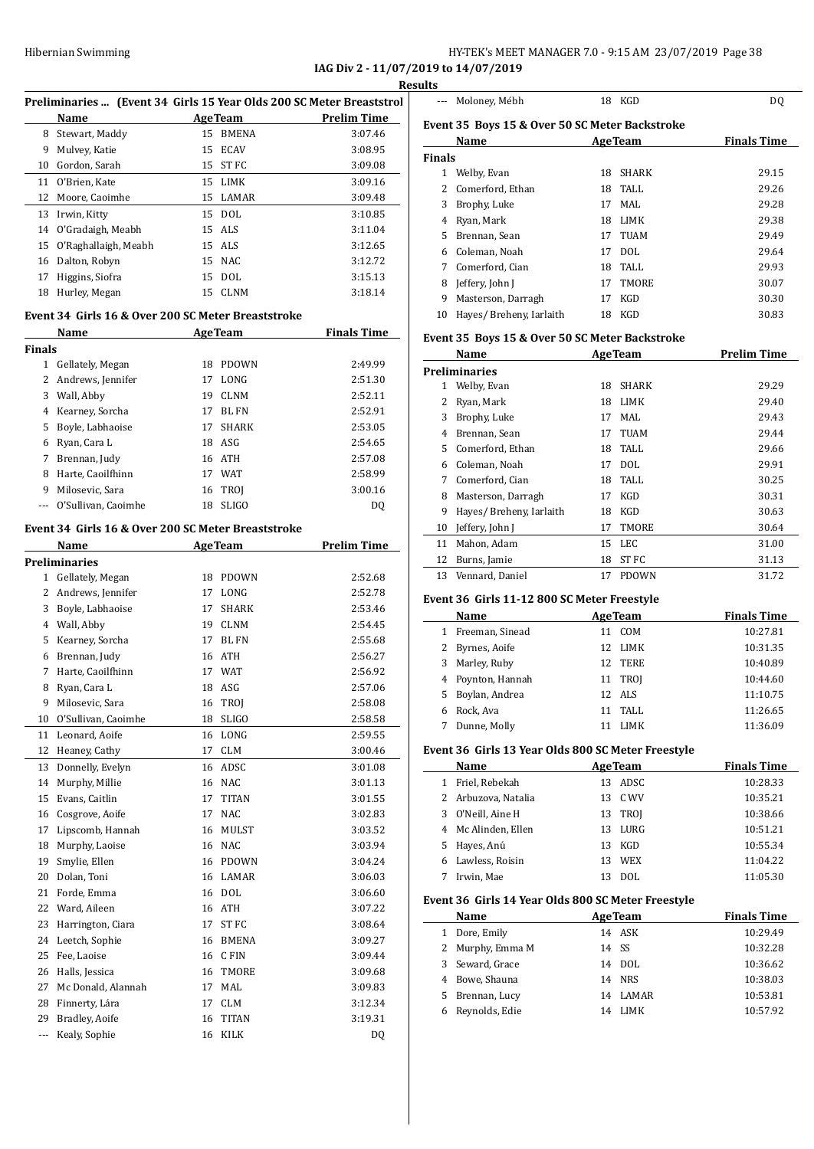## Hibernian Swimming **HY-TEK's MEET MANAGER 7.0 - 9:15 AM 23/07/2019** Page 38

**IAG Div 2 - 11/07/2019 to 14/07/2019**

 $\equiv$ 

|      | Preliminaries  (Event 34 Girls 15 Year Olds 200 SC Meter Breaststrol |                    |
|------|----------------------------------------------------------------------|--------------------|
| Name | <b>AgeTeam</b>                                                       | <b>Prelim Time</b> |

| 8  | Stewart, Maddy       |    | 15 BMENA | 3:07.46 |
|----|----------------------|----|----------|---------|
| 9  | Mulvey, Katie        |    | 15 ECAV  | 3:08.95 |
| 10 | Gordon, Sarah        | 15 | ST FC    | 3:09.08 |
| 11 | 0'Brien. Kate        |    | 15 LIMK  | 3:09.16 |
| 12 | Moore, Caoimhe       |    | 15 LAMAR | 3:09.48 |
| 13 | Irwin, Kitty         |    | 15 DOL   | 3:10.85 |
| 14 | O'Gradaigh, Meabh    |    | 15 ALS   | 3:11.04 |
| 15 | O'Raghallaigh, Meabh |    | 15 ALS   | 3:12.65 |
| 16 | Dalton, Robyn        |    | 15 NAC   | 3:12.72 |
| 17 | Higgins, Siofra      |    | 15 DOL   | 3:15.13 |
| 18 | Hurley, Megan        |    | 15 CLNM  | 3:18.14 |
|    |                      |    |          |         |

#### **Event 34 Girls 16 & Over 200 SC Meter Breaststroke**

|               | Name<br><b>AgeTeam</b> |    |              | <b>Finals Time</b> |  |
|---------------|------------------------|----|--------------|--------------------|--|
| <b>Finals</b> |                        |    |              |                    |  |
| 1             | Gellately, Megan       | 18 | <b>PDOWN</b> | 2:49.99            |  |
| 2             | Andrews, Jennifer      | 17 | LONG         | 2:51.30            |  |
| 3             | Wall, Abby             | 19 | <b>CLNM</b>  | 2:52.11            |  |
| 4             | Kearney, Sorcha        | 17 | BL FN        | 2:52.91            |  |
| 5.            | Boyle, Labhaoise       | 17 | <b>SHARK</b> | 2:53.05            |  |
| 6             | Ryan, Cara L           | 18 | ASG          | 2:54.65            |  |
| 7             | Brennan, Judy          |    | 16 ATH       | 2:57.08            |  |
| 8             | Harte, Caoilfhinn      | 17 | WAT          | 2:58.99            |  |
| 9             | Milosevic, Sara        | 16 | TROI         | 3:00.16            |  |
|               | O'Sullivan, Caoimhe    | 18 | <b>SLIGO</b> | DO                 |  |

#### **Event 34 Girls 16 & Over 200 SC Meter Breaststroke**

|                | Name                 |    | <b>AgeTeam</b>   | <b>Prelim Time</b> |
|----------------|----------------------|----|------------------|--------------------|
|                | <b>Preliminaries</b> |    |                  |                    |
| $\mathbf{1}$   | Gellately, Megan     | 18 | <b>PDOWN</b>     | 2:52.68            |
| $\overline{c}$ | Andrews, Jennifer    | 17 | LONG             | 2:52.78            |
| 3              | Boyle, Labhaoise     | 17 | <b>SHARK</b>     | 2:53.46            |
| 4              | Wall, Abby           | 19 | <b>CLNM</b>      | 2:54.45            |
| 5              | Kearney, Sorcha      | 17 | <b>BL FN</b>     | 2:55.68            |
| 6              | Brennan, Judy        | 16 | <b>ATH</b>       | 2:56.27            |
| 7              | Harte, Caoilfhinn    | 17 | <b>WAT</b>       | 2:56.92            |
| 8              | Ryan, Cara L         | 18 | ASG              | 2:57.06            |
| 9              | Milosevic, Sara      | 16 | TROJ             | 2:58.08            |
| 10             | O'Sullivan, Caoimhe  | 18 | <b>SLIGO</b>     | 2:58.58            |
| 11             | Leonard, Aoife       | 16 | LONG             | 2:59.55            |
| 12             | Heaney, Cathy        | 17 | <b>CLM</b>       | 3:00.46            |
| 13             | Donnelly, Evelyn     | 16 | ADSC             | 3:01.08            |
| 14             | Murphy, Millie       | 16 | NAC              | 3:01.13            |
| 15             | Evans, Caitlin       | 17 | <b>TITAN</b>     | 3:01.55            |
| 16             | Cosgrove, Aoife      | 17 | <b>NAC</b>       | 3:02.83            |
| 17             | Lipscomb, Hannah     | 16 | <b>MULST</b>     | 3:03.52            |
| 18             | Murphy, Laoise       | 16 | <b>NAC</b>       | 3:03.94            |
| 19             | Smylie, Ellen        | 16 | <b>PDOWN</b>     | 3:04.24            |
| 20             | Dolan. Toni          | 16 | <b>LAMAR</b>     | 3:06.03            |
| 21             | Forde, Emma          | 16 | <b>DOL</b>       | 3:06.60            |
| 22             | Ward, Aileen         | 16 | <b>ATH</b>       | 3:07.22            |
| 23             | Harrington, Ciara    | 17 | ST <sub>FC</sub> | 3:08.64            |
| 24             | Leetch, Sophie       | 16 | <b>BMENA</b>     | 3:09.27            |
| 25             | Fee, Laoise          | 16 | C FIN            | 3:09.44            |
| 26             | Halls, Jessica       | 16 | <b>TMORE</b>     | 3:09.68            |
| 27             | Mc Donald, Alannah   | 17 | <b>MAL</b>       | 3:09.83            |
| 28             | Finnerty, Lára       | 17 | <b>CLM</b>       | 3:12.34            |
| 29             | Bradley, Aoife       | 16 | <b>TITAN</b>     | 3:19.31            |
| $\overline{a}$ | Kealy, Sophie        | 16 | <b>KILK</b>      | DQ                 |

|               | Moloney, Mébh                                  |    | 18 KGD         | DQ                                                                   |
|---------------|------------------------------------------------|----|----------------|----------------------------------------------------------------------|
|               | Event 35 Boys 15 & Over 50 SC Meter Backstroke |    |                |                                                                      |
|               | Name                                           |    | <b>AgeTeam</b> | <b>Finals Time</b>                                                   |
| <b>Finals</b> |                                                |    |                |                                                                      |
|               | 1 Welby, Evan                                  | 18 | <b>SHARK</b>   | 29.15                                                                |
| 2             | Comerford, Ethan                               | 18 | TALL.          | 29.26                                                                |
| 3             | Brophy, Luke                                   | 17 | MAL            | 29.28                                                                |
| 4             | Ryan, Mark                                     | 18 | LIMK           | 29.38                                                                |
| 5             | Brennan, Sean                                  | 17 | <b>TUAM</b>    | 29.49                                                                |
| 6             | Coleman, Noah                                  | 17 | <b>DOL</b>     | 29.64                                                                |
| 7             | Comerford, Cian                                | 18 | <b>TALL</b>    | 29.93                                                                |
| 8             | Jeffery, John J                                | 17 | <b>TMORE</b>   | 30.07                                                                |
| 9             | Masterson, Darragh                             | 17 | <b>KGD</b>     | 30.30                                                                |
| 10            | Hayes/ Breheny, Iarlaith                       | 18 | KGD            | 30.83                                                                |
|               | Event 35 Boys 15 & Over 50 SC Meter Backstroke |    |                |                                                                      |
|               | Name                                           |    | <b>AgeTeam</b> | <b>Prelim Time</b>                                                   |
|               | <b>Preliminaries</b>                           |    |                |                                                                      |
|               |                                                |    |                |                                                                      |
| 1             | Welby, Evan                                    | 18 | <b>SHARK</b>   |                                                                      |
| 2             | Ryan, Mark                                     | 18 | <b>LIMK</b>    |                                                                      |
| 3             | Brophy, Luke                                   | 17 | MAL.           |                                                                      |
| 4             | Brennan, Sean                                  | 17 | <b>TUAM</b>    |                                                                      |
| 5             | Comerford, Ethan                               | 18 | <b>TALL</b>    |                                                                      |
| 6             | Coleman, Noah                                  | 17 | <b>DOL</b>     |                                                                      |
| 7             | Comerford, Cian                                | 18 | <b>TALL</b>    |                                                                      |
| 8             | Masterson, Darragh                             | 17 | KGD            | 29.29<br>29.40<br>29.43<br>29.44<br>29.66<br>29.91<br>30.25<br>30.31 |
| 9             | Hayes/ Breheny, Iarlaith                       | 18 | KGD            | 30.63                                                                |

#### **Event 36 Girls 11-12 800 SC Meter Freestyle**

|   | Name              |    | <b>AgeTeam</b> | <b>Finals Time</b> |
|---|-------------------|----|----------------|--------------------|
|   | Freeman, Sinead   | 11 | COM            | 10:27.81           |
|   | 2 Byrnes, Aoife   | 12 | LIMK           | 10:31.35           |
|   | 3 Marley, Ruby    |    | 12 TERE        | 10:40.89           |
|   | 4 Poynton, Hannah |    | 11 TROI        | 10:44.60           |
|   | 5 Boylan, Andrea  |    | 12 ALS         | 11:10.75           |
| 6 | Rock, Ava         | 11 | TALL           | 11:26.65           |
|   | Dunne, Molly      |    | LIMK           | 11:36.09           |

11 Mahon, Adam 15 LEC 31.00 Burns, Jamie 18 ST FC 31.13 13 Vennard, Daniel 17 PDOWN 31.72

#### **Event 36 Girls 13 Year Olds 800 SC Meter Freestyle**

| Name                |    | <b>AgeTeam</b> | <b>Finals Time</b> |
|---------------------|----|----------------|--------------------|
| 1 Friel, Rebekah    | 13 | ADSC.          | 10:28.33           |
| 2 Arbuzova, Natalia |    | 13 C.WV        | 10:35.21           |
| 3 O'Neill, Aine H   | 13 | TROJ           | 10:38.66           |
| 4 Mc Alinden, Ellen | 13 | LURG           | 10:51.21           |
| 5 Hayes, Anú        | 13 | KGD            | 10:55.34           |
| 6 Lawless, Roisin   | 13 | <b>WEX</b>     | 11:04.22           |
| Irwin. Mae          |    | DOL.           | 11:05.30           |

#### **Event 36 Girls 14 Year Olds 800 SC Meter Freestyle**

| Name             | <b>AgeTeam</b> |          | <b>Finals Time</b> |
|------------------|----------------|----------|--------------------|
| 1 Dore, Emily    |                | 14 ASK   | 10:29.49           |
| 2 Murphy, Emma M | 14 SS          |          | 10:32.28           |
| 3 Seward, Grace  |                | 14 DOL   | 10:36.62           |
| 4 Bowe, Shauna   |                | 14 NRS   | 10:38.03           |
| 5 Brennan, Lucy  |                | 14 LAMAR | 10:53.81           |
| 6 Reynolds, Edie | 14             | LIMK     | 10:57.92           |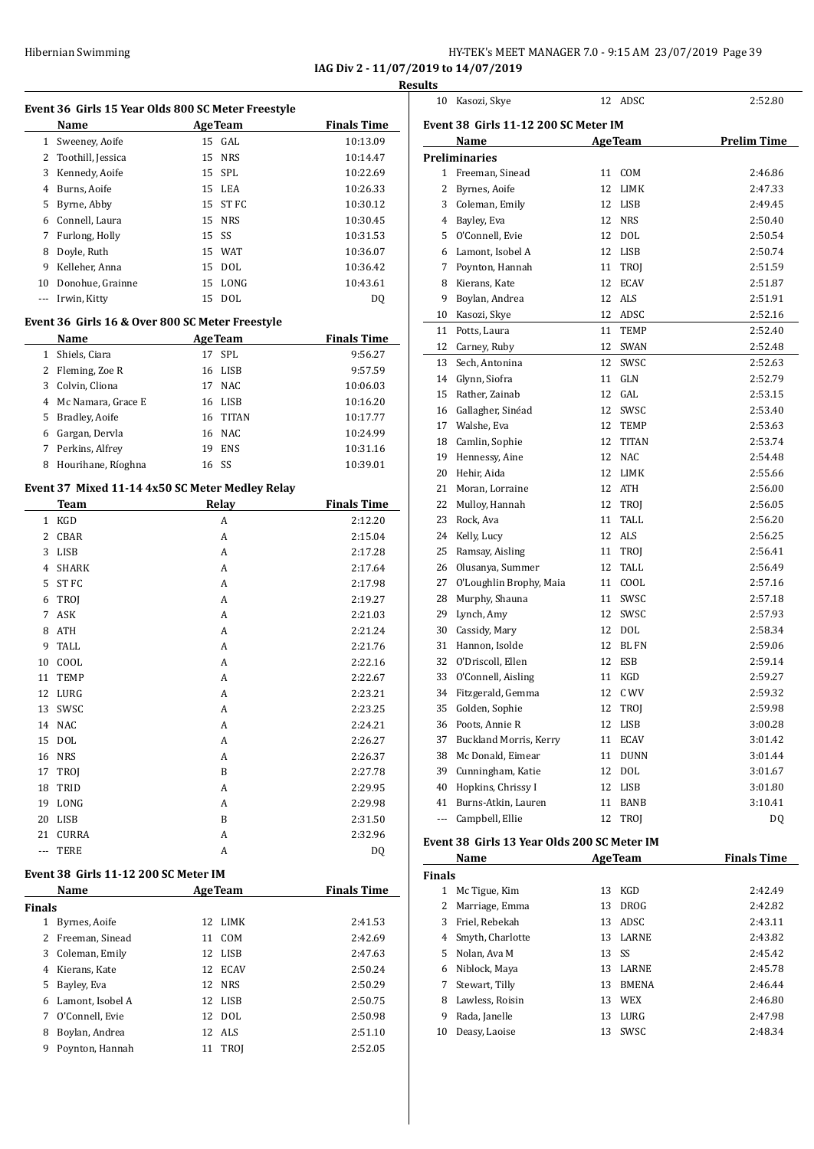**IAG Div 2 - 11/07/2019 to 14/07/2019 Results**

#### **Event 36 Girls 15 Year Olds 800 SC Meter Freestyle**

| avchi so "an'is is icar onas ooo sa mcici Treesivic |                     |       |                |                    |  |
|-----------------------------------------------------|---------------------|-------|----------------|--------------------|--|
|                                                     | Name                |       | <b>AgeTeam</b> | <b>Finals Time</b> |  |
|                                                     | 1 Sweeney, Aoife    |       | $15$ GAL       | 10:13.09           |  |
|                                                     | 2 Toothill, Jessica |       | 15 NRS         | 10:14.47           |  |
| 3                                                   | Kennedy, Aoife      |       | 15 SPL         | 10:22.69           |  |
| 4                                                   | Burns, Aoife        |       | 15 LEA         | 10:26.33           |  |
| 5                                                   | Byrne, Abby         |       | 15 ST FC       | 10:30.12           |  |
| 6                                                   | Connell, Laura      |       | 15 NRS         | 10:30.45           |  |
| 7                                                   | Furlong, Holly      | 15 SS |                | 10:31.53           |  |
| 8                                                   | Doyle, Ruth         |       | 15 WAT         | 10:36.07           |  |
| 9                                                   | Kelleher, Anna      |       | 15 DOL         | 10:36.42           |  |
| 10                                                  | Donohue, Grainne    |       | 15 LONG        | 10:43.61           |  |
|                                                     | Irwin, Kitty        |       | 15 DOL         | DO                 |  |
|                                                     |                     |       |                |                    |  |

### **Event 36 Girls 16 & Over 800 SC Meter Freestyle**

|   | Name                 |    | <b>AgeTeam</b> | <b>Finals Time</b> |
|---|----------------------|----|----------------|--------------------|
| 1 | Shiels, Ciara        | 17 | SPL            | 9:56.27            |
|   | 2 Fleming, Zoe R     |    | 16 LISB        | 9:57.59            |
|   | 3 Colvin, Cliona     | 17 | <b>NAC</b>     | 10:06.03           |
|   | 4 Mc Namara, Grace E |    | 16 LISB        | 10:16.20           |
|   | 5 Bradley, Aoife     |    | 16 TITAN       | 10:17.77           |
| 6 | Gargan, Dervla       |    | 16 NAC         | 10:24.99           |
|   | 7 Perkins, Alfrey    | 19 | <b>ENS</b>     | 10:31.16           |
| 8 | Hourihane, Ríoghna   |    | 16 SS          | 10:39.01           |

#### **Event 37 Mixed 11-14 4x50 SC Meter Medley Relay**

|                | <b>Team</b>  | Relay | <b>Finals Time</b> |
|----------------|--------------|-------|--------------------|
| $\mathbf{1}$   | KGD          | A     | 2:12.20            |
| 2              | CBAR         | A     | 2:15.04            |
| 3              | <b>LISB</b>  | A     | 2:17.28            |
| $\overline{4}$ | <b>SHARK</b> | A     | 2:17.64            |
| 5              | ST FC        | A     | 2:17.98            |
| 6              | TROJ         | A     | 2:19.27            |
| 7              | ASK          | A     | 2:21.03            |
| 8              | <b>ATH</b>   | A     | 2:21.24            |
| 9              | TALL         | A     | 2:21.76            |
| 10             | COOL         | A     | 2:22.16            |
| 11             | <b>TEMP</b>  | A     | 2:22.67            |
| 12             | LURG         | A     | 2:23.21            |
| 13             | SWSC         | A     | 2:23.25            |
| 14             | <b>NAC</b>   | A     | 2:24.21            |
| 15             | <b>DOL</b>   | A     | 2:26.27            |
| 16             | <b>NRS</b>   | A     | 2:26.37            |
| 17             | TROJ         | B     | 2:27.78            |
| 18             | TRID         | A     | 2:29.95            |
| 19             | LONG         | A     | 2:29.98            |
| 20             | <b>LISB</b>  | B     | 2:31.50            |
| 21             | <b>CURRA</b> | A     | 2:32.96            |
| $\cdots$       | <b>TERE</b>  | A     | DQ                 |

#### **Event 38 Girls 11-12 200 SC Meter IM**

| Name              |    |             | <b>Finals Time</b>                                                                       |
|-------------------|----|-------------|------------------------------------------------------------------------------------------|
| <b>Finals</b>     |    |             |                                                                                          |
| Byrnes, Aoife     |    |             | 2:41.53                                                                                  |
| 2 Freeman, Sinead | 11 | COM         | 2:42.69                                                                                  |
| 3 Coleman, Emily  |    |             | 2:47.63                                                                                  |
| Kierans. Kate     |    |             | 2:50.24                                                                                  |
| Bayley, Eva<br>5  |    |             | 2:50.29                                                                                  |
| Lamont, Isobel A  |    |             | 2:50.75                                                                                  |
| O'Connell. Evie   |    |             | 2:50.98                                                                                  |
| Boylan, Andrea    |    |             | 2:51.10                                                                                  |
| Poynton, Hannah   | 11 | <b>TROI</b> | 2:52.05                                                                                  |
|                   |    |             | <b>AgeTeam</b><br>12 LIMK<br>12 LISB<br>12 ECAV<br>12 NRS<br>12 LISB<br>12 DOL<br>12 ALS |

| 10  | Kasozi, Skye                                | 12 | ADSC           | 2:52.80            |
|-----|---------------------------------------------|----|----------------|--------------------|
|     | Event 38 Girls 11-12 200 SC Meter IM        |    |                |                    |
|     | Name                                        |    | <b>AgeTeam</b> | <b>Prelim Time</b> |
|     | Preliminaries                               |    |                |                    |
| 1   | Freeman, Sinead                             | 11 | COM            | 2:46.86            |
| 2   | Byrnes, Aoife                               | 12 | LIMK           | 2:47.33            |
| 3   | Coleman, Emily                              | 12 | LISB           | 2:49.45            |
| 4   | Bayley, Eva                                 | 12 | <b>NRS</b>     | 2:50.40            |
| 5   | O'Connell, Evie                             | 12 | DOL            | 2:50.54            |
| 6   | Lamont, Isobel A                            | 12 | LISB           | 2:50.74            |
| 7   | Poynton, Hannah                             | 11 | TROJ           | 2:51.59            |
| 8   | Kierans, Kate                               | 12 | <b>ECAV</b>    | 2:51.87            |
| 9   | Boylan, Andrea                              | 12 | ALS            | 2:51.91            |
| 10  | Kasozi, Skye                                | 12 | ADSC           | 2:52.16            |
| 11  | Potts, Laura                                | 11 | TEMP           | 2:52.40            |
| 12  | Carney, Ruby                                | 12 | SWAN           | 2:52.48            |
| 13  | Sech, Antonina                              | 12 | SWSC           | 2:52.63            |
| 14  | Glynn, Siofra                               | 11 | GLN            | 2:52.79            |
| 15  | Rather, Zainab                              | 12 | GAL            | 2:53.15            |
| 16  | Gallagher, Sinéad                           | 12 | SWSC           | 2:53.40            |
| 17  | Walshe, Eva                                 | 12 | TEMP           | 2:53.63            |
| 18  | Camlin, Sophie                              | 12 | <b>TITAN</b>   | 2:53.74            |
| 19  | Hennessy, Aine                              | 12 | <b>NAC</b>     | 2:54.48            |
| 20  | Hehir, Aida                                 | 12 | LIMK           | 2:55.66            |
| 21  | Moran, Lorraine                             | 12 | ATH            | 2:56.00            |
| 22  | Mulloy, Hannah                              | 12 | TROJ           | 2:56.05            |
| 23  | Rock, Ava                                   | 11 | TALL           | 2:56.20            |
| 24  | Kelly, Lucy                                 | 12 | ALS            | 2:56.25            |
| 25  | Ramsay, Aisling                             | 11 | TROJ           | 2:56.41            |
| 26  | Olusanya, Summer                            | 12 | TALL           | 2:56.49            |
| 27  | O'Loughlin Brophy, Maia                     | 11 | COOL           | 2:57.16            |
| 28  | Murphy, Shauna                              | 11 | SWSC           | 2:57.18            |
| 29  | Lynch, Amy                                  | 12 | SWSC           | 2:57.93            |
| 30  | Cassidy, Mary                               | 12 | DOL            | 2:58.34            |
| 31  | Hannon, Isolde                              | 12 | <b>BLFN</b>    | 2:59.06            |
| 32  | O'Driscoll, Ellen                           | 12 | ESB            | 2:59.14            |
| 33  | O'Connell, Aisling                          | 11 | KGD            | 2:59.27            |
| 34  | Fitzgerald, Gemma                           | 12 | C WV           | 2:59.32            |
|     | 35 Golden, Sophie                           | 12 | TROJ           | 2:59.98            |
| 36  | Poots, Annie R                              |    | 12 LISB        | 3:00.28            |
| 37  | <b>Buckland Morris, Kerry</b>               | 11 | <b>ECAV</b>    | 3:01.42            |
| 38  | Mc Donald, Eimear                           | 11 | <b>DUNN</b>    | 3:01.44            |
| 39  | Cunningham, Katie                           | 12 | DOL            | 3:01.67            |
| 40  | Hopkins, Chrissy I                          | 12 | LISB           | 3:01.80            |
| 41  | Burns-Atkin, Lauren                         | 11 | BANB           | 3:10.41            |
| --- | Campbell, Ellie                             | 12 | TROJ           | DQ                 |
|     | Event 38 Girls 13 Year Olds 200 SC Meter IM |    |                |                    |

|               | Name             |    | <b>AgeTeam</b> | <b>Finals Time</b> |
|---------------|------------------|----|----------------|--------------------|
| <b>Finals</b> |                  |    |                |                    |
| 1             | Mc Tigue, Kim    | 13 | <b>KGD</b>     | 2:42.49            |
| 2             | Marriage, Emma   | 13 | <b>DROG</b>    | 2:42.82            |
| 3             | Friel, Rebekah   | 13 | ADSC.          | 2:43.11            |
| 4             | Smyth, Charlotte | 13 | <b>LARNE</b>   | 2:43.82            |
| 5.            | Nolan. Ava M     |    | 13 SS          | 2:45.42            |
| 6             | Niblock, Maya    | 13 | <b>LARNE</b>   | 2:45.78            |
| 7             | Stewart, Tilly   | 13 | <b>BMENA</b>   | 2:46.44            |
| 8             | Lawless, Roisin  | 13 | <b>WEX</b>     | 2:46.80            |
| 9             | Rada, Janelle    | 13 | LURG           | 2:47.98            |
| 10            | Deasy, Laoise    | 13 | SWSC           | 2:48.34            |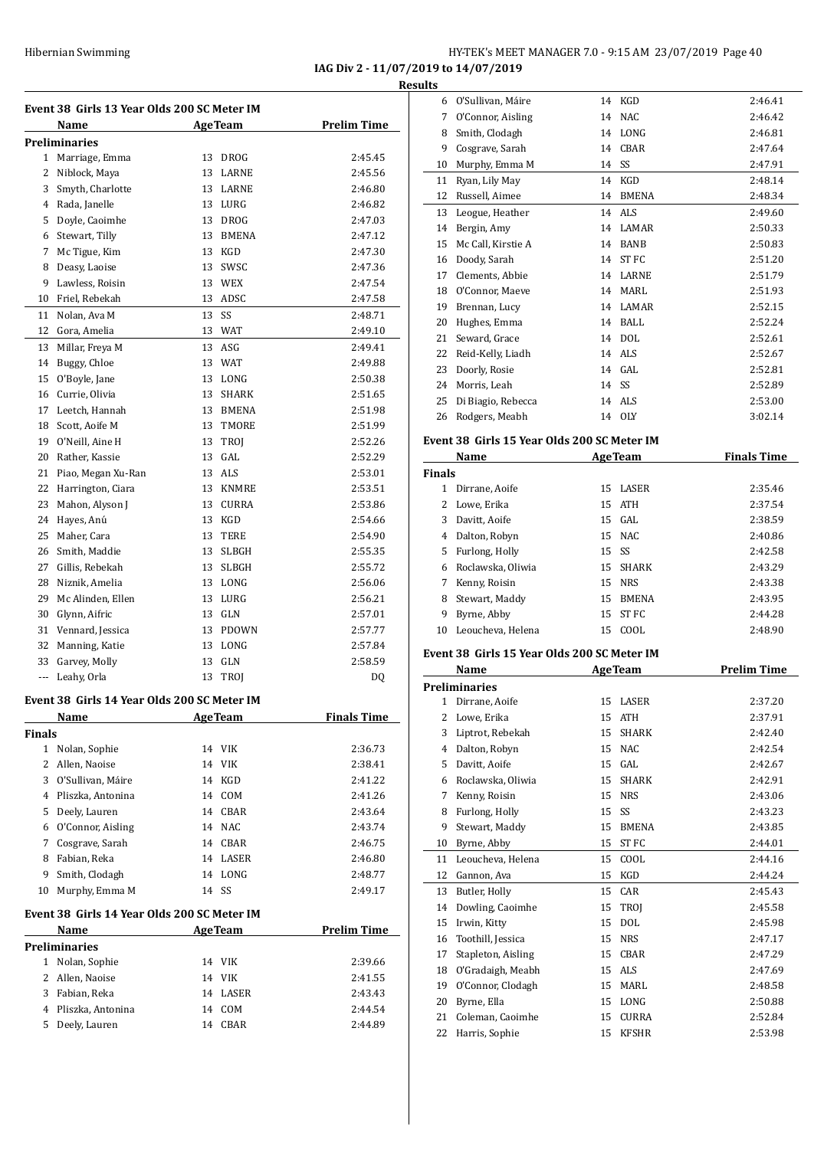#### HY-TEK's MEET MANAGER 7.0 - 9:15 AM 23/07/2019 Page 40 **IAG Div 2 - 11/07/2019 to 14/07/2019**

O'Sullivan, Maéire 14 KGD 2:46.41

**Results**

|              | Event 38  Girls 13 Year Olds 200 SC Meter IM<br>Name | <b>AgeTeam</b>     | <b>Prelim Time</b> |
|--------------|------------------------------------------------------|--------------------|--------------------|
|              | <b>Preliminaries</b>                                 |                    |                    |
|              | 1 Marriage, Emma                                     | 13 DROG            | 2:45.45            |
| $\mathbf{2}$ | Niblock, Maya                                        | 13 LARNE           | 2:45.56            |
| 3            | Smyth, Charlotte                                     | 13<br>LARNE        | 2:46.80            |
|              | 4 Rada, Janelle                                      | 13 LURG            | 2:46.82            |
| 5            | Doyle, Caoimhe                                       | 13 DROG            | 2:47.03            |
| 6            | Stewart, Tilly                                       | 13<br>BMENA        | 2:47.12            |
| 7            | Mc Tigue, Kim                                        | 13 KGD             | 2:47.30            |
| 8            | Deasy, Laoise                                        | 13<br>SWSC         | 2:47.36            |
| 9            | Lawless, Roisin                                      | 13 WEX             | 2:47.54            |
| 10           | Friel, Rebekah                                       | 13<br>ADSC         | 2:47.58            |
| 11           | Nolan, Ava M                                         | 13<br>SS           | 2:48.71            |
| 12           | Gora, Amelia                                         | 13<br>WAT          | 2:49.10            |
| 13           | Millar, Freya M                                      | 13<br>ASG          | 2:49.41            |
|              |                                                      |                    |                    |
| 14<br>15     | Buggy, Chloe<br>O'Boyle, Jane                        | 13 WAT<br>13 LONG  | 2:49.88<br>2:50.38 |
| 16           | Currie, Olivia                                       |                    | 2:51.65            |
|              |                                                      | 13<br>SHARK        |                    |
| 17           | Leetch, Hannah                                       | 13<br><b>BMENA</b> | 2:51.98            |
| 18           | Scott, Aoife M<br>19 O'Neill, Aine H                 | TMORE<br>13        | 2:51.99            |
|              |                                                      | 13<br>TROJ         | 2:52.26            |
| 20           | Rather, Kassie                                       | GAL<br>13          | 2:52.29            |
| 21           | Piao, Megan Xu-Ran                                   | 13 ALS             | 2:53.01            |
| 22           | Harrington, Ciara                                    | 13 KNMRE           | 2:53.51            |
| 23           | Mahon, Alyson J                                      | 13 CURRA           | 2:53.86            |
| 24           | Hayes, Anú                                           | 13 KGD             | 2:54.66            |
| 25           | Maher, Cara                                          | 13<br>TERE         | 2:54.90            |
| 26           | Smith, Maddie                                        | 13<br>SLBGH        | 2:55.35            |
| 27           | Gillis, Rebekah                                      | 13<br>SLBGH        | 2:55.72            |
| 28           | Niznik, Amelia                                       | 13<br>LONG         | 2:56.06            |
| 29           | Mc Alinden, Ellen                                    | 13<br>LURG         | 2:56.21            |
| 30           | Glynn, Aifric                                        | 13 GLN             | 2:57.01            |
|              | 31 Vennard, Jessica                                  | 13 PDOWN           | 2:57.77            |
| 32           | Manning, Katie                                       | 13 LONG            | 2:57.84            |
|              | 33 Garvey, Molly                                     | 13 GLN             | 2:58.59            |
| ---          | Leahy, Orla                                          | 13<br><b>TROI</b>  | DQ                 |
|              | Event 38 Girls 14 Year Olds 200 SC Meter IM          |                    |                    |
| Finals       | Name                                                 | <b>AgeTeam</b>     | <b>Finals Time</b> |
|              | 1 Nolan, Sophie                                      | 14 VIK             | 2:36.73            |
|              | 2 Allen, Naoise                                      | 14 VIK             | 2:38.41            |
|              | 3 O'Sullivan, Máire                                  | 14 KGD             | 2:41.22            |
|              | 4 Pliszka, Antonina                                  | 14 COM             | 2:41.26            |
|              | 5 Deely, Lauren                                      | 14 CBAR            | 2:43.64            |
|              | 6 O'Connor, Aisling                                  | 14 NAC             | 2:43.74            |
|              |                                                      |                    |                    |
|              | 7 Cosgrave, Sarah                                    | 14 CBAR            | 2:46.75            |
|              | 8 Fabian, Reka                                       | 14 LASER           | 2:46.80            |
|              | 9 Smith, Clodagh                                     | 14 LONG            | 2:48.77            |
|              | 10 Murphy, Emma M                                    | 14 SS              | 2:49.17            |
|              |                                                      |                    |                    |
|              | Event 38  Girls 14 Year Olds 200 SC Meter IM         |                    |                    |
|              | Name                                                 | <b>AgeTeam</b>     | <b>Prelim Time</b> |
|              | Preliminaries                                        | 14 VIK             | 2:39.66            |
|              | 1 Nolan, Sophie                                      |                    | 2:41.55            |
|              | 2 Allen, Naoise                                      | 14 VIK             |                    |
|              | 3 Fabian, Reka<br>4 Pliszka, Antonina                | 14 LASER<br>14 COM | 2:43.43<br>2:44.54 |

| 7        | O'Connor, Aisling                            |          | 14 NAC                | 2:46.42            |
|----------|----------------------------------------------|----------|-----------------------|--------------------|
| 8        | Smith, Clodagh                               | 14       | LONG                  | 2:46.81            |
| 9        | Cosgrave, Sarah                              | 14       | CBAR                  | 2:47.64            |
| 10       | Murphy, Emma M                               | 14       | SS                    | 2:47.91            |
| 11       | Ryan, Lily May                               | 14       | KGD                   | 2:48.14            |
| 12       | Russell, Aimee                               | 14       | BMENA                 | 2:48.34            |
| 13       | Leogue, Heather                              | 14       | ALS                   | 2:49.60            |
| 14       | Bergin, Amy                                  | 14       | LAMAR                 | 2:50.33            |
| 15       | Mc Call, Kirstie A                           | 14       | <b>BANB</b>           | 2:50.83            |
| 16       | Doody, Sarah                                 | 14       | ST FC                 | 2:51.20            |
| 17       | Clements, Abbie                              | 14       | LARNE                 | 2:51.79            |
| 18       | O'Connor, Maeve                              |          | 14 MARL               | 2:51.93            |
| 19       | Brennan, Lucy                                |          | 14 LAMAR              | 2:52.15            |
| 20       | Hughes, Emma                                 |          | 14 BALL               | 2:52.24            |
| 21       | Seward, Grace                                |          | 14 DOL                | 2:52.61            |
| 22       | Reid-Kelly, Liadh                            |          | 14 ALS                | 2:52.67            |
| 23       | Doorly, Rosie                                | 14       | GAL                   | 2:52.81            |
| 24       | Morris, Leah                                 | 14 SS    |                       | 2:52.89            |
| 25       | Di Biagio, Rebecca                           | 14       | ALS                   | 2:53.00            |
| 26       | Rodgers, Meabh                               |          | 14 OLY                | 3:02.14            |
|          |                                              |          |                       |                    |
|          | Event 38  Girls 15 Year Olds 200 SC Meter IM |          |                       |                    |
|          | Name                                         |          | <b>AgeTeam</b>        | <b>Finals Time</b> |
| Finals   |                                              |          |                       |                    |
| 1        | Dirrane, Aoife                               | 15       | LASER                 | 2:35.46            |
| 2        | Lowe, Erika                                  | 15       | ATH                   | 2:37.54            |
| 3        | Davitt, Aoife                                |          | 15 GAL                | 2:38.59            |
| 4        | Dalton, Robyn                                | 15       | <b>NAC</b>            | 2:40.86            |
| 5        | Furlong, Holly                               | 15       | SS                    | 2:42.58            |
| 6        | Roclawska, Oliwia                            | 15       | SHARK                 | 2:43.29            |
|          |                                              |          |                       |                    |
| 7        | Kenny, Roisin                                | 15       | <b>NRS</b>            | 2:43.38            |
| 8        | Stewart, Maddy                               | 15       | <b>BMENA</b>          | 2:43.95            |
| 9        | Byrne, Abby                                  | 15       | ST <sub>FC</sub>      | 2:44.28            |
| 10       | Leoucheva, Helena                            | 15       | COOL                  | 2:48.90            |
|          |                                              |          |                       |                    |
|          | Event 38 Girls 15 Year Olds 200 SC Meter IM  |          |                       |                    |
|          | Name                                         |          | <b>AgeTeam</b>        | <b>Prelim Time</b> |
|          | Preliminaries                                |          |                       |                    |
| 1        | Dirrane, Aoife                               | 15       | LASER                 | 2:37.20            |
| 2        | Lowe, Erika                                  | 15       | ATH                   | 2:37.91            |
| 3        | Liptrot, Rebekah                             | 15       | SHARK                 | 2:42.40            |
| 4        | Dalton, Robyn                                | 15       | NAC                   | 2:42.54            |
| 5        | Davitt, Aoife                                | 15       | GAL                   | 2:42.67            |
| 6        | Roclawska, Oliwia                            | 15       | SHARK                 | 2:42.91            |
| 7        | Kenny, Roisin                                | 15       | <b>NRS</b>            | 2:43.06            |
| 8        | Furlong, Holly                               | 15       | SS                    | 2:43.23            |
| 9        | Stewart, Maddy                               | 15       | BMENA                 | 2:43.85            |
| 10       | Byrne, Abby                                  | 15       | ST FC                 | 2:44.01            |
| 11       | Leoucheva, Helena                            | 15       | COOL                  | 2:44.16            |
| 12       | Gannon, Ava                                  | 15       | KGD                   | 2:44.24            |
| 13       | Butler, Holly                                | 15       | CAR                   | 2:45.43            |
| 14       | Dowling, Caoimhe                             | 15       | TROJ                  | 2:45.58            |
| 15       | Irwin, Kitty                                 | 15       | DOL                   | 2:45.98            |
| 16       | Toothill, Jessica                            | 15       | <b>NRS</b>            | 2:47.17            |
| 17       | Stapleton, Aisling                           | 15       | CBAR                  | 2:47.29            |
| 18       | O'Gradaigh, Meabh                            | 15       | ALS                   | 2:47.69            |
| 19       | O'Connor, Clodagh                            | 15       | MARL                  | 2:48.58            |
| 20       | Byrne, Ella                                  | 15       | LONG                  | 2:50.88            |
| 21<br>22 | Coleman, Caoimhe<br>Harris, Sophie           | 15<br>15 | CURRA<br><b>KFSHR</b> | 2:52.84<br>2:53.98 |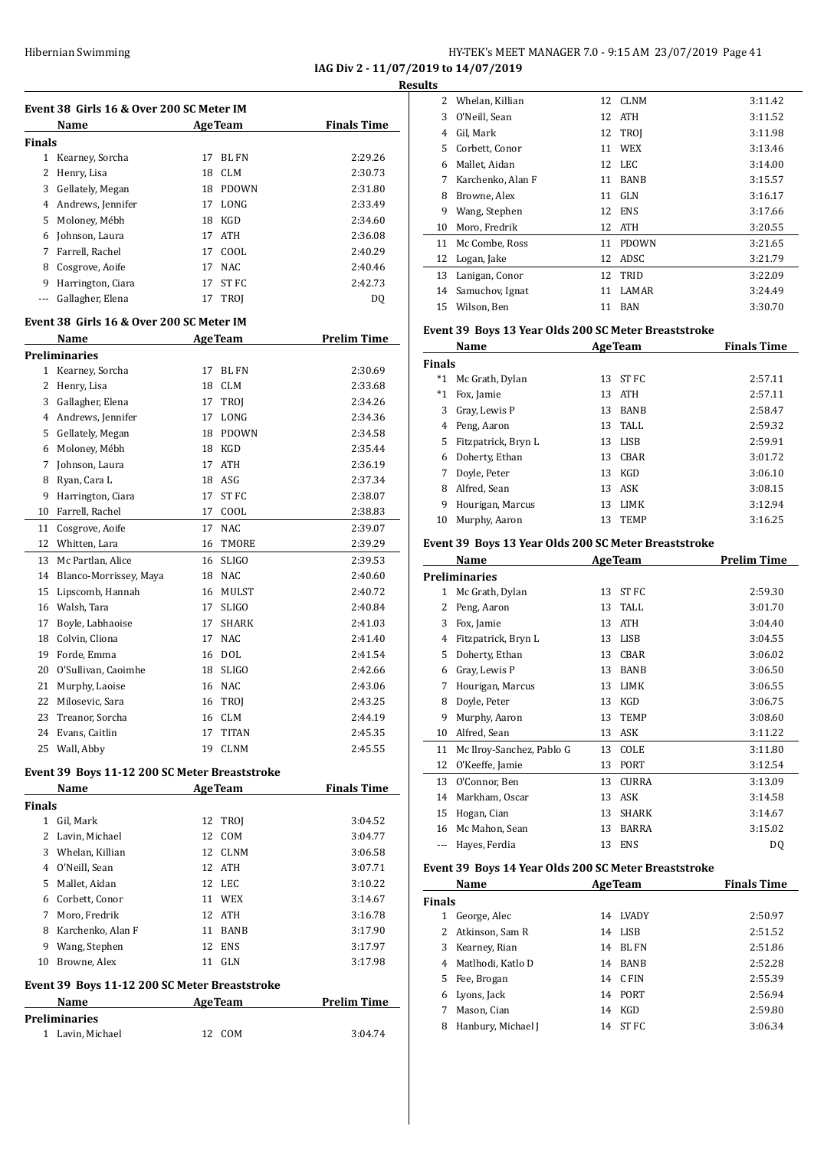#### Hibernian Swimming HY-TEK's MEET MANAGER 7.0 - 9:15 AM 23/07/2019 Page 41 **IAG Div 2 - 11/07/2019 to 14/07/2019**

**Results**

|                | Name                                     |    | <b>AgeTeam</b>   | <b>Finals Time</b> |
|----------------|------------------------------------------|----|------------------|--------------------|
| <b>Finals</b>  |                                          |    |                  |                    |
| $\mathbf{1}$   | Kearney, Sorcha                          | 17 | <b>BL FN</b>     | 2:29.26            |
| 2              | Henry, Lisa                              | 18 | <b>CLM</b>       | 2:30.73            |
| 3              | Gellately, Megan                         | 18 | <b>PDOWN</b>     | 2:31.80            |
| 4              | Andrews, Jennifer                        | 17 | LONG             | 2:33.49            |
| 5              | Moloney, Mébh                            | 18 | <b>KGD</b>       | 2:34.60            |
| 6              | Johnson, Laura                           | 17 | <b>ATH</b>       | 2:36.08            |
| 7              | Farrell, Rachel                          | 17 | COOL             | 2:40.29            |
| 8              | Cosgrove, Aoife                          | 17 | <b>NAC</b>       | 2:40.46            |
| 9              | Harrington, Ciara                        | 17 | ST <sub>FC</sub> | 2:42.73            |
| ---            | Gallagher, Elena                         | 17 | TROJ             | DQ                 |
|                | Event 38 Girls 16 & Over 200 SC Meter IM |    |                  |                    |
|                | Name                                     |    | <b>AgeTeam</b>   | <b>Prelim Time</b> |
|                | <b>Preliminaries</b>                     |    |                  |                    |
| 1              | Kearney, Sorcha                          | 17 | BL FN            | 2:30.69            |
| $\overline{c}$ | Henry, Lisa                              | 18 | CLM              | 2:33.68            |
| 3              | Gallagher, Elena                         | 17 | TROI             | 2:34.26            |
| 4              | Andrews, Jennifer                        | 17 | LONG             | 2:34.36            |
| 5              | Gellately, Megan                         | 18 | <b>PDOWN</b>     | 2:34.58            |
| 6              | Moloney, Mébh                            | 18 | <b>KGD</b>       | 2:35.44            |
| 7              | Johnson, Laura                           | 17 | <b>ATH</b>       | 2:36.19            |
| 8              | Ryan, Cara L                             | 18 | ASG              | 2:37.34            |
| 9              | Harrington, Ciara                        | 17 | ST <sub>FC</sub> | 2:38.07            |
| 10             | Farrell, Rachel                          | 17 | COOL             | 2:38.83            |
| 11             | Cosgrove, Aoife                          | 17 | <b>NAC</b>       | 2:39.07            |
| 12             | Whitten, Lara                            | 16 | <b>TMORE</b>     | 2:39.29            |
| 13             | Mc Partlan, Alice                        | 16 | <b>SLIGO</b>     | 2:39.53            |
| 14             | Blanco-Morrissey, Maya                   | 18 | <b>NAC</b>       | 2:40.60            |

 Lipscomb, Hannah 16 MULST 2:40.72 Walsh, Tara 17 SLIGO 2:40.84 Boyle, Labhaoise 17 SHARK 2:41.03 Colvin, Cliona 17 NAC 2:41.40 Forde, Emma 16 DOL 2:41.54 O'Sullivan, Caoimhe 18 SLIGO 2:42.66 Murphy, Laoise 16 NAC 2:43.06 22 Milosevic, Sara 16 TROJ 2:43.25 Treanor, Sorcha 16 CLM 2:44.19 Evans, Caitlin 17 TITAN 2:45.35 Wall, Abby 19 CLNM 2:45.55

#### **Event 39 Boys 11-12 200 SC Meter Breaststroke**

|        | Name                                          |    | <b>AgeTeam</b> | <b>Finals Time</b> |
|--------|-----------------------------------------------|----|----------------|--------------------|
| Finals |                                               |    |                |                    |
| 1      | Gil, Mark                                     | 12 | TROI           | 3:04.52            |
| 2      | Lavin, Michael                                | 12 | COM            | 3:04.77            |
| 3      | Whelan, Killian                               |    | 12 CLNM        | 3:06.58            |
| 4      | O'Neill, Sean                                 |    | 12 ATH         | 3:07.71            |
| 5.     | Mallet, Aidan                                 |    | 12 LEC         | 3:10.22            |
| 6      | Corbett, Conor                                | 11 | WEX            | 3:14.67            |
| 7      | Moro, Fredrik                                 |    | 12 ATH         | 3:16.78            |
| 8      | Karchenko, Alan F                             | 11 | <b>BANB</b>    | 3:17.90            |
| 9      | Wang, Stephen                                 | 12 | <b>ENS</b>     | 3:17.97            |
| 10     | Browne, Alex                                  | 11 | GLN            | 3:17.98            |
|        | Event 39 Boys 11-12 200 SC Meter Breaststroke |    |                |                    |

| Name                 | <b>AgeTeam</b> | <b>Prelim Time</b> |
|----------------------|----------------|--------------------|
| <b>Preliminaries</b> |                |                    |
| 1 Lavin, Michael     | COM.<br>12.    | 3:04.74            |

| 2  | Whelan, Killian   |    | 12 CLNM      | 3:11.42 |
|----|-------------------|----|--------------|---------|
| 3  | O'Neill, Sean     | 12 | <b>ATH</b>   | 3:11.52 |
| 4  | Gil, Mark         | 12 | <b>TROI</b>  | 3:11.98 |
| 5. | Corbett, Conor    | 11 | <b>WEX</b>   | 3:13.46 |
| 6  | Mallet, Aidan     | 12 | LEC          | 3:14.00 |
| 7  | Karchenko, Alan F | 11 | <b>BANB</b>  | 3:15.57 |
| 8  | Browne, Alex      | 11 | GLN          | 3:16.17 |
| 9  | Wang, Stephen     | 12 | <b>ENS</b>   | 3:17.66 |
| 10 | Moro, Fredrik     | 12 | <b>ATH</b>   | 3:20.55 |
| 11 | Mc Combe, Ross    | 11 | <b>PDOWN</b> | 3:21.65 |
| 12 | Logan, Jake       | 12 | ADSC         | 3:21.79 |
| 13 | Lanigan, Conor    | 12 | TRID         | 3:22.09 |
| 14 | Samuchov, Ignat   | 11 | <b>LAMAR</b> | 3:24.49 |
| 15 | Wilson, Ben       | 11 | BAN          | 3:30.70 |

#### **Event 39 Boys 13 Year Olds 200 SC Meter Breaststroke**

|               | Name                |    | <b>AgeTeam</b> | <b>Finals Time</b> |
|---------------|---------------------|----|----------------|--------------------|
| <b>Finals</b> |                     |    |                |                    |
| $^*1$         | Mc Grath, Dylan     | 13 | ST FC          | 2:57.11            |
| $^*1$         | Fox, Jamie          | 13 | ATH            | 2:57.11            |
| 3             | Gray, Lewis P       | 13 | <b>BANB</b>    | 2:58.47            |
| 4             | Peng, Aaron         | 13 | TALL           | 2:59.32            |
| 5.            | Fitzpatrick, Bryn L | 13 | LISB           | 2:59.91            |
| 6             | Doherty, Ethan      | 13 | CBAR           | 3:01.72            |
| 7             | Doyle, Peter        | 13 | KGD            | 3:06.10            |
| 8             | Alfred, Sean        |    | 13 ASK         | 3:08.15            |
| 9             | Hourigan, Marcus    | 13 | LIMK           | 3:12.94            |
| 10            | Murphy, Aaron       | 13 | <b>TEMP</b>    | 3:16.25            |

#### **Event 39 Boys 13 Year Olds 200 SC Meter Breaststroke**

|    | Name                      |    | <b>AgeTeam</b> | <b>Prelim Time</b> |
|----|---------------------------|----|----------------|--------------------|
|    | <b>Preliminaries</b>      |    |                |                    |
| 1  | Mc Grath, Dylan           | 13 | ST FC          | 2:59.30            |
| 2  | Peng, Aaron               | 13 | TALL           | 3:01.70            |
| 3  | Fox, Jamie                | 13 | <b>ATH</b>     | 3:04.40            |
| 4  | Fitzpatrick, Bryn L       | 13 | <b>LISB</b>    | 3:04.55            |
| 5  | Doherty, Ethan            | 13 | <b>CBAR</b>    | 3:06.02            |
| 6  | Gray, Lewis P             | 13 | <b>BANB</b>    | 3:06.50            |
| 7  | Hourigan, Marcus          | 13 | <b>LIMK</b>    | 3:06.55            |
| 8  | Doyle, Peter              | 13 | <b>KGD</b>     | 3:06.75            |
| 9  | Murphy, Aaron             | 13 | <b>TEMP</b>    | 3:08.60            |
| 10 | Alfred, Sean              | 13 | ASK            | 3:11.22            |
| 11 | Mc Ilroy-Sanchez, Pablo G | 13 | COLE           | 3:11.80            |
| 12 | O'Keeffe, Jamie           | 13 | <b>PORT</b>    | 3:12.54            |
| 13 | O'Connor, Ben             | 13 | <b>CURRA</b>   | 3:13.09            |
| 14 | Markham, Oscar            | 13 | ASK            | 3:14.58            |
| 15 | Hogan, Cian               | 13 | <b>SHARK</b>   | 3:14.67            |
| 16 | Mc Mahon, Sean            | 13 | <b>BARRA</b>   | 3:15.02            |
|    | Hayes, Ferdia             | 13 | ENS            | DQ                 |

#### **Event 39 Boys 14 Year Olds 200 SC Meter Breaststroke**

|        | Name               |    | <b>AgeTeam</b> | <b>Finals Time</b> |
|--------|--------------------|----|----------------|--------------------|
| Finals |                    |    |                |                    |
| 1      | George, Alec       | 14 | <b>LVADY</b>   | 2:50.97            |
| 2      | Atkinson, Sam R    | 14 | LISB           | 2:51.52            |
| 3      | Kearney, Rian      | 14 | RL FN          | 2:51.86            |
| 4      | Matlhodi, Katlo D  | 14 | <b>BANB</b>    | 2:52.28            |
| 5.     | Fee, Brogan        |    | 14 CFIN        | 2:55.39            |
| 6      | Lyons, Jack        |    | 14 PORT        | 2:56.94            |
|        | Mason, Cian        | 14 | KGD            | 2:59.80            |
| 8      | Hanbury, Michael J | 14 | ST FC          | 3:06.34            |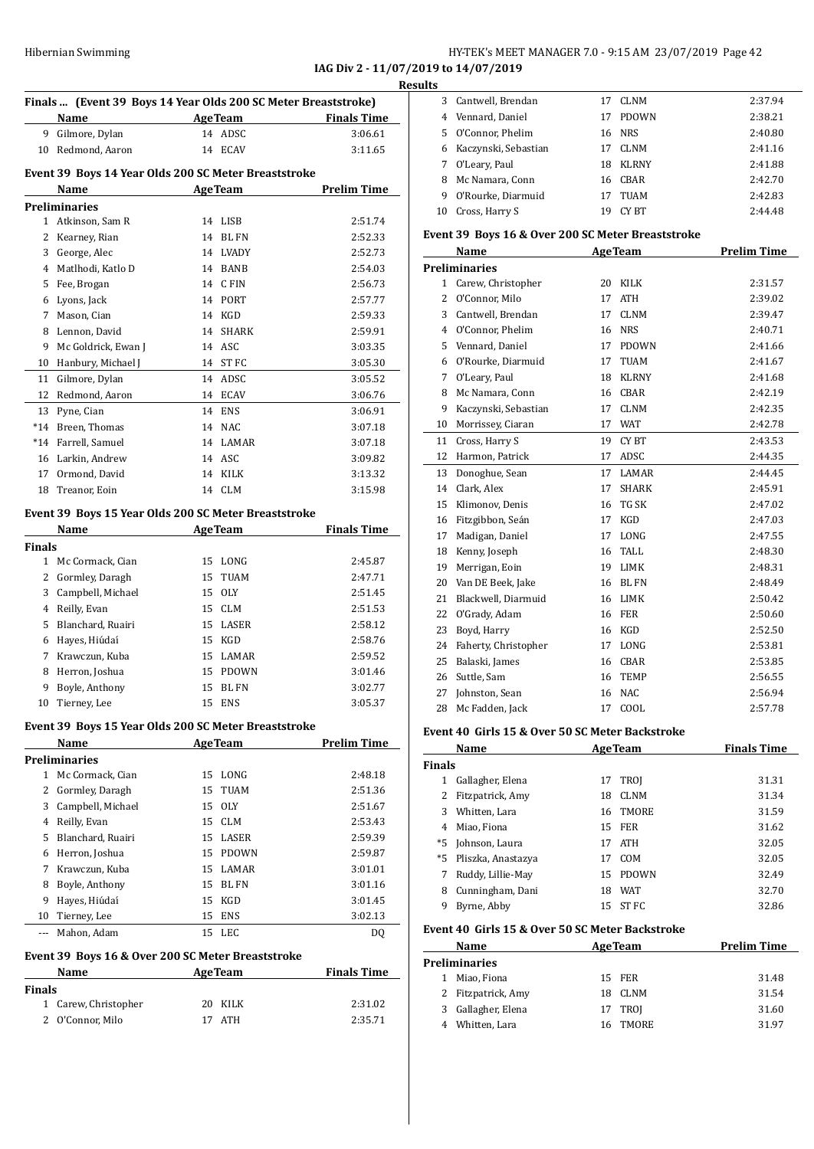**IAG Div 2 - 11/07/2019 to 14/07/2019**

|               |                                                                |                |                    | <b>Results</b> |
|---------------|----------------------------------------------------------------|----------------|--------------------|----------------|
|               | Finals  (Event 39 Boys 14 Year Olds 200 SC Meter Breaststroke) |                |                    |                |
|               | Name                                                           | AgeTeam        | <b>Finals Time</b> |                |
| 9.            | Gilmore, Dylan                                                 | 14 ADSC        | 3:06.61            |                |
| 10            | Redmond, Aaron                                                 | 14 ECAV        | 3:11.65            |                |
|               | Event 39 Boys 14 Year Olds 200 SC Meter Breaststroke           |                |                    |                |
|               | <b>Name</b><br><b>Example 2</b> Age Team                       |                | <b>Prelim Time</b> |                |
|               | <b>Preliminaries</b>                                           |                |                    | 1              |
|               | 1 Atkinson, Sam R                                              | 14 LISB        | 2:51.74            |                |
| 2             | Kearney, Rian                                                  | 14 BL FN       | 2:52.33            | Eve            |
| 3             | George, Alec                                                   | 14 LVADY       | 2:52.73            |                |
|               | 4 Matlhodi, Katlo D                                            | 14 BANB        | 2:54.03            | Pre            |
| 5             | Fee, Brogan                                                    | 14 CFIN        | 2:56.73            |                |
| 6             | Lyons, Jack                                                    | 14 PORT        | 2:57.77            |                |
| 7             | Mason, Cian                                                    | 14 KGD         | 2:59.33            |                |
| 8             | Lennon, David                                                  | 14 SHARK       | 2:59.91            |                |
| 9             | Mc Goldrick, Ewan J                                            | 14 ASC         | 3:03.35            |                |
| 10            | Hanbury, Michael J                                             | 14 ST FC       | 3:05.30            |                |
| 11            | Gilmore, Dylan                                                 | 14 ADSC        | 3:05.52            |                |
| 12            | Redmond, Aaron                                                 | 14 ECAV        | 3:06.76            |                |
|               | 13 Pyne, Cian                                                  | 14 ENS         | 3:06.91            |                |
|               | *14 Breen. Thomas                                              | 14 NAC         | 3:07.18            |                |
|               | *14 Farrell, Samuel                                            | 14 LAMAR       | 3:07.18            |                |
|               | 16 Larkin, Andrew                                              | 14 ASC         | 3:09.82            |                |
|               | 17 Ormond, David                                               | 14 KILK        | 3:13.32            |                |
| 18            | Treanor, Eoin                                                  | 14 CLM         | 3:15.98            |                |
|               | Event 39 Boys 15 Year Olds 200 SC Meter Breaststroke           |                |                    |                |
|               | Name                                                           | <b>AgeTeam</b> | <b>Finals Time</b> | 1              |
| <b>Finals</b> |                                                                |                |                    |                |
|               | 1 Mc Cormack, Cian                                             | 15 LONG        | 2:45.87            |                |
| $\mathbf{2}$  | Gormley, Daragh                                                | 15 TUAM        | 2:47.71            |                |

|    | Mc Cormack, Cian    |    | 15 LONG      | 2:45.87 |
|----|---------------------|----|--------------|---------|
|    | 2 Gormley, Daragh   |    | 15 TUAM      | 2:47.71 |
|    | 3 Campbell, Michael |    | 15 OLY       | 2:51.45 |
| 4  | Reilly, Evan        |    | 15 CLM       | 2:51.53 |
|    | 5 Blanchard, Ruairi |    | 15 LASER     | 2:58.12 |
| 6  | Hayes, Hiúdaí       |    | 15 KGD       | 2:58.76 |
| 7  | Krawczun, Kuba      |    | 15 LAMAR     | 2:59.52 |
| 8  | Herron, Joshua      |    | 15 PDOWN     | 3:01.46 |
| 9  | Boyle, Anthony      | 15 | <b>BL FN</b> | 3:02.77 |
| 10 | Tierney, Lee        |    | 15 ENS       | 3:05.37 |

#### **Event 39 Boys 15 Year Olds 200 SC Meter Breaststroke**

|    | Name                 |    | <b>AgeTeam</b> | <b>Prelim Time</b> |
|----|----------------------|----|----------------|--------------------|
|    | <b>Preliminaries</b> |    |                |                    |
| 1  | Mc Cormack, Cian     |    | 15 LONG        | 2:48.18            |
|    | 2 Gormley, Daragh    |    | 15 TUAM        | 2:51.36            |
| 3  | Campbell, Michael    |    | 15 OLY         | 2:51.67            |
| 4  | Reilly, Evan         |    | 15 CLM         | 2:53.43            |
| 5  | Blanchard, Ruairi    |    | 15 LASER       | 2:59.39            |
| 6  | Herron, Joshua       |    | 15 PDOWN       | 2:59.87            |
| 7  | Krawczun, Kuba       |    | 15 LAMAR       | 3:01.01            |
| 8  | Boyle, Anthony       | 15 | <b>BL FN</b>   | 3:01.16            |
| 9  | Hayes, Hiúdaí        | 15 | KGD            | 3:01.45            |
| 10 | Tierney, Lee         | 15 | ENS            | 3:02.13            |
|    | Mahon, Adam          |    | 15 LEC         | D0                 |

# **Event 39 Boys 16 & Over 200 SC Meter Breaststroke**

| <b>Name</b>          | <b>AgeTeam</b> | <b>Finals Time</b> |
|----------------------|----------------|--------------------|
| <b>Finals</b>        |                |                    |
| 1 Carew, Christopher | 20 KILK        | 2:31.02            |
| 2 O'Connor. Milo     | 17 ATH         | 2:35.71            |

|    | 3 Cantwell, Brendan  |    | <b>CLNM</b>  | 2:37.94 |
|----|----------------------|----|--------------|---------|
| 4  | Vennard, Daniel      | 17 | <b>PDOWN</b> | 2:38.21 |
| 5. | O'Connor, Phelim     |    | 16 NRS       | 2:40.80 |
| 6  | Kaczynski, Sebastian | 17 | <b>CLNM</b>  | 2:41.16 |
| 7  | O'Leary, Paul        | 18 | <b>KLRNY</b> | 2:41.88 |
| 8  | Mc Namara, Conn      | 16 | CBAR         | 2:42.70 |
| 9  | O'Rourke, Diarmuid   | 17 | TUAM         | 2:42.83 |
| 10 | Cross, Harry S       | 19 | CY BT        | 2:44.48 |
|    |                      |    |              |         |

#### **Event 39 Boys 16 & Over 200 SC Meter Breaststroke**

|                | Name                 |    | <b>AgeTeam</b> | <b>Prelim Time</b> |
|----------------|----------------------|----|----------------|--------------------|
|                | <b>Preliminaries</b> |    |                |                    |
| 1              | Carew, Christopher   | 20 | <b>KILK</b>    | 2:31.57            |
| $\overline{2}$ | O'Connor, Milo       | 17 | <b>ATH</b>     | 2:39.02            |
| 3              | Cantwell, Brendan    | 17 | <b>CLNM</b>    | 2:39.47            |
| $\overline{4}$ | O'Connor, Phelim     | 16 | <b>NRS</b>     | 2:40.71            |
| 5              | Vennard, Daniel      | 17 | <b>PDOWN</b>   | 2:41.66            |
| 6              | O'Rourke, Diarmuid   | 17 | <b>TUAM</b>    | 2:41.67            |
| 7              | O'Leary, Paul        | 18 | <b>KLRNY</b>   | 2:41.68            |
| 8              | Mc Namara, Conn      | 16 | <b>CBAR</b>    | 2:42.19            |
| 9              | Kaczynski, Sebastian | 17 | <b>CLNM</b>    | 2:42.35            |
| 10             | Morrissey, Ciaran    | 17 | <b>WAT</b>     | 2:42.78            |
| 11             | Cross, Harry S       | 19 | CY BT          | 2:43.53            |
| 12             | Harmon, Patrick      | 17 | ADSC           | 2:44.35            |
| 13             | Donoghue, Sean       | 17 | LAMAR          | 2:44.45            |
| 14             | Clark, Alex          | 17 | <b>SHARK</b>   | 2:45.91            |
| 15             | Klimonov, Denis      | 16 | TG SK          | 2:47.02            |
| 16             | Fitzgibbon, Seán     | 17 | KGD            | 2:47.03            |
| 17             | Madigan, Daniel      | 17 | LONG           | 2:47.55            |
| 18             | Kenny, Joseph        | 16 | <b>TALL</b>    | 2:48.30            |
| 19             | Merrigan, Eoin       | 19 | LIMK           | 2:48.31            |
| 20             | Van DE Beek, Jake    | 16 | <b>BLFN</b>    | 2:48.49            |
| 21             | Blackwell, Diarmuid  | 16 | <b>LIMK</b>    | 2:50.42            |
| 22             | O'Grady, Adam        | 16 | <b>FER</b>     | 2:50.60            |
| 23             | Boyd, Harry          | 16 | <b>KGD</b>     | 2:52.50            |
| 24             | Faherty, Christopher | 17 | LONG           | 2:53.81            |
| 25             | Balaski, James       | 16 | CBAR           | 2:53.85            |
| 26             | Suttle, Sam          | 16 | <b>TEMP</b>    | 2:56.55            |
| 27             | Johnston, Sean       | 16 | <b>NAC</b>     | 2:56.94            |
| 28             | Mc Fadden, Jack      | 17 | COOL           | 2:57.78            |

#### **Event 40 Girls 15 & Over 50 SC Meter Backstroke**

|               | Name               |    | <b>AgeTeam</b> | <b>Finals Time</b> |
|---------------|--------------------|----|----------------|--------------------|
| <b>Finals</b> |                    |    |                |                    |
|               | Gallagher, Elena   | 17 | <b>TROI</b>    | 31.31              |
| 2             | Fitzpatrick, Amy   | 18 | <b>CLNM</b>    | 31.34              |
| 3             | Whitten, Lara      | 16 | TMORE          | 31.59              |
| 4             | Miao, Fiona        | 15 | <b>FER</b>     | 31.62              |
| *5            | Johnson, Laura     | 17 | ATH            | 32.05              |
| *5            | Pliszka, Anastazya | 17 | COM            | 32.05              |
|               | Ruddy, Lillie-May  | 15 | <b>PDOWN</b>   | 32.49              |
| 8             | Cunningham, Dani   | 18 | <b>WAT</b>     | 32.70              |
| 9             | Byrne, Abby        | 15 | ST FC          | 32.86              |

#### **Event 40 Girls 15 & Over 50 SC Meter Backstroke**

|    | Name                 |     | <b>AgeTeam</b> | <b>Prelim Time</b> |
|----|----------------------|-----|----------------|--------------------|
|    | <b>Preliminaries</b> |     |                |                    |
| 1. | Miao, Fiona          |     | 15 FER         | 31.48              |
|    | 2 Fitzpatrick, Amy   |     | 18 CLNM        | 31.54              |
|    | 3 Gallagher, Elena   |     | 17 TROI        | 31.60              |
|    | Whitten, Lara        | 16. | TMORE          | 31.97              |